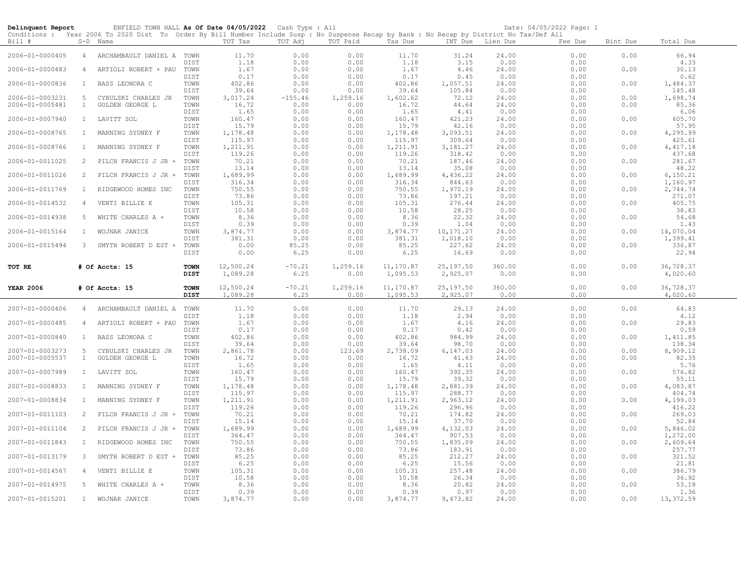| Delinquent Report |                | ENFIELD TOWN HALL As Of Date 04/05/2022 Cash Type : All                                                                                                |                            |                       |                   |                  |                       |                        |                  | Date: 04/05/2022 Page: 1 |          |                       |
|-------------------|----------------|--------------------------------------------------------------------------------------------------------------------------------------------------------|----------------------------|-----------------------|-------------------|------------------|-----------------------|------------------------|------------------|--------------------------|----------|-----------------------|
| Bill #            |                | Conditions : Year 2006 To 2020 Dist To Order By Bill Number Include Susp : No Suspense Recap by Bank : No Recap by District No Tax/Def All<br>S-D Name |                            | TOT Tax               | TOT Adj           | TOT Paid         | Tax Due               |                        | INT Due Lien Due | Fee Due                  | Bint Due | Total Due             |
| 2006-01-0000405   | 4              | ARCHAMBAULT DANIEL A TOWN                                                                                                                              | DIST                       | 11.70<br>1.18         | 0.00<br>0.00      | 0.00<br>0.00     | 11.70<br>1.18         | 31.24<br>3.15          | 24.00<br>0.00    | 0.00<br>0.00             | 0.00     | 66.94<br>4.33         |
| 2006-01-0000483   | $\overline{4}$ | ARTIOLI ROBERT + PAU                                                                                                                                   | TOWN                       | 1.67                  | 0.00              | 0.00             | 1.67                  | 4.46                   | 24.00            | 0.00                     | 0.00     | 30.13                 |
| 2006-01-0000836   | $\mathbf{1}$   | BASS LEONORA C                                                                                                                                         | DIST<br>TOWN               | 0.17<br>402.86        | 0.00<br>0.00      | 0.00<br>0.00     | 0.17<br>402.86        | 0.45<br>1,057.51       | 0.00<br>24.00    | 0.00<br>0.00             | 0.00     | 0.62<br>1,484.37      |
| 2006-01-0003231   | 5              | CYBULSKI CHARLES JR                                                                                                                                    | DIST<br>TOWN               | 39.64<br>3,017.24     | 0.00<br>$-155.46$ | 0.00<br>1,259.16 | 39.64<br>1,602.62     | 105.84<br>72.12        | 0.00<br>24.00    | 0.00<br>0.00             | 0.00     | 145.48<br>1,698.74    |
| 2006-01-0005481   | $\mathbf{1}$   | GOLDEN GEORGE L                                                                                                                                        | TOWN                       | 16.72                 | 0.00              | 0.00             | 16.72                 | 44.64                  | 24.00            | 0.00                     | 0.00     | 85.36                 |
| 2006-01-0007940   | $\mathbf{1}$   | LAVITT SOL                                                                                                                                             | DIST<br>TOWN               | 1.65<br>160.47        | 0.00<br>0.00      | 0.00<br>0.00     | 1.65<br>160.47        | 4.41<br>421.23         | 0.00<br>24.00    | 0.00<br>0.00             | 0.00     | 6.06<br>605.70        |
|                   | $\mathbf{1}$   |                                                                                                                                                        | DIST                       | 15.79                 | 0.00              | 0.00             | 15.79                 | 42.16                  | 0.00             | 0.00                     |          | 57.95                 |
| 2006-01-0008765   |                | MANNING SYDNEY F                                                                                                                                       | TOWN<br>DIST               | 1,178.48<br>115.97    | 0.00<br>0.00      | 0.00<br>0.00     | 1,178.48<br>115.97    | 3,093.51<br>309.64     | 24.00<br>0.00    | 0.00<br>0.00             | 0.00     | 4,295.99<br>425.61    |
| 2006-01-0008766   | $\mathbf{1}$   | MANNING SYDNEY F                                                                                                                                       | TOWN<br>DIST               | 1,211.91              | 0.00              | 0.00             | 1,211.91              | 3,181.27               | 24.00            | 0.00                     | 0.00     | 4, 417.18             |
| 2006-01-0011025   | 2              | PILCH FRANCIS J JR +                                                                                                                                   | TOWN                       | 119.26<br>70.21       | 0.00<br>0.00      | 0.00<br>0.00     | 119.26<br>70.21       | 318.42<br>187.46       | 0.00<br>24.00    | 0.00<br>0.00             | 0.00     | 437.68<br>281.67      |
|                   |                |                                                                                                                                                        | DIST                       | 13.14                 | 0.00              | 0.00             | 13.14                 | 35.08                  | 0.00             | 0.00                     |          | 48.22                 |
| 2006-01-0011026   | 2              | PILCH FRANCIS J JR +                                                                                                                                   | TOWN<br>DIST               | 1,689.99<br>316.34    | 0.00<br>0.00      | 0.00<br>0.00     | 1,689.99<br>316.34    | 4,436.22<br>844.63     | 24.00<br>0.00    | 0.00<br>0.00             | 0.00     | 6, 150.21<br>1,160.97 |
| 2006-01-0011769   | $\mathbf{1}$   | RIDGEWOOD HOMES INC                                                                                                                                    | TOWN                       | 750.55                | 0.00              | 0.00             | 750.55                | 1,970.19               | 24.00            | 0.00                     | 0.00     | 2,744.74              |
| 2006-01-0014532   | $\overline{4}$ | VENTI BILLIE E                                                                                                                                         | DIST<br>TOWN               | 73.86<br>105.31       | 0.00<br>0.00      | 0.00<br>0.00     | 73.86<br>105.31       | 197.21<br>276.44       | 0.00<br>24.00    | 0.00<br>0.00             | 0.00     | 271.07<br>405.75      |
|                   |                |                                                                                                                                                        | DIST                       | 10.58                 | 0.00              | 0.00             | 10.58                 | 28.25                  | 0.00             | 0.00                     |          | 38.83                 |
| 2006-01-0014938   | 5              | WHITE CHARLES A +                                                                                                                                      | TOWN<br>DIST               | 8.36<br>0.39          | 0.00<br>0.00      | 0.00<br>0.00     | 8.36<br>0.39          | 22.32<br>1.04          | 24.00<br>0.00    | 0.00<br>0.00             | 0.00     | 54.68<br>1.43         |
| 2006-01-0015164   | $\mathbf{1}$   | WOJNAR JANICE                                                                                                                                          | TOWN                       | 3,874.77              | 0.00              | 0.00             | 3,874.77              | 10, 171.27             | 24.00            | 0.00                     | 0.00     | 14,070.04             |
| 2006-01-0015494   | $3 -$          | SMYTH ROBERT D EST +                                                                                                                                   | DIST<br>TOWN               | 381.31<br>0.00        | 0.00<br>85.25     | 0.00<br>0.00     | 381.31<br>85.25       | 1,018.10<br>227.62     | 0.00<br>24.00    | 0.00<br>0.00             | 0.00     | 1,399.41<br>336.87    |
|                   |                |                                                                                                                                                        | DIST                       | 0.00                  | 6.25              | 0.00             | 6.25                  | 16.69                  | 0.00             | 0.00                     |          | 22.94                 |
| TOT RE            |                | # Of Accts: 15                                                                                                                                         | <b>TOWN</b><br><b>DIST</b> | 12,500.24<br>1,089.28 | $-70.21$<br>6.25  | 1,259.16<br>0.00 | 11,170.87<br>1,095.53 | 25, 197.50<br>2,925.07 | 360.00<br>0.00   | 0.00<br>0.00             | 0.00     | 36,728.37<br>4,020.60 |
| <b>YEAR 2006</b>  |                | # Of Accts: 15                                                                                                                                         | <b>TOWN</b><br><b>DIST</b> | 12,500.24<br>1,089.28 | $-70.21$<br>6.25  | 1,259.16<br>0.00 | 11,170.87<br>1,095.53 | 25,197.50<br>2,925.07  | 360.00<br>0.00   | 0.00<br>0.00             | 0.00     | 36,728.37<br>4,020.60 |
| 2007-01-0000406   | 4              | ARCHAMBAULT DANIEL A                                                                                                                                   | TOWN                       | 11.70                 | 0.00              | 0.00             | 11.70                 | 29.13                  | 24.00            | 0.00                     | 0.00     | 64.83                 |
|                   |                |                                                                                                                                                        | DIST                       | 1.18                  | 0.00              | 0.00             | 1.18                  | 2.94                   | 0.00             | 0.00                     |          | 4.12                  |
| 2007-01-0000485   | $\overline{4}$ | ARTIOLI ROBERT + PAU                                                                                                                                   | TOWN<br>DIST               | 1.67<br>0.17          | 0.00<br>0.00      | 0.00<br>0.00     | 1.67<br>0.17          | 4.16<br>0.42           | 24,00<br>0.00    | 0.00<br>0.00             | 0.00     | 29.83<br>0.59         |
| 2007-01-0000840   | 1              | BASS LEONORA C                                                                                                                                         | TOWN                       | 402.86                | 0.00              | 0.00             | 402.86                | 984.99                 | 24.00            | 0.00                     | 0.00     | 1,411.85              |
| 2007-01-0003273   | -5             | CYBULSKI CHARLES JR                                                                                                                                    | DIST<br>TOWN               | 39.64<br>2,861.78     | 0.00<br>0.00      | 0.00<br>123.69   | 39.64<br>2,738.09     | 98.70<br>6,147.03      | 0.00<br>24.00    | 0.00<br>0.00             | 0.00     | 138.34<br>8,909.12    |
| 2007-01-0005537   | $\mathbf{1}$   | GOLDEN GEORGE L                                                                                                                                        | TOWN                       | 16.72                 | 0.00              | 0.00             | 16.72                 | 41.63                  | 24.00            | 0.00                     | 0.00     | 82.35                 |
| 2007-01-0007989   | $\mathbf{1}$   | LAVITT SOL                                                                                                                                             | DIST<br>TOWN               | 1.65<br>160.47        | 0.00<br>0.00      | 0.00<br>0.00     | 1.65<br>160.47        | 4.11<br>392.35         | 0.00<br>24.00    | 0.00<br>0.00             | 0.00     | 5.76<br>576.82        |
|                   |                |                                                                                                                                                        | DIST                       | 15.79                 | 0.00              | 0.00             | 15.79                 | 39.32                  | 0.00             | 0.00                     |          | 55.11                 |
| 2007-01-0008833   | $\mathbf{1}$   | MANNING SYDNEY F                                                                                                                                       | TOWN<br>DIST               | 1,178.48<br>115.97    | 0.00<br>0.00      | 0.00<br>0.00     | 1,178.48<br>115.97    | 2,881.39<br>288.77     | 24.00<br>0.00    | 0.00<br>0.00             | 0.00     | 4,083.87<br>404.74    |
| 2007-01-0008834   | $\mathbf{1}$   | MANNING SYDNEY F                                                                                                                                       | TOWN                       | 1,211.91              | 0.00              | 0.00             | 1,211.91              | 2,963.12               | 24.00            | 0.00                     | 0.00     | 4,199.03              |
| 2007-01-0011103   | 2              | PILCH FRANCIS J JR +                                                                                                                                   | DIST<br>TOWN               | 119.26<br>70.21       | 0.00<br>0.00      | 0.00<br>0.00     | 119.26<br>70.21       | 296.96<br>174.82       | 0.00<br>24.00    | 0.00<br>0.00             | 0.00     | 416.22<br>269.03      |
|                   |                |                                                                                                                                                        | DIST                       | 15.14                 | 0.00              | 0.00             | 15.14                 | 37.70                  | 0.00             | 0.00                     |          | 52.84                 |
| 2007-01-0011104   | $\overline{2}$ | PILCH FRANCIS J JR +                                                                                                                                   | TOWN<br>DIST               | 1,689.99<br>364.47    | 0.00<br>0.00      | 0.00<br>0.00     | 1,689.99<br>364.47    | 4,132.03<br>907.53     | 24.00<br>0.00    | 0.00<br>0.00             | 0.00     | 5,846.02<br>1,272.00  |
| 2007-01-0011843   | $\mathbf{1}$   | RIDGEWOOD HOMES INC                                                                                                                                    | TOWN                       | 750.55                | 0.00              | 0.00             | 750.55                | 1,835.09               | 24.00            | 0.00                     | 0.00     | 2,609.64              |
| 2007-01-0013179   | 3              | SMYTH ROBERT D EST +                                                                                                                                   | DIST<br>TOWN               | 73.86<br>85.25        | 0.00<br>0.00      | 0.00<br>0.00     | 73.86<br>85.25        | 183.91<br>212.27       | 0.00<br>24.00    | 0.00<br>0.00             | 0.00     | 257.77<br>321.52      |
|                   |                |                                                                                                                                                        | DIST                       | 6.25                  | 0.00              | 0.00             | 6.25                  | 15.56                  | 0.00             | 0.00                     |          | 21.81                 |
| 2007-01-0014567   | $\overline{4}$ | VENTI BILLIE E                                                                                                                                         | TOWN<br>DIST               | 105.31<br>10.58       | 0.00<br>0.00      | 0.00<br>0.00     | 105.31<br>10.58       | 257.48<br>26.34        | 24.00<br>0.00    | 0.00<br>0.00             | 0.00     | 386.79<br>36.92       |
| 2007-01-0014975   | 5              | WHITE CHARLES A +                                                                                                                                      | TOWN                       | 8.36                  | 0.00              | 0.00             | 8.36                  | 20.82                  | 24.00            | 0.00                     | 0.00     | 53.18                 |
| 2007-01-0015201   | 1              | WOJNAR JANICE                                                                                                                                          | DIST<br>TOWN               | 0.39<br>3,874.77      | 0.00<br>0.00      | 0.00<br>0.00     | 0.39<br>3,874.77      | 0.97<br>9,473.82       | 0.00<br>24.00    | 0.00<br>0.00             | 0.00     | 1.36<br>13,372.59     |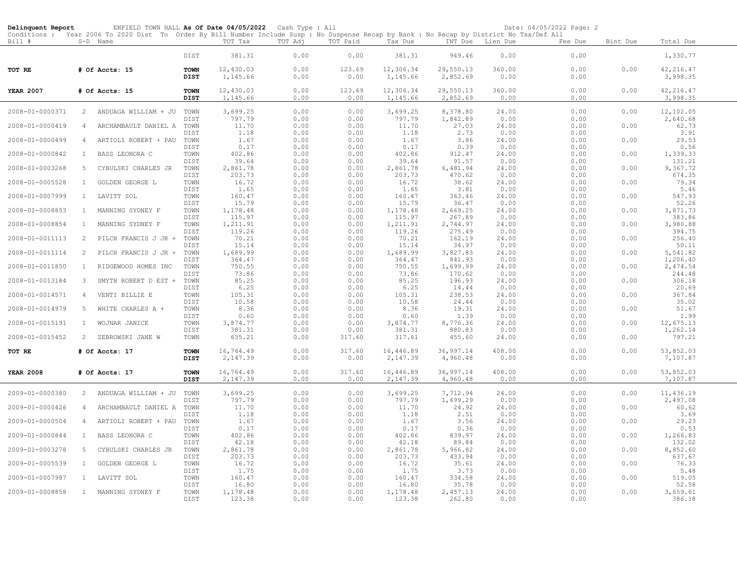| Delinquent Report | ENFIELD TOWN HALL As Of Date 04/05/2022                                                                                                                |              |                    | Cash Type : All |              |                    |                    |                         | Date: 04/05/2022 Page: 2 |          |                      |  |
|-------------------|--------------------------------------------------------------------------------------------------------------------------------------------------------|--------------|--------------------|-----------------|--------------|--------------------|--------------------|-------------------------|--------------------------|----------|----------------------|--|
| Bill #            | Conditions : Year 2006 To 2020 Dist To Order By Bill Number Include Susp : No Suspense Recap by Bank : No Recap by District No Tax/Def All<br>S-D Name |              | TOT Tax            | TOT Adj         | TOT Paid     | Tax Due            | INT Due            | Lien Due                | Fee Due                  | Bint Due | Total Due            |  |
|                   |                                                                                                                                                        |              |                    |                 |              |                    |                    |                         |                          |          |                      |  |
|                   |                                                                                                                                                        | DIST         | 381.31             | 0.00            | 0.00         | 381.31             | 949.46             | 0.00                    | 0.00                     |          | 1,330.77             |  |
| TOT RE            | # Of Accts: 15                                                                                                                                         | <b>TOWN</b>  | 12,430.03          | 0.00            | 123.69       | 12,306.34          | 29,550.13          | 360.00                  | 0.00                     | 0.00     | 42, 216.47           |  |
|                   |                                                                                                                                                        | DIST         | 1,145.66           | 0.00            | 0.00         | 1,145.66           | 2,852.69           | 0.00                    | 0.00                     |          | 3,998.35             |  |
| <b>YEAR 2007</b>  | # Of Accts: 15                                                                                                                                         | <b>TOWN</b>  | 12,430.03          | 0.00            | 123.69       | 12,306.34          | 29,550.13          | 360.00                  | 0.00                     | 0.00     | 42, 216.47           |  |
|                   |                                                                                                                                                        | <b>DIST</b>  | 1,145.66           | 0.00            | 0.00         | 1,145.66           | 2,852.69           | 0.00                    | 0.00                     |          | 3,998.35             |  |
| 2008-01-0000371   | 2<br>ANDUAGA WILLIAM + JU                                                                                                                              | TOWN         | 3,699.25           | 0.00            | 0.00         | 3,699.25           | 8,378.80           | 24.00                   | 0.00                     | 0.00     | 12,102.05            |  |
|                   |                                                                                                                                                        | DIST         | 797.79             | 0.00            | 0.00         | 797.79             | 1,842.89           | 0.00                    | 0.00                     |          | 2,640.68             |  |
| 2008-01-0000419   | ARCHAMBAULT DANIEL A<br>4                                                                                                                              | TOWN         | 11.70              | 0.00            | 0.00         | 11.70              | 27.03<br>2.73      | 24.00                   | 0.00                     | 0.00     | 62.73                |  |
| 2008-01-0000499   | $\overline{4}$<br>ARTIOLI ROBERT + PAU                                                                                                                 | DIST<br>TOWN | 1.18<br>1.67       | 0.00<br>0.00    | 0.00<br>0.00 | 1.18<br>1.67       | 3.86               | 0.00<br>24.00           | 0.00<br>0.00             | 0.00     | 3.91<br>29.53        |  |
|                   |                                                                                                                                                        | DIST         | 0.17               | 0.00            | 0.00         | 0.17               | 0.39               | 0.00                    | 0.00                     |          | 0.56                 |  |
| 2008-01-0000842   | BASS LEONORA C<br>$\mathbf{1}$                                                                                                                         | TOWN         | 402.86             | 0.00            | 0.00         | 402.86             | 912.47             | 24.00                   | 0.00                     | 0.00     | 1,339.33             |  |
| 2008-01-0003268   | 5<br>CYBULSKI CHARLES JR                                                                                                                               | DIST<br>TOWN | 39.64<br>2,861.78  | 0.00<br>0.00    | 0.00<br>0.00 | 39.64<br>2,861.78  | 91.57<br>6,481.94  | 0.00<br>24.00           | 0.00<br>0.00             | 0.00     | 131.21<br>9,367.72   |  |
|                   |                                                                                                                                                        | DIST         | 203.73             | 0.00            | 0.00         | 203.73             | 470.62             | 0.00                    | 0.00                     |          | 674.35               |  |
| 2008-01-0005528   | GOLDEN GEORGE L<br>$\mathbf{1}$                                                                                                                        | TOWN         | 16.72              | 0.00            | 0.00         | 16.72              | 38.62              | 24.00                   | 0.00                     | 0.00     | 79.34                |  |
| 2008-01-0007999   | $\mathbf{1}$<br>LAVITT SOL                                                                                                                             | DIST<br>TOWN | 1.65<br>160.47     | 0.00<br>0.00    | 0.00<br>0.00 | 1.65<br>160.47     | 3.81<br>363.46     | 0.00<br>24.00           | 0.00<br>0.00             | 0.00     | 5.46<br>547.93       |  |
|                   |                                                                                                                                                        | DIST         | 15.79              | 0.00            | 0.00         | 15.79              | 36.47              | 0.00                    | 0.00                     |          | 52.26                |  |
| 2008-01-0008853   | MANNING SYDNEY F<br>$\mathbf{1}$                                                                                                                       | TOWN         | 1,178.48           | 0.00            | 0.00         | 1,178.48           | 2,669.25           | 24.00                   | 0.00                     | 0.00     | 3,871.73             |  |
| 2008-01-0008854   | MANNING SYDNEY F<br>$\mathbf{1}$                                                                                                                       | DIST<br>TOWN | 115.97<br>1,211.91 | 0.00<br>0.00    | 0.00<br>0.00 | 115.97<br>1,211.91 | 267.89<br>2,744.97 | 0.00<br>24.00           | 0.00<br>0.00             | 0.00     | 383.86<br>3,980.88   |  |
|                   |                                                                                                                                                        | DIST         | 119.26             | 0.00            | 0.00         | 119.26             | 275.49             | 0.00                    | 0.00                     |          | 394.75               |  |
| 2008-01-0011113   | PILCH FRANCIS J JR +<br>2                                                                                                                              | TOWN         | 70.21              | 0.00            | 0.00         | 70.21              | 162.19             | 24.00                   | 0.00                     | 0.00     | 256.40               |  |
|                   |                                                                                                                                                        | DIST         | 15.14              | 0.00            | 0.00         | 15.14              | 34.97              | 0.00                    | 0.00                     |          | 50.11                |  |
| 2008-01-0011114   | 2<br>PILCH FRANCIS J JR +                                                                                                                              | TOWN<br>DIST | 1,689.99<br>364.47 | 0.00<br>0.00    | 0.00<br>0.00 | 1,689.99<br>364.47 | 3,827.83<br>841.93 | 24.00<br>0.00           | 0.00<br>0.00             | 0.00     | 5,541.82<br>1,206.40 |  |
| 2008-01-0011850   | $\mathbf{1}$<br>RIDGEWOOD HOMES INC                                                                                                                    | TOWN         | 750.55             | 0.00            | 0.00         | 750.55             | 1,699.99           | 24.00                   | 0.00                     | 0.00     | 2,474.54             |  |
|                   |                                                                                                                                                        | DIST         | 73.86              | 0.00            | 0.00         | 73.86              | 170.62             | 0.00                    | 0.00                     |          | 244.48               |  |
| 2008-01-0013184   | SMYTH ROBERT D EST +<br>3                                                                                                                              | TOWN<br>DIST | 85.25<br>6.25      | 0.00<br>0.00    | 0.00<br>0.00 | 85.25<br>6.25      | 196.93<br>14.44    | 24.00<br>0.00           | 0.00<br>0.00             | 0.00     | 306.18<br>20.69      |  |
| 2008-01-0014571   | VENTI BILLIE E<br>$\overline{4}$                                                                                                                       | TOWN         | 105.31             | 0.00            | 0.00         | 105.31             | 238.53             | 24.00                   | 0.00                     | 0.00     | 367.84               |  |
|                   |                                                                                                                                                        | DIST         | 10.58              | 0.00            | 0.00         | 10.58              | 24.44              | 0.00                    | 0.00                     |          | 35.02                |  |
| 2008-01-0014979   | WHITE CHARLES A +<br>5                                                                                                                                 | TOWN<br>DIST | 8.36<br>0.60       | 0.00<br>0.00    | 0.00<br>0.00 | 8.36<br>0.60       | 19.31<br>1.39      | 24.00<br>0.00           | 0.00<br>0.00             | 0.00     | 51.67<br>1.99        |  |
| 2008-01-0015191   | WOJNAR JANICE<br>$\mathbf{1}$                                                                                                                          | TOWN         | 3,874.77           | 0.00            | 0.00         | 3,874.77           | 8,776.36           | 24.00                   | 0.00                     | 0.00     | 12,675.13            |  |
|                   |                                                                                                                                                        | DIST         | 381.31             | 0.00            | 0.00         | 381.31             | 880.83             | 0.00                    | 0.00                     |          | 1,262.14             |  |
| 2008-01-0015452   | 2<br>ZEBROWSKI JANE W                                                                                                                                  | TOWN         | 635.21             | 0.00            | 317.60       | 317.61             | 455.60             | 24.00                   | 0.00                     | 0.00     | 797.21               |  |
| TOT RE            | # Of Accts: 17                                                                                                                                         | <b>TOWN</b>  | 16,764.49          | 0.00            | 317.60       | 16,446.89          | 36,997.14          | 408.00                  | 0.00                     | 0.00     | 53,852.03            |  |
|                   |                                                                                                                                                        | DIST         | 2,147.39           | 0.00            | 0.00         | 2,147.39           | 4,960.48           | 0.00                    | 0.00                     |          | 7,107.87             |  |
| <b>YEAR 2008</b>  | # Of Accts: 17                                                                                                                                         | <b>TOWN</b>  | 16,764.49          | 0.00            | 317.60       | 16,446.89          | 36,997.14          | 408.00                  | 0.00                     | 0.00     | 53,852.03            |  |
|                   |                                                                                                                                                        | DIST         | 2,147.39           | 0.00            | 0.00         | 2,147.39           | 4,960.48           | 0.00                    | 0.00                     |          | 7,107.87             |  |
| 2009-01-0000380   | $\mathbf{2}$<br>ANDUAGA WILLIAM + JU                                                                                                                   | TOWN         | 3,699.25           | 0.00            | 0.00         | 3,699.25           | 7,712.94           | 24.00                   | 0.00                     | 0.00     | 11,436.19            |  |
|                   |                                                                                                                                                        | DIST         | 797.79             | 0.00            | 0.00         | 797.79             | 1,699.29           | 0.00                    | 0.00                     |          | 2,497.08             |  |
| 2009-01-0000426   | $\overline{4}$<br>ARCHAMBAULT DANIEL A                                                                                                                 | TOWN         | 11.70              | 0.00            | 0.00         | 11.70              | 24.92              | 24.00                   | 0.00                     | 0.00     | 60.62                |  |
| 2009-01-0000504   | $\overline{4}$<br>ARTIOLI ROBERT + PAU                                                                                                                 | DIST<br>TOWN | 1.18<br>1.67       | 0.00<br>0.00    | 0.00<br>0.00 | 1.18<br>1.67       | 2.51<br>3.56       | 0.00<br>$2\,4$ . $0\,0$ | 0.00<br>0.00             | 0.00     | 3.69<br>29.23        |  |
|                   |                                                                                                                                                        | DIST         | 0.17               | 0.00            | 0.00         | 0.17               | 0.36               | 0.00                    | 0.00                     |          | 0.53                 |  |
| 2009-01-0000844   | BASS LEONORA C<br>$\mathbf{1}$                                                                                                                         | TOWN         | 402.86             | 0.00            | 0.00         | 402.86             | 839.97             | 24.00                   | 0.00                     | 0.00     | 1,266.83             |  |
| 2009-01-0003278   | 5<br>CYBULSKI CHARLES JR                                                                                                                               | DIST<br>TOWN | 42.18<br>2,861.78  | 0.00<br>0.00    | 0.00<br>0.00 | 42.18<br>2,861.78  | 89.84<br>5,966.82  | 0.00<br>24.00           | 0.00<br>0.00             | 0.00     | 132.02<br>8,852.60   |  |
|                   |                                                                                                                                                        | DIST         | 203.73             | 0.00            | 0.00         | 203.73             | 433.94             | 0.00                    | 0.00                     |          | 637.67               |  |
| 2009-01-0005539   | $\mathbf{1}$<br>GOLDEN GEORGE L                                                                                                                        | TOWN         | 16.72              | 0.00            | 0.00         | 16.72              | 35.61              | 24.00                   | 0.00                     | 0.00     | 76.33                |  |
| 2009-01-0007987   | $\mathbf{1}$<br>LAVITT SOL                                                                                                                             | DIST<br>TOWN | 1.75<br>160.47     | 0.00<br>0.00    | 0.00<br>0.00 | 1.75<br>160.47     | 3.73<br>334.58     | 0.00<br>24.00           | 0.00<br>0.00             | 0.00     | 5.48<br>519.05       |  |
|                   |                                                                                                                                                        | DIST         | 16.80              | 0.00            | 0.00         | 16.80              | 35.78              | 0.00                    | 0.00                     |          | 52.58                |  |
| 2009-01-0008858   | $\mathbf{1}$<br>MANNING SYDNEY F                                                                                                                       | TOWN         | 1,178.48           | 0.00            | 0.00         | 1,178.48           | 2,457.13           | 24.00                   | 0.00                     | 0.00     | 3,659.61             |  |
|                   |                                                                                                                                                        | DIST         | 123.38             | 0.00            | 0.00         | 123.38             | 262.80             | 0.00                    | 0.00                     |          | 386.18               |  |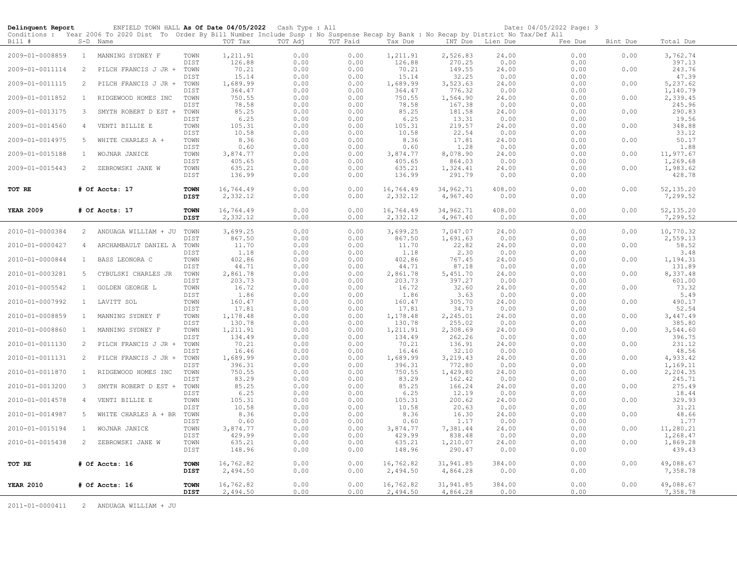| Delinquent Report | ENFIELD TOWN HALL As Of Date 04/05/2022                                                                                                                |                            |                            | Cash Type : All      |                      |                            |                              |                       | Date: 04/05/2022 Page: 3 |          |                                |
|-------------------|--------------------------------------------------------------------------------------------------------------------------------------------------------|----------------------------|----------------------------|----------------------|----------------------|----------------------------|------------------------------|-----------------------|--------------------------|----------|--------------------------------|
| Bill #            | Conditions : Year 2006 To 2020 Dist To Order By Bill Number Include Susp : No Suspense Recap by Bank : No Recap by District No Tax/Def All<br>S-D Name |                            | TOT Tax                    | TOT Adj              | TOT Paid             | Tax Due                    |                              | INT Due Lien Due      | Fee Due                  | Bint Due | Total Due                      |
| 2009-01-0008859   | 1 MANNING SYDNEY F                                                                                                                                     | TOWN                       | 1,211.91                   | 0.00                 | 0.00                 | 1,211.91                   | 2,526.83                     | 24.00                 | 0.00                     | 0.00     | 3,762.74                       |
| 2009-01-0011114   | PILCH FRANCIS J JR +<br>2                                                                                                                              | DIST<br>TOWN               | 126.88<br>70.21            | 0.00<br>0.00         | 0.00<br>0.00         | 126.88<br>70.21            | 270.25<br>149.55             | 0.00<br>24.00         | 0.00<br>0.00             | 0.00     | 397.13<br>243.76               |
| 2009-01-0011115   | 2<br>PILCH FRANCIS J JR +                                                                                                                              | DIST<br>TOWN               | 15.14<br>1,689.99          | 0.00<br>0.00         | 0.00<br>0.00         | 15.14<br>1,689.99          | 32.25<br>3,523.63            | 0.00<br>24.00         | 0.00<br>0.00             | 0.00     | 47.39<br>5,237.62              |
| 2009-01-0011852   | $\mathbf{1}$<br>RIDGEWOOD HOMES INC                                                                                                                    | DIST<br>TOWN               | 364.47<br>750.55           | 0.00<br>0.00         | 0.00<br>0.00         | 364.47<br>750.55           | 776.32<br>1,564.90           | 0.00<br>24.00         | 0.00<br>0.00             | 0.00     | 1,140.79<br>2,339.45           |
| 2009-01-0013175   | 3<br>SMYTH ROBERT D EST +                                                                                                                              | DIST<br>TOWN               | 78.58<br>85.25             | 0.00<br>0.00         | 0.00<br>0.00         | 78.58<br>85.25             | 167.38<br>181.58             | 0.00<br>24.00         | 0.00<br>0.00             | 0.00     | 245.96<br>290.83               |
| 2009-01-0014560   | VENTI BILLIE E<br>$\overline{4}$                                                                                                                       | DIST<br>TOWN               | 6.25<br>105.31             | 0.00<br>0.00         | 0.00<br>0.00         | 6.25<br>105.31             | 13.31<br>219.57              | 0.00<br>24.00         | 0.00<br>0.00             | 0.00     | 19.56<br>348.88                |
| 2009-01-0014975   | 5<br>WHITE CHARLES A +                                                                                                                                 | DIST<br>TOWN               | 10.58<br>8.36              | 0.00<br>0.00         | 0.00<br>0.00         | 10.58<br>8.36              | 22.54<br>17.81               | 0.00<br>24.00         | 0.00<br>0.00             | 0.00     | 33.12<br>50.17                 |
| 2009-01-0015188   | WOJNAR JANICE<br>1                                                                                                                                     | DIST<br>TOWN               | 0.60<br>3,874.77           | 0.00<br>0.00         | 0.00<br>0.00         | 0.60<br>3,874.77           | 1.28<br>8,078.90             | 0.00<br>24.00         | 0.00<br>0.00             | 0.00     | 1.88<br>11,977.67              |
| 2009-01-0015443   | 2<br>ZEBROWSKI JANE W                                                                                                                                  | DIST<br>TOWN               | 405.65<br>635.21           | 0.00<br>0.00         | 0.00<br>0.00         | 405.65<br>635.21           | 864.03<br>1,324.41           | 0.00<br>24.00         | 0.00<br>0.00             | 0.00     | 1,269.68<br>1,983.62           |
|                   |                                                                                                                                                        | DIST                       | 136.99                     | 0.00                 | 0.00                 | 136.99                     | 291.79                       | 0.00                  | 0.00                     |          | 428.78                         |
| TOT RE            | # Of Accts: 17                                                                                                                                         | <b>TOWN</b><br><b>DIST</b> | 16,764.49<br>2,332.12      | 0.00<br>0.00         | 0.00<br>0.00         | 16,764.49<br>2,332.12      | 34,962.71<br>4,967.40        | 408.00<br>0.00        | 0.00<br>0.00             | 0.00     | 52, 135.20<br>7,299.52         |
| <b>YEAR 2009</b>  | # Of Accts: 17                                                                                                                                         | <b>TOWN</b><br><b>DIST</b> | 16,764.49<br>2,332.12      | 0.00<br>0.00         | 0.00<br>0.00         | 16,764.49<br>2,332.12      | 34,962.71<br>4,967.40        | 408.00<br>0.00        | 0.00<br>0.00             | 0.00     | 52, 135.20<br>7,299.52         |
| 2010-01-0000384   | 2<br>ANDUAGA WILLIAM + JU                                                                                                                              | TOWN                       | 3,699.25                   | 0.00                 | 0.00                 | 3,699.25                   | 7,047.07                     | 24.00                 | 0.00                     | 0.00     | 10,770.32                      |
| 2010-01-0000427   | $\overline{4}$<br>ARCHAMBAULT DANIEL A                                                                                                                 | DIST<br>TOWN               | 867.50<br>11.70            | 0.00<br>0.00         | 0.00<br>0.00         | 867.50<br>11.70            | 1,691.63<br>22.82            | 0.00<br>24.00         | 0.00<br>0.00             | 0.00     | 2,559.13<br>58.52              |
| 2010-01-0000844   | BASS LEONORA C<br>$\mathbf{1}$                                                                                                                         | DIST<br>TOWN               | 1.18<br>402.86             | 0.00<br>0.00         | 0.00<br>0.00         | 1.18<br>402.86             | 2.30<br>767.45               | 0.00<br>24.00         | 0.00<br>0.00             | 0.00     | 3.48<br>1,194.31               |
| 2010-01-0003281   | 5<br>CYBULSKI CHARLES JR                                                                                                                               | DIST<br>TOWN               | 44.71<br>2,861.78          | 0.00<br>0.00         | 0.00<br>0.00         | 44.71<br>2,861.78          | 87.18<br>5,451.70            | 0.00<br>24.00         | 0.00<br>0.00             | 0.00     | 131.89<br>8,337.48             |
| 2010-01-0005542   | $\mathbf{1}$<br>GOLDEN GEORGE L                                                                                                                        | DIST<br>TOWN               | 203.73<br>16.72            | 0.00<br>0.00         | 0.00<br>0.00         | 203.73<br>16.72            | 397.27<br>32.60              | 0.00<br>24.00         | 0.00<br>0.00             | 0.00     | 601.00<br>73.32                |
| 2010-01-0007992   | $\mathbf{1}$<br>LAVITT SOL                                                                                                                             | DIST<br>TOWN               | 1.86<br>160.47             | 0.00<br>0.00         | 0.00<br>0.00         | 1.86<br>160.47             | 3.63<br>305.70               | 0.00<br>24.00         | 0.00<br>0.00             | 0.00     | 5.49<br>490.17                 |
| 2010-01-0008859   | $\mathbf{1}$<br>MANNING SYDNEY F                                                                                                                       | DIST<br>TOWN               | 17.81<br>1,178.48          | 0.00<br>0.00         | 0.00<br>0.00         | 17.81<br>1,178.48          | 34.73<br>2,245.01            | 0.00<br>24.00         | 0.00<br>0.00             | 0.00     | 52.54<br>3,447.49              |
| 2010-01-0008860   | MANNING SYDNEY F<br>1                                                                                                                                  | DIST<br>TOWN               | 130.78<br>1,211.91         | 0.00<br>0.00         | 0.00<br>0.00         | 130.78<br>1,211.91         | 255.02<br>2,308.69           | 0.00<br>24.00         | 0.00<br>0.00             | 0.00     | 385.80<br>3,544.60             |
| 2010-01-0011130   | 2<br>PILCH FRANCIS J JR +                                                                                                                              | DIST<br>TOWN               | 134.49<br>70.21            | 0.00<br>0.00         | 0.00<br>0.00         | 134.49<br>70.21            | 262.26<br>136.91             | 0.00<br>24.00         | 0.00<br>0.00             | 0.00     | 396.75<br>231.12               |
| 2010-01-0011131   | 2<br>PILCH FRANCIS J JR +                                                                                                                              | DIST<br>TOWN               | 16.46<br>1,689.99          | 0.00<br>0.00         | 0.00<br>0.00         | 16.46<br>1,689.99          | 32.10<br>3,219.43            | 0.00<br>24.00         | 0.00<br>0.00             | 0.00     | 48.56<br>4,933.42              |
| 2010-01-0011870   | $\mathbf{1}$<br>RIDGEWOOD HOMES INC                                                                                                                    | DIST<br>TOWN               | 396.31<br>750.55           | 0.00<br>0.00         | 0.00<br>0.00         | 396.31<br>750.55           | 772.80<br>1,429.80           | 0.00<br>24.00         | 0.00<br>0.00             | 0.00     | 1,169.11<br>2,204.35           |
| 2010-01-0013200   | 3<br>SMYTH ROBERT D EST +                                                                                                                              | DIST<br>TOWN               | 83.29<br>85.25             | 0.00<br>0.00         | 0.00<br>0.00         | 83.29<br>85.25             | 162.42<br>166.24             | 0.00<br>24.00         | 0.00<br>0.00             | 0.00     | 245.71<br>275.49               |
| 2010-01-0014578   | VENTI BILLIE E<br>4                                                                                                                                    | DIST<br>TOWN               | 6.25<br>105.31             | 0.00<br>0.00         | 0.00<br>0.00         | 6.25<br>105.31             | 12.19<br>200.62              | 0.00<br>24.00         | 0.00<br>0.00             | 0.00     | 18.44<br>329.93                |
| 2010-01-0014987   | 5<br>WHITE CHARLES A + BR                                                                                                                              | DIST<br>TOWN               | 10.58<br>8.36              | 0.00<br>0.00         | 0.00<br>0.00         | 10.58<br>8.36              | 20.63<br>16.30               | 0.00<br>24.00         | 0.00<br>0.00             | 0.00     | 31.21<br>48.66                 |
| 2010-01-0015194   | $\mathbf{1}$<br>WOJNAR JANICE                                                                                                                          | DIST<br>TOWN               | 0.60<br>3,874.77           | 0.00<br>0.00         | 0.00<br>0.00         | 0.60<br>3,874.77           | 1.17<br>7,381.44             | 0.00<br>24.00         | 0.00<br>0.00             | 0.00     | 1.77<br>11,280.21              |
| 2010-01-0015438   | 2<br>ZEBROWSKI JANE W                                                                                                                                  | DIST<br>TOWN<br>DIST       | 429.99<br>635.21<br>148.96 | 0.00<br>0.00<br>0.00 | 0.00<br>0.00<br>0.00 | 429.99<br>635.21<br>148.96 | 838.48<br>1,210.07<br>290.47 | 0.00<br>24.00<br>0.00 | 0.00<br>0.00<br>0.00     | 0.00     | 1,268.47<br>1,869.28<br>439.43 |
| TOT RE            | # Of Accts: 16                                                                                                                                         | <b>TOWN</b><br>DIST        | 16,762.82<br>2,494.50      | 0.00<br>0.00         | 0.00<br>0.00         | 16,762.82<br>2,494.50      | 31,941.85<br>4,864.28        | 384.00<br>0.00        | 0.00<br>0.00             | 0.00     | 49,088.67<br>7,358.78          |
| <b>YEAR 2010</b>  | # Of Accts: 16                                                                                                                                         | <b>TOWN</b><br><b>DIST</b> | 16,762.82<br>2,494.50      | 0.00<br>0.00         | 0.00<br>0.00         | 16,762.82<br>2,494.50      | 31,941.85<br>4,864.28        | 384.00<br>0.00        | 0.00<br>0.00             | 0.00     | 49,088.67<br>7,358.78          |

2011-01-0000411 2 ANDUAGA WILLIAM + JU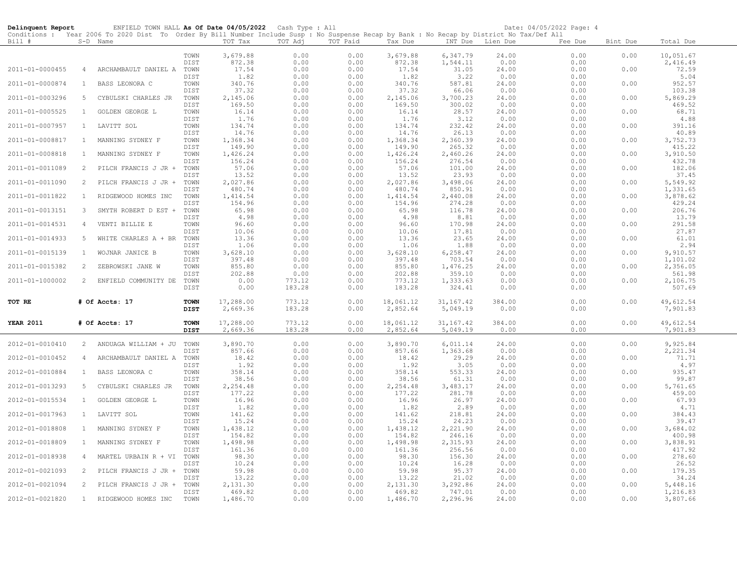| Conditions : Year 2006 To 2020 Dist To Order By Bill Number Include Susp : No Suspense Recap by Bank : No Recap by District No Tax/Def All<br>TOT Paid<br>Bill #<br>S-D Name<br>TOT Tax<br>TOT Adj<br>Tax Due<br>INT Due Lien Due<br>Fee Due<br>Bint Due<br>Total Due<br>3,679.88<br>3,679.88<br>6,347.79<br>24.00<br>10,051.67<br>TOWN<br>0.00<br>0.00<br>0.00<br>0.00<br>872.38<br>0.00<br>872.38<br>1,544.11<br>0.00<br>2,416.49<br>DIST<br>0.00<br>0.00<br>17.54<br>17.54<br>31.05<br>72.59<br>2011-01-0000455<br>ARCHAMBAULT DANIEL A TOWN<br>0.00<br>0.00<br>24.00<br>0.00<br>0.00<br>$\overline{4}$<br><b>DIST</b><br>1.82<br>0.00<br>0.00<br>1.82<br>3.22<br>0.00<br>0.00<br>5.04<br>TOWN<br>340.76<br>0.00<br>0.00<br>340.76<br>587.81<br>24.00<br>0.00<br>0.00<br>952.57<br>2011-01-0000874<br>BASS LEONORA C<br>$\mathbf{1}$<br>37.32<br>DIST<br>37.32<br>0.00<br>0.00<br>103.38<br>0.00<br>66.06<br>0.00<br>TOWN<br>2,145.06<br>0.00<br>2,145.06<br>24.00<br>0.00<br>0.00<br>5,869.29<br>2011-01-0003296<br>5 <sub>5</sub><br>CYBULSKI CHARLES JR<br>0.00<br>3,700.23<br>169.50<br>469.52<br>0.00<br>169.50<br>300.02<br>0.00<br>0.00<br>DIST<br>0.00<br>16.14<br>2011-01-0005525<br>1<br>GOLDEN GEORGE L<br>TOWN<br>0.00<br>0.00<br>16.14<br>28.57<br>24.00<br>0.00<br>0.00<br>68.71<br>1.76<br>0.00<br>1.76<br>3.12<br>0.00<br>4.88<br>DIST<br>0.00<br>0.00<br>134.74<br>0.00<br>134.74<br>232.42<br>24.00<br>0.00<br>0.00<br>391.16<br>2011-01-0007957<br>$\mathbf{1}$<br>LAVITT SOL<br>TOWN<br>0.00<br>14.76<br>0.00<br>14.76<br>26.13<br>0.00<br>40.89<br>DIST<br>0.00<br>0.00<br>1,368.34<br>1,368.34<br>2,360.39<br>3,752.73<br>2011-01-0008817<br>TOWN<br>0.00<br>0.00<br>24.00<br>0.00<br>0.00<br><sup>1</sup><br>MANNING SYDNEY F<br>DIST<br>149.90<br>0.00<br>0.00<br>149.90<br>265.32<br>0.00<br>0.00<br>415.22<br>1,426.24<br>0.00<br>2,460.26<br>24.00<br>0.00<br>0.00<br>2011-01-0008818<br>$\mathbf{1}$<br>MANNING SYDNEY F<br>TOWN<br>0.00<br>1,426.24<br>3,910.50<br>0.00<br>DIST<br>156.24<br>0.00<br>0.00<br>156.24<br>276.54<br>0.00<br>432.78<br>2011-01-0011089<br>57.06<br>0.00<br>57.06<br>101.00<br>24.00<br>0.00<br>0.00<br>182.06<br>2<br>PILCH FRANCIS J JR +<br>TOWN<br>0.00<br>13.52<br>13.52<br>23.93<br>0.00<br>37.45<br>DIST<br>0.00<br>0.00<br>0.00<br>2,027.86<br>0.00<br>2,027.86<br>3,498.06<br>0.00<br>5,549.92<br>2011-01-0011090<br>2<br>PILCH FRANCIS J JR +<br>TOWN<br>0.00<br>24.00<br>0.00<br>480.74<br>0.00<br>480.74<br>0.00<br>1,331.65<br>DIST<br>0.00<br>850.91<br>0.00<br>2011-01-0011822<br>TOWN<br>1,414.54<br>0.00<br>0.00<br>1,414.54<br>2,440.08<br>24.00<br>0.00<br>0.00<br>3,878.62<br>$\mathbf{1}$<br>RIDGEWOOD HOMES INC<br>154.96<br>154.96<br>0.00<br>DIST<br>0.00<br>0.00<br>274.28<br>0.00<br>429.24<br>$\mathbf{3}$<br>TOWN<br>65.98<br>0.00<br>65.98<br>116.78<br>24.00<br>0.00<br>206.76<br>2011-01-0013151<br>SMYTH ROBERT D EST +<br>0.00<br>0.00<br>4.98<br>0.00<br>0.00<br>4.98<br>8.81<br>0.00<br>0.00<br>13.79<br>DIST<br>2011-01-0014531<br>96.60<br>0.00<br>0.00<br>96.60<br>170.98<br>24.00<br>0.00<br>0.00<br>291.58<br>$\overline{4}$<br>VENTI BILLIE E<br>TOWN<br>10.06<br>10.06<br>17.81<br>0.00<br>27.87<br>DIST<br>0.00<br>0.00<br>0.00<br>13.36<br>0.00<br>13.36<br>23.65<br>0.00<br>0.00<br>61.01<br>2011-01-0014933<br>5<br>WHITE CHARLES A + BR<br>TOWN<br>0.00<br>24.00<br>0.00<br>0.00<br>DIST<br>1.06<br>0.00<br>1.06<br>1.88<br>0.00<br>2.94<br>2011-01-0015139<br>TOWN<br>3,628.10<br>0.00<br>0.00<br>3,628.10<br>6,258.47<br>24.00<br>0.00<br>0.00<br>9,910.57<br><sup>1</sup><br>WOJNAR JANICE B<br>DIST<br>397.48<br>0.00<br>0.00<br>397.48<br>703.54<br>0.00<br>1,101.02<br>0.00<br>855.80<br>0.00<br>855.80<br>1,476.25<br>2011-01-0015382<br>2<br>ZEBROWSKI JANE W<br>TOWN<br>0.00<br>24.00<br>0.00<br>0.00<br>2,356.05<br>202.88<br>0.00<br>202.88<br>359.10<br>0.00<br>561.98<br>DIST<br>0.00<br>0.00<br>2011-01-1000002<br>2 ENFIELD COMMUNITY DE<br>773.12<br>773.12<br>1,333.63<br>2,106.75<br>TOWN<br>0.00<br>0.00<br>0.00<br>0.00<br>0.00<br>183.28<br>183.28<br>324.41<br>DIST<br>0.00<br>0.00<br>0.00<br>507.69<br>0.00<br>17,288.00<br>0.00<br>384.00<br>0.00<br>0.00<br>49,612.54<br>TOT RE<br># Of Accts: 17<br><b>TOWN</b><br>773.12<br>18,061.12<br>31,167.42<br>2,669.36<br>183.28<br>2,852.64<br>5,049.19<br>0.00<br>7,901.83<br><b>DIST</b><br>0.00<br>0.00<br>773.12<br>0.00<br>0.00<br>17,288.00<br>18,061.12<br>31, 167. 42<br>384.00<br>0.00<br>49,612.54<br><b>YEAR 2011</b><br># Of Accts: 17<br><b>TOWN</b><br><b>DIST</b><br>2,669.36<br>183.28<br>0.00<br>2,852.64<br>5,049.19<br>0.00<br>0.00<br>7,901.83<br>9,925.84<br>2<br>3,890.70<br>0.00<br>0.00<br>3,890.70<br>6,011.14<br>24.00<br>0.00<br>0.00<br>2012-01-0010410<br>ANDUAGA WILLIAM + JU<br>TOWN<br>857.66<br>0.00<br>0.00<br>857.66<br>1,363.68<br>0.00<br>0.00<br>2,221.34<br>DIST<br>18.42<br>18.42<br>29.29<br>24.00<br>0.00<br>0.00<br>71.71<br>2012-01-0010452<br>TOWN<br>0.00<br>0.00<br>$\overline{4}$<br>ARCHAMBAULT DANIEL A<br>1.92<br>0.00<br>1.92<br>3.05<br>0.00<br>0.00<br>4.97<br>DIST<br>0.00<br>358.14<br>0.00<br>0.00<br>358.14<br>553.33<br>24.00<br>0.00<br>0.00<br>935.47<br>2012-01-0010884<br>$\mathbf{1}$<br>BASS LEONORA C<br>TOWN<br>38.56<br>38.56<br>0.00<br>99.87<br>DIST<br>0.00<br>0.00<br>61.31<br>0.00<br>2012-01-0013293<br>TOWN<br>2,254.48<br>0.00<br>0.00<br>2,254.48<br>3,483.17<br>24.00<br>0.00<br>0.00<br>5,761.65<br>5<br>CYBULSKI CHARLES JR<br>177.22<br>0.00<br>177.22<br>281.78<br>0.00<br>459.00<br>DIST<br>0.00<br>0.00<br>67.93<br>TOWN<br>16.96<br>0.00<br>26.97<br>0.00<br>0.00<br>2012-01-0015534<br>$\mathbf{1}$<br>GOLDEN GEORGE L<br>0.00<br>16.96<br>24.00<br>1.82<br>0.00<br>2.89<br>0.00<br>4.71<br>DIST<br>0.00<br>1.82<br>0.00<br>218.81<br>384.43<br>2012-01-0017963<br>TOWN<br>141.62<br>0.00<br>0.00<br>141.62<br>24.00<br>0.00<br>0.00<br>1<br>LAVITT SOL<br>15.24<br>0.00<br>15.24<br>0.00<br>DIST<br>0.00<br>24.23<br>0.00<br>39.47<br>TOWN<br>1,438.12<br>0.00<br>0.00<br>1,438.12<br>2,221.90<br>24.00<br>0.00<br>3,684.02<br>2012-01-0018808<br>$\mathbf{1}$<br>MANNING SYDNEY F<br>0.00<br>0.00<br>DIST<br>154.82<br>0.00<br>154.82<br>246.16<br>0.00<br>0.00<br>400.98<br>2012-01-0018809<br>1,498.98<br>0.00<br>0.00<br>1,498.98<br>2,315.93<br>24.00<br>0.00<br>0.00<br>3,838.91<br>$\mathbf{1}$<br>MANNING SYDNEY F<br>TOWN<br>161.36<br>0.00<br>161.36<br>0.00<br>417.92<br>DIST<br>0.00<br>256.56<br>0.00<br>98.30<br>0.00<br>98.30<br>156.30<br>0.00<br>0.00<br>278.60<br>2012-01-0018938<br>$\overline{4}$<br>MARTEL URBAIN R + VI<br>TOWN<br>0.00<br>24.00<br>10.24<br>0.00<br>10.24<br>16.28<br>0.00<br>26.52<br>DIST<br>0.00<br>0.00<br>59.98<br>95.37<br>179.35<br>2012-01-0021093<br>2<br>TOWN<br>0.00<br>0.00<br>59.98<br>24.00<br>0.00<br>0.00<br>PILCH FRANCIS J JR +<br>DIST<br>13.22<br>0.00<br>0.00<br>13.22<br>21.02<br>0.00<br>0.00<br>34.24<br>2,131.30<br>3,292.86<br>5,448.16<br>2012-01-0021094<br>2<br>PILCH FRANCIS J JR +<br>TOWN<br>2,131.30<br>0.00<br>0.00<br>24.00<br>0.00<br>0.00<br>469.82<br>747.01<br>0.00<br>1,216.83<br>DIST<br>469.82<br>0.00<br>0.00<br>0.00<br>2012-01-0021820<br>1 RIDGEWOOD HOMES INC<br>0.00<br>TOWN<br>0.00<br>0.00<br>24.00<br>0.00 | Delinquent Report | ENFIELD TOWN HALL As Of Date 04/05/2022 Cash Type : All |          |  |          |          | Date: 04/05/2022 Page: 4 |          |
|----------------------------------------------------------------------------------------------------------------------------------------------------------------------------------------------------------------------------------------------------------------------------------------------------------------------------------------------------------------------------------------------------------------------------------------------------------------------------------------------------------------------------------------------------------------------------------------------------------------------------------------------------------------------------------------------------------------------------------------------------------------------------------------------------------------------------------------------------------------------------------------------------------------------------------------------------------------------------------------------------------------------------------------------------------------------------------------------------------------------------------------------------------------------------------------------------------------------------------------------------------------------------------------------------------------------------------------------------------------------------------------------------------------------------------------------------------------------------------------------------------------------------------------------------------------------------------------------------------------------------------------------------------------------------------------------------------------------------------------------------------------------------------------------------------------------------------------------------------------------------------------------------------------------------------------------------------------------------------------------------------------------------------------------------------------------------------------------------------------------------------------------------------------------------------------------------------------------------------------------------------------------------------------------------------------------------------------------------------------------------------------------------------------------------------------------------------------------------------------------------------------------------------------------------------------------------------------------------------------------------------------------------------------------------------------------------------------------------------------------------------------------------------------------------------------------------------------------------------------------------------------------------------------------------------------------------------------------------------------------------------------------------------------------------------------------------------------------------------------------------------------------------------------------------------------------------------------------------------------------------------------------------------------------------------------------------------------------------------------------------------------------------------------------------------------------------------------------------------------------------------------------------------------------------------------------------------------------------------------------------------------------------------------------------------------------------------------------------------------------------------------------------------------------------------------------------------------------------------------------------------------------------------------------------------------------------------------------------------------------------------------------------------------------------------------------------------------------------------------------------------------------------------------------------------------------------------------------------------------------------------------------------------------------------------------------------------------------------------------------------------------------------------------------------------------------------------------------------------------------------------------------------------------------------------------------------------------------------------------------------------------------------------------------------------------------------------------------------------------------------------------------------------------------------------------------------------------------------------------------------------------------------------------------------------------------------------------------------------------------------------------------------------------------------------------------------------------------------------------------------------------------------------------------------------------------------------------------------------------------------------------------------------------------------------------------------------------------------------------------------------------------------------------------------------------------------------------------------------------------------------------------------------------------------------------------------------------------------------------------------------------------------------------------------------------------------------------------------------------------------------------------------------------------------------------------------------------------------------------------------------------------------------------------------------------------------------------------------------------------------------------------------------------------------------------------------------------------------------------------------------------------------------------------------------------------------------------------------------------------------------------------------------------------------------------------------------------------------------------------------------------------------------------------------------------------------------------------------------------------------------------------------------------------------------------------------------------------------------------------------------------------------------------------------------------------------------------------------------------------------------------------------------------------------------------------------------------------------------------------------------------------------------------------------------------------------------------------------------------------------------------------------------------------------------------------------------------------------------------------------------------------------------------------------------------------------------------------------------------------------------------------------|-------------------|---------------------------------------------------------|----------|--|----------|----------|--------------------------|----------|
|                                                                                                                                                                                                                                                                                                                                                                                                                                                                                                                                                                                                                                                                                                                                                                                                                                                                                                                                                                                                                                                                                                                                                                                                                                                                                                                                                                                                                                                                                                                                                                                                                                                                                                                                                                                                                                                                                                                                                                                                                                                                                                                                                                                                                                                                                                                                                                                                                                                                                                                                                                                                                                                                                                                                                                                                                                                                                                                                                                                                                                                                                                                                                                                                                                                                                                                                                                                                                                                                                                                                                                                                                                                                                                                                                                                                                                                                                                                                                                                                                                                                                                                                                                                                                                                                                                                                                                                                                                                                                                                                                                                                                                                                                                                                                                                                                                                                                                                                                                                                                                                                                                                                                                                                                                                                                                                                                                                                                                                                                                                                                                                                                                                                                                                                                                                                                                                                                                                                                                                                                                                                                                                                                                                                                                                                                                                                                                                                                                                                                                                                                                                                                                                                                                                                                                                                                                                                                                                                                                                                                                                                                                                                                                                                                                                                            |                   |                                                         |          |  |          |          |                          |          |
|                                                                                                                                                                                                                                                                                                                                                                                                                                                                                                                                                                                                                                                                                                                                                                                                                                                                                                                                                                                                                                                                                                                                                                                                                                                                                                                                                                                                                                                                                                                                                                                                                                                                                                                                                                                                                                                                                                                                                                                                                                                                                                                                                                                                                                                                                                                                                                                                                                                                                                                                                                                                                                                                                                                                                                                                                                                                                                                                                                                                                                                                                                                                                                                                                                                                                                                                                                                                                                                                                                                                                                                                                                                                                                                                                                                                                                                                                                                                                                                                                                                                                                                                                                                                                                                                                                                                                                                                                                                                                                                                                                                                                                                                                                                                                                                                                                                                                                                                                                                                                                                                                                                                                                                                                                                                                                                                                                                                                                                                                                                                                                                                                                                                                                                                                                                                                                                                                                                                                                                                                                                                                                                                                                                                                                                                                                                                                                                                                                                                                                                                                                                                                                                                                                                                                                                                                                                                                                                                                                                                                                                                                                                                                                                                                                                                            |                   |                                                         |          |  |          |          |                          |          |
|                                                                                                                                                                                                                                                                                                                                                                                                                                                                                                                                                                                                                                                                                                                                                                                                                                                                                                                                                                                                                                                                                                                                                                                                                                                                                                                                                                                                                                                                                                                                                                                                                                                                                                                                                                                                                                                                                                                                                                                                                                                                                                                                                                                                                                                                                                                                                                                                                                                                                                                                                                                                                                                                                                                                                                                                                                                                                                                                                                                                                                                                                                                                                                                                                                                                                                                                                                                                                                                                                                                                                                                                                                                                                                                                                                                                                                                                                                                                                                                                                                                                                                                                                                                                                                                                                                                                                                                                                                                                                                                                                                                                                                                                                                                                                                                                                                                                                                                                                                                                                                                                                                                                                                                                                                                                                                                                                                                                                                                                                                                                                                                                                                                                                                                                                                                                                                                                                                                                                                                                                                                                                                                                                                                                                                                                                                                                                                                                                                                                                                                                                                                                                                                                                                                                                                                                                                                                                                                                                                                                                                                                                                                                                                                                                                                                            |                   |                                                         |          |  |          |          |                          |          |
|                                                                                                                                                                                                                                                                                                                                                                                                                                                                                                                                                                                                                                                                                                                                                                                                                                                                                                                                                                                                                                                                                                                                                                                                                                                                                                                                                                                                                                                                                                                                                                                                                                                                                                                                                                                                                                                                                                                                                                                                                                                                                                                                                                                                                                                                                                                                                                                                                                                                                                                                                                                                                                                                                                                                                                                                                                                                                                                                                                                                                                                                                                                                                                                                                                                                                                                                                                                                                                                                                                                                                                                                                                                                                                                                                                                                                                                                                                                                                                                                                                                                                                                                                                                                                                                                                                                                                                                                                                                                                                                                                                                                                                                                                                                                                                                                                                                                                                                                                                                                                                                                                                                                                                                                                                                                                                                                                                                                                                                                                                                                                                                                                                                                                                                                                                                                                                                                                                                                                                                                                                                                                                                                                                                                                                                                                                                                                                                                                                                                                                                                                                                                                                                                                                                                                                                                                                                                                                                                                                                                                                                                                                                                                                                                                                                                            |                   |                                                         |          |  |          |          |                          |          |
|                                                                                                                                                                                                                                                                                                                                                                                                                                                                                                                                                                                                                                                                                                                                                                                                                                                                                                                                                                                                                                                                                                                                                                                                                                                                                                                                                                                                                                                                                                                                                                                                                                                                                                                                                                                                                                                                                                                                                                                                                                                                                                                                                                                                                                                                                                                                                                                                                                                                                                                                                                                                                                                                                                                                                                                                                                                                                                                                                                                                                                                                                                                                                                                                                                                                                                                                                                                                                                                                                                                                                                                                                                                                                                                                                                                                                                                                                                                                                                                                                                                                                                                                                                                                                                                                                                                                                                                                                                                                                                                                                                                                                                                                                                                                                                                                                                                                                                                                                                                                                                                                                                                                                                                                                                                                                                                                                                                                                                                                                                                                                                                                                                                                                                                                                                                                                                                                                                                                                                                                                                                                                                                                                                                                                                                                                                                                                                                                                                                                                                                                                                                                                                                                                                                                                                                                                                                                                                                                                                                                                                                                                                                                                                                                                                                                            |                   |                                                         |          |  |          |          |                          |          |
|                                                                                                                                                                                                                                                                                                                                                                                                                                                                                                                                                                                                                                                                                                                                                                                                                                                                                                                                                                                                                                                                                                                                                                                                                                                                                                                                                                                                                                                                                                                                                                                                                                                                                                                                                                                                                                                                                                                                                                                                                                                                                                                                                                                                                                                                                                                                                                                                                                                                                                                                                                                                                                                                                                                                                                                                                                                                                                                                                                                                                                                                                                                                                                                                                                                                                                                                                                                                                                                                                                                                                                                                                                                                                                                                                                                                                                                                                                                                                                                                                                                                                                                                                                                                                                                                                                                                                                                                                                                                                                                                                                                                                                                                                                                                                                                                                                                                                                                                                                                                                                                                                                                                                                                                                                                                                                                                                                                                                                                                                                                                                                                                                                                                                                                                                                                                                                                                                                                                                                                                                                                                                                                                                                                                                                                                                                                                                                                                                                                                                                                                                                                                                                                                                                                                                                                                                                                                                                                                                                                                                                                                                                                                                                                                                                                                            |                   |                                                         |          |  |          |          |                          |          |
|                                                                                                                                                                                                                                                                                                                                                                                                                                                                                                                                                                                                                                                                                                                                                                                                                                                                                                                                                                                                                                                                                                                                                                                                                                                                                                                                                                                                                                                                                                                                                                                                                                                                                                                                                                                                                                                                                                                                                                                                                                                                                                                                                                                                                                                                                                                                                                                                                                                                                                                                                                                                                                                                                                                                                                                                                                                                                                                                                                                                                                                                                                                                                                                                                                                                                                                                                                                                                                                                                                                                                                                                                                                                                                                                                                                                                                                                                                                                                                                                                                                                                                                                                                                                                                                                                                                                                                                                                                                                                                                                                                                                                                                                                                                                                                                                                                                                                                                                                                                                                                                                                                                                                                                                                                                                                                                                                                                                                                                                                                                                                                                                                                                                                                                                                                                                                                                                                                                                                                                                                                                                                                                                                                                                                                                                                                                                                                                                                                                                                                                                                                                                                                                                                                                                                                                                                                                                                                                                                                                                                                                                                                                                                                                                                                                                            |                   |                                                         |          |  |          |          |                          |          |
|                                                                                                                                                                                                                                                                                                                                                                                                                                                                                                                                                                                                                                                                                                                                                                                                                                                                                                                                                                                                                                                                                                                                                                                                                                                                                                                                                                                                                                                                                                                                                                                                                                                                                                                                                                                                                                                                                                                                                                                                                                                                                                                                                                                                                                                                                                                                                                                                                                                                                                                                                                                                                                                                                                                                                                                                                                                                                                                                                                                                                                                                                                                                                                                                                                                                                                                                                                                                                                                                                                                                                                                                                                                                                                                                                                                                                                                                                                                                                                                                                                                                                                                                                                                                                                                                                                                                                                                                                                                                                                                                                                                                                                                                                                                                                                                                                                                                                                                                                                                                                                                                                                                                                                                                                                                                                                                                                                                                                                                                                                                                                                                                                                                                                                                                                                                                                                                                                                                                                                                                                                                                                                                                                                                                                                                                                                                                                                                                                                                                                                                                                                                                                                                                                                                                                                                                                                                                                                                                                                                                                                                                                                                                                                                                                                                                            |                   |                                                         |          |  |          |          |                          |          |
|                                                                                                                                                                                                                                                                                                                                                                                                                                                                                                                                                                                                                                                                                                                                                                                                                                                                                                                                                                                                                                                                                                                                                                                                                                                                                                                                                                                                                                                                                                                                                                                                                                                                                                                                                                                                                                                                                                                                                                                                                                                                                                                                                                                                                                                                                                                                                                                                                                                                                                                                                                                                                                                                                                                                                                                                                                                                                                                                                                                                                                                                                                                                                                                                                                                                                                                                                                                                                                                                                                                                                                                                                                                                                                                                                                                                                                                                                                                                                                                                                                                                                                                                                                                                                                                                                                                                                                                                                                                                                                                                                                                                                                                                                                                                                                                                                                                                                                                                                                                                                                                                                                                                                                                                                                                                                                                                                                                                                                                                                                                                                                                                                                                                                                                                                                                                                                                                                                                                                                                                                                                                                                                                                                                                                                                                                                                                                                                                                                                                                                                                                                                                                                                                                                                                                                                                                                                                                                                                                                                                                                                                                                                                                                                                                                                                            |                   |                                                         |          |  |          |          |                          |          |
|                                                                                                                                                                                                                                                                                                                                                                                                                                                                                                                                                                                                                                                                                                                                                                                                                                                                                                                                                                                                                                                                                                                                                                                                                                                                                                                                                                                                                                                                                                                                                                                                                                                                                                                                                                                                                                                                                                                                                                                                                                                                                                                                                                                                                                                                                                                                                                                                                                                                                                                                                                                                                                                                                                                                                                                                                                                                                                                                                                                                                                                                                                                                                                                                                                                                                                                                                                                                                                                                                                                                                                                                                                                                                                                                                                                                                                                                                                                                                                                                                                                                                                                                                                                                                                                                                                                                                                                                                                                                                                                                                                                                                                                                                                                                                                                                                                                                                                                                                                                                                                                                                                                                                                                                                                                                                                                                                                                                                                                                                                                                                                                                                                                                                                                                                                                                                                                                                                                                                                                                                                                                                                                                                                                                                                                                                                                                                                                                                                                                                                                                                                                                                                                                                                                                                                                                                                                                                                                                                                                                                                                                                                                                                                                                                                                                            |                   |                                                         |          |  |          |          |                          |          |
|                                                                                                                                                                                                                                                                                                                                                                                                                                                                                                                                                                                                                                                                                                                                                                                                                                                                                                                                                                                                                                                                                                                                                                                                                                                                                                                                                                                                                                                                                                                                                                                                                                                                                                                                                                                                                                                                                                                                                                                                                                                                                                                                                                                                                                                                                                                                                                                                                                                                                                                                                                                                                                                                                                                                                                                                                                                                                                                                                                                                                                                                                                                                                                                                                                                                                                                                                                                                                                                                                                                                                                                                                                                                                                                                                                                                                                                                                                                                                                                                                                                                                                                                                                                                                                                                                                                                                                                                                                                                                                                                                                                                                                                                                                                                                                                                                                                                                                                                                                                                                                                                                                                                                                                                                                                                                                                                                                                                                                                                                                                                                                                                                                                                                                                                                                                                                                                                                                                                                                                                                                                                                                                                                                                                                                                                                                                                                                                                                                                                                                                                                                                                                                                                                                                                                                                                                                                                                                                                                                                                                                                                                                                                                                                                                                                                            |                   |                                                         |          |  |          |          |                          |          |
|                                                                                                                                                                                                                                                                                                                                                                                                                                                                                                                                                                                                                                                                                                                                                                                                                                                                                                                                                                                                                                                                                                                                                                                                                                                                                                                                                                                                                                                                                                                                                                                                                                                                                                                                                                                                                                                                                                                                                                                                                                                                                                                                                                                                                                                                                                                                                                                                                                                                                                                                                                                                                                                                                                                                                                                                                                                                                                                                                                                                                                                                                                                                                                                                                                                                                                                                                                                                                                                                                                                                                                                                                                                                                                                                                                                                                                                                                                                                                                                                                                                                                                                                                                                                                                                                                                                                                                                                                                                                                                                                                                                                                                                                                                                                                                                                                                                                                                                                                                                                                                                                                                                                                                                                                                                                                                                                                                                                                                                                                                                                                                                                                                                                                                                                                                                                                                                                                                                                                                                                                                                                                                                                                                                                                                                                                                                                                                                                                                                                                                                                                                                                                                                                                                                                                                                                                                                                                                                                                                                                                                                                                                                                                                                                                                                                            |                   |                                                         |          |  |          |          |                          |          |
|                                                                                                                                                                                                                                                                                                                                                                                                                                                                                                                                                                                                                                                                                                                                                                                                                                                                                                                                                                                                                                                                                                                                                                                                                                                                                                                                                                                                                                                                                                                                                                                                                                                                                                                                                                                                                                                                                                                                                                                                                                                                                                                                                                                                                                                                                                                                                                                                                                                                                                                                                                                                                                                                                                                                                                                                                                                                                                                                                                                                                                                                                                                                                                                                                                                                                                                                                                                                                                                                                                                                                                                                                                                                                                                                                                                                                                                                                                                                                                                                                                                                                                                                                                                                                                                                                                                                                                                                                                                                                                                                                                                                                                                                                                                                                                                                                                                                                                                                                                                                                                                                                                                                                                                                                                                                                                                                                                                                                                                                                                                                                                                                                                                                                                                                                                                                                                                                                                                                                                                                                                                                                                                                                                                                                                                                                                                                                                                                                                                                                                                                                                                                                                                                                                                                                                                                                                                                                                                                                                                                                                                                                                                                                                                                                                                                            |                   |                                                         |          |  |          |          |                          |          |
|                                                                                                                                                                                                                                                                                                                                                                                                                                                                                                                                                                                                                                                                                                                                                                                                                                                                                                                                                                                                                                                                                                                                                                                                                                                                                                                                                                                                                                                                                                                                                                                                                                                                                                                                                                                                                                                                                                                                                                                                                                                                                                                                                                                                                                                                                                                                                                                                                                                                                                                                                                                                                                                                                                                                                                                                                                                                                                                                                                                                                                                                                                                                                                                                                                                                                                                                                                                                                                                                                                                                                                                                                                                                                                                                                                                                                                                                                                                                                                                                                                                                                                                                                                                                                                                                                                                                                                                                                                                                                                                                                                                                                                                                                                                                                                                                                                                                                                                                                                                                                                                                                                                                                                                                                                                                                                                                                                                                                                                                                                                                                                                                                                                                                                                                                                                                                                                                                                                                                                                                                                                                                                                                                                                                                                                                                                                                                                                                                                                                                                                                                                                                                                                                                                                                                                                                                                                                                                                                                                                                                                                                                                                                                                                                                                                                            |                   |                                                         |          |  |          |          |                          |          |
|                                                                                                                                                                                                                                                                                                                                                                                                                                                                                                                                                                                                                                                                                                                                                                                                                                                                                                                                                                                                                                                                                                                                                                                                                                                                                                                                                                                                                                                                                                                                                                                                                                                                                                                                                                                                                                                                                                                                                                                                                                                                                                                                                                                                                                                                                                                                                                                                                                                                                                                                                                                                                                                                                                                                                                                                                                                                                                                                                                                                                                                                                                                                                                                                                                                                                                                                                                                                                                                                                                                                                                                                                                                                                                                                                                                                                                                                                                                                                                                                                                                                                                                                                                                                                                                                                                                                                                                                                                                                                                                                                                                                                                                                                                                                                                                                                                                                                                                                                                                                                                                                                                                                                                                                                                                                                                                                                                                                                                                                                                                                                                                                                                                                                                                                                                                                                                                                                                                                                                                                                                                                                                                                                                                                                                                                                                                                                                                                                                                                                                                                                                                                                                                                                                                                                                                                                                                                                                                                                                                                                                                                                                                                                                                                                                                                            |                   |                                                         |          |  |          |          |                          |          |
|                                                                                                                                                                                                                                                                                                                                                                                                                                                                                                                                                                                                                                                                                                                                                                                                                                                                                                                                                                                                                                                                                                                                                                                                                                                                                                                                                                                                                                                                                                                                                                                                                                                                                                                                                                                                                                                                                                                                                                                                                                                                                                                                                                                                                                                                                                                                                                                                                                                                                                                                                                                                                                                                                                                                                                                                                                                                                                                                                                                                                                                                                                                                                                                                                                                                                                                                                                                                                                                                                                                                                                                                                                                                                                                                                                                                                                                                                                                                                                                                                                                                                                                                                                                                                                                                                                                                                                                                                                                                                                                                                                                                                                                                                                                                                                                                                                                                                                                                                                                                                                                                                                                                                                                                                                                                                                                                                                                                                                                                                                                                                                                                                                                                                                                                                                                                                                                                                                                                                                                                                                                                                                                                                                                                                                                                                                                                                                                                                                                                                                                                                                                                                                                                                                                                                                                                                                                                                                                                                                                                                                                                                                                                                                                                                                                                            |                   |                                                         |          |  |          |          |                          |          |
|                                                                                                                                                                                                                                                                                                                                                                                                                                                                                                                                                                                                                                                                                                                                                                                                                                                                                                                                                                                                                                                                                                                                                                                                                                                                                                                                                                                                                                                                                                                                                                                                                                                                                                                                                                                                                                                                                                                                                                                                                                                                                                                                                                                                                                                                                                                                                                                                                                                                                                                                                                                                                                                                                                                                                                                                                                                                                                                                                                                                                                                                                                                                                                                                                                                                                                                                                                                                                                                                                                                                                                                                                                                                                                                                                                                                                                                                                                                                                                                                                                                                                                                                                                                                                                                                                                                                                                                                                                                                                                                                                                                                                                                                                                                                                                                                                                                                                                                                                                                                                                                                                                                                                                                                                                                                                                                                                                                                                                                                                                                                                                                                                                                                                                                                                                                                                                                                                                                                                                                                                                                                                                                                                                                                                                                                                                                                                                                                                                                                                                                                                                                                                                                                                                                                                                                                                                                                                                                                                                                                                                                                                                                                                                                                                                                                            |                   |                                                         |          |  |          |          |                          |          |
|                                                                                                                                                                                                                                                                                                                                                                                                                                                                                                                                                                                                                                                                                                                                                                                                                                                                                                                                                                                                                                                                                                                                                                                                                                                                                                                                                                                                                                                                                                                                                                                                                                                                                                                                                                                                                                                                                                                                                                                                                                                                                                                                                                                                                                                                                                                                                                                                                                                                                                                                                                                                                                                                                                                                                                                                                                                                                                                                                                                                                                                                                                                                                                                                                                                                                                                                                                                                                                                                                                                                                                                                                                                                                                                                                                                                                                                                                                                                                                                                                                                                                                                                                                                                                                                                                                                                                                                                                                                                                                                                                                                                                                                                                                                                                                                                                                                                                                                                                                                                                                                                                                                                                                                                                                                                                                                                                                                                                                                                                                                                                                                                                                                                                                                                                                                                                                                                                                                                                                                                                                                                                                                                                                                                                                                                                                                                                                                                                                                                                                                                                                                                                                                                                                                                                                                                                                                                                                                                                                                                                                                                                                                                                                                                                                                                            |                   |                                                         |          |  |          |          |                          |          |
|                                                                                                                                                                                                                                                                                                                                                                                                                                                                                                                                                                                                                                                                                                                                                                                                                                                                                                                                                                                                                                                                                                                                                                                                                                                                                                                                                                                                                                                                                                                                                                                                                                                                                                                                                                                                                                                                                                                                                                                                                                                                                                                                                                                                                                                                                                                                                                                                                                                                                                                                                                                                                                                                                                                                                                                                                                                                                                                                                                                                                                                                                                                                                                                                                                                                                                                                                                                                                                                                                                                                                                                                                                                                                                                                                                                                                                                                                                                                                                                                                                                                                                                                                                                                                                                                                                                                                                                                                                                                                                                                                                                                                                                                                                                                                                                                                                                                                                                                                                                                                                                                                                                                                                                                                                                                                                                                                                                                                                                                                                                                                                                                                                                                                                                                                                                                                                                                                                                                                                                                                                                                                                                                                                                                                                                                                                                                                                                                                                                                                                                                                                                                                                                                                                                                                                                                                                                                                                                                                                                                                                                                                                                                                                                                                                                                            |                   |                                                         |          |  |          |          |                          |          |
|                                                                                                                                                                                                                                                                                                                                                                                                                                                                                                                                                                                                                                                                                                                                                                                                                                                                                                                                                                                                                                                                                                                                                                                                                                                                                                                                                                                                                                                                                                                                                                                                                                                                                                                                                                                                                                                                                                                                                                                                                                                                                                                                                                                                                                                                                                                                                                                                                                                                                                                                                                                                                                                                                                                                                                                                                                                                                                                                                                                                                                                                                                                                                                                                                                                                                                                                                                                                                                                                                                                                                                                                                                                                                                                                                                                                                                                                                                                                                                                                                                                                                                                                                                                                                                                                                                                                                                                                                                                                                                                                                                                                                                                                                                                                                                                                                                                                                                                                                                                                                                                                                                                                                                                                                                                                                                                                                                                                                                                                                                                                                                                                                                                                                                                                                                                                                                                                                                                                                                                                                                                                                                                                                                                                                                                                                                                                                                                                                                                                                                                                                                                                                                                                                                                                                                                                                                                                                                                                                                                                                                                                                                                                                                                                                                                                            |                   |                                                         |          |  |          |          |                          |          |
|                                                                                                                                                                                                                                                                                                                                                                                                                                                                                                                                                                                                                                                                                                                                                                                                                                                                                                                                                                                                                                                                                                                                                                                                                                                                                                                                                                                                                                                                                                                                                                                                                                                                                                                                                                                                                                                                                                                                                                                                                                                                                                                                                                                                                                                                                                                                                                                                                                                                                                                                                                                                                                                                                                                                                                                                                                                                                                                                                                                                                                                                                                                                                                                                                                                                                                                                                                                                                                                                                                                                                                                                                                                                                                                                                                                                                                                                                                                                                                                                                                                                                                                                                                                                                                                                                                                                                                                                                                                                                                                                                                                                                                                                                                                                                                                                                                                                                                                                                                                                                                                                                                                                                                                                                                                                                                                                                                                                                                                                                                                                                                                                                                                                                                                                                                                                                                                                                                                                                                                                                                                                                                                                                                                                                                                                                                                                                                                                                                                                                                                                                                                                                                                                                                                                                                                                                                                                                                                                                                                                                                                                                                                                                                                                                                                                            |                   |                                                         |          |  |          |          |                          |          |
|                                                                                                                                                                                                                                                                                                                                                                                                                                                                                                                                                                                                                                                                                                                                                                                                                                                                                                                                                                                                                                                                                                                                                                                                                                                                                                                                                                                                                                                                                                                                                                                                                                                                                                                                                                                                                                                                                                                                                                                                                                                                                                                                                                                                                                                                                                                                                                                                                                                                                                                                                                                                                                                                                                                                                                                                                                                                                                                                                                                                                                                                                                                                                                                                                                                                                                                                                                                                                                                                                                                                                                                                                                                                                                                                                                                                                                                                                                                                                                                                                                                                                                                                                                                                                                                                                                                                                                                                                                                                                                                                                                                                                                                                                                                                                                                                                                                                                                                                                                                                                                                                                                                                                                                                                                                                                                                                                                                                                                                                                                                                                                                                                                                                                                                                                                                                                                                                                                                                                                                                                                                                                                                                                                                                                                                                                                                                                                                                                                                                                                                                                                                                                                                                                                                                                                                                                                                                                                                                                                                                                                                                                                                                                                                                                                                                            |                   |                                                         |          |  |          |          |                          |          |
|                                                                                                                                                                                                                                                                                                                                                                                                                                                                                                                                                                                                                                                                                                                                                                                                                                                                                                                                                                                                                                                                                                                                                                                                                                                                                                                                                                                                                                                                                                                                                                                                                                                                                                                                                                                                                                                                                                                                                                                                                                                                                                                                                                                                                                                                                                                                                                                                                                                                                                                                                                                                                                                                                                                                                                                                                                                                                                                                                                                                                                                                                                                                                                                                                                                                                                                                                                                                                                                                                                                                                                                                                                                                                                                                                                                                                                                                                                                                                                                                                                                                                                                                                                                                                                                                                                                                                                                                                                                                                                                                                                                                                                                                                                                                                                                                                                                                                                                                                                                                                                                                                                                                                                                                                                                                                                                                                                                                                                                                                                                                                                                                                                                                                                                                                                                                                                                                                                                                                                                                                                                                                                                                                                                                                                                                                                                                                                                                                                                                                                                                                                                                                                                                                                                                                                                                                                                                                                                                                                                                                                                                                                                                                                                                                                                                            |                   |                                                         |          |  |          |          |                          |          |
|                                                                                                                                                                                                                                                                                                                                                                                                                                                                                                                                                                                                                                                                                                                                                                                                                                                                                                                                                                                                                                                                                                                                                                                                                                                                                                                                                                                                                                                                                                                                                                                                                                                                                                                                                                                                                                                                                                                                                                                                                                                                                                                                                                                                                                                                                                                                                                                                                                                                                                                                                                                                                                                                                                                                                                                                                                                                                                                                                                                                                                                                                                                                                                                                                                                                                                                                                                                                                                                                                                                                                                                                                                                                                                                                                                                                                                                                                                                                                                                                                                                                                                                                                                                                                                                                                                                                                                                                                                                                                                                                                                                                                                                                                                                                                                                                                                                                                                                                                                                                                                                                                                                                                                                                                                                                                                                                                                                                                                                                                                                                                                                                                                                                                                                                                                                                                                                                                                                                                                                                                                                                                                                                                                                                                                                                                                                                                                                                                                                                                                                                                                                                                                                                                                                                                                                                                                                                                                                                                                                                                                                                                                                                                                                                                                                                            |                   |                                                         |          |  |          |          |                          |          |
|                                                                                                                                                                                                                                                                                                                                                                                                                                                                                                                                                                                                                                                                                                                                                                                                                                                                                                                                                                                                                                                                                                                                                                                                                                                                                                                                                                                                                                                                                                                                                                                                                                                                                                                                                                                                                                                                                                                                                                                                                                                                                                                                                                                                                                                                                                                                                                                                                                                                                                                                                                                                                                                                                                                                                                                                                                                                                                                                                                                                                                                                                                                                                                                                                                                                                                                                                                                                                                                                                                                                                                                                                                                                                                                                                                                                                                                                                                                                                                                                                                                                                                                                                                                                                                                                                                                                                                                                                                                                                                                                                                                                                                                                                                                                                                                                                                                                                                                                                                                                                                                                                                                                                                                                                                                                                                                                                                                                                                                                                                                                                                                                                                                                                                                                                                                                                                                                                                                                                                                                                                                                                                                                                                                                                                                                                                                                                                                                                                                                                                                                                                                                                                                                                                                                                                                                                                                                                                                                                                                                                                                                                                                                                                                                                                                                            |                   |                                                         |          |  |          |          |                          |          |
|                                                                                                                                                                                                                                                                                                                                                                                                                                                                                                                                                                                                                                                                                                                                                                                                                                                                                                                                                                                                                                                                                                                                                                                                                                                                                                                                                                                                                                                                                                                                                                                                                                                                                                                                                                                                                                                                                                                                                                                                                                                                                                                                                                                                                                                                                                                                                                                                                                                                                                                                                                                                                                                                                                                                                                                                                                                                                                                                                                                                                                                                                                                                                                                                                                                                                                                                                                                                                                                                                                                                                                                                                                                                                                                                                                                                                                                                                                                                                                                                                                                                                                                                                                                                                                                                                                                                                                                                                                                                                                                                                                                                                                                                                                                                                                                                                                                                                                                                                                                                                                                                                                                                                                                                                                                                                                                                                                                                                                                                                                                                                                                                                                                                                                                                                                                                                                                                                                                                                                                                                                                                                                                                                                                                                                                                                                                                                                                                                                                                                                                                                                                                                                                                                                                                                                                                                                                                                                                                                                                                                                                                                                                                                                                                                                                                            |                   |                                                         |          |  |          |          |                          |          |
|                                                                                                                                                                                                                                                                                                                                                                                                                                                                                                                                                                                                                                                                                                                                                                                                                                                                                                                                                                                                                                                                                                                                                                                                                                                                                                                                                                                                                                                                                                                                                                                                                                                                                                                                                                                                                                                                                                                                                                                                                                                                                                                                                                                                                                                                                                                                                                                                                                                                                                                                                                                                                                                                                                                                                                                                                                                                                                                                                                                                                                                                                                                                                                                                                                                                                                                                                                                                                                                                                                                                                                                                                                                                                                                                                                                                                                                                                                                                                                                                                                                                                                                                                                                                                                                                                                                                                                                                                                                                                                                                                                                                                                                                                                                                                                                                                                                                                                                                                                                                                                                                                                                                                                                                                                                                                                                                                                                                                                                                                                                                                                                                                                                                                                                                                                                                                                                                                                                                                                                                                                                                                                                                                                                                                                                                                                                                                                                                                                                                                                                                                                                                                                                                                                                                                                                                                                                                                                                                                                                                                                                                                                                                                                                                                                                                            |                   |                                                         |          |  |          |          |                          |          |
|                                                                                                                                                                                                                                                                                                                                                                                                                                                                                                                                                                                                                                                                                                                                                                                                                                                                                                                                                                                                                                                                                                                                                                                                                                                                                                                                                                                                                                                                                                                                                                                                                                                                                                                                                                                                                                                                                                                                                                                                                                                                                                                                                                                                                                                                                                                                                                                                                                                                                                                                                                                                                                                                                                                                                                                                                                                                                                                                                                                                                                                                                                                                                                                                                                                                                                                                                                                                                                                                                                                                                                                                                                                                                                                                                                                                                                                                                                                                                                                                                                                                                                                                                                                                                                                                                                                                                                                                                                                                                                                                                                                                                                                                                                                                                                                                                                                                                                                                                                                                                                                                                                                                                                                                                                                                                                                                                                                                                                                                                                                                                                                                                                                                                                                                                                                                                                                                                                                                                                                                                                                                                                                                                                                                                                                                                                                                                                                                                                                                                                                                                                                                                                                                                                                                                                                                                                                                                                                                                                                                                                                                                                                                                                                                                                                                            |                   |                                                         |          |  |          |          |                          |          |
|                                                                                                                                                                                                                                                                                                                                                                                                                                                                                                                                                                                                                                                                                                                                                                                                                                                                                                                                                                                                                                                                                                                                                                                                                                                                                                                                                                                                                                                                                                                                                                                                                                                                                                                                                                                                                                                                                                                                                                                                                                                                                                                                                                                                                                                                                                                                                                                                                                                                                                                                                                                                                                                                                                                                                                                                                                                                                                                                                                                                                                                                                                                                                                                                                                                                                                                                                                                                                                                                                                                                                                                                                                                                                                                                                                                                                                                                                                                                                                                                                                                                                                                                                                                                                                                                                                                                                                                                                                                                                                                                                                                                                                                                                                                                                                                                                                                                                                                                                                                                                                                                                                                                                                                                                                                                                                                                                                                                                                                                                                                                                                                                                                                                                                                                                                                                                                                                                                                                                                                                                                                                                                                                                                                                                                                                                                                                                                                                                                                                                                                                                                                                                                                                                                                                                                                                                                                                                                                                                                                                                                                                                                                                                                                                                                                                            |                   |                                                         |          |  |          |          |                          |          |
|                                                                                                                                                                                                                                                                                                                                                                                                                                                                                                                                                                                                                                                                                                                                                                                                                                                                                                                                                                                                                                                                                                                                                                                                                                                                                                                                                                                                                                                                                                                                                                                                                                                                                                                                                                                                                                                                                                                                                                                                                                                                                                                                                                                                                                                                                                                                                                                                                                                                                                                                                                                                                                                                                                                                                                                                                                                                                                                                                                                                                                                                                                                                                                                                                                                                                                                                                                                                                                                                                                                                                                                                                                                                                                                                                                                                                                                                                                                                                                                                                                                                                                                                                                                                                                                                                                                                                                                                                                                                                                                                                                                                                                                                                                                                                                                                                                                                                                                                                                                                                                                                                                                                                                                                                                                                                                                                                                                                                                                                                                                                                                                                                                                                                                                                                                                                                                                                                                                                                                                                                                                                                                                                                                                                                                                                                                                                                                                                                                                                                                                                                                                                                                                                                                                                                                                                                                                                                                                                                                                                                                                                                                                                                                                                                                                                            |                   |                                                         |          |  |          |          |                          |          |
|                                                                                                                                                                                                                                                                                                                                                                                                                                                                                                                                                                                                                                                                                                                                                                                                                                                                                                                                                                                                                                                                                                                                                                                                                                                                                                                                                                                                                                                                                                                                                                                                                                                                                                                                                                                                                                                                                                                                                                                                                                                                                                                                                                                                                                                                                                                                                                                                                                                                                                                                                                                                                                                                                                                                                                                                                                                                                                                                                                                                                                                                                                                                                                                                                                                                                                                                                                                                                                                                                                                                                                                                                                                                                                                                                                                                                                                                                                                                                                                                                                                                                                                                                                                                                                                                                                                                                                                                                                                                                                                                                                                                                                                                                                                                                                                                                                                                                                                                                                                                                                                                                                                                                                                                                                                                                                                                                                                                                                                                                                                                                                                                                                                                                                                                                                                                                                                                                                                                                                                                                                                                                                                                                                                                                                                                                                                                                                                                                                                                                                                                                                                                                                                                                                                                                                                                                                                                                                                                                                                                                                                                                                                                                                                                                                                                            |                   |                                                         |          |  |          |          |                          |          |
|                                                                                                                                                                                                                                                                                                                                                                                                                                                                                                                                                                                                                                                                                                                                                                                                                                                                                                                                                                                                                                                                                                                                                                                                                                                                                                                                                                                                                                                                                                                                                                                                                                                                                                                                                                                                                                                                                                                                                                                                                                                                                                                                                                                                                                                                                                                                                                                                                                                                                                                                                                                                                                                                                                                                                                                                                                                                                                                                                                                                                                                                                                                                                                                                                                                                                                                                                                                                                                                                                                                                                                                                                                                                                                                                                                                                                                                                                                                                                                                                                                                                                                                                                                                                                                                                                                                                                                                                                                                                                                                                                                                                                                                                                                                                                                                                                                                                                                                                                                                                                                                                                                                                                                                                                                                                                                                                                                                                                                                                                                                                                                                                                                                                                                                                                                                                                                                                                                                                                                                                                                                                                                                                                                                                                                                                                                                                                                                                                                                                                                                                                                                                                                                                                                                                                                                                                                                                                                                                                                                                                                                                                                                                                                                                                                                                            |                   |                                                         |          |  |          |          |                          |          |
|                                                                                                                                                                                                                                                                                                                                                                                                                                                                                                                                                                                                                                                                                                                                                                                                                                                                                                                                                                                                                                                                                                                                                                                                                                                                                                                                                                                                                                                                                                                                                                                                                                                                                                                                                                                                                                                                                                                                                                                                                                                                                                                                                                                                                                                                                                                                                                                                                                                                                                                                                                                                                                                                                                                                                                                                                                                                                                                                                                                                                                                                                                                                                                                                                                                                                                                                                                                                                                                                                                                                                                                                                                                                                                                                                                                                                                                                                                                                                                                                                                                                                                                                                                                                                                                                                                                                                                                                                                                                                                                                                                                                                                                                                                                                                                                                                                                                                                                                                                                                                                                                                                                                                                                                                                                                                                                                                                                                                                                                                                                                                                                                                                                                                                                                                                                                                                                                                                                                                                                                                                                                                                                                                                                                                                                                                                                                                                                                                                                                                                                                                                                                                                                                                                                                                                                                                                                                                                                                                                                                                                                                                                                                                                                                                                                                            |                   |                                                         |          |  |          |          |                          |          |
|                                                                                                                                                                                                                                                                                                                                                                                                                                                                                                                                                                                                                                                                                                                                                                                                                                                                                                                                                                                                                                                                                                                                                                                                                                                                                                                                                                                                                                                                                                                                                                                                                                                                                                                                                                                                                                                                                                                                                                                                                                                                                                                                                                                                                                                                                                                                                                                                                                                                                                                                                                                                                                                                                                                                                                                                                                                                                                                                                                                                                                                                                                                                                                                                                                                                                                                                                                                                                                                                                                                                                                                                                                                                                                                                                                                                                                                                                                                                                                                                                                                                                                                                                                                                                                                                                                                                                                                                                                                                                                                                                                                                                                                                                                                                                                                                                                                                                                                                                                                                                                                                                                                                                                                                                                                                                                                                                                                                                                                                                                                                                                                                                                                                                                                                                                                                                                                                                                                                                                                                                                                                                                                                                                                                                                                                                                                                                                                                                                                                                                                                                                                                                                                                                                                                                                                                                                                                                                                                                                                                                                                                                                                                                                                                                                                                            |                   |                                                         |          |  |          |          |                          |          |
|                                                                                                                                                                                                                                                                                                                                                                                                                                                                                                                                                                                                                                                                                                                                                                                                                                                                                                                                                                                                                                                                                                                                                                                                                                                                                                                                                                                                                                                                                                                                                                                                                                                                                                                                                                                                                                                                                                                                                                                                                                                                                                                                                                                                                                                                                                                                                                                                                                                                                                                                                                                                                                                                                                                                                                                                                                                                                                                                                                                                                                                                                                                                                                                                                                                                                                                                                                                                                                                                                                                                                                                                                                                                                                                                                                                                                                                                                                                                                                                                                                                                                                                                                                                                                                                                                                                                                                                                                                                                                                                                                                                                                                                                                                                                                                                                                                                                                                                                                                                                                                                                                                                                                                                                                                                                                                                                                                                                                                                                                                                                                                                                                                                                                                                                                                                                                                                                                                                                                                                                                                                                                                                                                                                                                                                                                                                                                                                                                                                                                                                                                                                                                                                                                                                                                                                                                                                                                                                                                                                                                                                                                                                                                                                                                                                                            |                   |                                                         |          |  |          |          |                          |          |
|                                                                                                                                                                                                                                                                                                                                                                                                                                                                                                                                                                                                                                                                                                                                                                                                                                                                                                                                                                                                                                                                                                                                                                                                                                                                                                                                                                                                                                                                                                                                                                                                                                                                                                                                                                                                                                                                                                                                                                                                                                                                                                                                                                                                                                                                                                                                                                                                                                                                                                                                                                                                                                                                                                                                                                                                                                                                                                                                                                                                                                                                                                                                                                                                                                                                                                                                                                                                                                                                                                                                                                                                                                                                                                                                                                                                                                                                                                                                                                                                                                                                                                                                                                                                                                                                                                                                                                                                                                                                                                                                                                                                                                                                                                                                                                                                                                                                                                                                                                                                                                                                                                                                                                                                                                                                                                                                                                                                                                                                                                                                                                                                                                                                                                                                                                                                                                                                                                                                                                                                                                                                                                                                                                                                                                                                                                                                                                                                                                                                                                                                                                                                                                                                                                                                                                                                                                                                                                                                                                                                                                                                                                                                                                                                                                                                            |                   |                                                         |          |  |          |          |                          |          |
|                                                                                                                                                                                                                                                                                                                                                                                                                                                                                                                                                                                                                                                                                                                                                                                                                                                                                                                                                                                                                                                                                                                                                                                                                                                                                                                                                                                                                                                                                                                                                                                                                                                                                                                                                                                                                                                                                                                                                                                                                                                                                                                                                                                                                                                                                                                                                                                                                                                                                                                                                                                                                                                                                                                                                                                                                                                                                                                                                                                                                                                                                                                                                                                                                                                                                                                                                                                                                                                                                                                                                                                                                                                                                                                                                                                                                                                                                                                                                                                                                                                                                                                                                                                                                                                                                                                                                                                                                                                                                                                                                                                                                                                                                                                                                                                                                                                                                                                                                                                                                                                                                                                                                                                                                                                                                                                                                                                                                                                                                                                                                                                                                                                                                                                                                                                                                                                                                                                                                                                                                                                                                                                                                                                                                                                                                                                                                                                                                                                                                                                                                                                                                                                                                                                                                                                                                                                                                                                                                                                                                                                                                                                                                                                                                                                                            |                   |                                                         |          |  |          |          |                          |          |
|                                                                                                                                                                                                                                                                                                                                                                                                                                                                                                                                                                                                                                                                                                                                                                                                                                                                                                                                                                                                                                                                                                                                                                                                                                                                                                                                                                                                                                                                                                                                                                                                                                                                                                                                                                                                                                                                                                                                                                                                                                                                                                                                                                                                                                                                                                                                                                                                                                                                                                                                                                                                                                                                                                                                                                                                                                                                                                                                                                                                                                                                                                                                                                                                                                                                                                                                                                                                                                                                                                                                                                                                                                                                                                                                                                                                                                                                                                                                                                                                                                                                                                                                                                                                                                                                                                                                                                                                                                                                                                                                                                                                                                                                                                                                                                                                                                                                                                                                                                                                                                                                                                                                                                                                                                                                                                                                                                                                                                                                                                                                                                                                                                                                                                                                                                                                                                                                                                                                                                                                                                                                                                                                                                                                                                                                                                                                                                                                                                                                                                                                                                                                                                                                                                                                                                                                                                                                                                                                                                                                                                                                                                                                                                                                                                                                            |                   |                                                         |          |  |          |          |                          |          |
|                                                                                                                                                                                                                                                                                                                                                                                                                                                                                                                                                                                                                                                                                                                                                                                                                                                                                                                                                                                                                                                                                                                                                                                                                                                                                                                                                                                                                                                                                                                                                                                                                                                                                                                                                                                                                                                                                                                                                                                                                                                                                                                                                                                                                                                                                                                                                                                                                                                                                                                                                                                                                                                                                                                                                                                                                                                                                                                                                                                                                                                                                                                                                                                                                                                                                                                                                                                                                                                                                                                                                                                                                                                                                                                                                                                                                                                                                                                                                                                                                                                                                                                                                                                                                                                                                                                                                                                                                                                                                                                                                                                                                                                                                                                                                                                                                                                                                                                                                                                                                                                                                                                                                                                                                                                                                                                                                                                                                                                                                                                                                                                                                                                                                                                                                                                                                                                                                                                                                                                                                                                                                                                                                                                                                                                                                                                                                                                                                                                                                                                                                                                                                                                                                                                                                                                                                                                                                                                                                                                                                                                                                                                                                                                                                                                                            |                   |                                                         |          |  |          |          |                          |          |
|                                                                                                                                                                                                                                                                                                                                                                                                                                                                                                                                                                                                                                                                                                                                                                                                                                                                                                                                                                                                                                                                                                                                                                                                                                                                                                                                                                                                                                                                                                                                                                                                                                                                                                                                                                                                                                                                                                                                                                                                                                                                                                                                                                                                                                                                                                                                                                                                                                                                                                                                                                                                                                                                                                                                                                                                                                                                                                                                                                                                                                                                                                                                                                                                                                                                                                                                                                                                                                                                                                                                                                                                                                                                                                                                                                                                                                                                                                                                                                                                                                                                                                                                                                                                                                                                                                                                                                                                                                                                                                                                                                                                                                                                                                                                                                                                                                                                                                                                                                                                                                                                                                                                                                                                                                                                                                                                                                                                                                                                                                                                                                                                                                                                                                                                                                                                                                                                                                                                                                                                                                                                                                                                                                                                                                                                                                                                                                                                                                                                                                                                                                                                                                                                                                                                                                                                                                                                                                                                                                                                                                                                                                                                                                                                                                                                            |                   |                                                         |          |  |          |          |                          |          |
|                                                                                                                                                                                                                                                                                                                                                                                                                                                                                                                                                                                                                                                                                                                                                                                                                                                                                                                                                                                                                                                                                                                                                                                                                                                                                                                                                                                                                                                                                                                                                                                                                                                                                                                                                                                                                                                                                                                                                                                                                                                                                                                                                                                                                                                                                                                                                                                                                                                                                                                                                                                                                                                                                                                                                                                                                                                                                                                                                                                                                                                                                                                                                                                                                                                                                                                                                                                                                                                                                                                                                                                                                                                                                                                                                                                                                                                                                                                                                                                                                                                                                                                                                                                                                                                                                                                                                                                                                                                                                                                                                                                                                                                                                                                                                                                                                                                                                                                                                                                                                                                                                                                                                                                                                                                                                                                                                                                                                                                                                                                                                                                                                                                                                                                                                                                                                                                                                                                                                                                                                                                                                                                                                                                                                                                                                                                                                                                                                                                                                                                                                                                                                                                                                                                                                                                                                                                                                                                                                                                                                                                                                                                                                                                                                                                                            |                   |                                                         |          |  |          |          |                          |          |
|                                                                                                                                                                                                                                                                                                                                                                                                                                                                                                                                                                                                                                                                                                                                                                                                                                                                                                                                                                                                                                                                                                                                                                                                                                                                                                                                                                                                                                                                                                                                                                                                                                                                                                                                                                                                                                                                                                                                                                                                                                                                                                                                                                                                                                                                                                                                                                                                                                                                                                                                                                                                                                                                                                                                                                                                                                                                                                                                                                                                                                                                                                                                                                                                                                                                                                                                                                                                                                                                                                                                                                                                                                                                                                                                                                                                                                                                                                                                                                                                                                                                                                                                                                                                                                                                                                                                                                                                                                                                                                                                                                                                                                                                                                                                                                                                                                                                                                                                                                                                                                                                                                                                                                                                                                                                                                                                                                                                                                                                                                                                                                                                                                                                                                                                                                                                                                                                                                                                                                                                                                                                                                                                                                                                                                                                                                                                                                                                                                                                                                                                                                                                                                                                                                                                                                                                                                                                                                                                                                                                                                                                                                                                                                                                                                                                            |                   |                                                         |          |  |          |          |                          |          |
|                                                                                                                                                                                                                                                                                                                                                                                                                                                                                                                                                                                                                                                                                                                                                                                                                                                                                                                                                                                                                                                                                                                                                                                                                                                                                                                                                                                                                                                                                                                                                                                                                                                                                                                                                                                                                                                                                                                                                                                                                                                                                                                                                                                                                                                                                                                                                                                                                                                                                                                                                                                                                                                                                                                                                                                                                                                                                                                                                                                                                                                                                                                                                                                                                                                                                                                                                                                                                                                                                                                                                                                                                                                                                                                                                                                                                                                                                                                                                                                                                                                                                                                                                                                                                                                                                                                                                                                                                                                                                                                                                                                                                                                                                                                                                                                                                                                                                                                                                                                                                                                                                                                                                                                                                                                                                                                                                                                                                                                                                                                                                                                                                                                                                                                                                                                                                                                                                                                                                                                                                                                                                                                                                                                                                                                                                                                                                                                                                                                                                                                                                                                                                                                                                                                                                                                                                                                                                                                                                                                                                                                                                                                                                                                                                                                                            |                   |                                                         |          |  |          |          |                          |          |
|                                                                                                                                                                                                                                                                                                                                                                                                                                                                                                                                                                                                                                                                                                                                                                                                                                                                                                                                                                                                                                                                                                                                                                                                                                                                                                                                                                                                                                                                                                                                                                                                                                                                                                                                                                                                                                                                                                                                                                                                                                                                                                                                                                                                                                                                                                                                                                                                                                                                                                                                                                                                                                                                                                                                                                                                                                                                                                                                                                                                                                                                                                                                                                                                                                                                                                                                                                                                                                                                                                                                                                                                                                                                                                                                                                                                                                                                                                                                                                                                                                                                                                                                                                                                                                                                                                                                                                                                                                                                                                                                                                                                                                                                                                                                                                                                                                                                                                                                                                                                                                                                                                                                                                                                                                                                                                                                                                                                                                                                                                                                                                                                                                                                                                                                                                                                                                                                                                                                                                                                                                                                                                                                                                                                                                                                                                                                                                                                                                                                                                                                                                                                                                                                                                                                                                                                                                                                                                                                                                                                                                                                                                                                                                                                                                                                            |                   |                                                         |          |  |          |          |                          |          |
|                                                                                                                                                                                                                                                                                                                                                                                                                                                                                                                                                                                                                                                                                                                                                                                                                                                                                                                                                                                                                                                                                                                                                                                                                                                                                                                                                                                                                                                                                                                                                                                                                                                                                                                                                                                                                                                                                                                                                                                                                                                                                                                                                                                                                                                                                                                                                                                                                                                                                                                                                                                                                                                                                                                                                                                                                                                                                                                                                                                                                                                                                                                                                                                                                                                                                                                                                                                                                                                                                                                                                                                                                                                                                                                                                                                                                                                                                                                                                                                                                                                                                                                                                                                                                                                                                                                                                                                                                                                                                                                                                                                                                                                                                                                                                                                                                                                                                                                                                                                                                                                                                                                                                                                                                                                                                                                                                                                                                                                                                                                                                                                                                                                                                                                                                                                                                                                                                                                                                                                                                                                                                                                                                                                                                                                                                                                                                                                                                                                                                                                                                                                                                                                                                                                                                                                                                                                                                                                                                                                                                                                                                                                                                                                                                                                                            |                   |                                                         |          |  |          |          |                          |          |
|                                                                                                                                                                                                                                                                                                                                                                                                                                                                                                                                                                                                                                                                                                                                                                                                                                                                                                                                                                                                                                                                                                                                                                                                                                                                                                                                                                                                                                                                                                                                                                                                                                                                                                                                                                                                                                                                                                                                                                                                                                                                                                                                                                                                                                                                                                                                                                                                                                                                                                                                                                                                                                                                                                                                                                                                                                                                                                                                                                                                                                                                                                                                                                                                                                                                                                                                                                                                                                                                                                                                                                                                                                                                                                                                                                                                                                                                                                                                                                                                                                                                                                                                                                                                                                                                                                                                                                                                                                                                                                                                                                                                                                                                                                                                                                                                                                                                                                                                                                                                                                                                                                                                                                                                                                                                                                                                                                                                                                                                                                                                                                                                                                                                                                                                                                                                                                                                                                                                                                                                                                                                                                                                                                                                                                                                                                                                                                                                                                                                                                                                                                                                                                                                                                                                                                                                                                                                                                                                                                                                                                                                                                                                                                                                                                                                            |                   |                                                         |          |  |          |          |                          |          |
|                                                                                                                                                                                                                                                                                                                                                                                                                                                                                                                                                                                                                                                                                                                                                                                                                                                                                                                                                                                                                                                                                                                                                                                                                                                                                                                                                                                                                                                                                                                                                                                                                                                                                                                                                                                                                                                                                                                                                                                                                                                                                                                                                                                                                                                                                                                                                                                                                                                                                                                                                                                                                                                                                                                                                                                                                                                                                                                                                                                                                                                                                                                                                                                                                                                                                                                                                                                                                                                                                                                                                                                                                                                                                                                                                                                                                                                                                                                                                                                                                                                                                                                                                                                                                                                                                                                                                                                                                                                                                                                                                                                                                                                                                                                                                                                                                                                                                                                                                                                                                                                                                                                                                                                                                                                                                                                                                                                                                                                                                                                                                                                                                                                                                                                                                                                                                                                                                                                                                                                                                                                                                                                                                                                                                                                                                                                                                                                                                                                                                                                                                                                                                                                                                                                                                                                                                                                                                                                                                                                                                                                                                                                                                                                                                                                                            |                   |                                                         |          |  |          |          |                          |          |
|                                                                                                                                                                                                                                                                                                                                                                                                                                                                                                                                                                                                                                                                                                                                                                                                                                                                                                                                                                                                                                                                                                                                                                                                                                                                                                                                                                                                                                                                                                                                                                                                                                                                                                                                                                                                                                                                                                                                                                                                                                                                                                                                                                                                                                                                                                                                                                                                                                                                                                                                                                                                                                                                                                                                                                                                                                                                                                                                                                                                                                                                                                                                                                                                                                                                                                                                                                                                                                                                                                                                                                                                                                                                                                                                                                                                                                                                                                                                                                                                                                                                                                                                                                                                                                                                                                                                                                                                                                                                                                                                                                                                                                                                                                                                                                                                                                                                                                                                                                                                                                                                                                                                                                                                                                                                                                                                                                                                                                                                                                                                                                                                                                                                                                                                                                                                                                                                                                                                                                                                                                                                                                                                                                                                                                                                                                                                                                                                                                                                                                                                                                                                                                                                                                                                                                                                                                                                                                                                                                                                                                                                                                                                                                                                                                                                            |                   |                                                         |          |  |          |          |                          |          |
|                                                                                                                                                                                                                                                                                                                                                                                                                                                                                                                                                                                                                                                                                                                                                                                                                                                                                                                                                                                                                                                                                                                                                                                                                                                                                                                                                                                                                                                                                                                                                                                                                                                                                                                                                                                                                                                                                                                                                                                                                                                                                                                                                                                                                                                                                                                                                                                                                                                                                                                                                                                                                                                                                                                                                                                                                                                                                                                                                                                                                                                                                                                                                                                                                                                                                                                                                                                                                                                                                                                                                                                                                                                                                                                                                                                                                                                                                                                                                                                                                                                                                                                                                                                                                                                                                                                                                                                                                                                                                                                                                                                                                                                                                                                                                                                                                                                                                                                                                                                                                                                                                                                                                                                                                                                                                                                                                                                                                                                                                                                                                                                                                                                                                                                                                                                                                                                                                                                                                                                                                                                                                                                                                                                                                                                                                                                                                                                                                                                                                                                                                                                                                                                                                                                                                                                                                                                                                                                                                                                                                                                                                                                                                                                                                                                                            |                   |                                                         |          |  |          |          |                          |          |
|                                                                                                                                                                                                                                                                                                                                                                                                                                                                                                                                                                                                                                                                                                                                                                                                                                                                                                                                                                                                                                                                                                                                                                                                                                                                                                                                                                                                                                                                                                                                                                                                                                                                                                                                                                                                                                                                                                                                                                                                                                                                                                                                                                                                                                                                                                                                                                                                                                                                                                                                                                                                                                                                                                                                                                                                                                                                                                                                                                                                                                                                                                                                                                                                                                                                                                                                                                                                                                                                                                                                                                                                                                                                                                                                                                                                                                                                                                                                                                                                                                                                                                                                                                                                                                                                                                                                                                                                                                                                                                                                                                                                                                                                                                                                                                                                                                                                                                                                                                                                                                                                                                                                                                                                                                                                                                                                                                                                                                                                                                                                                                                                                                                                                                                                                                                                                                                                                                                                                                                                                                                                                                                                                                                                                                                                                                                                                                                                                                                                                                                                                                                                                                                                                                                                                                                                                                                                                                                                                                                                                                                                                                                                                                                                                                                                            |                   |                                                         |          |  |          |          |                          |          |
|                                                                                                                                                                                                                                                                                                                                                                                                                                                                                                                                                                                                                                                                                                                                                                                                                                                                                                                                                                                                                                                                                                                                                                                                                                                                                                                                                                                                                                                                                                                                                                                                                                                                                                                                                                                                                                                                                                                                                                                                                                                                                                                                                                                                                                                                                                                                                                                                                                                                                                                                                                                                                                                                                                                                                                                                                                                                                                                                                                                                                                                                                                                                                                                                                                                                                                                                                                                                                                                                                                                                                                                                                                                                                                                                                                                                                                                                                                                                                                                                                                                                                                                                                                                                                                                                                                                                                                                                                                                                                                                                                                                                                                                                                                                                                                                                                                                                                                                                                                                                                                                                                                                                                                                                                                                                                                                                                                                                                                                                                                                                                                                                                                                                                                                                                                                                                                                                                                                                                                                                                                                                                                                                                                                                                                                                                                                                                                                                                                                                                                                                                                                                                                                                                                                                                                                                                                                                                                                                                                                                                                                                                                                                                                                                                                                                            |                   |                                                         |          |  |          |          |                          |          |
|                                                                                                                                                                                                                                                                                                                                                                                                                                                                                                                                                                                                                                                                                                                                                                                                                                                                                                                                                                                                                                                                                                                                                                                                                                                                                                                                                                                                                                                                                                                                                                                                                                                                                                                                                                                                                                                                                                                                                                                                                                                                                                                                                                                                                                                                                                                                                                                                                                                                                                                                                                                                                                                                                                                                                                                                                                                                                                                                                                                                                                                                                                                                                                                                                                                                                                                                                                                                                                                                                                                                                                                                                                                                                                                                                                                                                                                                                                                                                                                                                                                                                                                                                                                                                                                                                                                                                                                                                                                                                                                                                                                                                                                                                                                                                                                                                                                                                                                                                                                                                                                                                                                                                                                                                                                                                                                                                                                                                                                                                                                                                                                                                                                                                                                                                                                                                                                                                                                                                                                                                                                                                                                                                                                                                                                                                                                                                                                                                                                                                                                                                                                                                                                                                                                                                                                                                                                                                                                                                                                                                                                                                                                                                                                                                                                                            |                   |                                                         | 1,486.70 |  | 1,486.70 | 2,296.96 |                          | 3,807.66 |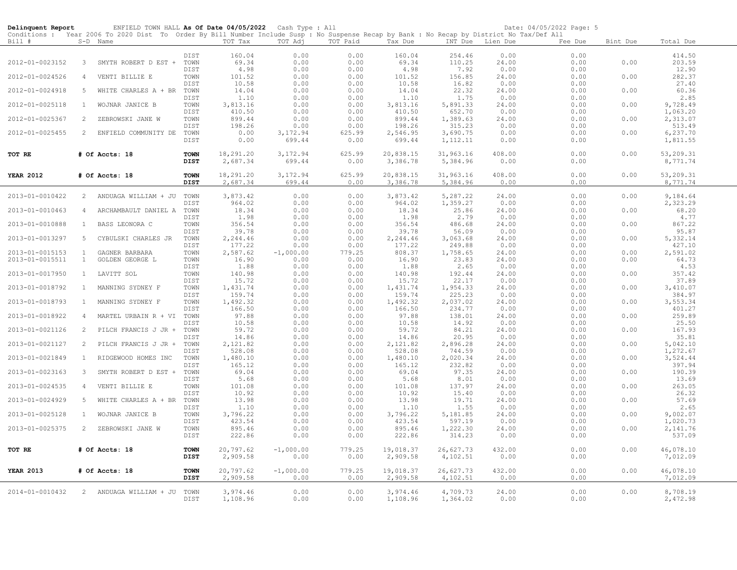| Delinquent Report | ENFIELD TOWN HALL As Of Date 04/05/2022 Cash Type : All                                                                                                  |              |                    |                    |                |                    |                    |                  | Date: 04/05/2022 Page: 5 |          |                      |
|-------------------|----------------------------------------------------------------------------------------------------------------------------------------------------------|--------------|--------------------|--------------------|----------------|--------------------|--------------------|------------------|--------------------------|----------|----------------------|
| Bill #            | Conditions : Year 2006 To 2020 Dist To Order By Bill Number Include Susp : No Suspense Recap by Bank : No Recap by District No Tax/Def All<br>$S-D$ Name |              | TOT Tax            | TOT Adj            | TOT Paid       | Tax Due            |                    | INT Due Lien Due | Fee Due                  | Bint Due | Total Due            |
|                   |                                                                                                                                                          | DIST         | 160.04             | 0.00               | 0.00           | 160.04             | 254.46             | 0.00             | 0.00                     |          | 414.50               |
| 2012-01-0023152   | $\mathcal{S}$<br>SMYTH ROBERT D EST +                                                                                                                    | TOWN         | 69.34              | 0.00               | 0.00           | 69.34              | 110.25             | 24.00            | 0.00                     | 0.00     | 203.59               |
|                   |                                                                                                                                                          | DIST         | 4.98               | 0.00               | 0.00           | 4.98               | 7.92               | 0.00             | 0.00                     |          | 12.90                |
| 2012-01-0024526   | VENTI BILLIE E<br>$\overline{4}$                                                                                                                         | TOWN         | 101.52             | 0.00               | 0.00           | 101.52             | 156.85             | 24.00            | 0.00                     | 0.00     | 282.37               |
|                   |                                                                                                                                                          | DIST         | 10.58              | 0.00               | 0.00           | 10.58              | 16.82              | 0.00             | 0.00                     |          | 27.40                |
| 2012-01-0024918   | 5<br>WHITE CHARLES A + BR                                                                                                                                | TOWN         | 14.04              | 0.00               | 0.00           | 14.04              | 22.32              | 24.00            | 0.00                     | 0.00     | 60.36                |
|                   |                                                                                                                                                          | DIST         | 1.10               | 0.00               | 0.00           | 1.10               | 1.75               | 0.00             | 0.00                     |          | 2.85                 |
| 2012-01-0025118   | WOJNAR JANICE B<br>$\mathbf{1}$                                                                                                                          | TOWN         | 3,813.16           | 0.00               | 0.00           | 3,813.16           | 5,891.33           | 24.00            | 0.00                     | 0.00     | 9,728.49             |
|                   |                                                                                                                                                          | DIST         | 410.50             | 0.00               | 0.00           | 410.50             | 652.70             | 0.00             | 0.00                     |          | 1,063.20             |
| 2012-01-0025367   | 2<br>ZEBROWSKI JANE W                                                                                                                                    | TOWN         | 899.44             | 0.00               | 0.00           | 899.44             | 1,389.63           | 24.00            | 0.00                     | 0.00     | 2,313.07             |
|                   |                                                                                                                                                          | DIST         | 198.26             | 0.00               | 0.00           | 198.26             | 315.23             | 0.00             | 0.00                     |          | 513.49               |
| 2012-01-0025455   | 2 ENFIELD COMMUNITY DE                                                                                                                                   | TOWN<br>DIST | 0.00<br>0.00       | 3,172.94<br>699.44 | 625.99<br>0.00 | 2,546.95<br>699.44 | 3,690.75           | 0.00<br>0.00     | 0.00<br>0.00             | 0.00     | 6,237.70<br>1,811.55 |
|                   |                                                                                                                                                          |              |                    |                    |                |                    | 1,112.11           |                  |                          |          |                      |
| TOT RE            | # Of Accts: 18                                                                                                                                           | <b>TOWN</b>  | 18,291.20          | 3,172.94           | 625.99         | 20,838.15          | 31,963.16          | 408.00           | 0.00                     | 0.00     | 53,209.31            |
|                   |                                                                                                                                                          | <b>DIST</b>  | 2,687.34           | 699.44             | 0.00           | 3,386.78           | 5,384.96           | 0.00             | 0.00                     |          | 8,771.74             |
|                   |                                                                                                                                                          |              |                    |                    |                |                    |                    |                  |                          |          |                      |
| <b>YEAR 2012</b>  | # Of Accts: 18                                                                                                                                           | TOWN         | 18,291.20          | 3,172.94           | 625.99         | 20,838.15          | 31,963.16          | 408.00           | 0.00                     | 0.00     | 53,209.31            |
|                   |                                                                                                                                                          | DIST         | 2,687.34           | 699.44             | 0.00           | 3,386.78           | 5,384.96           | 0.00             | 0.00                     |          | 8,771.74             |
|                   |                                                                                                                                                          |              |                    |                    |                |                    |                    |                  |                          |          |                      |
| 2013-01-0010422   | 2 ANDUAGA WILLIAM + JU                                                                                                                                   | TOWN<br>DIST | 3,873.42           | 0.00               | 0.00           | 3,873.42           | 5,287.22           | 24.00            | 0.00                     | 0.00     | 9,184.64             |
|                   |                                                                                                                                                          | TOWN         | 964.02<br>18.34    | 0.00               | 0.00           | 964.02<br>18.34    | 1,359.27<br>25.86  | 0.00<br>24.00    | 0.00<br>0.00             |          | 2,323.29             |
| 2013-01-0010463   | ARCHAMBAULT DANIEL A<br>4                                                                                                                                | DIST         | 1.98               | 0.00<br>0.00       | 0.00<br>0.00   | 1.98               | 2.79               | 0.00             | 0.00                     | 0.00     | 68.20<br>4.77        |
| 2013-01-0010888   | BASS LEONORA C<br>$\mathbf{1}$                                                                                                                           | TOWN         | 356.54             | 0.00               | 0.00           | 356.54             | 486.68             | 24.00            | 0.00                     | 0.00     | 867.22               |
|                   |                                                                                                                                                          | DIST         | 39.78              | 0.00               | 0.00           | 39.78              | 56.09              | 0.00             | 0.00                     |          | 95.87                |
| 2013-01-0013297   | 5<br>CYBULSKI CHARLES JR                                                                                                                                 | TOWN         | 2,244.46           | 0.00               | 0.00           | 2,244.46           | 3,063.68           | 24.00            | 0.00                     | 0.00     | 5,332.14             |
|                   |                                                                                                                                                          | DIST         | 177.22             | 0.00               | 0.00           | 177.22             | 249.88             | 0.00             | 0.00                     |          | 427.10               |
| 2013-01-0015153   | $\mathbf{1}$<br>GAGNER BARBARA                                                                                                                           | TOWN         | 2,587.62           | $-1,000.00$        | 779.25         | 808.37             | 1,758.65           | 24.00            | 0.00                     | 0.00     | 2,591.02             |
| 2013-01-0015511   | $\mathbf{1}$<br>GOLDEN GEORGE L                                                                                                                          | TOWN         | 16.90              | 0.00               | 0.00           | 16.90              | 23.83              | 24.00            | 0.00                     | 0.00     | 64.73                |
|                   |                                                                                                                                                          | DIST         | 1.88               | 0.00               | 0.00           | 1.88               | 2.65               | 0.00             | 0.00                     |          | 4.53                 |
| 2013-01-0017950   | $\mathbf{1}$<br>LAVITT SOL                                                                                                                               | TOWN         | 140.98             | 0.00               | 0.00           | 140.98             | 192.44             | 24.00            | 0.00                     | 0.00     | 357.42               |
|                   |                                                                                                                                                          | DIST         | 15.72              | 0.00               | 0.00           | 15.72              | 22.17<br>1,954.33  | 0.00             | 0.00                     |          | 37.89<br>3,410.07    |
| 2013-01-0018792   | $\mathbf{1}$<br>MANNING SYDNEY F                                                                                                                         | TOWN<br>DIST | 1,431.74<br>159.74 | 0.00<br>0.00       | 0.00<br>0.00   | 1,431.74<br>159.74 | 225.23             | 24.00<br>0.00    | 0.00<br>0.00             | 0.00     | 384.97               |
| 2013-01-0018793   | MANNING SYDNEY F<br>$\mathbf{1}$                                                                                                                         | TOWN         | 1,492.32           | 0.00               | 0.00           | 1,492.32           | 2,037.02           | 24.00            | 0.00                     | 0.00     | 3,553.34             |
|                   |                                                                                                                                                          | DIST         | 166.50             | 0.00               | 0.00           | 166.50             | 234.77             | 0.00             | 0.00                     |          | 401.27               |
| 2013-01-0018922   | MARTEL URBAIN R + VI<br>4                                                                                                                                | TOWN         | 97.88              | 0.00               | 0.00           | 97.88              | 138.01             | 24.00            | 0.00                     | 0.00     | 259.89               |
|                   |                                                                                                                                                          | DIST         | 10.58              | 0.00               | 0.00           | 10.58              | 14.92              | 0.00             | 0.00                     |          | 25.50                |
| 2013-01-0021126   | 2<br>PILCH FRANCIS J JR +                                                                                                                                | TOWN         | 59.72              | 0.00               | 0.00           | 59.72              | 84.21              | 24.00            | 0.00                     | 0.00     | 167.93               |
|                   |                                                                                                                                                          | DIST         | 14.86              | 0.00               | 0.00           | 14.86              | 20.95              | 0.00             | 0.00                     |          | 35.81                |
| 2013-01-0021127   | 2<br>PILCH FRANCIS J JR +                                                                                                                                | TOWN         | 2,121.82           | 0.00               | 0.00           | 2,121.82           | 2,896.28           | 24.00            | 0.00                     | 0.00     | 5,042.10             |
|                   |                                                                                                                                                          | DIST         | 528.08             | 0.00               | 0.00           | 528.08             | 744.59             | 0.00             | 0.00                     |          | 1,272.67             |
| 2013-01-0021849   | RIDGEWOOD HOMES INC<br>$\mathbf{1}$                                                                                                                      | TOWN<br>DIST | 1,480.10<br>165.12 | 0.00<br>0.00       | 0.00<br>0.00   | 1,480.10<br>165.12 | 2,020.34<br>232.82 | 24.00<br>0.00    | 0.00<br>0.00             | 0.00     | 3,524.44<br>397.94   |
| 2013-01-0023163   | 3<br>SMYTH ROBERT D EST +                                                                                                                                | TOWN         | 69.04              | 0.00               | 0.00           | 69.04              | 97.35              | 24.00            | 0.00                     | 0.00     | 190.39               |
|                   |                                                                                                                                                          | DIST         | 5.68               | 0.00               | 0.00           | 5.68               | 8.01               | 0.00             | 0.00                     |          | 13.69                |
| 2013-01-0024535   | $\overline{4}$<br>VENTI BILLIE E                                                                                                                         | TOWN         | 101.08             | 0.00               | 0.00           | 101.08             | 137.97             | 24.00            | 0.00                     | 0.00     | 263.05               |
|                   |                                                                                                                                                          | DIST         | 10.92              | 0.00               | 0.00           | 10.92              | 15.40              | 0.00             | 0.00                     |          | 26.32                |
| 2013-01-0024929   | 5<br>WHITE CHARLES A + BR                                                                                                                                | TOWN         | 13.98              | 0.00               | 0.00           | 13.98              | 19.71              | 24.00            | 0.00                     | 0.00     | 57.69                |
|                   |                                                                                                                                                          | DIST         | 1.10               | 0.00               | 0.00           | 1.10               | 1.55               | 0.00             | 0.00                     |          | 2.65                 |
| 2013-01-0025128   | WOJNAR JANICE B<br>$\mathbf{1}$                                                                                                                          | TOWN         | 3,796.22           | 0.00               | 0.00           | 3,796.22           | 5,181.85           | 24.00            | 0.00                     | 0.00     | 9,002.07             |
|                   |                                                                                                                                                          | DIST         | 423.54             | 0.00               | 0.00           | 423.54             | 597.19             | 0.00             | 0.00                     |          | 1,020.73             |
| 2013-01-0025375   | ZEBROWSKI JANE W<br>$\mathbf{2}$                                                                                                                         | TOWN         | 895.46             | 0.00               | 0.00           | 895.46             | 1,222.30           | 24.00            | 0.00                     | 0.00     | 2,141.76             |
|                   |                                                                                                                                                          | DIST         | 222.86             | 0.00               | 0.00           | 222.86             | 314.23             | 0.00             | 0.00                     |          | 537.09               |
| TOT RE            | # Of Accts: 18                                                                                                                                           | <b>TOWN</b>  | 20,797.62          | $-1,000.00$        | 779.25         | 19,018.37          | 26,627.73          | 432.00           | 0.00                     | 0.00     | 46,078.10            |
|                   |                                                                                                                                                          | <b>DIST</b>  | 2,909.58           | 0.00               | 0.00           | 2,909.58           | 4,102.51           | 0.00             | 0.00                     |          | 7,012.09             |
|                   |                                                                                                                                                          |              |                    |                    |                |                    |                    |                  |                          |          |                      |
| <b>YEAR 2013</b>  | # Of Accts: 18                                                                                                                                           | <b>TOWN</b>  | 20,797.62          | $-1,000.00$        | 779.25         | 19,018.37          | 26,627.73          | 432.00           | 0.00                     | 0.00     | 46,078.10            |
|                   |                                                                                                                                                          | <b>DIST</b>  | 2,909.58           | 0.00               | 0.00           | 2,909.58           | 4,102.51           | 0.00             | 0.00                     |          | 7,012.09             |
|                   |                                                                                                                                                          |              |                    |                    |                |                    |                    |                  |                          |          |                      |
| 2014-01-0010432   | 2 ANDUAGA WILLIAM + JU                                                                                                                                   | TOWN         | 3,974.46           | 0.00               | 0.00           | 3,974.46           | 4,709.73           | 24.00            | 0.00                     | 0.00     | 8,708.19             |
|                   |                                                                                                                                                          | DIST         | 1,108.96           | 0.00               | 0.00           | 1,108.96           | 1,364.02           | 0.00             | 0.00                     |          | 2,472.98             |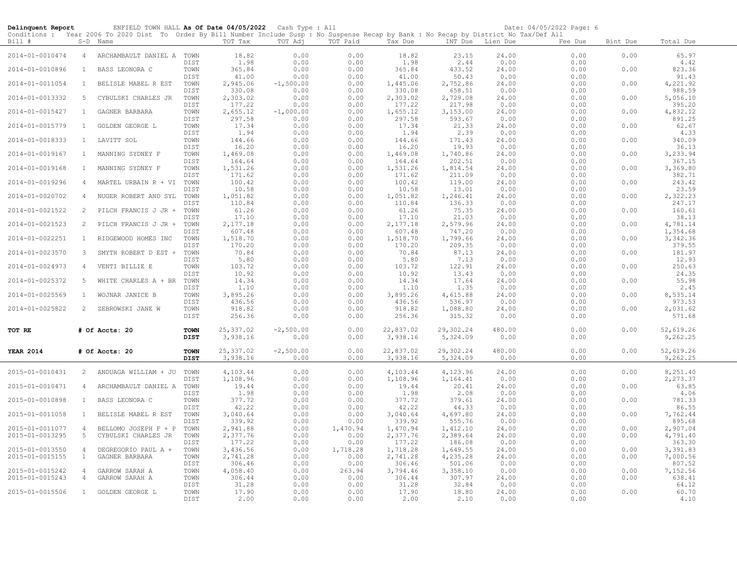| Delinquent Report                  |                                  | ENFIELD TOWN HALL As Of Date 04/05/2022 Cash Type : All                                                                                                |                            |                          |                      |                      |                          |                          |                        | Date: 04/05/2022 Page: 6 |              |                          |
|------------------------------------|----------------------------------|--------------------------------------------------------------------------------------------------------------------------------------------------------|----------------------------|--------------------------|----------------------|----------------------|--------------------------|--------------------------|------------------------|--------------------------|--------------|--------------------------|
| Bill #                             |                                  | Conditions : Year 2006 To 2020 Dist To Order By Bill Number Include Susp : No Suspense Recap by Bank : No Recap by District No Tax/Def All<br>S-D Name |                            | TOT Tax                  | TOT Adj              | TOT Paid             | Tax Due                  |                          | INT Due Lien Due       | Fee Due                  | Bint Due     | Total Due                |
| 2014-01-0010474                    |                                  | 4 ARCHAMBAULT DANIEL A TOWN                                                                                                                            |                            | 18.82                    | 0.00                 | 0.00                 | 18.82                    | 23.15                    | 24.00                  | 0.00                     | 0.00         | 65.97                    |
| 2014-01-0010896                    | $\mathbf{1}$                     | BASS LEONORA C                                                                                                                                         | DIST<br>TOWN<br>DIST       | 1.98<br>365.84<br>41.00  | 0.00<br>0.00<br>0.00 | 0.00<br>0.00<br>0.00 | 1.98<br>365.84<br>41.00  | 2.44<br>433.52<br>50.43  | 0.00<br>24.00<br>0.00  | 0.00<br>0.00<br>0.00     | 0.00         | 4.42<br>823.36<br>91.43  |
| 2014-01-0011054                    | $\mathbf{1}$                     | BELISLE MABEL R EST                                                                                                                                    | TOWN<br>DIST               | 2,945.06<br>330.08       | $-1,500.00$<br>0.00  | 0.00<br>0.00         | 1,445.06<br>330.08       | 2,752.86<br>658.51       | 24.00<br>0.00          | 0.00<br>0.00             | 0.00         | 4,221.92<br>988.59       |
| 2014-01-0013332                    | -5                               | CYBULSKI CHARLES JR                                                                                                                                    | TOWN<br>DIST               | 2,303.02<br>177.22       | 0.00<br>0.00         | 0.00<br>0.00         | 2,303.02<br>177.22       | 2,729.08<br>217.98       | 24.00<br>0.00          | 0.00<br>0.00             | 0.00         | 5,056.10<br>395.20       |
| 2014-01-0015427                    | $\mathbf{1}$                     | GAGNER BARBARA                                                                                                                                         | TOWN<br>DIST               | 2,655.12<br>297.58       | $-1,000.00$<br>0.00  | 0.00<br>0.00         | 1,655.12<br>297.58       | 3,153.00<br>593.67       | 24.00<br>0.00          | 0.00<br>0.00             | 0.00         | 4,832.12<br>891.25       |
| 2014-01-0015779                    | $\mathbf{1}$                     | GOLDEN GEORGE L                                                                                                                                        | TOWN<br>DIST               | 17.34<br>1.94            | 0.00<br>0.00         | 0.00<br>0.00         | 17.34<br>1.94            | 21.33<br>2.39            | 24.00<br>0.00          | 0.00<br>0.00             | 0.00         | 62.67<br>4.33            |
| 2014-01-0018333                    | $\mathbf{1}$                     | LAVITT SOL                                                                                                                                             | TOWN<br>DIST               | 144.66<br>16.20          | 0.00<br>0.00         | 0.00<br>0.00         | 144.66<br>16.20          | 171.43<br>19.93          | 24.00<br>0.00          | 0.00<br>0.00             | 0.00         | 340.09<br>36.13          |
| 2014-01-0019167                    | <sup>1</sup>                     | MANNING SYDNEY F                                                                                                                                       | TOWN<br>DIST               | 1,469.08<br>164.64       | 0.00<br>0.00         | 0.00<br>0.00         | 1,469.08<br>164.64       | 1,740.86<br>202.51       | 24.00<br>0.00          | 0.00<br>0.00             | 0.00         | 3,233.94<br>367.15       |
| 2014-01-0019168                    | $\mathbf{1}$                     | MANNING SYDNEY F                                                                                                                                       | TOWN<br>DIST               | 1,531.26<br>171.62       | 0.00<br>0.00         | 0.00<br>0.00         | 1,531.26<br>171.62       | 1,814.54<br>211.09       | 24.00<br>0.00          | 0.00<br>0.00             | 0.00         | 3,369.80<br>382.71       |
| 2014-01-0019296                    | $\overline{4}$                   | MARTEL URBAIN R + VI                                                                                                                                   | TOWN<br>DIST               | 100.42<br>10.58          | 0.00<br>0.00         | 0.00<br>0.00         | 100.42<br>10.58          | 119.00<br>13.01          | 24.00<br>0.00          | 0.00<br>0.00             | 0.00         | 243.42<br>23.59          |
| 2014-01-0020702                    | 4                                | NUGER ROBERT AND SYL                                                                                                                                   | TOWN<br>DIST               | 1,051.82<br>110.84       | 0.00<br>0.00         | 0.00<br>0.00         | 1,051.82<br>110.84       | 1,246.41<br>136.33       | 24.00<br>0.00          | 0.00<br>0.00             | 0.00         | 2,322.23<br>247.17       |
| 2014-01-0021522                    | 2                                | PILCH FRANCIS J JR +                                                                                                                                   | TOWN<br><b>DIST</b>        | 61.26<br>17.10           | 0.00<br>0.00         | 0.00<br>0.00         | 61.26<br>17.10           | 75.35<br>21.03           | 24.00<br>0.00          | 0.00<br>0.00             | 0.00         | 160.61<br>38.13          |
| 2014-01-0021523                    | 2                                | PILCH FRANCIS J JR +                                                                                                                                   | TOWN<br>DIST               | 2,177.18<br>607.48       | 0.00<br>0.00         | 0.00<br>0.00         | 2,177.18<br>607.48       | 2,579.96<br>747.20       | 24.00<br>0.00          | 0.00<br>0.00             | 0.00         | 4,781.14<br>1,354.68     |
| 2014-01-0022251                    | $\mathbf{1}$                     | RIDGEWOOD HOMES INC                                                                                                                                    | TOWN<br>DIST               | 1,518.70<br>170.20       | 0.00<br>0.00         | 0.00<br>0.00         | 1,518.70<br>170.20       | 1,799.66<br>209.35       | 24.00<br>0.00          | 0.00<br>0.00             | 0.00         | 3,342.36<br>379.55       |
| 2014-01-0023570                    | $\overline{3}$                   | SMYTH ROBERT D EST +                                                                                                                                   | TOWN<br>DIST               | 70.84<br>5.80            | 0.00<br>0.00         | 0.00<br>0.00         | 70.84<br>5.80            | 87.13<br>7.13            | 24.00<br>0.00          | 0.00<br>0.00             | 0.00         | 181.97<br>12.93          |
| 2014-01-0024973<br>2014-01-0025372 | $\overline{4}$<br>5              | VENTI BILLIE E<br>WHITE CHARLES A + BR                                                                                                                 | TOWN<br>DIST<br>TOWN       | 103.72<br>10.92<br>14.34 | 0.00<br>0.00<br>0.00 | 0.00<br>0.00<br>0.00 | 103.72<br>10.92<br>14.34 | 122.91<br>13.43<br>17.64 | 24.00<br>0.00<br>24.00 | 0.00<br>0.00<br>0.00     | 0.00<br>0.00 | 250.63<br>24.35<br>55.98 |
| 2014-01-0025569                    | $\mathbf{1}$                     | WOJNAR JANICE B                                                                                                                                        | DIST<br>TOWN               | 1.10<br>3,895.26         | 0.00<br>0.00         | 0.00<br>0.00         | 1.10<br>3,895.26         | 1.35<br>4,615.88         | 0.00<br>24.00          | 0.00<br>0.00             | 0.00         | 2.45<br>8,535.14         |
| 2014-01-0025822                    | 2                                | ZEBROWSKI JANE W                                                                                                                                       | DIST<br>TOWN               | 436.56<br>918.82         | 0.00<br>0.00         | 0.00<br>0.00         | 436.56<br>918.82         | 536.97<br>1,088.80       | 0.00<br>24.00          | 0.00<br>0.00             | 0.00         | 973.53<br>2,031.62       |
|                                    |                                  |                                                                                                                                                        | DIST                       | 256.36                   | 0.00                 | 0.00                 | 256.36                   | 315.32                   | 0.00                   | 0.00                     |              | 571.68                   |
| TOT RE                             |                                  | # Of Accts: 20                                                                                                                                         | <b>TOWN</b><br><b>DIST</b> | 25, 337.02<br>3,938.16   | $-2,500.00$<br>0.00  | 0.00<br>0.00         | 22,837.02<br>3,938.16    | 29,302.24<br>5,324.09    | 480.00<br>0.00         | 0.00<br>0.00             | 0.00         | 52,619.26<br>9,262.25    |
| <b>YEAR 2014</b>                   |                                  | # Of Accts: 20                                                                                                                                         | <b>TOWN</b><br><b>DIST</b> | 25, 337.02<br>3,938.16   | $-2,500.00$<br>0.00  | 0.00<br>0.00         | 22,837.02<br>3,938.16    | 29,302.24<br>5,324.09    | 480.00<br>0.00         | 0.00<br>0.00             | 0.00         | 52,619.26<br>9,262.25    |
| 2015-01-0010431                    |                                  | 2 ANDUAGA WILLIAM + JU                                                                                                                                 | TOWN<br>DIST               | 4,103.44<br>1,108.96     | 0.00<br>0.00         | 0.00<br>0.00         | 4,103.44<br>1,108.96     | 4,123.96<br>1,164.41     | 24.00<br>0.00          | 0.00<br>0.00             | 0.00         | 8,251.40<br>2,273.37     |
| 2015-01-0010471                    | 4                                | ARCHAMBAULT DANIEL A                                                                                                                                   | TOWN<br>DIST               | 19.44<br>1.98            | 0.00<br>0.00         | 0.00<br>0.00         | 19.44<br>1.98            | 20.41<br>2.08            | 24.00<br>0.00          | 0.00<br>0.00             | 0.00         | 63.85<br>4.06            |
| 2015-01-0010898                    | $\mathbf{1}$                     | BASS LEONORA C                                                                                                                                         | TOWN<br>DIST               | 377.72<br>42.22          | 0.00<br>0.00         | 0.00<br>0.00         | 377.72<br>42.22          | 379.61<br>44.33          | 24.00<br>0.00          | 0.00<br>0.00             | 0.00         | 781.33<br>86.55          |
| 2015-01-0011058                    | $\mathbf{1}$                     | BELISLE MABEL R EST                                                                                                                                    | TOWN<br><b>DIST</b>        | 3,040.64<br>339.92       | 0.00<br>0.00         | 0.00<br>0.00         | 3,040.64<br>339.92       | 4,697.80<br>555.76       | 24.00<br>0.00          | 0.00<br>0.00             | 0.00         | 7,762.44<br>895.68       |
| 2015-01-0011077<br>2015-01-0013295 | $\overline{4}$<br>5              | BELLOMO JOSEPH F + P<br>CYBULSKI CHARLES JR                                                                                                            | TOWN<br>TOWN               | 2,941.88<br>2,377.76     | 0.00<br>0.00         | 1,470.94<br>0.00     | 1,470.94<br>2,377.76     | 1,412.10<br>2,389.64     | 24.00<br>24.00         | 0.00<br>0.00             | 0.00<br>0.00 | 2,907.04<br>4,791.40     |
| 2015-01-0013550                    | $\overline{4}$                   | DEGREGORIO PAUL A +                                                                                                                                    | DIST<br>TOWN               | 177.22<br>3,436.56       | 0.00<br>0.00         | 0.00<br>1,718.28     | 177.22<br>1,718.28       | 186.08<br>1,649.55       | 0.00<br>24.00          | 0.00<br>0.00             | 0.00         | 363.30<br>3,391.83       |
| 2015-01-0015155                    | $\mathbf{1}$                     | GAGNER BARBARA                                                                                                                                         | TOWN<br>DIST               | 2,741.28<br>306.46       | 0.00<br>0.00         | 0.00<br>0.00         | 2,741.28<br>306.46       | 4,235.28<br>501.06       | 24.00<br>0.00          | 0.00<br>0.00             | 0.00         | 7,000.56<br>807.52       |
| 2015-01-0015242<br>2015-01-0015243 | $\overline{4}$<br>$\overline{4}$ | GARROW SARAH A<br>GARROW SARAH A                                                                                                                       | TOWN<br>TOWN<br>DIST       | 4,058.40<br>306.44       | 0.00<br>0.00         | 263.94<br>0.00       | 3,794.46<br>306.44       | 3,358.10<br>307.97       | 0.00<br>24.00          | 0.00<br>0.00             | 0.00<br>0.00 | 7,152.56<br>638.41       |
| 2015-01-0015506                    | $\mathbf{1}$                     | GOLDEN GEORGE L                                                                                                                                        | TOWN<br>DIST               | 31.28<br>17.90<br>2.00   | 0.00<br>0.00<br>0.00 | 0.00<br>0.00<br>0.00 | 31.28<br>17.90<br>2.00   | 32.84<br>18.80<br>2.10   | 0.00<br>24.00<br>0.00  | 0.00<br>0.00<br>0.00     | 0.00         | 64.12<br>60.70<br>4.10   |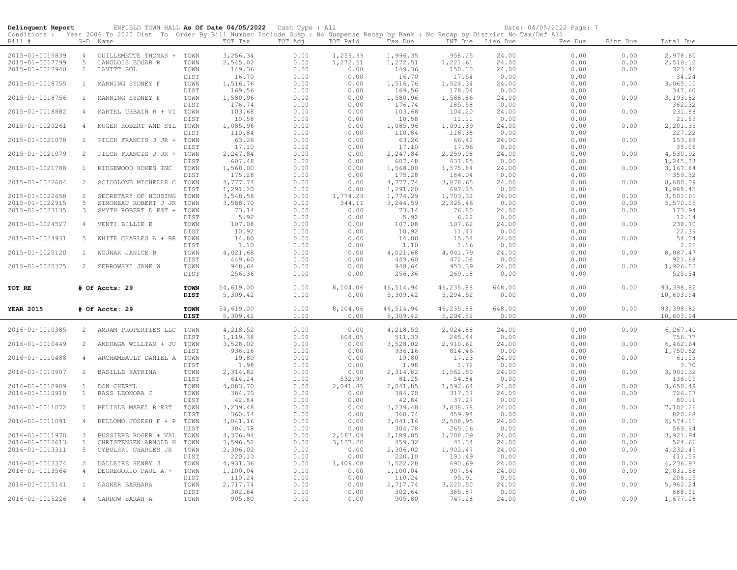| Delinquent Report |                | ENFIELD TOWN HALL As Of Date 04/05/2022 Cash Type : All                                                                                                |             |           |         |          |           |                  |        | Date: 04/05/2022 Page: 7 |          |            |
|-------------------|----------------|--------------------------------------------------------------------------------------------------------------------------------------------------------|-------------|-----------|---------|----------|-----------|------------------|--------|--------------------------|----------|------------|
| Bill #            |                | Conditions : Year 2006 To 2020 Dist To Order By Bill Number Include Susp : No Suspense Recap by Bank : No Recap by District No Tax/Def All<br>S-D Name |             | TOT Tax   | TOT Adj | TOT Paid | Tax Due   | INT Due Lien Due |        | Fee Due                  | Bint Due | Total Due  |
|                   |                |                                                                                                                                                        |             |           |         |          |           |                  |        |                          |          |            |
| 2015-01-0015839   | $\overline{4}$ | GUILLEMETTE THOMAS + TOWN                                                                                                                              |             | 3,256.34  | 0.00    | 1,259.99 | 1,996.35  | 958.25           | 24.00  | 0.00                     | 0.00     | 2,978.60   |
| 2015-01-0017799   | 5              | LANGLOIS EDGAR R                                                                                                                                       | TOWN        | 2,545.02  | 0.00    | 1,272.51 | 1,272.51  | 1,221.61         | 24.00  | 0.00                     | 0.00     | 2,518.12   |
| 2015-01-0017940   | $\mathbf{1}$   | LAVITT SOL                                                                                                                                             | TOWN        | 149.36    | 0.00    | 0.00     | 149.36    | 150.10           | 24.00  | 0.00                     | 0.00     | 323.46     |
|                   |                |                                                                                                                                                        | DIST        | 16.70     | 0.00    | 0.00     | 16.70     | 17.54            | 0.00   | 0.00                     |          | 34.24      |
| 2015-01-0018755   | 1              | MANNING SYDNEY F                                                                                                                                       | TOWN        | 1,516.76  | 0.00    | 0.00     | 1,516.76  | 1,524.34         | 24.00  | 0.00                     | 0.00     | 3,065.10   |
|                   |                |                                                                                                                                                        | DIST        | 169.56    | 0.00    | 0.00     | 169.56    | 178.04           | 0.00   | 0.00                     |          | 347.60     |
| 2015-01-0018756   | $\mathbf{1}$   | MANNING SYDNEY F                                                                                                                                       | TOWN        | 1,580.96  | 0.00    | 0.00     | 1,580.96  | 1,588.86         | 24.00  | 0.00                     | 0.00     | 3,193.82   |
|                   |                |                                                                                                                                                        | DIST        | 176.74    | 0.00    | 0.00     | 176.74    | 185.58           | 0.00   | 0.00                     |          | 362.32     |
| 2015-01-0018882   | $\overline{4}$ | MARTEL URBAIN R + VI                                                                                                                                   | TOWN        | 103.68    | 0.00    | 0.00     | 103.68    | 104.20           | 24.00  | 0.00                     | 0.00     | 231.88     |
|                   |                |                                                                                                                                                        | DIST        | 10.58     | 0.00    | 0.00     | 10.58     | 11.11            | 0.00   | 0.00                     |          | 21.69      |
| 2015-01-0020261   | $\overline{4}$ | NUGER ROBERT AND SYL                                                                                                                                   | TOWN        | 1,085.96  | 0.00    | 0.00     | 1,085.96  | 1,091.39         | 24.00  | 0.00                     | 0.00     | 2,201.35   |
|                   |                |                                                                                                                                                        | DIST        | 110.84    | 0.00    | 0.00     | 110.84    | 116.38           | 0.00   | 0.00                     |          | 227.22     |
| 2015-01-0021078   | 2              | PILCH FRANCIS J JR +                                                                                                                                   | TOWN        | 63.26     | 0.00    | 0.00     | 63.26     | 66.42            | 24.00  | 0.00                     | 0.00     | 153.68     |
|                   |                |                                                                                                                                                        | DIST        | 17.10     | 0.00    | 0.00     | 17.10     | 17.96            | 0.00   | 0.00                     |          | 35.06      |
| 2015-01-0021079   | 2              | PILCH FRANCIS J JR + TOWN                                                                                                                              |             | 2,247.84  | 0.00    | 0.00     | 2,247.84  | 2,259.08         | 24.00  | 0.00                     | 0.00     | 4,530.92   |
|                   |                |                                                                                                                                                        | DIST        | 607.48    | 0.00    | 0.00     | 607.48    | 637.85           | 0.00   | 0.00                     |          | 1,245.33   |
| 2015-01-0021788   | $\mathbf{1}$   | RIDGEWOOD HOMES INC                                                                                                                                    | TOWN        | 1,568.00  | 0.00    | 0.00     | 1,568.00  | 1,575.84         | 24.00  | 0.00                     | 0.00     | 3,167.84   |
|                   |                |                                                                                                                                                        | DIST        | 175.28    | 0.00    | 0.00     | 175.28    | 184.04           | 0.00   | 0.00                     |          | 359.32     |
| 2015-01-0022604   | 2              | SCICOLONE MICHELLE C                                                                                                                                   | TOWN        | 4,777.74  | 0.00    | 0.00     | 4,777.74  | 3,878.65         | 24.00  | 0.00                     | 0.00     | 8,680.39   |
|                   |                |                                                                                                                                                        | DIST        | 1,291.20  | 0.00    | 0.00     | 1,291.20  | 697.25           | 0.00   | 0.00                     |          | 1,988.45   |
| 2015-01-0022658   | 2              | SECRETARY OF HOUSING                                                                                                                                   | TOWN        | 3,548.58  | 0.00    | 1,774.29 | 1,774.29  | 1,703.32         | 24.00  | 0.00                     | 0.00     | 3,501.61   |
| 2015-01-0022915   | 5              | SIMONEAU ROBERT J JR                                                                                                                                   | TOWN        | 3,588.70  | 0.00    | 344.11   | 3,244.59  | 2,325.46         | 0.00   | 0.00                     | 0.00     | 5,570.05   |
| 2015-01-0023135   | $\mathbf{3}$   | SMYTH ROBERT D EST +                                                                                                                                   | TOWN        | 73.14     | 0.00    | 0.00     | 73.14     | 76.80            | 24.00  | 0.00                     | 0.00     | 173.94     |
|                   |                |                                                                                                                                                        | DIST        | 5.92      | 0.00    | 0.00     | 5.92      | 6.22             | 0.00   | 0.00                     |          | 12.14      |
| 2015-01-0024527   | $\overline{4}$ | VENTI BILLIE E                                                                                                                                         | TOWN        | 107.08    | 0.00    | 0.00     | 107.08    | 107.62           | 24.00  | 0.00                     | 0.00     | 238.70     |
|                   |                |                                                                                                                                                        | DIST        | 10.92     | 0.00    | 0.00     | 10.92     | 11.47            | 0.00   | 0.00                     |          | 22.39      |
| 2015-01-0024931   | 5              | WHITE CHARLES A + BR                                                                                                                                   | TOWN        | 14.80     | 0.00    | 0.00     | 14.80     | 15.54            | 24.00  | 0.00                     | 0.00     | 54.34      |
|                   |                |                                                                                                                                                        | DIST        | 1.10      | 0.00    | 0.00     | 1.10      | 1.16             | 0.00   | 0.00                     |          | 2.26       |
| 2015-01-0025120   | $\mathbf{1}$   | WOJNAR JANICE B                                                                                                                                        | TOWN        | 4,021.68  | 0.00    | 0.00     | 4,021.68  | 4,041.79         | 24.00  | 0.00                     | 0.00     | 8,087.47   |
|                   |                |                                                                                                                                                        | DIST        | 449.60    | 0.00    | 0.00     | 449.60    | 472.08           | 0.00   | 0.00                     |          | 921.68     |
| 2015-01-0025375   | 2              | ZEBROWSKI JANE W                                                                                                                                       | TOWN        | 948.64    | 0.00    | 0.00     | 948.64    | 953.39           | 24.00  | 0.00                     | 0.00     | 1,926.03   |
|                   |                |                                                                                                                                                        | DIST        | 256.36    | 0.00    | 0.00     | 256.36    | 269.18           | 0.00   | 0.00                     |          | 525.54     |
| TOT RE            |                | # Of Accts: 29                                                                                                                                         | <b>TOWN</b> | 54,619.00 | 0.00    | 8,104.06 | 46,514.94 | 46,235.88        | 648.00 | 0.00                     | 0.00     | 93,398.82  |
|                   |                |                                                                                                                                                        | <b>DIST</b> | 5,309.42  | 0.00    | 0.00     | 5,309.42  | 5,294.52         | 0.00   | 0.00                     |          | 10,603.94  |
|                   |                |                                                                                                                                                        |             |           |         |          |           |                  |        |                          |          |            |
| <b>YEAR 2015</b>  |                | # Of Accts: 29                                                                                                                                         | <b>TOWN</b> | 54,619.00 | 0.00    | 8,104.06 | 46,514.94 | 46,235.88        | 648.00 | 0.00                     | 0.00     | 93, 398.82 |
|                   |                |                                                                                                                                                        | <b>DIST</b> | 5,309.42  | 0.00    | 0.00     | 5,309.42  | 5,294.52         | 0.00   | 0.00                     |          | 10,603.94  |
|                   |                |                                                                                                                                                        |             |           |         |          |           |                  |        |                          |          |            |
| 2016-01-0010385   | 2              | AMJAM PROPERTIES LLC                                                                                                                                   | TOWN        | 4,218.52  | 0.00    | 0.00     | 4,218.52  | 2,024.88         | 24.00  | 0.00                     | 0.00     | 6, 267.40  |
|                   |                |                                                                                                                                                        | DIST        | 1,119.38  | 0.00    | 608.05   | 511.33    | 245.44           | 0.00   | 0.00                     |          | 756.77     |
| 2016-01-0010449   | 2              | ANDUAGA WILLIAM + JU TOWN                                                                                                                              |             | 3,528.02  | 0.00    | 0.00     | 3,528.02  | 2,910.62         | 24.00  | 0.00                     | 0.00     | 6,462.64   |
|                   |                |                                                                                                                                                        | DIST        | 936.16    | 0.00    | 0.00     | 936.16    | 814.46           | 0.00   | 0.00                     |          | 1,750.62   |
| 2016-01-0010488   | $\overline{4}$ | ARCHAMBAULT DANIEL A TOWN                                                                                                                              |             | 19.80     | 0.00    | 0.00     | 19.80     | 17.23            | 24.00  | 0.00                     | 0.00     | 61.03      |
|                   |                |                                                                                                                                                        | DIST        | 1.98      | 0.00    | 0.00     | 1.98      | 1.72             | 0.00   | 0.00                     |          | 3.70       |
| 2016-01-0010907   | 2              | BASILLE KATRINA                                                                                                                                        | TOWN        | 2,314.82  | 0.00    | 0.00     | 2,314.82  | 1,562.50         | 24.00  | 0.00                     | 0.00     | 3,901.32   |
|                   |                |                                                                                                                                                        | DIST        | 614.24    | 0.00    | 532.99   | 81.25     | 54.84            | 0.00   | 0.00                     |          | 136.09     |
| 2016-01-0010909   | $\mathbf{1}$   | DOW CHERYL                                                                                                                                             | TOWN        | 4,083.70  | 0.00    | 2,041.85 | 2,041.85  | 1,592.64         | 24.00  | 0.00                     | 0.00     | 3,658.49   |
| 2016-01-0010910   | $\mathbf{1}$   | BASS LEONORA C                                                                                                                                         | TOWN        | 384.70    | 0.00    | 0.00     | 384.70    | 317.37           | 24.00  | 0.00                     | 0.00     | 726.07     |
|                   |                |                                                                                                                                                        | DIST        | 42.84     | 0.00    | 0.00     | 42.84     | 37.27            | 0.00   | 0.00                     |          | 80.11      |
| 2016-01-0011072   | $\mathbf{1}$   | BELISLE MABEL R EST                                                                                                                                    | TOWN        | 3,239.48  | 0.00    | 0.00     | 3,239.48  | 3,838.78         | 24.00  | 0.00                     | 0.00     | 7,102.26   |
|                   |                |                                                                                                                                                        | DIST        | 360.74    | 0.00    | 0.00     | 360.74    | 459.94           | 0.00   | 0.00                     |          | 820.68     |
| 2016-01-0011091   | $\overline{4}$ | BELLOMO JOSEPH F + P                                                                                                                                   | TOWN        | 3,041.16  | 0.00    | 0.00     | 3,041.16  | 2,508.95         | 24.00  | 0.00                     | 0.00     | 5,574.11   |
|                   |                |                                                                                                                                                        | DIST        | 304.78    | 0.00    | 0.00     | 304.78    | 265.16           | 0.00   | 0.00                     |          | 569.94     |
| 2016-01-0011970   | 3              | BUSSIERE ROGER + VAL                                                                                                                                   | TOWN        | 4,376.94  | 0.00    | 2,187.09 | 2,189.85  | 1,708.09         | 24.00  | 0.00                     | 0.00     | 3,921.94   |
| 2016-01-0012613   | $\mathbf{1}$   | CHRISTENSEN ARNOLD H                                                                                                                                   | TOWN        | 3,596.52  | 0.00    | 3,137.20 | 459.32    | 41.34            | 24.00  | 0.00                     | 0.00     | 524.66     |
| 2016-01-0013311   | $5^{\circ}$    | CYBULSKI CHARLES JR                                                                                                                                    | TOWN        | 2,306.02  | 0.00    | 0.00     | 2,306.02  | 1,902.47         | 24.00  | 0.00                     | 0.00     | 4,232.49   |
|                   |                |                                                                                                                                                        | DIST        | 220.10    | 0.00    | 0.00     | 220.10    | 191.49           | 0.00   | 0.00                     |          | 411.59     |
| 2016-01-0013374   | 2              | DALLAIRE HENRY J                                                                                                                                       | TOWN        | 4,931.36  | 0.00    | 1,409.08 | 3,522.28  | 690.69           | 24.00  | 0.00                     | 0.00     | 4,236.97   |
| 2016-01-0013564   | $\overline{4}$ | DEGREGORIO PAUL A +                                                                                                                                    | TOWN        | 1,100.04  | 0.00    | 0.00     | 1,100.04  | 907.54           | 24.00  | 0.00                     | 0.00     | 2,031.58   |
|                   |                |                                                                                                                                                        | DIST        | 110.24    | 0.00    | 0.00     | 110.24    | 95.91            | 0.00   | 0.00                     |          | 206.15     |
| 2016-01-0015141   | $\mathbf{1}$   | GAGNER BARBARA                                                                                                                                         | TOWN        | 2,717.74  | 0.00    | 0.00     | 2,717.74  | 3,220.50         | 24.00  | 0.00                     | 0.00     | 5,962.24   |
|                   |                |                                                                                                                                                        | DIST        | 302.64    | 0.00    | 0.00     | 302.64    | 385.87           | 0.00   | 0.00                     |          | 688.51     |
| 2016-01-0015226   | 4              | GARROW SARAH A                                                                                                                                         | TOWN        | 905.80    | 0.00    | 0.00     | 905.80    | 747.28           | 24.00  | 0.00                     | 0.00     | 1,677.08   |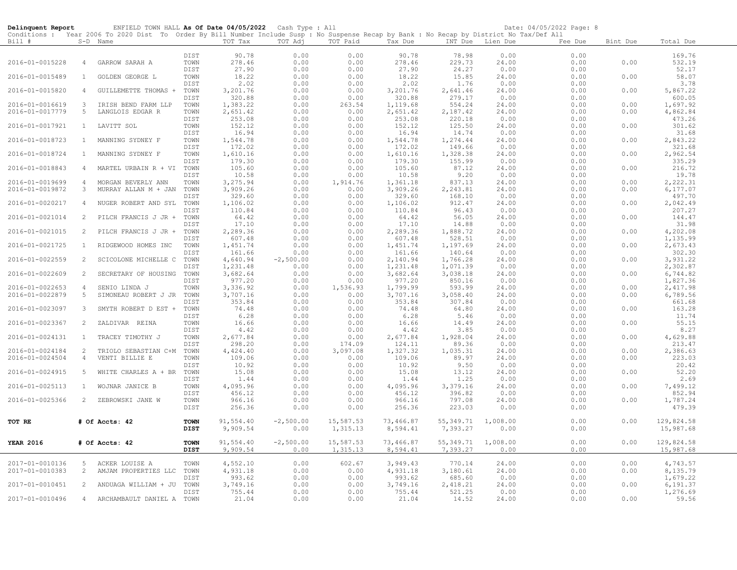| Delinquent Report |                | ENFIELD TOWN HALL As Of Date 04/05/2022 Cash Type : All                                                                                    |              |                    |              |                  |                    |                  |                  | Date: 04/05/2022 Page: 8 |          |                      |
|-------------------|----------------|--------------------------------------------------------------------------------------------------------------------------------------------|--------------|--------------------|--------------|------------------|--------------------|------------------|------------------|--------------------------|----------|----------------------|
|                   |                | Conditions : Year 2006 To 2020 Dist To Order By Bill Number Include Susp : No Suspense Recap by Bank : No Recap by District No Tax/Def All |              |                    |              |                  |                    |                  |                  |                          |          |                      |
| Bill #            |                | S-D Name                                                                                                                                   |              | TOT Tax            | TOT Adj      | TOT Paid         | Tax Due            |                  | INT Due Lien Due | Fee Due                  | Bint Due | Total Due            |
|                   |                |                                                                                                                                            | DIST         | 90.78              | 0.00         | 0.00             | 90.78              | 78.98            | 0.00             | 0.00                     |          | 169.76               |
| 2016-01-0015228   | $\overline{4}$ | GARROW SARAH A                                                                                                                             | TOWN         | 278.46             | 0.00         | 0.00             | 278.46             | 229.73           | 24.00            | 0.00                     | 0.00     | 532.19               |
|                   |                |                                                                                                                                            | DIST         | 27.90              | 0.00         | 0.00             | 27.90              | 24.27            | 0.00             | 0.00                     |          | 52.17                |
| 2016-01-0015489   | $\mathbf{1}$   | GOLDEN GEORGE L                                                                                                                            | TOWN         | 18.22              | 0.00         | 0.00             | 18.22              | 15.85            | 24.00            | 0.00                     | 0.00     | 58.07                |
|                   |                |                                                                                                                                            | DIST         | 2.02               | 0.00         | 0.00             | 2.02               | 1.76             | 0.00             | 0.00                     |          | 3.78                 |
| 2016-01-0015820   | 4              | GUILLEMETTE THOMAS +                                                                                                                       | TOWN         | 3,201.76           | 0.00         | 0.00             | 3,201.76           | 2,641.46         | 24.00            | 0.00                     | 0.00     | 5,867.22             |
|                   |                |                                                                                                                                            | DIST         | 320.88             | 0.00         | 0.00             | 320.88             | 279.17           | 0.00             | 0.00                     |          | 600.05               |
| 2016-01-0016619   | 3              | IRISH BEND FARM LLP                                                                                                                        | TOWN         | 1,383.22           | 0.00         | 263.54           | 1,119.68           | 554.24           | 24.00            | 0.00                     | 0.00     | 1,697.92             |
| 2016-01-0017779   | 5              | LANGLOIS EDGAR R                                                                                                                           | TOWN         | 2,651.42           | 0.00         | 0.00             | 2,651.42           | 2,187.42         | 24.00            | 0.00                     | 0.00     | 4,862.84             |
| 2016-01-0017921   | $\mathbf{1}$   | LAVITT SOL                                                                                                                                 | DIST<br>TOWN | 253.08<br>152.12   | 0.00<br>0.00 | 0.00<br>0.00     | 253.08<br>152.12   | 220.18<br>125.50 | 0.00<br>24.00    | 0.00<br>0.00             | 0.00     | 473.26<br>301.62     |
|                   |                |                                                                                                                                            | DIST         | 16.94              | 0.00         | 0.00             | 16.94              | 14.74            | 0.00             | 0.00                     |          | 31.68                |
| 2016-01-0018723   | $\mathbf{1}$   | MANNING SYDNEY F                                                                                                                           | TOWN         | 1,544.78           | 0.00         | 0.00             | 1,544.78           | 1,274.44         | 24.00            | 0.00                     | 0.00     | 2,843.22             |
|                   |                |                                                                                                                                            | DIST         | 172.02             | 0.00         | 0.00             | 172.02             | 149.66           | 0.00             | 0.00                     |          | 321.68               |
| 2016-01-0018724   | $\mathbf{1}$   | MANNING SYDNEY F                                                                                                                           | TOWN         | 1,610.16           | 0.00         | 0.00             | 1,610.16           | 1,328.38         | 24.00            | 0.00                     | 0.00     | 2,962.54             |
|                   |                |                                                                                                                                            | DIST         | 179.30             | 0.00         | 0.00             | 179.30             | 155.99           | 0.00             | 0.00                     |          | 335.29               |
| 2016-01-0018843   | 4              | MARTEL URBAIN R + VI TOWN                                                                                                                  |              | 105.60             | 0.00         | 0.00             | 105.60             | 87.12            | 24.00            | 0.00                     | 0.00     | 216.72               |
|                   |                |                                                                                                                                            | DIST         | 10.58              | 0.00         | 0.00             | 10.58              | 9.20             | 0.00             | 0.00                     |          | 19.78                |
| 2016-01-0019699   | $\overline{4}$ | MORGAN BEVERLY ANN                                                                                                                         | TOWN         | 3,275.94           | 0.00         | 1,914.76         | 1,361.18           | 837.13           | 24.00            | 0.00                     | 0.00     | 2,222.31             |
| 2016-01-0019872   | 3              | MURRAY ALLAN M + JAN                                                                                                                       | TOWN         | 3,909.26           | 0.00         | 0.00             | 3,909.26           | 2,243.81         | 24.00            | 0.00                     | 0.00     | 6,177.07             |
| 2016-01-0020217   | 4              |                                                                                                                                            | DIST<br>TOWN | 329.60<br>1,106.02 | 0.00<br>0.00 | 0.00<br>0.00     | 329.60<br>1,106.02 | 168.10<br>912.47 | 0.00<br>24.00    | 0.00<br>0.00             | 0.00     | 497.70<br>2,042.49   |
|                   |                | NUGER ROBERT AND SYL                                                                                                                       | DIST         | 110.84             | 0.00         | 0.00             | 110.84             | 96.43            | 0.00             | 0.00                     |          | 207.27               |
| 2016-01-0021014   | 2              | PILCH FRANCIS J JR + TOWN                                                                                                                  |              | 64.42              | 0.00         | 0.00             | 64.42              | 56.05            | 24.00            | 0.00                     | 0.00     | 144.47               |
|                   |                |                                                                                                                                            | DIST         | 17.10              | 0.00         | 0.00             | 17.10              | 14.88            | 0.00             | 0.00                     |          | 31.98                |
| 2016-01-0021015   | $\overline{2}$ | PILCH FRANCIS J JR + TOWN                                                                                                                  |              | 2,289.36           | 0.00         | 0.00             | 2,289.36           | 1,888.72         | 24.00            | 0.00                     | 0.00     | 4,202.08             |
|                   |                |                                                                                                                                            | DIST         | 607.48             | 0.00         | 0.00             | 607.48             | 528.51           | 0.00             | 0.00                     |          | 1,135.99             |
| 2016-01-0021725   | $\mathbf{1}$   | RIDGEWOOD HOMES INC                                                                                                                        | TOWN         | 1,451.74           | 0.00         | 0.00             | 1,451.74           | 1,197.69         | 24.00            | 0.00                     | 0.00     | 2,673.43             |
|                   |                |                                                                                                                                            | DIST         | 161.66             | 0.00         | 0.00             | 161.66             | 140.64           | 0.00             | 0.00                     |          | 302.30               |
| 2016-01-0022559   | $\overline{2}$ | SCICOLONE MICHELLE C                                                                                                                       | TOWN         | 4,640.94           | $-2,500.00$  | 0.00             | 2,140.94           | 1,766.28         | 24.00            | 0.00                     | 0.00     | 3,931.22             |
|                   |                |                                                                                                                                            | DIST         | 1,231.48           | 0.00         | 0.00             | 1,231.48           | 1,071.39         | 0.00             | 0.00                     |          | 2,302.87             |
| 2016-01-0022609   | 2              | SECRETARY OF HOUSING                                                                                                                       | TOWN         | 3,682.64           | 0.00         | 0.00             | 3,682.64           | 3,038.18         | 24.00            | 0.00                     | 0.00     | 6,744.82             |
| 2016-01-0022653   | $\overline{4}$ | SENIO LINDA J                                                                                                                              | DIST<br>TOWN | 977.20<br>3,336.92 | 0.00<br>0.00 | 0.00<br>1,536.93 | 977.20<br>1,799.99 | 850.16<br>593.99 | 0.00<br>24.00    | 0.00<br>0.00             | 0.00     | 1,827.36<br>2,417.98 |
| 2016-01-0022879   | 5              | SIMONEAU ROBERT J JR TOWN                                                                                                                  |              | 3,707.16           | 0.00         | 0.00             | 3,707.16           | 3,058.40         | 24.00            | 0.00                     | 0.00     | 6,789.56             |
|                   |                |                                                                                                                                            | DIST         | 353.84             | 0.00         | 0.00             | 353.84             | 307.84           | 0.00             | 0.00                     |          | 661.68               |
| 2016-01-0023097   | 3              | SMYTH ROBERT D EST +                                                                                                                       | TOWN         | 74.48              | 0.00         | 0.00             | 74.48              | 64.80            | 24.00            | 0.00                     | 0.00     | 163.28               |
|                   |                |                                                                                                                                            | DIST         | 6.28               | 0.00         | 0.00             | 6.28               | 5.46             | 0.00             | 0.00                     |          | 11.74                |
| 2016-01-0023367   | 2              | ZALDIVAR REINA                                                                                                                             | TOWN         | 16.66              | 0.00         | 0.00             | 16.66              | 14.49            | 24.00            | 0.00                     | 0.00     | 55.15                |
|                   |                |                                                                                                                                            | DIST         | 4.42               | 0.00         | 0.00             | 4.42               | 3.85             | 0.00             | 0.00                     |          | 8.27                 |
| 2016-01-0024131   | $\mathbf{1}$   | TRACEY TIMOTHY J                                                                                                                           | TOWN         | 2,677.84           | 0.00         | 0.00             | 2,677.84           | 1,928.04         | 24.00            | 0.00                     | 0.00     | 4,629.88             |
|                   |                |                                                                                                                                            | DIST         | 298.20             | 0.00         | 174.09           | 124.11             | 89.36            | 0.00             | 0.00                     |          | 213.47               |
| 2016-01-0024184   | 2              | TRIOLO SEBASTIAN C+M                                                                                                                       | TOWN         | 4,424.40           | 0.00         | 3,097.08         | 1,327.32           | 1,035.31         | 24.00            | 0.00                     | 0.00     | 2,386.63             |
| 2016-01-0024504   | $\overline{4}$ | VENTI BILLIE E                                                                                                                             | TOWN<br>DIST | 109.06<br>10.92    | 0.00<br>0.00 | 0.00<br>0.00     | 109.06<br>10.92    | 89.97<br>9.50    | 24.00<br>0.00    | 0.00<br>0.00             | 0.00     | 223.03<br>20.42      |
| 2016-01-0024915   | 5              | WHITE CHARLES A + BR TOWN                                                                                                                  |              | 15.08              | 0.00         | 0.00             | 15.08              | 13.12            | 24.00            | 0.00                     | 0.00     | 52.20                |
|                   |                |                                                                                                                                            | DIST         | 1.44               | 0.00         | 0.00             | 1.44               | 1.25             | 0.00             | 0.00                     |          | 2.69                 |
| 2016-01-0025113   | $\mathbf{1}$   | WOJNAR JANICE B                                                                                                                            | TOWN         | 4,095.96           | 0.00         | 0.00             | 4,095.96           | 3,379.16         | 24.00            | 0.00                     | 0.00     | 7,499.12             |
|                   |                |                                                                                                                                            | DIST         | 456.12             | 0.00         | 0.00             | 456.12             | 396.82           | 0.00             | 0.00                     |          | 852.94               |
| 2016-01-0025366   | 2              | ZEBROWSKI JANE W                                                                                                                           | TOWN         | 966.16             | 0.00         | 0.00             | 966.16             | 797.08           | 24.00            | 0.00                     | 0.00     | 1,787.24             |
|                   |                |                                                                                                                                            | DIST         | 256.36             | 0.00         | 0.00             | 256.36             | 223.03           | 0.00             | 0.00                     |          | 479.39               |
|                   |                |                                                                                                                                            |              |                    |              |                  |                    |                  |                  |                          |          |                      |
| TOT RE            |                | # Of Accts: 42                                                                                                                             | <b>TOWN</b>  | 91,554.40          | $-2,500.00$  | 15,587.53        | 73,466.87          | 55,349.71        | 1,008.00         | 0.00                     | 0.00     | 129,824.58           |
|                   |                |                                                                                                                                            | <b>DIST</b>  | 9,909.54           | 0.00         | 1,315.13         | 8,594.41           | 7,393.27         | 0.00             | 0.00                     |          | 15,987.68            |
| <b>YEAR 2016</b>  |                | # Of Accts: 42                                                                                                                             | <b>TOWN</b>  | 91,554.40          | $-2,500.00$  | 15,587.53        | 73,466.87          | 55,349.71        | 1,008.00         | 0.00                     | 0.00     | 129,824.58           |
|                   |                |                                                                                                                                            | DIST         | 9,909.54           | 0.00         | 1,315.13         | 8,594.41           | 7,393.27         | 0.00             | 0.00                     |          | 15,987.68            |
|                   |                |                                                                                                                                            |              |                    |              |                  |                    |                  |                  |                          |          |                      |
| 2017-01-0010136   | 5              | ACKER LOUISE A                                                                                                                             | TOWN         | 4,552.10           | 0.00         | 602.67           | 3,949.43           | 770.14           | 24.00            | 0.00                     | 0.00     | 4,743.57             |
| 2017-01-0010383   | 2              | AMJAM PROPERTIES LLC                                                                                                                       | TOWN         | 4,931.18           | 0.00         | 0.00             | 4,931.18           | 3,180.61         | 24.00            | 0.00                     | 0.00     | 8,135.79             |
|                   |                |                                                                                                                                            | DIST         | 993.62             | 0.00         | 0.00             | 993.62             | 685.60           | 0.00             | 0.00                     |          | 1,679.22             |
| 2017-01-0010451   | 2              | ANDUAGA WILLIAM + JU TOWN                                                                                                                  |              | 3,749.16           | 0.00         | 0.00             | 3,749.16           | 2,418.21         | 24.00            | 0.00                     | 0.00     | 6,191.37             |
|                   |                |                                                                                                                                            | DIST         | 755.44             | 0.00         | 0.00             | 755.44             | 521.25           | 0.00             | 0.00                     |          | 1,276.69             |
| 2017-01-0010496   |                | 4 ARCHAMBAULT DANIEL A TOWN                                                                                                                |              | 21.04              | 0.00         | 0.00             | 21.04              | 14.52            | 24.00            | 0.00                     | 0.00     | 59.56                |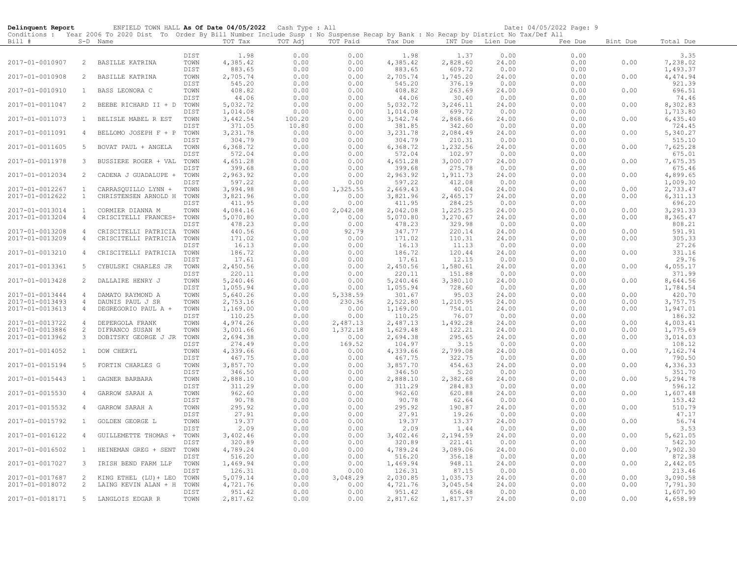| Delinquent Report |                | ENFIELD TOWN HALL As Of Date 04/05/2022 Cash Type : All                                                                                    |              |                    |              |               |                    |                  |                  | Date: 04/05/2022 Page: 9 |          |                    |
|-------------------|----------------|--------------------------------------------------------------------------------------------------------------------------------------------|--------------|--------------------|--------------|---------------|--------------------|------------------|------------------|--------------------------|----------|--------------------|
|                   |                | Conditions : Year 2006 To 2020 Dist To Order By Bill Number Include Susp : No Suspense Recap by Bank : No Recap by District No Tax/Def All |              |                    |              |               |                    |                  |                  |                          |          |                    |
| Bill #            |                | S-D Name                                                                                                                                   |              | TOT Tax            | TOT Adj      | TOT Paid      | Tax Due            |                  | INT Due Lien Due | Fee Due                  | Bint Due | Total Due          |
|                   |                |                                                                                                                                            | DIST         | 1.98               | 0.00         | 0.00          | 1.98               | 1.37             | 0.00             | 0.00                     |          | 3.35               |
| 2017-01-0010907   | 2              | BASILLE KATRINA                                                                                                                            | TOWN         | 4,385.42           | 0.00         | 0.00          | 4,385.42           | 2,828.60         | 24.00            | 0.00                     | 0.00     | 7,238.02           |
|                   |                |                                                                                                                                            | DIST         | 883.65             | 0.00         | 0.00          | 883.65             | 609.72           | 0.00             | 0.00                     |          | 1,493.37           |
| 2017-01-0010908   | 2              | BASILLE KATRINA                                                                                                                            | TOWN         | 2,705.74           | 0.00         | 0.00          | 2,705.74           | 1,745.20         | 24.00            | 0.00                     | 0.00     | 4,474.94           |
|                   |                |                                                                                                                                            | DIST         | 545.20             | 0.00         | 0.00          | 545.20             | 376.19           | 0.00             | 0.00                     |          | 921.39             |
| 2017-01-0010910   | 1              | BASS LEONORA C                                                                                                                             | TOWN         | 408.82             | 0.00         | 0.00          | 408.82             | 263.69           | 24.00            | 0.00                     | 0.00     | 696.51             |
|                   |                |                                                                                                                                            | DIST         | 44.06              | 0.00         | 0.00          | 44.06              | 30.40            | 0.00             | 0.00                     |          | 74.46              |
| 2017-01-0011047   | 2              | BEEBE RICHARD II + D                                                                                                                       | TOWN         | 5,032.72           | 0.00         | 0.00          | 5,032.72           | 3,246.11         | 24.00            | 0.00                     | 0.00     | 8,302.83           |
|                   |                |                                                                                                                                            | DIST         | 1,014.08           | 0.00         | 0.00          | 1,014.08           | 699.72           | 0.00             | 0.00                     |          | 1,713.80           |
| 2017-01-0011073   | $\mathbf{1}$   | BELISLE MABEL R EST                                                                                                                        | TOWN         | 3,442.54           | 100.20       | 0.00          | 3,542.74           | 2,868.66         | 24.00            | 0.00                     | 0.00     | 6,435.40           |
|                   |                |                                                                                                                                            | DIST         | 371.05             | 10.80        | 0.00          | 381.85             | 342.60           | 0.00             | 0.00                     |          | 724.45             |
| 2017-01-0011091   | 4              | BELLOMO JOSEPH F + P                                                                                                                       | TOWN         | 3,231.78           | 0.00         | 0.00          | 3,231.78           | 2,084.49         | 24.00            | 0.00                     | 0.00     | 5,340.27           |
|                   |                |                                                                                                                                            | DIST         | 304.79             | 0.00         | 0.00          | 304.79             | 210.31           | 0.00             | 0.00                     |          | 515.10             |
| 2017-01-0011605   | 5              | BOVAT PAUL + ANGELA                                                                                                                        | TOWN         | 6,368.72           | 0.00         | 0.00          | 6,368.72           | 1,232.56         | 24.00            | 0.00                     | 0.00     | 7,625.28           |
|                   |                |                                                                                                                                            | DIST         | 572.04             | 0.00         | 0.00          | 572.04             | 102.97           | 0.00             | 0.00                     |          | 675.01             |
| 2017-01-0011978   | 3              | BUSSIERE ROGER + VAL TOWN                                                                                                                  |              | 4,651.28           | 0.00         | 0.00          | 4,651.28           | 3,000.07         | 24.00            | 0.00                     | 0.00     | 7,675.35           |
|                   |                |                                                                                                                                            | DIST         | 399.68             | 0.00         | 0.00          | 399.68             | 275.78           | 0.00             | 0.00                     |          | 675.46             |
| 2017-01-0012034   | 2              | CADENA J GUADALUPE +                                                                                                                       | TOWN         | 2,963.92           | 0.00         | 0.00          | 2,963.92           | 1,911.73         | 24.00            | 0.00                     | 0.00     | 4,899.65           |
|                   |                |                                                                                                                                            | DIST         | 597.22             | 0.00         | 0.00          | 597.22             | 412.08           | 0.00             | 0.00                     |          | 1,009.30           |
| 2017-01-0012267   | 1              | CARRASQUILLO LYNN +                                                                                                                        | TOWN         | 3,994.98           | 0.00         | 1,325.55      | 2,669.43           | 40.04            | 24.00            | 0.00                     | 0.00     | 2,733.47           |
| 2017-01-0012622   | $\mathbf{1}$   | CHRISTENSEN ARNOLD H TOWN                                                                                                                  |              | 3,821.96           | 0.00         | 0.00          | 3,821.96           | 2,465.17         | 24.00            | 0.00                     | 0.00     | 6,311.13           |
|                   |                |                                                                                                                                            | DIST         | 411.95             | 0.00         | 0.00          | 411.95             | 284.25           | 0.00             | 0.00                     |          | 696.20             |
| 2017-01-0013014   | $\mathbf{1}$   | CORMIER DIANNA M                                                                                                                           | TOWN         | 4,084.16           | 0.00         | 2,042.08      | 2,042.08           | 1,225.25         | 24.00            | 0.00                     | 0.00     | 3,291.33           |
| 2017-01-0013204   | $\overline{4}$ | CRISCITELLI FRANCES+ TOWN                                                                                                                  |              | 5,070.80           | 0.00         | 0.00          | 5,070.80           | 3,270.67         | 24.00            | 0.00                     | 0.00     | 8,365.47           |
| 2017-01-0013208   | $\overline{4}$ |                                                                                                                                            | DIST         | 478.23<br>440.56   | 0.00<br>0.00 | 0.00<br>92.79 | 478.23<br>347.77   | 329.98<br>220.14 | 0.00<br>24.00    | 0.00<br>0.00             | 0.00     | 808.21<br>591.91   |
| 2017-01-0013209   | $\overline{4}$ | CRISCITELLI PATRICIA TOWN                                                                                                                  |              | 171.02             | 0.00         | 0.00          | 171.02             | 110.31           | 24.00            | 0.00                     | 0.00     | 305.33             |
|                   |                | CRISCITELLI PATRICIA TOWN                                                                                                                  | DIST         | 16.13              | 0.00         | 0.00          | 16.13              | 11.13            | 0.00             | 0.00                     |          | 27.26              |
| 2017-01-0013210   | $\overline{4}$ | CRISCITELLI PATRICIA                                                                                                                       | TOWN         | 186.72             | 0.00         | 0.00          | 186.72             | 120.44           | 24.00            | 0.00                     | 0.00     | 331.16             |
|                   |                |                                                                                                                                            | DIST         | 17.61              | 0.00         | 0.00          | 17.61              | 12.15            | 0.00             | 0.00                     |          | 29.76              |
| 2017-01-0013361   | 5              | CYBULSKI CHARLES JR                                                                                                                        | TOWN         | 2,450.56           | 0.00         | 0.00          | 2,450.56           | 1,580.61         | 24.00            | 0.00                     | 0.00     | 4,055.17           |
|                   |                |                                                                                                                                            | DIST         | 220.11             | 0.00         | 0.00          | 220.11             | 151.88           | 0.00             | 0.00                     |          | 371.99             |
| 2017-01-0013428   | 2              | DALLAIRE HENRY J                                                                                                                           | TOWN         | 5,240.46           | 0.00         | 0.00          | 5,240.46           | 3,380.10         | 24.00            | 0.00                     | 0.00     | 8,644.56           |
|                   |                |                                                                                                                                            | DIST         | 1,055.94           | 0.00         | 0.00          | 1,055.94           | 728.60           | 0.00             | 0.00                     |          | 1,784.54           |
| 2017-01-0013444   | $\overline{4}$ | DAMATO RAYMOND A                                                                                                                           | TOWN         | 5,640.26           | 0.00         | 5,338.59      | 301.67             | 95.03            | 24.00            | 0.00                     | 0.00     | 420.70             |
| 2017-01-0013493   | $\overline{4}$ | DAUNIS PAUL J SR                                                                                                                           | TOWN         | 2,753.16           | 0.00         | 230.36        | 2,522.80           | 1,210.95         | 24.00            | 0.00                     | 0.00     | 3,757.75           |
| 2017-01-0013613   | $\overline{4}$ | DEGREGORIO PAUL A +                                                                                                                        | TOWN         | 1,169.00           | 0.00         | 0.00          | 1,169.00           | 754.01           | 24.00            | 0.00                     | 0.00     | 1,947.01           |
|                   |                |                                                                                                                                            | DIST         | 110.25             | 0.00         | 0.00          | 110.25             | 76.07            | 0.00             | 0.00                     |          | 186.32             |
| 2017-01-0013722   | 4              | DEPERGOLA FRANK                                                                                                                            | TOWN         | 4,974.26           | 0.00         | 2,487.13      | 2,487.13           | 1,492.28         | 24.00            | 0.00                     | 0.00     | 4,003.41           |
| 2017-01-0013886   | 2              | DIFRANCO SUSAN M                                                                                                                           | TOWN         | 3,001.66           | 0.00         | 1,372.18      | 1,629.48           | 122.21           | 24.00            | 0.00                     | 0.00     | 1,775.69           |
| 2017-01-0013962   | 3              | DOBITSKY GEORGE J JR TOWN                                                                                                                  |              | 2,694.38           | 0.00         | 0.00          | 2,694.38           | 295.65           | 24.00            | 0.00                     | 0.00     | 3,014.03           |
|                   |                |                                                                                                                                            | DIST         | 274.49             | 0.00         | 169.52        | 104.97             | 3.15             | 0.00             | 0.00                     |          | 108.12             |
| 2017-01-0014052   | $\mathbf{1}$   | DOW CHERYL                                                                                                                                 | TOWN         | 4,339.66           | 0.00         | 0.00          | 4,339.66           | 2,799.08         | 24.00            | 0.00                     | 0.00     | 7,162.74           |
|                   |                |                                                                                                                                            | DIST         | 467.75             | 0.00         | 0.00          | 467.75             | 322.75           | 0.00             | 0.00                     |          | 790.50             |
| 2017-01-0015194   | 5              | FORTIN CHARLES G                                                                                                                           | TOWN<br>DIST | 3,857.70<br>346.50 | 0.00<br>0.00 | 0.00<br>0.00  | 3,857.70<br>346.50 | 454.63<br>5.20   | 24.00<br>0.00    | 0.00<br>0.00             | 0.00     | 4,336.33<br>351.70 |
| 2017-01-0015443   | $\mathbf{1}$   | GAGNER BARBARA                                                                                                                             | TOWN         | 2,888.10           | 0.00         | 0.00          | 2,888.10           | 2,382.68         | 24.00            | 0.00                     | 0.00     | 5,294.78           |
|                   |                |                                                                                                                                            | DIST         | 311.29             | 0.00         | 0.00          | 311.29             | 284.83           | 0.00             | 0.00                     |          | 596.12             |
| 2017-01-0015530   | 4              | GARROW SARAH A                                                                                                                             | TOWN         | 962.60             | 0.00         | 0.00          | 962.60             | 620.88           | 24.00            | 0.00                     | 0.00     | 1,607.48           |
|                   |                |                                                                                                                                            | DIST         | 90.78              | 0.00         | 0.00          | 90.78              | 62.64            | 0.00             | 0.00                     |          | 153.42             |
| 2017-01-0015532   | 4              | GARROW SARAH A                                                                                                                             | TOWN         | 295.92             | 0.00         | 0.00          | 295.92             | 190.87           | 24.00            | 0.00                     | 0.00     | 510.79             |
|                   |                |                                                                                                                                            | DIST         | 27.91              | 0.00         | 0.00          | 27.91              | 19.26            | 0.00             | 0.00                     |          | 47.17              |
| 2017-01-0015792   | $\mathbf{1}$   | GOLDEN GEORGE L                                                                                                                            | TOWN         | 19.37              | 0.00         | 0.00          | 19.37              | 13.37            | 24.00            | 0.00                     | 0.00     | 56.74              |
|                   |                |                                                                                                                                            | DIST         | 2.09               | 0.00         | 0.00          | 2.09               | 1.44             | 0.00             | 0.00                     |          | 3.53               |
| 2017-01-0016122   | 4              | GUILLEMETTE THOMAS +                                                                                                                       | TOWN         | 3,402.46           | 0.00         | 0.00          | 3,402.46           | 2,194.59         | 24.00            | 0.00                     | 0.00     | 5,621.05           |
|                   |                |                                                                                                                                            | DIST         | 320.89             | 0.00         | 0.00          | 320.89             | 221.41           | 0.00             | 0.00                     |          | 542.30             |
| 2017-01-0016502   | $\mathbf{1}$   | HEINEMAN GREG + SENT TOWN                                                                                                                  |              | 4,789.24           | 0.00         | 0.00          | 4,789.24           | 3,089.06         | 24.00            | 0.00                     | 0.00     | 7,902.30           |
|                   |                |                                                                                                                                            | DIST         | 516.20             | 0.00         | 0.00          | 516.20             | 356.18           | 0.00             | 0.00                     |          | 872.38             |
| 2017-01-0017027   | 3              | IRISH BEND FARM LLP                                                                                                                        | TOWN         | 1,469.94           | 0.00         | 0.00          | 1,469.94           | 948.11           | 24.00            | 0.00                     | 0.00     | 2,442.05           |
|                   |                |                                                                                                                                            | DIST         | 126.31             | 0.00         | 0.00          | 126.31             | 87.15            | 0.00             | 0.00                     |          | 213.46             |
| 2017-01-0017687   | 2              | KING ETHEL (LU) + LEO                                                                                                                      | TOWN         | 5,079.14           | 0.00         | 3,048.29      | 2,030.85           | 1,035.73         | 24.00            | 0.00                     | 0.00     | 3,090.58           |
| 2017-01-0018072   | $\overline{c}$ | LAING KEVIN ALAN + H                                                                                                                       | TOWN         | 4,721.76           | 0.00         | 0.00          | 4,721.76           | 3,045.54         | 24.00            | 0.00                     | 0.00     | 7,791.30           |
|                   |                |                                                                                                                                            | DIST         | 951.42             | 0.00         | 0.00          | 951.42             | 656.48           | 0.00             | 0.00                     |          | 1,607.90           |
| 2017-01-0018171   | 5              | LANGLOIS EDGAR R                                                                                                                           | TOWN         | 2,817.62           | 0.00         | 0.00          | 2,817.62           | 1,817.37         | 24.00            | 0.00                     | 0.00     | 4,658.99           |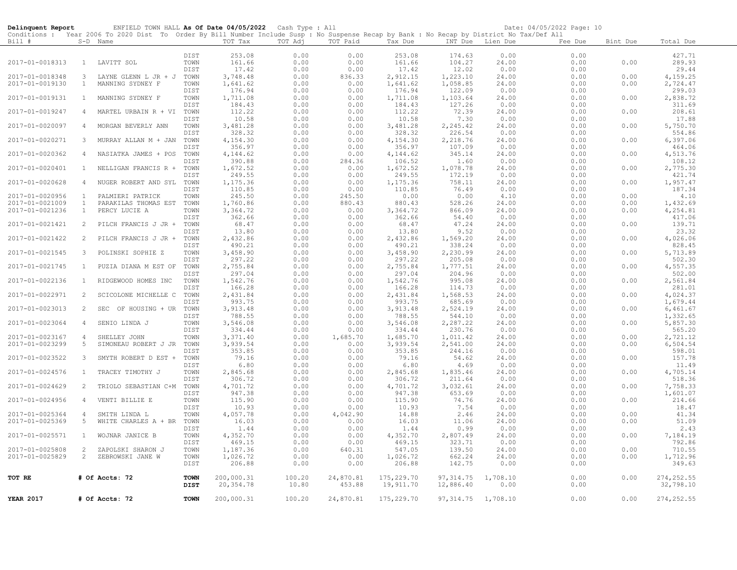| Delinquent Report                  |                     | ENFIELD TOWN HALL As Of Date 04/05/2022 Cash Type : All                                                                                    |              |                      |              |                  |                      |                      |                | Date: 04/05/2022 Page: 10 |              |                      |
|------------------------------------|---------------------|--------------------------------------------------------------------------------------------------------------------------------------------|--------------|----------------------|--------------|------------------|----------------------|----------------------|----------------|---------------------------|--------------|----------------------|
|                                    |                     | Conditions : Year 2006 To 2020 Dist To Order By Bill Number Include Susp : No Suspense Recap by Bank : No Recap by District No Tax/Def All |              |                      |              |                  |                      |                      |                |                           |              |                      |
| Bill #                             |                     | S-D Name                                                                                                                                   |              | TOT Tax              | TOT Adj      | TOT Paid         | Tax Due              | INT Due              | Lien Due       | Fee Due                   | Bint Due     | Total Due            |
|                                    |                     |                                                                                                                                            | DIST         | 253.08               | 0.00         | 0.00             | 253.08               | 174.63               | 0.00           | 0.00                      |              | 427.71               |
| 2017-01-0018313                    | $\mathbf{1}$        | LAVITT SOL                                                                                                                                 | TOWN         | 161.66               | 0.00         | 0.00             | 161.66               | 104.27               | 24.00          | 0.00                      | 0.00         | 289.93               |
|                                    |                     |                                                                                                                                            | <b>DIST</b>  | 17.42                | 0.00         | 0.00             | 17.42                | 12.02                | 0.00           | 0.00                      |              | 29.44                |
| 2017-01-0018348                    | 3                   | LAYNE GLENN L JR + J TOWN                                                                                                                  |              | 3,748.48             | 0.00         | 836.33           | 2,912.15             | 1,223.10             | 24.00          | 0.00                      | 0.00         | 4,159.25             |
| 2017-01-0019130                    | $\mathbf{1}$        | MANNING SYDNEY F                                                                                                                           | TOWN         | 1,641.62             | 0.00         | 0.00             | 1,641.62             | 1,058.85             | 24.00          | 0.00                      | 0.00         | 2,724.47             |
|                                    |                     |                                                                                                                                            | DIST         | 176.94               | 0.00         | 0.00             | 176.94               | 122.09               | 0.00           | 0.00                      |              | 299.03               |
| 2017-01-0019131                    | $\mathbf{1}$        | MANNING SYDNEY F                                                                                                                           | TOWN         | 1,711.08             | 0.00         | 0.00             | 1,711.08             | 1,103.64             | 24.00          | 0.00                      | 0.00         | 2,838.72             |
|                                    |                     |                                                                                                                                            | DIST         | 184.43               | 0.00         | 0.00             | 184.43               | 127.26               | 0.00           | 0.00                      |              | 311.69               |
| 2017-01-0019247                    | 4                   | MARTEL URBAIN R + VI                                                                                                                       | TOWN         | 112.22               | 0.00         | 0.00             | 112.22               | 72.39                | 24.00          | 0.00                      | 0.00         | 208.61               |
| 2017-01-0020097                    |                     |                                                                                                                                            | DIST<br>TOWN | 10.58<br>3,481.28    | 0.00<br>0.00 | 0.00<br>0.00     | 10.58<br>3,481.28    | 7.30<br>2,245.42     | 0.00<br>24.00  | 0.00<br>0.00              | 0.00         | 17.88<br>5,750.70    |
|                                    | 4                   | MORGAN BEVERLY ANN                                                                                                                         | DIST         | 328.32               | 0.00         | 0.00             | 328.32               | 226.54               | 0.00           | 0.00                      |              | 554.86               |
| 2017-01-0020271                    | 3                   | MURRAY ALLAN M + JAN                                                                                                                       | TOWN         | 4,154.30             | 0.00         | 0.00             | 4,154.30             | 2,218.76             | 24.00          | 0.00                      | 0.00         | 6,397.06             |
|                                    |                     |                                                                                                                                            | DIST         | 356.97               | 0.00         | 0.00             | 356.97               | 107.09               | 0.00           | 0.00                      |              | 464.06               |
| 2017-01-0020362                    | 4                   | NASIATKA JAMES + POS TOWN                                                                                                                  |              | 4,144.62             | 0.00         | 0.00             | 4,144.62             | 345.14               | 24.00          | 0.00                      | 0.00         | 4,513.76             |
|                                    |                     |                                                                                                                                            | DIST         | 390.88               | 0.00         | 284.36           | 106.52               | 1.60                 | 0.00           | 0.00                      |              | 108.12               |
| 2017-01-0020401                    | $\mathbf{1}$        | NELLIGAN FRANCIS R + TOWN                                                                                                                  |              | 1,672.52             | 0.00         | 0.00             | 1,672.52             | 1,078.78             | 24.00          | 0.00                      | 0.00         | 2,775.30             |
|                                    |                     |                                                                                                                                            | DIST         | 249.55               | 0.00         | 0.00             | 249.55               | 172.19               | 0.00           | 0.00                      |              | 421.74               |
| 2017-01-0020628                    | 4                   | NUGER ROBERT AND SYL                                                                                                                       | TOWN         | 1,175.36             | 0.00         | 0.00             | 1,175.36             | 758.11               | 24.00          | 0.00                      | 0.00         | 1,957.47             |
|                                    |                     |                                                                                                                                            | DIST         | 110.85               | 0.00         | 0.00             | 110.85               | 76.49                | 0.00           | 0.00                      |              | 187.34               |
| 2017-01-0020956                    | $\mathbf{1}$        | PALMIERI PATRICK                                                                                                                           | TOWN         | 245.50               | 0.00         | 245.50           | 0.00                 | 0.00                 | 4.10           | 0.00                      | 0.00         | 4.10                 |
| 2017-01-0021009                    | $\mathbf{1}$        | PARAKILAS THOMAS EST                                                                                                                       | TOWN         | 1,760.86             | 0.00         | 880.43           | 880.43               | 528.26               | 24.00          | 0.00                      | 0.00         | 1,432.69             |
| 2017-01-0021236                    | $\mathbf{1}$        | PERCY LUCIE A                                                                                                                              | TOWN         | 3,364.72             | 0.00         | 0.00             | 3,364.72             | 866.09               | 24.00          | 0.00                      | 0.00         | 4,254.81             |
|                                    |                     |                                                                                                                                            | DIST         | 362.66               | 0.00         | 0.00             | 362.66               | 54.40                | 0.00           | 0.00                      |              | 417.06               |
| 2017-01-0021421                    | 2                   | PILCH FRANCIS J JR + TOWN                                                                                                                  | DIST         | 68.47<br>13.80       | 0.00<br>0.00 | 0.00             | 68.47<br>13.80       | 47.24                | 24.00          | 0.00                      | 0.00         | 139.71<br>23.32      |
| 2017-01-0021422                    | $\overline{2}$      | PILCH FRANCIS J JR + TOWN                                                                                                                  |              | 2,432.86             | 0.00         | 0.00<br>0.00     | 2,432.86             | 9.52<br>1,569.20     | 0.00<br>24.00  | 0.00<br>0.00              | 0.00         | 4,026.06             |
|                                    |                     |                                                                                                                                            | DIST         | 490.21               | 0.00         | 0.00             | 490.21               | 338.24               | 0.00           | 0.00                      |              | 828.45               |
| 2017-01-0021545                    | 3                   | POLINSKI SOPHIE Z                                                                                                                          | TOWN         | 3,458.90             | 0.00         | 0.00             | 3,458.90             | 2,230.99             | 24.00          | 0.00                      | 0.00         | 5,713.89             |
|                                    |                     |                                                                                                                                            | DIST         | 297.22               | 0.00         | 0.00             | 297.22               | 205.08               | 0.00           | 0.00                      |              | 502.30               |
| 2017-01-0021745                    | $\mathbf{1}$        | PUZIA DIANA M EST OF                                                                                                                       | TOWN         | 2,755.84             | 0.00         | 0.00             | 2,755.84             | 1,777.51             | 24.00          | 0.00                      | 0.00         | 4,557.35             |
|                                    |                     |                                                                                                                                            | DIST         | 297.04               | 0.00         | 0.00             | 297.04               | 204.96               | 0.00           | 0.00                      |              | 502.00               |
| 2017-01-0022136                    | $\mathbf{1}$        | RIDGEWOOD HOMES INC                                                                                                                        | TOWN         | 1,542.76             | 0.00         | 0.00             | 1,542.76             | 995.08               | 24.00          | 0.00                      | 0.00         | 2,561.84             |
|                                    |                     |                                                                                                                                            | DIST         | 166.28               | 0.00         | 0.00             | 166.28               | 114.73               | 0.00           | 0.00                      |              | 281.01               |
| 2017-01-0022971                    | 2                   | SCICOLONE MICHELLE C                                                                                                                       | TOWN         | 2,431.84             | 0.00         | 0.00             | 2,431.84             | 1,568.53             | 24.00          | 0.00                      | 0.00         | 4,024.37             |
|                                    |                     |                                                                                                                                            | DIST         | 993.75               | 0.00         | 0.00             | 993.75               | 685.69               | 0.00           | 0.00                      |              | 1,679.44             |
| 2017-01-0023013                    | 2                   | SEC OF HOUSING + UR TOWN                                                                                                                   |              | 3,913.48             | 0.00         | 0.00             | 3,913.48             | 2,524.19             | 24.00          | 0.00                      | 0.00         | 6,461.67             |
|                                    |                     |                                                                                                                                            | DIST         | 788.55               | 0.00         | 0.00             | 788.55               | 544.10               | 0.00           | 0.00                      |              | 1,332.65             |
| 2017-01-0023064                    | $\overline{4}$      | SENIO LINDA J                                                                                                                              | TOWN         | 3,546.08             | 0.00         | 0.00             | 3,546.08             | 2,287.22             | 24.00          | 0.00                      | 0.00         | 5,857.30             |
|                                    |                     |                                                                                                                                            | <b>DIST</b>  | 334.44               | 0.00         | 0.00             | 334.44               | 230.76               | 0.00           | 0.00                      |              | 565.20               |
| 2017-01-0023167<br>2017-01-0023299 | $\overline{4}$<br>5 | SHELLEY JOHN<br>SIMONEAU ROBERT J JR                                                                                                       | TOWN<br>TOWN | 3,371.40<br>3,939.54 | 0.00<br>0.00 | 1,685.70<br>0.00 | 1,685.70<br>3,939.54 | 1,011.42<br>2,541.00 | 24.00<br>24.00 | 0.00<br>0.00              | 0.00<br>0.00 | 2,721.12<br>6,504.54 |
|                                    |                     |                                                                                                                                            | DIST         | 353.85               | 0.00         | 0.00             | 353.85               | 244.16               | 0.00           | 0.00                      |              | 598.01               |
| 2017-01-0023522                    | 3                   | SMYTH ROBERT D EST + TOWN                                                                                                                  |              | 79.16                | 0.00         | 0.00             | 79.16                | 54.62                | 24.00          | 0.00                      | 0.00         | 157.78               |
|                                    |                     |                                                                                                                                            | DIST         | 6.80                 | 0.00         | 0.00             | 6.80                 | 4.69                 | 0.00           | 0.00                      |              | 11.49                |
| 2017-01-0024576                    | $\mathbf{1}$        | TRACEY TIMOTHY J                                                                                                                           | TOWN         | 2,845.68             | 0.00         | 0.00             | 2,845.68             | 1,835.46             | 24.00          | 0.00                      | 0.00         | 4,705.14             |
|                                    |                     |                                                                                                                                            | DIST         | 306.72               | 0.00         | 0.00             | 306.72               | 211.64               | 0.00           | 0.00                      |              | 518.36               |
| 2017-01-0024629                    | 2                   | TRIOLO SEBASTIAN C+M TOWN                                                                                                                  |              | 4,701.72             | 0.00         | 0.00             | 4,701.72             | 3,032.61             | 24.00          | 0.00                      | 0.00         | 7,758.33             |
|                                    |                     |                                                                                                                                            | DIST         | 947.38               | 0.00         | 0.00             | 947.38               | 653.69               | 0.00           | 0.00                      |              | 1,601.07             |
| 2017-01-0024956                    | $\overline{4}$      | VENTI BILLIE E                                                                                                                             | TOWN         | 115.90               | 0.00         | 0.00             | 115.90               | 74.76                | 24.00          | 0.00                      | 0.00         | 214.66               |
|                                    |                     |                                                                                                                                            | DIST         | 10.93                | 0.00         | 0.00             | 10.93                | 7.54                 | 0.00           | 0.00                      |              | 18.47                |
| 2017-01-0025364                    | $\overline{4}$      | SMITH LINDA L                                                                                                                              | TOWN         | 4,057.78             | 0.00         | 4,042.90         | 14.88                | 2.46                 | 24.00          | 0.00                      | 0.00         | 41.34                |
| 2017-01-0025369                    | 5                   | WHITE CHARLES A + BR                                                                                                                       | TOWN         | 16.03                | 0.00         | 0.00             | 16.03                | 11.06                | 24.00          | 0.00                      | 0.00         | 51.09                |
|                                    |                     |                                                                                                                                            | DIST         | 1.44                 | 0.00         | 0.00             | 1.44                 | 0.99                 | 0.00           | 0.00                      |              | 2.43                 |
| 2017-01-0025571                    | $\mathbf{1}$        | WOJNAR JANICE B                                                                                                                            | TOWN         | 4,352.70             | 0.00         | 0.00             | 4,352.70             | 2,807.49             | 24.00          | 0.00                      | 0.00         | 7,184.19             |
| 2017-01-0025808                    | 2                   |                                                                                                                                            | DIST<br>TOWN | 469.15               | 0.00<br>0.00 | 0.00<br>640.31   | 469.15<br>547.05     | 323.71<br>139.50     | 0.00<br>24.00  | 0.00<br>0.00              | 0.00         | 792.86<br>710.55     |
| 2017-01-0025829                    | 2                   | ZAPOLSKI SHARON J<br>ZEBROWSKI JANE W                                                                                                      | TOWN         | 1,187.36<br>1,026.72 | 0.00         | 0.00             | 1,026.72             | 662.24               | 24.00          | 0.00                      | 0.00         | 1,712.96             |
|                                    |                     |                                                                                                                                            | DIST         | 206.88               | 0.00         | 0.00             | 206.88               | 142.75               | 0.00           | 0.00                      |              | 349.63               |
|                                    |                     |                                                                                                                                            |              |                      |              |                  |                      |                      |                |                           |              |                      |
| TOT RE                             |                     | # Of Accts: 72                                                                                                                             | <b>TOWN</b>  | 200,000.31           | 100.20       | 24,870.81        | 175,229.70           | 97, 314.75           | 1,708.10       | 0.00                      | 0.00         | 274, 252.55          |
|                                    |                     |                                                                                                                                            | <b>DIST</b>  | 20,354.78            | 10.80        | 453.88           | 19,911.70            | 12,886.40            | 0.00           | 0.00                      |              | 32,798.10            |
|                                    |                     |                                                                                                                                            |              |                      |              |                  |                      |                      |                |                           |              |                      |
| <b>YEAR 2017</b>                   |                     | # Of Accts: 72                                                                                                                             | <b>TOWN</b>  | 200,000.31           | 100.20       | 24,870.81        | 175,229.70           | 97, 314.75           | 1,708.10       | 0.00                      | 0.00         | 274, 252.55          |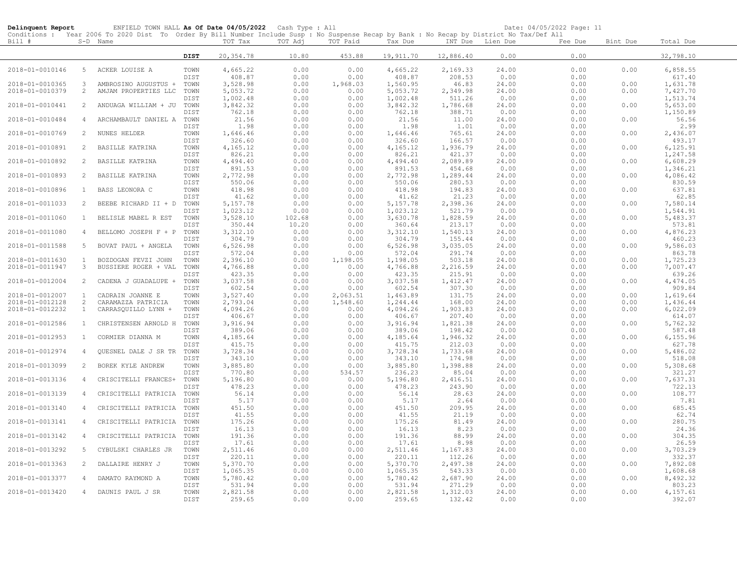| Delinquent Report |                | ENFIELD TOWN HALL As Of Date 04/05/2022 Cash Type : All                                                                                                |              |                   |         |          |                      |                  | Date: 04/05/2022 Page: 11 |         |          |                      |
|-------------------|----------------|--------------------------------------------------------------------------------------------------------------------------------------------------------|--------------|-------------------|---------|----------|----------------------|------------------|---------------------------|---------|----------|----------------------|
| Bill #            |                | Conditions : Year 2006 To 2020 Dist To Order By Bill Number Include Susp : No Suspense Recap by Bank : No Recap by District No Tax/Def All<br>S-D Name |              | TOT Tax           | TOT Adj | TOT Paid | Tax Due              | INT Due Lien Due |                           | Fee Due | Bint Due | Total Due            |
|                   |                |                                                                                                                                                        | <b>DIST</b>  | 20, 354.78        | 10.80   | 453.88   | 19,911.70            | 12,886.40        | 0.00                      | 0.00    |          | 32,798.10            |
| 2018-01-0010146   |                | 5 ACKER LOUISE A                                                                                                                                       | TOWN         | 4,665.22          | 0.00    | 0.00     | 4,665.22             | 2,169.33         | 24.00                     | 0.00    | 0.00     | 6,858.55             |
|                   |                |                                                                                                                                                        | <b>DIST</b>  | 408.87            | 0.00    | 0.00     | 408.87               | 208.53           | 0.00                      | 0.00    |          | 617.40               |
| 2018-01-0010365   | $\mathbf{3}$   | AMBROSINO AUGUSTUS +                                                                                                                                   | TOWN         | 3,528.98          | 0.00    | 1,968.03 | 1,560.95             | 46.83            | 24.00                     | 0.00    | 0.00     | 1,631.78             |
| 2018-01-0010379   | 2              | AMJAM PROPERTIES LLC                                                                                                                                   | TOWN         | 5,053.72          | 0.00    | 0.00     | 5,053.72             | 2,349.98         | 24.00                     | 0.00    | 0.00     | 7,427.70             |
|                   |                |                                                                                                                                                        | DIST         | 1,002.48          | 0.00    | 0.00     | 1,002.48             | 511.26           | 0.00                      | 0.00    |          | 1,513.74             |
| 2018-01-0010441   | 2              | ANDUAGA WILLIAM + JU                                                                                                                                   | TOWN         | 3,842.32          | 0.00    | 0.00     | 3,842.32             | 1,786.68         | 24.00                     | 0.00    | 0.00     | 5,653.00             |
|                   |                |                                                                                                                                                        | DIST         | 762.18            | 0.00    | 0.00     | 762.18               | 388.71           | 0.00                      | 0.00    |          | 1,150.89             |
| 2018-01-0010484   | $\overline{4}$ | ARCHAMBAULT DANIEL A                                                                                                                                   | TOWN         | 21.56             | 0.00    | 0.00     | 21.56                | 11.00            | 24.00                     | 0.00    | 0.00     | 56.56                |
|                   |                |                                                                                                                                                        | DIST         | 1.98              | 0.00    | 0.00     | 1.98                 | 1.01             | 0.00                      | 0.00    |          | 2.99                 |
| 2018-01-0010769   | 2              | NUNES HELDER                                                                                                                                           | TOWN         | 1,646.46          | 0.00    | 0.00     | 1,646.46             | 765.61           | 24.00                     | 0.00    | 0.00     | 2,436.07             |
|                   |                |                                                                                                                                                        | DIST         | 326.60            | 0.00    | 0.00     | 326.60               | 166.57           | 0.00                      | 0.00    |          | 493.17               |
| 2018-01-0010891   | 2              | BASILLE KATRINA                                                                                                                                        | TOWN         | 4,165.12          | 0.00    | 0.00     | 4,165.12             | 1,936.79         | 24.00                     | 0.00    | 0.00     | 6, 125.91            |
|                   |                |                                                                                                                                                        | DIST         | 826.21            | 0.00    | 0.00     | 826.21               | 421.37           | 0.00                      | 0.00    |          | 1,247.58             |
| 2018-01-0010892   | -2             | BASILLE KATRINA                                                                                                                                        | TOWN         | 4,494.40          | 0.00    | 0.00     | 4,494.40             | 2,089.89         | 24.00                     | 0.00    | 0.00     | 6,608.29             |
|                   |                |                                                                                                                                                        | DIST         | 891.53            | 0.00    | 0.00     | 891.53               | 454.68           | 0.00                      | 0.00    |          | 1,346.21             |
| 2018-01-0010893   | 2              | BASILLE KATRINA                                                                                                                                        | TOWN         | 2,772.98          | 0.00    | 0.00     | 2,772.98             | 1,289.44         | 24.00                     | 0.00    | 0.00     | 4,086.42             |
|                   |                |                                                                                                                                                        | DIST         | 550.06            | 0.00    | 0.00     | 550.06               | 280.53           | 0.00                      | 0.00    |          | 830.59               |
| 2018-01-0010896   | $\mathbf{1}$   | BASS LEONORA C                                                                                                                                         | TOWN         | 418.98            | 0.00    | 0.00     | 418.98               | 194.83           | 24.00                     | 0.00    | 0.00     | 637.81               |
|                   |                |                                                                                                                                                        |              |                   |         | 0.00     | 41.62                | 21.23            |                           | 0.00    |          |                      |
| 2018-01-0011033   | 2              | BEEBE RICHARD II + D                                                                                                                                   | DIST<br>TOWN | 41.62<br>5,157.78 | 0.00    |          |                      | 2,398.36         | 0.00                      | 0.00    | 0.00     | 62.85                |
|                   |                |                                                                                                                                                        | DIST         | 1,023.12          | 0.00    | 0.00     | 5,157.78<br>1,023.12 | 521.79           | 24.00                     | 0.00    |          | 7,580.14<br>1,544.91 |
|                   |                |                                                                                                                                                        |              | 3,528.10          | 0.00    | 0.00     |                      |                  | 0.00                      |         |          |                      |
| 2018-01-0011060   | <sup>1</sup>   | BELISLE MABEL R EST                                                                                                                                    | TOWN         |                   | 102.68  | 0.00     | 3,630.78             | 1,828.59         | 24.00                     | 0.00    | 0.00     | 5,483.37             |
|                   |                |                                                                                                                                                        | DIST         | 350.44            | 10.20   | 0.00     | 360.64               | 213.17           | 0.00                      | 0.00    |          | 573.81               |
| 2018-01-0011080   | $\overline{4}$ | BELLOMO JOSEPH F + P TOWN                                                                                                                              |              | 3,312.10          | 0.00    | 0.00     | 3,312.10             | 1,540.13         | 24.00                     | 0.00    | 0.00     | 4,876.23             |
|                   |                |                                                                                                                                                        | DIST         | 304.79            | 0.00    | 0.00     | 304.79               | 155.44           | 0.00                      | 0.00    |          | 460.23               |
| 2018-01-0011588   | 5              | BOVAT PAUL + ANGELA                                                                                                                                    | TOWN         | 6,526.98          | 0.00    | 0.00     | 6,526.98             | 3,035.05         | 24.00                     | 0.00    | 0.00     | 9,586.03             |
|                   |                |                                                                                                                                                        | DIST         | 572.04            | 0.00    | 0.00     | 572.04               | 291.74           | 0.00                      | 0.00    |          | 863.78               |
| 2018-01-0011630   | $\mathbf{1}$   | BOZDOGAN FEVZI JOHN                                                                                                                                    | TOWN         | 2,396.10          | 0.00    | 1,198.05 | 1,198.05             | 503.18           | 24.00                     | 0.00    | 0.00     | 1,725.23             |
| 2018-01-0011947   | $\mathbf{3}$   | BUSSIERE ROGER + VAL                                                                                                                                   | TOWN         | 4,766.88          | 0.00    | 0.00     | 4,766.88             | 2,216.59         | 24.00                     | 0.00    | 0.00     | 7,007.47             |
|                   |                |                                                                                                                                                        | DIST         | 423.35            | 0.00    | 0.00     | 423.35               | 215.91           | 0.00                      | 0.00    |          | 639.26               |
| 2018-01-0012004   | 2              | CADENA J GUADALUPE +                                                                                                                                   | TOWN         | 3,037.58          | 0.00    | 0.00     | 3,037.58             | 1,412.47         | 24.00                     | 0.00    | 0.00     | 4,474.05             |
|                   |                |                                                                                                                                                        | DIST         | 602.54            | 0.00    | 0.00     | 602.54               | 307.30           | 0.00                      | 0.00    |          | 909.84               |
| 2018-01-0012007   | 1              | CADRAIN JOANNE E                                                                                                                                       | TOWN         | 3,527.40          | 0.00    | 2,063.51 | 1,463.89             | 131.75           | 24.00                     | 0.00    | 0.00     | 1,619.64             |
| 2018-01-0012128   | 2              | CARAMAZZA PATRICIA                                                                                                                                     | TOWN         | 2,793.04          | 0.00    | 1,548.60 | 1,244.44             | 168.00           | 24.00                     | 0.00    | 0.00     | 1,436.44             |
| 2018-01-0012232   | $\mathbf{1}$   | CARRASQUILLO LYNN +                                                                                                                                    | TOWN         | 4,094.26          | 0.00    | 0.00     | 4,094.26             | 1,903.83         | 24.00                     | 0.00    | 0.00     | 6,022.09             |
|                   |                |                                                                                                                                                        | DIST         | 406.67            | 0.00    | 0.00     | 406.67               | 207.40           | 0.00                      | 0.00    |          | 614.07               |
| 2018-01-0012586   | $\mathbf{1}$   | CHRISTENSEN ARNOLD H                                                                                                                                   | TOWN         | 3,916.94          | 0.00    | 0.00     | 3,916.94             | 1,821.38         | 24.00                     | 0.00    | 0.00     | 5,762.32             |
|                   |                |                                                                                                                                                        | DIST         | 389.06            | 0.00    | 0.00     | 389.06               | 198.42           | 0.00                      | 0.00    |          | 587.48               |
| 2018-01-0012953   | $\mathbf{1}$   | CORMIER DIANNA M                                                                                                                                       | TOWN         | 4,185.64          | 0.00    | 0.00     | 4,185.64             | 1,946.32         | 24.00                     | 0.00    | 0.00     | 6,155.96             |
|                   |                |                                                                                                                                                        | DIST         | 415.75            | 0.00    | 0.00     | 415.75               | 212.03           | 0.00                      | 0.00    |          | 627.78               |
| 2018-01-0012974   | $\overline{4}$ | QUESNEL DALE J SR TR                                                                                                                                   | TOWN         | 3,728.34          | 0.00    | 0.00     | 3,728.34             | 1,733.68         | 24.00                     | 0.00    | 0.00     | 5,486.02             |
|                   |                |                                                                                                                                                        | DIST         | 343.10            | 0.00    | 0.00     | 343.10               | 174.98           | 0.00                      | 0.00    |          | 518.08               |
| 2018-01-0013099   | 2              | BOREK KYLE ANDREW                                                                                                                                      | TOWN         | 3,885.80          | 0.00    | 0.00     | 3,885.80             | 1,398.88         | 24.00                     | 0.00    | 0.00     | 5,308.68             |
|                   |                |                                                                                                                                                        | DIST         | 770.80            | 0.00    | 534.57   | 236.23               | 85.04            | 0.00                      | 0.00    |          | 321.27               |
| 2018-01-0013136   | 4              | CRISCITELLI FRANCES+                                                                                                                                   | TOWN         | 5,196.80          | 0.00    | 0.00     | 5,196.80             | 2,416.51         | 24.00                     | 0.00    | 0.00     | 7,637.31             |
|                   |                |                                                                                                                                                        | DIST         | 478.23            | 0.00    | 0.00     | 478.23               | 243.90           | 0.00                      | 0.00    |          | 722.13               |
| 2018-01-0013139   | $\overline{4}$ | CRISCITELLI PATRICIA                                                                                                                                   | TOWN         | 56.14             | 0.00    | 0.00     | 56.14                | 28.63            | 24.00                     | 0.00    | 0.00     | 108.77               |
|                   |                |                                                                                                                                                        | DIST         | 5.17              | 0.00    | 0.00     | 5.17                 | 2.64             | 0.00                      | 0.00    |          | 7.81                 |
| 2018-01-0013140   | $\overline{4}$ | CRISCITELLI PATRICIA                                                                                                                                   | TOWN         | 451.50            | 0.00    | 0.00     | 451.50               | 209.95           | 24.00                     | 0.00    | 0.00     | 685.45               |
|                   |                |                                                                                                                                                        | DIST         | 41.55             | 0.00    | 0.00     | 41.55                | 21.19            | 0.00                      | 0.00    |          | 62.74                |
| 2018-01-0013141   | $\overline{4}$ | CRISCITELLI PATRICIA                                                                                                                                   | TOWN         | 175.26            | 0.00    | 0.00     | 175.26               | 81.49            | 24.00                     | 0.00    | 0.00     | 280.75               |
|                   |                |                                                                                                                                                        | DIST         | 16.13             | 0.00    | 0.00     | 16.13                | 8.23             | 0.00                      | 0.00    |          | 24.36                |
| 2018-01-0013142   | 4              | CRISCITELLI PATRICIA                                                                                                                                   | TOWN         | 191.36            | 0.00    | 0.00     | 191.36               | 88.99            | 24.00                     | 0.00    | 0.00     | 304.35               |
|                   |                |                                                                                                                                                        | DIST         | 17.61             | 0.00    | 0.00     | 17.61                | 8.98             | 0.00                      | 0.00    |          | 26.59                |
| 2018-01-0013292   | -5             | CYBULSKI CHARLES JR                                                                                                                                    | TOWN         | 2,511.46          | 0.00    | 0.00     | 2,511.46             | 1,167.83         | 24.00                     | 0.00    | 0.00     | 3,703.29             |
|                   |                |                                                                                                                                                        | DIST         | 220.11            | 0.00    | 0.00     | 220.11               | 112.26           | 0.00                      | 0.00    |          | 332.37               |
| 2018-01-0013363   | 2              | DALLAIRE HENRY J                                                                                                                                       | TOWN         | 5,370.70          | 0.00    | 0.00     | 5,370.70             | 2,497.38         | 24.00                     | 0.00    | 0.00     | 7,892.08             |
|                   |                |                                                                                                                                                        | DIST         | 1,065.35          | 0.00    | 0.00     | 1,065.35             | 543.33           | 0.00                      | 0.00    |          | 1,608.68             |
| 2018-01-0013377   | 4              | DAMATO RAYMOND A                                                                                                                                       | TOWN         | 5,780.42          | 0.00    | 0.00     | 5,780.42             | 2,687.90         | 24.00                     | 0.00    | 0.00     | 8,492.32             |
|                   |                |                                                                                                                                                        | DIST         | 531.94            | 0.00    | 0.00     | 531.94               | 271.29           | 0.00                      | 0.00    |          | 803.23               |
| 2018-01-0013420   | $\overline{4}$ | DAUNIS PAUL J SR                                                                                                                                       | TOWN         | 2,821.58          | 0.00    | 0.00     | 2,821.58             | 1,312.03         | 24.00                     | 0.00    | 0.00     | 4,157.61             |
|                   |                |                                                                                                                                                        | DIST         | 259.65            | 0.00    | 0.00     | 259.65               | 132.42           | 0.00                      | 0.00    |          | 392.07               |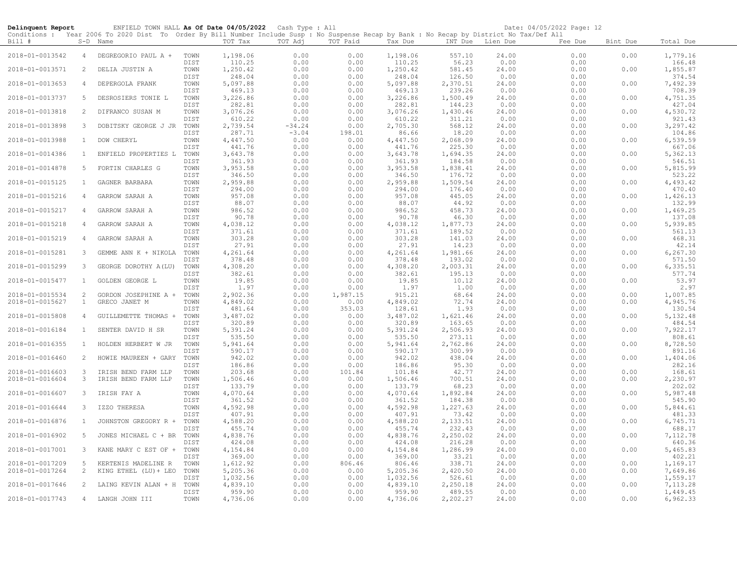| Delinquent Report                  |                   | ENFIELD TOWN HALL As Of Date 04/05/2022 Cash Type : All                                                                                                |              |                      |                  |                  |                    |                    |                  | Date: 04/05/2022 Page: 12 |              |                      |
|------------------------------------|-------------------|--------------------------------------------------------------------------------------------------------------------------------------------------------|--------------|----------------------|------------------|------------------|--------------------|--------------------|------------------|---------------------------|--------------|----------------------|
| Bill #                             |                   | Conditions : Year 2006 To 2020 Dist To Order By Bill Number Include Susp : No Suspense Recap by Bank : No Recap by District No Tax/Def All<br>S-D Name |              | TOT Tax              | TOT Adj          | TOT Paid         | Tax Due            |                    | INT Due Lien Due | Fee Due                   | Bint Due     | Total Due            |
| 2018-01-0013542                    | $\overline{4}$    | DEGREGORIO PAUL A +                                                                                                                                    | TOWN         | 1,198.06             | 0.00             | 0.00             | 1,198.06           | 557.10             | 24.00            | 0.00                      | 0.00         | 1,779.16             |
| 2018-01-0013571                    | 2                 | DELIA JUSTIN A                                                                                                                                         | DIST<br>TOWN | 110.25<br>1,250.42   | 0.00<br>0.00     | 0.00<br>0.00     | 110.25<br>1,250.42 | 56.23<br>581.45    | 0.00<br>24.00    | 0.00<br>0.00              | 0.00         | 166.48<br>1,855.87   |
|                                    |                   |                                                                                                                                                        | DIST         | 248.04               | 0.00             | 0.00             | 248.04             | 126.50             | 0.00             | 0.00                      |              | 374.54               |
| 2018-01-0013653                    | $\overline{4}$    | DEPERGOLA FRANK                                                                                                                                        | TOWN<br>DIST | 5,097.88<br>469.13   | 0.00<br>0.00     | 0.00<br>0.00     | 5,097.88<br>469.13 | 2,370.51<br>239.26 | 24.00<br>0.00    | 0.00<br>0.00              | 0.00         | 7,492.39<br>708.39   |
| 2018-01-0013737                    | 5                 | DESROSIERS TONIE L                                                                                                                                     | TOWN         | 3,226.86             | 0.00             | 0.00             | 3,226.86           | 1,500.49           | 24.00            | 0.00                      | 0.00         | 4,751.35             |
| 2018-01-0013818                    | 2                 | DIFRANCO SUSAN M                                                                                                                                       | DIST<br>TOWN | 282.81<br>3,076.26   | 0.00<br>0.00     | 0.00<br>0.00     | 282.81<br>3,076.26 | 144.23<br>1,430.46 | 0.00<br>24.00    | 0.00<br>0.00              | 0.00         | 427.04<br>4,530.72   |
| 2018-01-0013898                    | 3                 | DOBITSKY GEORGE J JR                                                                                                                                   | DIST<br>TOWN | 610.22<br>2,739.54   | 0.00<br>$-34.24$ | 0.00<br>0.00     | 610.22<br>2,705.30 | 311.21<br>568.12   | 0.00<br>24.00    | 0.00<br>0.00              | 0.00         | 921.43<br>3,297.42   |
| 2018-01-0013988                    | $\mathbf{1}$      | DOW CHERYL                                                                                                                                             | DIST<br>TOWN | 287.71<br>4,447.50   | $-3.04$<br>0.00  | 198.01<br>0.00   | 86.66<br>4,447.50  | 18.20<br>2,068.09  | 0.00<br>24.00    | 0.00<br>0.00              | 0.00         | 104.86<br>6,539.59   |
|                                    |                   |                                                                                                                                                        | DIST         | 441.76               | 0.00             | 0.00             | 441.76             | 225.30             | 0.00             | 0.00                      |              | 667.06               |
| 2018-01-0014386                    | $\mathbf{1}$      | ENFIELD PROPERTIES L                                                                                                                                   | TOWN<br>DIST | 3,643.78<br>361.93   | 0.00<br>0.00     | 0.00<br>0.00     | 3,643.78<br>361.93 | 1,694.35<br>184.58 | 24.00<br>0.00    | 0.00<br>0.00              | 0.00         | 5,362.13<br>546.51   |
| 2018-01-0014878                    | 5                 | FORTIN CHARLES G                                                                                                                                       | TOWN<br>DIST | 3,953.58<br>346.50   | 0.00<br>0.00     | 0.00<br>0.00     | 3,953.58<br>346.50 | 1,838.41<br>176.72 | 24.00<br>0.00    | 0.00<br>0.00              | 0.00         | 5,815.99<br>523.22   |
| 2018-01-0015125                    | $\mathbf{1}$      | GAGNER BARBARA                                                                                                                                         | TOWN         | 2,959.88             | 0.00             | 0.00             | 2,959.88           | 1,509.54           | 24.00            | 0.00                      | 0.00         | 4,493.42             |
| 2018-01-0015216                    | $\overline{4}$    | GARROW SARAH A                                                                                                                                         | DIST<br>TOWN | 294.00<br>957.08     | 0.00<br>0.00     | 0.00<br>0.00     | 294.00<br>957.08   | 176.40<br>445.05   | 0.00<br>24.00    | 0.00<br>0.00              | 0.00         | 470.40<br>1,426.13   |
| 2018-01-0015217                    | 4                 | GARROW SARAH A                                                                                                                                         | DIST<br>TOWN | 88.07<br>986.52      | 0.00<br>0.00     | 0.00<br>0.00     | 88.07<br>986.52    | 44.92<br>458.73    | 0.00<br>24.00    | 0.00<br>0.00              | 0.00         | 132.99<br>1,469.25   |
|                                    |                   |                                                                                                                                                        | DIST         | 90.78                | 0.00             | 0.00             | 90.78              | 46.30              | 0.00             | 0.00                      |              | 137.08               |
| 2018-01-0015218                    | $\overline{4}$    | GARROW SARAH A                                                                                                                                         | TOWN<br>DIST | 4,038.12<br>371.61   | 0.00<br>0.00     | 0.00<br>0.00     | 4,038.12<br>371.61 | 1,877.73<br>189.52 | 24.00<br>0.00    | 0.00<br>0.00              | 0.00         | 5,939.85<br>561.13   |
| 2018-01-0015219                    | $\overline{4}$    | GARROW SARAH A                                                                                                                                         | TOWN<br>DIST | 303.28<br>27.91      | 0.00<br>0.00     | 0.00<br>0.00     | 303.28<br>27.91    | 141.03<br>14.23    | 24.00<br>0.00    | 0.00<br>0.00              | 0.00         | 468.31<br>42.14      |
| 2018-01-0015281                    | 3                 | GEMME ANN K + NIKOLA                                                                                                                                   | TOWN         | 4,261.64             | 0.00             | 0.00             | 4,261.64           | 1,981.66           | 24.00            | 0.00                      | 0.00         | 6,267.30             |
| 2018-01-0015299                    | 3                 | GEORGE DOROTHY A(LU)                                                                                                                                   | DIST<br>TOWN | 378.48<br>4,308.20   | 0.00<br>0.00     | 0.00<br>0.00     | 378.48<br>4,308.20 | 193.02<br>2,003.31 | 0.00<br>24.00    | 0.00<br>0.00              | 0.00         | 571.50<br>6,335.51   |
| 2018-01-0015477                    | $\mathbf{1}$      | GOLDEN GEORGE L                                                                                                                                        | DIST<br>TOWN | 382.61<br>19.85      | 0.00<br>0.00     | 0.00<br>0.00     | 382.61<br>19.85    | 195.13<br>10.12    | 0.00<br>24.00    | 0.00<br>0.00              | 0.00         | 577.74<br>53.97      |
|                                    |                   |                                                                                                                                                        | DIST         | 1.97                 | 0.00             | 0.00             | 1.97               | 1.00               | 0.00             | 0.00                      |              | 2.97                 |
| 2018-01-0015534<br>2018-01-0015627 | 2<br>$\mathbf{1}$ | GORDON JOSEPHINE A +<br>GRECO JANET M                                                                                                                  | TOWN<br>TOWN | 2,902.36<br>4,849.02 | 0.00<br>0.00     | 1,987.15<br>0.00 | 915.21<br>4,849.02 | 68.64<br>72.74     | 24.00<br>24.00   | 0.00<br>0.00              | 0.00<br>0.00 | 1,007.85<br>4,945.76 |
| 2018-01-0015808                    | $\overline{4}$    | GUILLEMETTE THOMAS +                                                                                                                                   | DIST<br>TOWN | 481.64<br>3,487.02   | 0.00<br>0.00     | 353.03<br>0.00   | 128.61<br>3,487.02 | 1.93<br>1,621.46   | 0.00<br>24.00    | 0.00<br>0.00              | 0.00         | 130.54<br>5, 132.48  |
|                                    |                   |                                                                                                                                                        | DIST         | 320.89               | 0.00             | 0.00             | 320.89             | 163.65             | 0.00             | 0.00                      |              | 484.54               |
| 2018-01-0016184                    | $\mathbf{1}$      | SENTER DAVID H SR                                                                                                                                      | TOWN<br>DIST | 5,391.24<br>535.50   | 0.00<br>0.00     | 0.00<br>0.00     | 5,391.24<br>535.50 | 2,506.93<br>273.11 | 24.00<br>0.00    | 0.00<br>0.00              | 0.00         | 7,922.17<br>808.61   |
| 2018-01-0016355                    | $\mathbf{1}$      | HOLDEN HERBERT W JR                                                                                                                                    | TOWN<br>DIST | 5,941.64<br>590.17   | 0.00<br>0.00     | 0.00<br>0.00     | 5,941.64<br>590.17 | 2,762.86<br>300.99 | 24.00<br>0.00    | 0.00<br>0.00              | 0.00         | 8,728.50<br>891.16   |
| 2018-01-0016460                    | 2                 | HOWIE MAUREEN + GARY                                                                                                                                   | TOWN<br>DIST | 942.02<br>186.86     | 0.00<br>0.00     | 0.00<br>0.00     | 942.02<br>186.86   | 438.04<br>95.30    | 24.00<br>0.00    | 0.00<br>0.00              | 0.00         | 1,404.06<br>282.16   |
| 2018-01-0016603                    | $\mathbf{3}$      | IRISH BEND FARM LLP                                                                                                                                    | TOWN         | 203.68               | 0.00             | 101.84           | 101.84             | 42.77              | 24.00            | 0.00                      | 0.00         | 168.61               |
| 2018-01-0016604                    | 3                 | IRISH BEND FARM LLP                                                                                                                                    | TOWN<br>DIST | 1,506.46<br>133.79   | 0.00<br>0.00     | 0.00<br>0.00     | 1,506.46<br>133.79 | 700.51<br>68.23    | 24.00<br>0.00    | 0.00<br>0.00              | 0.00         | 2,230.97<br>202.02   |
| 2018-01-0016607                    | $\mathbf{3}$      | IRISH FAY A                                                                                                                                            | TOWN<br>DIST | 4,070.64<br>361.52   | 0.00<br>0.00     | 0.00<br>0.00     | 4,070.64<br>361.52 | 1,892.84<br>184.38 | 24.00<br>0.00    | 0.00<br>0.00              | 0.00         | 5,987.48<br>545.90   |
| 2018-01-0016644                    | 3                 | IZZO THERESA                                                                                                                                           | TOWN         | 4,592.98             | 0.00             | 0.00             | 4,592.98           | 1,227.63           | 24.00            | 0.00                      | 0.00         | 5,844.61             |
| 2018-01-0016876                    | $\mathbf{1}$      | JOHNSTON GREGORY R +                                                                                                                                   | DIST<br>TOWN | 407.91<br>4,588.20   | 0.00<br>0.00     | 0.00<br>0.00     | 407.91<br>4,588.20 | 73.42<br>2,133.51  | 0.00<br>24.00    | 0.00<br>0.00              | 0.00         | 481.33<br>6,745.71   |
| 2018-01-0016902                    | 5                 | JONES MICHAEL C + BR                                                                                                                                   | DIST<br>TOWN | 455.74<br>4,838.76   | 0.00<br>0.00     | 0.00<br>0.00     | 455.74<br>4,838.76 | 232.43<br>2,250.02 | 0.00<br>24.00    | 0.00<br>0.00              | 0.00         | 688.17<br>7,112.78   |
|                                    |                   |                                                                                                                                                        | DIST         | 424.08               | 0.00             | 0.00             | 424.08             | 216.28             | 0.00             | 0.00                      |              | 640.36               |
| 2018-01-0017001                    | 3                 | KANE MARY C EST OF +                                                                                                                                   | TOWN<br>DIST | 4,154.84<br>369.00   | 0.00<br>0.00     | 0.00<br>0.00     | 4,154.84<br>369.00 | 1,286.99<br>33.21  | 24.00<br>0.00    | 0.00<br>0.00              | 0.00         | 5,465.83<br>402.21   |
| 2018-01-0017209<br>2018-01-0017264 | $5^{\circ}$<br>2  | KERTENIS MADELINE R<br>KING ETHEL (LU) + LEO                                                                                                           | TOWN<br>TOWN | 1,612.92<br>5,205.36 | 0.00<br>0.00     | 806.46<br>0.00   | 806.46<br>5,205.36 | 338.71<br>2,420.50 | 24.00<br>24.00   | 0.00<br>0.00              | 0.00<br>0.00 | 1,169.17<br>7,649.86 |
|                                    |                   |                                                                                                                                                        | DIST         | 1,032.56             | 0.00             | 0.00             | 1,032.56           | 526.61             | 0.00             | 0.00                      |              | 1,559.17             |
| 2018-01-0017646                    | 2                 | LAING KEVIN ALAN + H                                                                                                                                   | TOWN<br>DIST | 4,839.10<br>959.90   | 0.00<br>0.00     | 0.00<br>0.00     | 4,839.10<br>959.90 | 2,250.18<br>489.55 | 24.00<br>0.00    | 0.00<br>0.00              | 0.00         | 7,113.28<br>1,449.45 |
| 2018-01-0017743                    |                   | 4 LANGH JOHN III                                                                                                                                       | TOWN         | 4,736.06             | 0.00             | 0.00             | 4,736.06           | 2,202.27           | 24.00            | 0.00                      | 0.00         | 6,962.33             |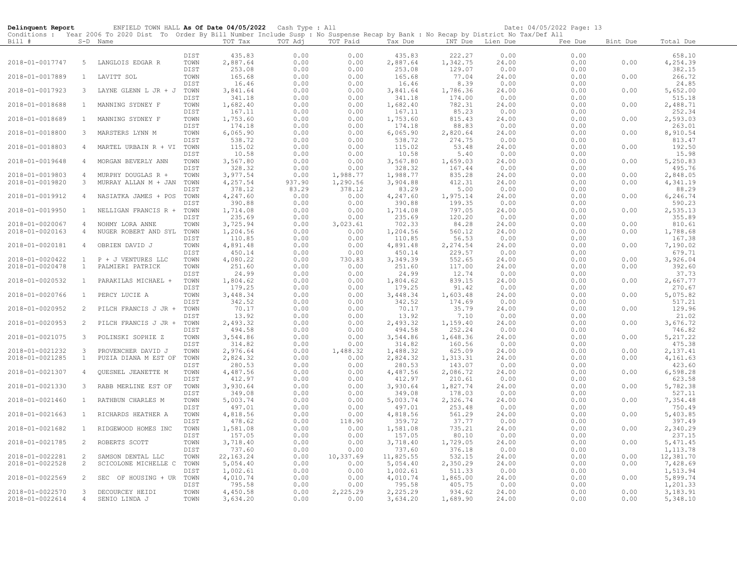| Delinquent Report                  |                | ENFIELD TOWN HALL As Of Date 04/05/2022 Cash Type : All                                                                                    |              |                        |              |                   |                       |                    |                  | Date: 04/05/2022 Page: 13 |          |                       |
|------------------------------------|----------------|--------------------------------------------------------------------------------------------------------------------------------------------|--------------|------------------------|--------------|-------------------|-----------------------|--------------------|------------------|---------------------------|----------|-----------------------|
|                                    |                | Conditions : Year 2006 To 2020 Dist To Order By Bill Number Include Susp : No Suspense Recap by Bank : No Recap by District No Tax/Def All |              |                        |              |                   |                       |                    |                  |                           |          |                       |
| Bill #                             |                | S-D Name                                                                                                                                   |              | TOT Tax                | TOT Adj      | TOT Paid          | Tax Due               |                    | INT Due Lien Due | Fee Due                   | Bint Due | Total Due             |
|                                    |                |                                                                                                                                            | DIST         | 435.83                 | 0.00         | 0.00              | 435.83                | 222.27             | 0.00             | 0.00                      |          | 658.10                |
| 2018-01-0017747                    | 5              | LANGLOIS EDGAR R                                                                                                                           | TOWN         | 2,887.64               | 0.00         | 0.00              | 2,887.64              | 1,342.75           | 24.00            | 0.00                      | 0.00     | 4,254.39              |
|                                    |                |                                                                                                                                            | DIST         | 253.08                 | 0.00         | 0.00              | 253.08                | 129.07             | 0.00             | 0.00                      |          | 382.15                |
| 2018-01-0017889                    | $\mathbf{1}$   | LAVITT SOL                                                                                                                                 | TOWN         | 165.68                 | 0.00         | 0.00              | 165.68                | 77.04              | 24.00            | 0.00                      | 0.00     | 266.72                |
|                                    |                |                                                                                                                                            | DIST         | 16.46                  | 0.00         | 0.00              | 16.46                 | 8.39               | 0.00             | 0.00                      |          | 24.85                 |
| 2018-01-0017923                    | 3              | LAYNE GLENN L JR + J TOWN                                                                                                                  |              | 3,841.64               | 0.00         | 0.00              | 3,841.64              | 1,786.36           | 24.00            | 0.00                      | 0.00     | 5,652.00              |
|                                    |                |                                                                                                                                            | DIST         | 341.18                 | 0.00         | 0.00              | 341.18                | 174.00             | 0.00             | 0.00                      |          | 515.18                |
| 2018-01-0018688                    | $\overline{1}$ | MANNING SYDNEY F                                                                                                                           | TOWN         | 1,682.40               | 0.00         | 0.00              | 1,682.40              | 782.31             | 24.00            | 0.00                      | 0.00     | 2,488.71              |
|                                    |                |                                                                                                                                            | DIST         | 167.11                 | 0.00         | 0.00              | 167.11                | 85.23              | 0.00             | 0.00                      |          | 252.34                |
| 2018-01-0018689                    | $\mathbf{1}$   | MANNING SYDNEY F                                                                                                                           | TOWN         | 1,753.60               | 0.00         | 0.00              | 1,753.60              | 815.43             | 24.00            | 0.00                      | 0.00     | 2,593.03              |
|                                    |                |                                                                                                                                            | DIST         | 174.18                 | 0.00         | 0.00              | 174.18                | 88.83              | 0.00             | 0.00                      |          | 263.01                |
| 2018-01-0018800                    | 3              | MARSTERS LYNN M                                                                                                                            | TOWN<br>DIST | 6,065.90<br>538.72     | 0.00<br>0.00 | 0.00<br>0.00      | 6,065.90<br>538.72    | 2,820.64<br>274.75 | 24.00<br>0.00    | 0.00<br>0.00              | 0.00     | 8,910.54<br>813.47    |
| 2018-01-0018803                    | $\overline{4}$ | MARTEL URBAIN R + VI TOWN                                                                                                                  |              | 115.02                 | 0.00         | 0.00              | 115.02                | 53.48              | 24.00            | 0.00                      | 0.00     | 192.50                |
|                                    |                |                                                                                                                                            | DIST         | 10.58                  | 0.00         | 0.00              | 10.58                 | 5.40               | 0.00             | 0.00                      |          | 15.98                 |
| 2018-01-0019648                    | $\overline{4}$ | MORGAN BEVERLY ANN                                                                                                                         | TOWN         | 3,567.80               | 0.00         | 0.00              | 3,567.80              | 1,659.03           | 24.00            | 0.00                      | 0.00     | 5,250.83              |
|                                    |                |                                                                                                                                            | DIST         | 328.32                 | 0.00         | 0.00              | 328.32                | 167.44             | 0.00             | 0.00                      |          | 495.76                |
| 2018-01-0019803                    | $\overline{4}$ | MURPHY DOUGLAS R +                                                                                                                         | TOWN         | 3,977.54               | 0.00         | 1,988.77          | 1,988.77              | 835.28             | 24.00            | 0.00                      | 0.00     | 2,848.05              |
| 2018-01-0019820                    | $\mathbf{3}$   | MURRAY ALLAN M + JAN                                                                                                                       | TOWN         | 4,257.54               | 937.90       | 1,290.56          | 3,904.88              | 412.31             | 24.00            | 0.00                      | 0.00     | 4,341.19              |
|                                    |                |                                                                                                                                            | DIST         | 378.12                 | 83.29        | 378.12            | 83.29                 | 5.00               | 0.00             | 0.00                      |          | 88.29                 |
| 2018-01-0019912                    | $\overline{4}$ | NASIATKA JAMES + POS                                                                                                                       | TOWN         | 4,247.60               | 0.00         | 0.00              | 4,247.60              | 1,975.14           | 24.00            | 0.00                      | 0.00     | 6,246.74              |
|                                    |                |                                                                                                                                            | DIST         | 390.88                 | 0.00         | 0.00              | 390.88                | 199.35             | 0.00             | 0.00                      |          | 590.23                |
| 2018-01-0019950                    | $\overline{1}$ | NELLIGAN FRANCIS R +                                                                                                                       | TOWN         | 1,714.08               | 0.00         | 0.00              | 1,714.08              | 797.05             | 24.00            | 0.00                      | 0.00     | 2,535.13              |
| 2018-01-0020067                    | $\overline{4}$ | NOHMY LORA ANNE                                                                                                                            | DIST<br>TOWN | 235.69<br>3,725.94     | 0.00<br>0.00 | 0.00<br>3,023.61  | 235.69<br>702.33      | 120.20<br>84.28    | 0.00<br>24.00    | 0.00<br>0.00              | 0.00     | 355.89<br>810.61      |
| 2018-01-0020163                    | $\overline{4}$ | NUGER ROBERT AND SYL TOWN                                                                                                                  |              | 1,204.56               | 0.00         | 0.00              | 1,204.56              | 560.12             | 24.00            | 0.00                      | 0.00     | 1,788.68              |
|                                    |                |                                                                                                                                            | DIST         | 110.85                 | 0.00         | 0.00              | 110.85                | 56.53              | 0.00             | 0.00                      |          | 167.38                |
| 2018-01-0020181                    | $\overline{4}$ | OBRIEN DAVID J                                                                                                                             | TOWN         | 4,891.48               | 0.00         | 0.00              | 4,891.48              | 2,274.54           | 24.00            | 0.00                      | 0.00     | 7,190.02              |
|                                    |                |                                                                                                                                            | DIST         | 450.14                 | 0.00         | 0.00              | 450.14                | 229.57             | 0.00             | 0.00                      |          | 679.71                |
| 2018-01-0020422                    | $\mathbf{1}$   | P + J VENTURES LLC                                                                                                                         | TOWN         | 4,080.22               | 0.00         | 730.83            | 3,349.39              | 552.65             | 24.00            | 0.00                      | 0.00     | 3,926.04              |
| 2018-01-0020478                    | $\perp$        | PALMIERI PATRICK                                                                                                                           | TOWN         | 251.60                 | 0.00         | 0.00              | 251.60                | 117.00             | 24.00            | 0.00                      | 0.00     | 392.60                |
|                                    |                |                                                                                                                                            | DIST         | 24.99                  | 0.00         | 0.00              | 24.99                 | 12.74              | 0.00             | 0.00                      |          | 37.73                 |
| 2018-01-0020532                    | $\mathbf{1}$   | PARAKILAS MICHAEL +                                                                                                                        | TOWN         | 1,804.62               | 0.00         | 0.00              | 1,804.62              | 839.15             | 24.00            | 0.00                      | 0.00     | 2,667.77              |
|                                    |                |                                                                                                                                            | DIST         | 179.25                 | 0.00         | 0.00              | 179.25                | 91.42              | 0.00             | 0.00                      |          | 270.67                |
| 2018-01-0020766                    | $\mathbf{1}$   | PERCY LUCIE A                                                                                                                              | TOWN<br>DIST | 3,448.34               | 0.00         | 0.00              | 3,448.34              | 1,603.48           | 24.00            | 0.00<br>0.00              | 0.00     | 5,075.82<br>517.21    |
| 2018-01-0020952                    | 2              | PILCH FRANCIS J JR + TOWN                                                                                                                  |              | 342.52<br>70.17        | 0.00<br>0.00 | 0.00<br>0.00      | 342.52<br>70.17       | 174.69<br>35.79    | 0.00<br>24.00    | 0.00                      | 0.00     | 129.96                |
|                                    |                |                                                                                                                                            | DIST         | 13.92                  | 0.00         | 0.00              | 13.92                 | 7.10               | 0.00             | 0.00                      |          | 21.02                 |
| 2018-01-0020953                    | 2              | PILCH FRANCIS J JR +                                                                                                                       | TOWN         | 2,493.32               | 0.00         | 0.00              | 2,493.32              | 1,159.40           | 24.00            | 0.00                      | 0.00     | 3,676.72              |
|                                    |                |                                                                                                                                            | DIST         | 494.58                 | 0.00         | 0.00              | 494.58                | 252.24             | 0.00             | 0.00                      |          | 746.82                |
| 2018-01-0021075                    | 3              | POLINSKI SOPHIE Z                                                                                                                          | TOWN         | 3,544.86               | 0.00         | 0.00              | 3,544.86              | 1,648.36           | 24.00            | 0.00                      | 0.00     | 5, 217.22             |
|                                    |                |                                                                                                                                            | DIST         | 314.82                 | 0.00         | 0.00              | 314.82                | 160.56             | 0.00             | 0.00                      |          | 475.38                |
| 2018-01-0021232                    | 3              | PROVENCHER DAVID J                                                                                                                         | TOWN         | 2,976.64               | 0.00         | 1,488.32          | 1,488.32              | 625.09             | 24.00            | 0.00                      | 0.00     | 2,137.41              |
| 2018-01-0021285                    | $\perp$        | PUZIA DIANA M EST OF                                                                                                                       | TOWN         | 2,824.32               | 0.00         | 0.00              | 2,824.32              | 1,313.31           | 24.00            | 0.00                      | 0.00     | 4,161.63              |
|                                    |                |                                                                                                                                            | DIST         | 280.53                 | 0.00         | 0.00              | 280.53                | 143.07             | 0.00             | 0.00                      |          | 423.60                |
| 2018-01-0021307                    | $\overline{4}$ | QUESNEL JEANETTE M                                                                                                                         | TOWN<br>DIST | 4,487.56<br>412.97     | 0.00<br>0.00 | 0.00<br>0.00      | 4,487.56<br>412.97    | 2,086.72<br>210.61 | 24.00<br>0.00    | 0.00<br>0.00              | 0.00     | 6,598.28<br>623.58    |
| 2018-01-0021330                    | 3              | RABB MERLINE EST OF                                                                                                                        | TOWN         | 3,930.64               | 0.00         | 0.00              | 3,930.64              | 1,827.74           | 24.00            | 0.00                      | 0.00     | 5,782.38              |
|                                    |                |                                                                                                                                            | DIST         | 349.08                 | 0.00         | 0.00              | 349.08                | 178.03             | 0.00             | 0.00                      |          | 527.11                |
| 2018-01-0021460                    | 1              | RATHBUN CHARLES M                                                                                                                          | TOWN         | 5,003.74               | 0.00         | 0.00              | 5,003.74              | 2,326.74           | 24.00            | 0.00                      | 0.00     | 7,354.48              |
|                                    |                |                                                                                                                                            | DIST         | 497.01                 | 0.00         | 0.00              | 497.01                | 253.48             | 0.00             | 0.00                      |          | 750.49                |
| 2018-01-0021663                    | $\mathbf{1}$   | RICHARDS HEATHER A                                                                                                                         | TOWN         | 4,818.56               | 0.00         | 0.00              | 4,818.56              | 561.29             | 24.00            | 0.00                      | 0.00     | 5,403.85              |
|                                    |                |                                                                                                                                            | DIST         | 478.62                 | 0.00         | 118.90            | 359.72                | 37.77              | 0.00             | 0.00                      |          | 397.49                |
| 2018-01-0021682                    | $\mathbf{1}$   | RIDGEWOOD HOMES INC                                                                                                                        | TOWN         | 1,581.08               | 0.00         | 0.00              | 1,581.08              | 735.21             | 24.00            | 0.00                      | 0.00     | 2,340.29              |
|                                    |                |                                                                                                                                            | DIST         | 157.05                 | 0.00         | 0.00              | 157.05                | 80.10              | 0.00             | 0.00                      |          | 237.15                |
| 2018-01-0021785                    | 2              | ROBERTS SCOTT                                                                                                                              | TOWN         | 3,718.40               | 0.00         | 0.00              | 3,718.40              | 1,729.05           | 24.00            | 0.00                      | 0.00     | 5,471.45              |
|                                    | 2              |                                                                                                                                            | DIST<br>TOWN | 737.60                 | 0.00         | 0.00              | 737.60                | 376.18             | 0.00<br>24.00    | 0.00                      | 0.00     | 1,113.78              |
| 2018-01-0022281<br>2018-01-0022528 | 2              | SAMSON DENTAL LLC<br>SCICOLONE MICHELLE C TOWN                                                                                             |              | 22, 163.24<br>5,054.40 | 0.00<br>0.00 | 10,337.69<br>0.00 | 11,825.55<br>5,054.40 | 532.15<br>2,350.29 | 24.00            | 0.00<br>0.00              | 0.00     | 12,381.70<br>7,428.69 |
|                                    |                |                                                                                                                                            | DIST         | 1,002.61               | 0.00         | 0.00              | 1,002.61              | 511.33             | 0.00             | 0.00                      |          | 1,513.94              |
| 2018-01-0022569                    | 2              | SEC OF HOUSING + UR                                                                                                                        | TOWN         | 4,010.74               | 0.00         | 0.00              | 4,010.74              | 1,865.00           | 24.00            | 0.00                      | 0.00     | 5,899.74              |
|                                    |                |                                                                                                                                            | DIST         | 795.58                 | 0.00         | 0.00              | 795.58                | 405.75             | 0.00             | 0.00                      |          | 1,201.33              |
| 2018-01-0022570                    | $\mathbf{3}$   | DECOURCEY HEIDI                                                                                                                            | TOWN         | 4,450.58               | 0.00         | 2,225.29          | 2,225.29              | 934.62             | 24.00            | 0.00                      | 0.00     | 3,183.91              |
| 2018-01-0022614                    | $\overline{4}$ | SENIO LINDA J                                                                                                                              | TOWN         | 3,634.20               | 0.00         | 0.00              | 3,634.20              | 1,689.90           | 24.00            | 0.00                      | 0.00     | 5,348.10              |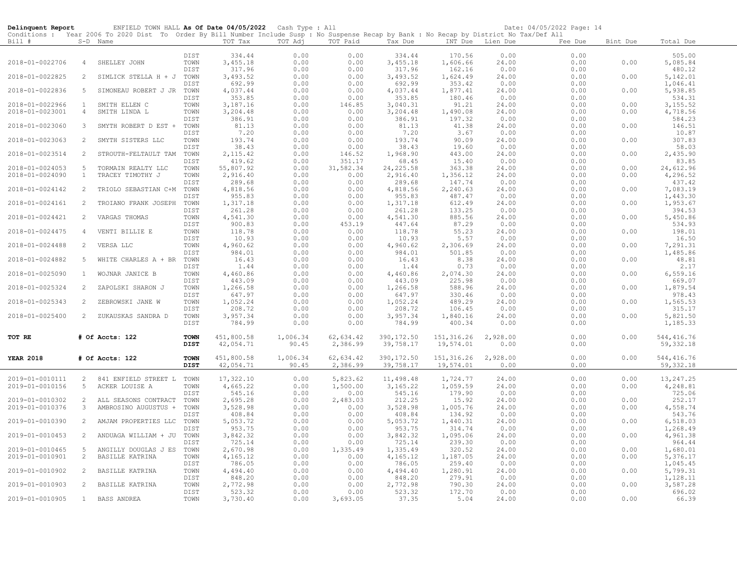| Delinquent Report |                | ENFIELD TOWN HALL As Of Date 04/05/2022 Cash Type : All                                                                                                |              |                    |              |                  |                    |                    |                  | Date: 04/05/2022 Page: 14 |          |                      |
|-------------------|----------------|--------------------------------------------------------------------------------------------------------------------------------------------------------|--------------|--------------------|--------------|------------------|--------------------|--------------------|------------------|---------------------------|----------|----------------------|
| Bill #            |                | Conditions : Year 2006 To 2020 Dist To Order By Bill Number Include Susp : No Suspense Recap by Bank : No Recap by District No Tax/Def All<br>S-D Name |              | TOT Tax            | TOT Adj      | TOT Paid         | Tax Due            |                    | INT Due Lien Due | Fee Due                   | Bint Due | Total Due            |
|                   |                |                                                                                                                                                        | DIST         | 334.44             | 0.00         | 0.00             | 334.44             | 170.56             | 0.00             | 0.00                      |          | 505.00               |
| 2018-01-0022706   | $\overline{4}$ | SHELLEY JOHN                                                                                                                                           | TOWN         | 3,455.18           | 0.00         | 0.00             | 3,455.18           | 1,606.66           | 24.00            | 0.00                      | 0.00     | 5,085.84             |
|                   |                |                                                                                                                                                        | DIST         | 317.96             | 0.00         | 0.00             | 317.96             | 162.16             | 0.00             | 0.00                      |          | 480.12               |
| 2018-01-0022825   | 2              | SIMLICK STELLA H + J TOWN                                                                                                                              | DIST         | 3,493.52<br>692.99 | 0.00<br>0.00 | 0.00<br>0.00     | 3,493.52<br>692.99 | 1,624.49<br>353.42 | 24.00<br>0.00    | 0.00<br>0.00              | 0.00     | 5,142.01<br>1,046.41 |
| 2018-01-0022836   | 5              | SIMONEAU ROBERT J JR                                                                                                                                   | TOWN         | 4,037.44           | 0.00         | 0.00             | 4,037.44           | 1,877.41           | 24.00            | 0.00                      | 0.00     | 5,938.85             |
|                   |                |                                                                                                                                                        | DIST         | 353.85             | 0.00         | 0.00             | 353.85             | 180.46             | 0.00             | 0.00                      |          | 534.31               |
| 2018-01-0022966   | $\mathbf{1}$   | SMITH ELLEN C                                                                                                                                          | TOWN         | 3,187.16           | 0.00         | 146.85           | 3,040.31           | 91.21              | 24.00            | 0.00                      | 0.00     | 3,155.52             |
| 2018-01-0023001   | $\overline{4}$ | SMITH LINDA L                                                                                                                                          | TOWN<br>DIST | 3,204.48<br>386.91 | 0.00<br>0.00 | 0.00<br>0.00     | 3,204.48<br>386.91 | 1,490.08<br>197.32 | 24.00<br>0.00    | 0.00<br>0.00              | 0.00     | 4,718.56<br>584.23   |
| 2018-01-0023060   | 3              | SMYTH ROBERT D EST +                                                                                                                                   | TOWN         | 81.13              | 0.00         | 0.00             | 81.13              | 41.38              | 24.00            | 0.00                      | 0.00     | 146.51               |
|                   |                |                                                                                                                                                        | DIST         | 7.20               | 0.00         | 0.00             | 7.20               | 3.67               | 0.00             | 0.00                      |          | 10.87                |
| 2018-01-0023063   | $\overline{2}$ | SMYTH SISTERS LLC                                                                                                                                      | TOWN         | 193.74             | 0.00         | 0.00             | 193.74             | 90.09              | 24.00            | 0.00                      | 0.00     | 307.83               |
| 2018-01-0023514   | 2              | STROUTH-FELTAULT TAM TOWN                                                                                                                              | DIST         | 38.43<br>2, 115.42 | 0.00<br>0.00 | 0.00<br>146.52   | 38.43<br>1,968.90  | 19.60<br>443.00    | 0.00<br>24.00    | 0.00<br>0.00              | 0.00     | 58.03<br>2,435.90    |
|                   |                |                                                                                                                                                        | DIST         | 419.62             | 0.00         | 351.17           | 68.45              | 15.40              | 0.00             | 0.00                      |          | 83.85                |
| 2018-01-0024053   | 5              | TORMAIN REALTY LLC                                                                                                                                     | TOWN         | 55,807.92          | 0.00         | 31,582.34        | 24, 225.58         | 363.38             | 24.00            | 0.00                      | 0.00     | 24,612.96            |
| 2018-01-0024090   | $\mathbf{1}$   | TRACEY TIMOTHY J                                                                                                                                       | TOWN         | 2,916.40           | 0.00         | 0.00             | 2,916.40           | 1,356.12           | 24.00            | 0.00                      | 0.00     | 4,296.52             |
| 2018-01-0024142   | 2              | TRIOLO SEBASTIAN C+M                                                                                                                                   | DIST<br>TOWN | 289.68<br>4,818.56 | 0.00<br>0.00 | 0.00<br>0.00     | 289.68<br>4,818.56 | 147.74<br>2,240.63 | 0.00<br>24.00    | 0.00<br>0.00              | 0.00     | 437.42<br>7,083.19   |
|                   |                |                                                                                                                                                        | DIST         | 955.83             | 0.00         | 0.00             | 955.83             | 487.47             | 0.00             | 0.00                      |          | 1,443.30             |
| 2018-01-0024161   | 2              | TROIANO FRANK JOSEPH                                                                                                                                   | TOWN         | 1,317.18           | 0.00         | 0.00             | 1,317.18           | 612.49             | 24.00            | 0.00                      | 0.00     | 1,953.67             |
|                   |                |                                                                                                                                                        | DIST         | 261.28             | 0.00         | 0.00             | 261.28             | 133.25             | 0.00             | 0.00                      |          | 394.53               |
| 2018-01-0024421   | 2              | VARGAS THOMAS                                                                                                                                          | TOWN<br>DIST | 4,541.30<br>900.83 | 0.00<br>0.00 | 0.00<br>453.19   | 4,541.30<br>447.64 | 885.56<br>87.29    | 24.00<br>0.00    | 0.00<br>0.00              | 0.00     | 5,450.86<br>534.93   |
| 2018-01-0024475   | 4              | VENTI BILLIE E                                                                                                                                         | TOWN         | 118.78             | 0.00         | 0.00             | 118.78             | 55.23              | 24.00            | 0.00                      | 0.00     | 198.01               |
|                   |                |                                                                                                                                                        | DIST         | 10.93              | 0.00         | 0.00             | 10.93              | 5.57               | 0.00             | 0.00                      |          | 16.50                |
| 2018-01-0024488   | 2              | VERSA LLC                                                                                                                                              | TOWN         | 4,960.62           | 0.00         | 0.00             | 4,960.62           | 2,306.69           | 24.00            | 0.00                      | 0.00     | 7,291.31             |
| 2018-01-0024882   | 5              | WHITE CHARLES A + BR                                                                                                                                   | DIST<br>TOWN | 984.01<br>16.43    | 0.00<br>0.00 | 0.00<br>0.00     | 984.01<br>16.43    | 501.85<br>8.38     | 0.00<br>24.00    | 0.00<br>0.00              | 0.00     | 1,485.86<br>48.81    |
|                   |                |                                                                                                                                                        | DIST         | 1.44               | 0.00         | 0.00             | 1.44               | 0.73               | 0.00             | 0.00                      |          | 2.17                 |
| 2018-01-0025090   | $\mathbf{1}$   | WOJNAR JANICE B                                                                                                                                        | TOWN         | 4,460.86           | 0.00         | 0.00             | 4,460.86           | 2,074.30           | 24.00            | 0.00                      | 0.00     | 6, 559.16            |
| 2018-01-0025324   | 2              |                                                                                                                                                        | DIST         | 443.09<br>1,266.58 | 0.00         | 0.00             | 443.09<br>1,266.58 | 225.98             | 0.00             | 0.00<br>0.00              | 0.00     | 669.07<br>1,879.54   |
|                   |                | ZAPOLSKI SHARON J                                                                                                                                      | TOWN<br>DIST | 647.97             | 0.00<br>0.00 | 0.00<br>0.00     | 647.97             | 588.96<br>330.46   | 24.00<br>0.00    | 0.00                      |          | 978.43               |
| 2018-01-0025343   | $\overline{2}$ | ZEBROWSKI JANE W                                                                                                                                       | TOWN         | 1,052.24           | 0.00         | 0.00             | 1,052.24           | 489.29             | 24.00            | 0.00                      | 0.00     | 1,565.53             |
|                   |                |                                                                                                                                                        | DIST         | 208.72             | 0.00         | 0.00             | 208.72             | 106.45             | 0.00             | 0.00                      |          | 315.17               |
| 2018-01-0025400   | $\overline{2}$ | ZUKAUSKAS SANDRA D                                                                                                                                     | TOWN<br>DIST | 3,957.34<br>784.99 | 0.00<br>0.00 | 0.00<br>0.00     | 3,957.34<br>784.99 | 1,840.16<br>400.34 | 24.00<br>0.00    | 0.00                      | 0.00     | 5,821.50<br>1,185.33 |
|                   |                |                                                                                                                                                        |              |                    |              |                  |                    |                    |                  | 0.00                      |          |                      |
| TOT RE            |                | # Of Accts: 122                                                                                                                                        | <b>TOWN</b>  | 451,800.58         | 1,006.34     | 62,634.42        | 390, 172.50        | 151,316.26         | 2,928.00         | 0.00                      | 0.00     | 544, 416.76          |
|                   |                |                                                                                                                                                        | DIST         | 42,054.71          | 90.45        | 2,386.99         | 39,758.17          | 19,574.01          | 0.00             | 0.00                      |          | 59, 332.18           |
| <b>YEAR 2018</b>  |                | # Of Accts: 122                                                                                                                                        | <b>TOWN</b>  | 451,800.58         | 1,006.34     | 62,634.42        | 390, 172.50        | 151,316.26         | 2,928.00         | 0.00                      | 0.00     | 544, 416.76          |
|                   |                |                                                                                                                                                        | <b>DIST</b>  | 42,054.71          | 90.45        | 2,386.99         | 39,758.17          | 19,574.01          | 0.00             | 0.00                      |          | 59, 332.18           |
| 2019-01-0010111   | 2              | 841 ENFIELD STREET L                                                                                                                                   |              | 17,322.10          | 0.00         | 5,823.62         | 11,498.48          | 1,724.77           | 24.00            | 0.00                      | 0.00     | 13,247.25            |
| 2019-01-0010156   | 5              | ACKER LOUISE A                                                                                                                                         | TOWN<br>TOWN | 4,665.22           | 0.00         | 1,500.00         | 3, 165.22          | 1,059.59           | 24.00            | 0.00                      | 0.00     | 4,248.81             |
|                   |                |                                                                                                                                                        | DIST         | 545.16             | 0.00         | 0.00             | 545.16             | 179.90             | 0.00             | 0.00                      |          | 725.06               |
| 2019-01-0010302   | 2              | ALL SEASONS CONTRACT                                                                                                                                   | TOWN         | 2,695.28           | 0.00         | 2,483.03         | 212.25             | 15.92              | 24.00            | 0.00                      | 0.00     | 252.17               |
| 2019-01-0010376   | 3              | AMBROSINO AUGUSTUS +                                                                                                                                   | TOWN<br>DIST | 3,528.98<br>408.84 | 0.00<br>0.00 | 0.00<br>0.00     | 3,528.98<br>408.84 | 1,005.76<br>134.92 | 24.00<br>0.00    | 0.00<br>0.00              | 0.00     | 4,558.74<br>543.76   |
| 2019-01-0010390   | $\overline{2}$ | AMJAM PROPERTIES LLC                                                                                                                                   | TOWN         | 5,053.72           | 0.00         | 0.00             | 5,053.72           | 1,440.31           | 24.00            | 0.00                      | 0.00     | 6,518.03             |
|                   |                |                                                                                                                                                        | DIST         | 953.75             | 0.00         | 0.00             | 953.75             | 314.74             | 0.00             | 0.00                      |          | 1,268.49             |
| 2019-01-0010453   | $\overline{2}$ | ANDUAGA WILLIAM + JU                                                                                                                                   | TOWN         | 3,842.32           | 0.00         | 0.00             | 3,842.32           | 1,095.06           | 24.00            | 0.00                      | 0.00     | 4,961.38             |
| 2019-01-0010465   | 5              | ANGILLY DOUGLAS J ES                                                                                                                                   | DIST<br>TOWN | 725.14<br>2,670.98 | 0.00<br>0.00 | 0.00<br>1,335.49 | 725.14<br>1,335.49 | 239.30<br>320.52   | 0.00<br>24.00    | 0.00<br>0.00              | 0.00     | 964.44<br>1,680.01   |
| 2019-01-0010901   | $\overline{2}$ | BASILLE KATRINA                                                                                                                                        | TOWN         | 4,165.12           | 0.00         | 0.00             | 4,165.12           | 1,187.05           | 24.00            | 0.00                      | 0.00     | 5,376.17             |
|                   |                |                                                                                                                                                        | DIST         | 786.05             | 0.00         | 0.00             | 786.05             | 259.40             | 0.00             | 0.00                      |          | 1,045.45             |
| 2019-01-0010902   | 2              | BASILLE KATRINA                                                                                                                                        | TOWN<br>DIST | 4,494.40           | 0.00         | 0.00<br>0.00     | 4,494.40           | 1,280.91           | 24.00            | 0.00                      | 0.00     | 5,799.31             |
| 2019-01-0010903   | $\overline{2}$ | BASILLE KATRINA                                                                                                                                        | TOWN         | 848.20<br>2,772.98 | 0.00<br>0.00 | 0.00             | 848.20<br>2,772.98 | 279.91<br>790.30   | 0.00<br>24.00    | 0.00<br>0.00              | 0.00     | 1,128.11<br>3,587.28 |
|                   |                |                                                                                                                                                        | DIST         | 523.32             | 0.00         | 0.00             | 523.32             | 172.70             | 0.00             | 0.00                      |          | 696.02               |
| 2019-01-0010905   | 1              | BASS ANDREA                                                                                                                                            | TOWN         | 3,730.40           | 0.00         | 3,693.05         | 37.35              | 5.04               | 24.00            | 0.00                      | 0.00     | 66.39                |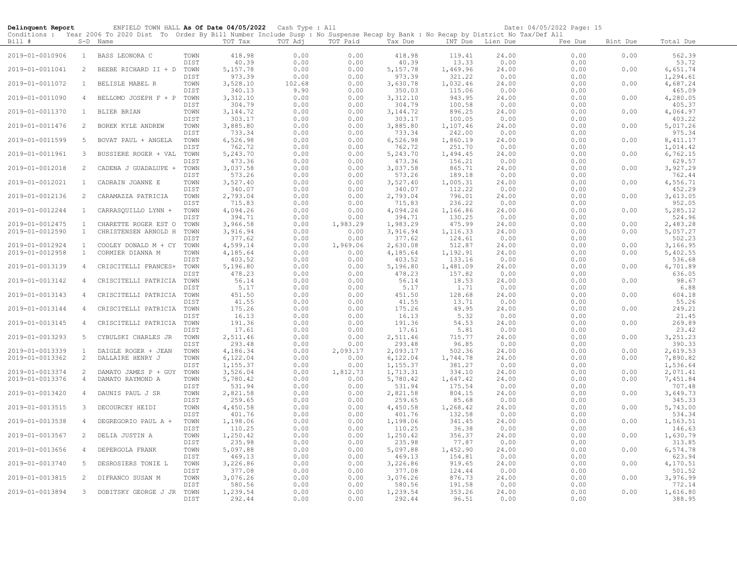| Delinquent Report                  |                              | ENFIELD TOWN HALL As Of Date 04/05/2022 Cash Type : All                                                                                    |              |                      |                |                  |                      |                    |                | Date: 04/05/2022 Page: 15 |              |                      |
|------------------------------------|------------------------------|--------------------------------------------------------------------------------------------------------------------------------------------|--------------|----------------------|----------------|------------------|----------------------|--------------------|----------------|---------------------------|--------------|----------------------|
|                                    |                              | Conditions : Year 2006 To 2020 Dist To Order By Bill Number Include Susp : No Suspense Recap by Bank : No Recap by District No Tax/Def All |              |                      |                |                  |                      |                    |                |                           |              |                      |
| Bill #                             |                              | S-D Name                                                                                                                                   |              | TOT Tax              | TOT Adj        | TOT Paid         | Tax Due              | INT Due            | Lien Due       | Fee Due                   | Bint Due     | Total Due            |
| 2019-01-0010906                    | 1                            | BASS LEONORA C                                                                                                                             | TOWN<br>DIST | 418.98<br>40.39      | 0.00<br>0.00   | 0.00<br>0.00     | 418.98<br>40.39      | 119.41<br>13.33    | 24.00<br>0.00  | 0.00<br>0.00              | 0.00         | 562.39<br>53.72      |
| 2019-01-0011041                    | 2                            | BEEBE RICHARD II + D                                                                                                                       | TOWN         | 5, 157.78            | 0.00           | 0.00             | 5, 157.78            | 1,469.96           | 24.00          | 0.00                      | 0.00         | 6,651.74             |
| 2019-01-0011072                    | $\mathbf{1}$                 | BELISLE MABEL R                                                                                                                            | DIST<br>TOWN | 973.39<br>3,528.10   | 0.00<br>102.68 | 0.00<br>0.00     | 973.39<br>3,630.78   | 321.22<br>1,032.46 | 0.00<br>24.00  | 0.00<br>0.00              | 0.00         | 1,294.61<br>4,687.24 |
|                                    |                              |                                                                                                                                            | DIST         | 340.13               | 9.90           | 0.00             | 350.03               | 115.06             | 0.00           | 0.00                      |              | 465.09               |
| 2019-01-0011090                    | $\overline{4}$               | BELLOMO JOSEPH F + P                                                                                                                       | TOWN<br>DIST | 3,312.10<br>304.79   | 0.00<br>0.00   | 0.00<br>0.00     | 3,312.10<br>304.79   | 943.95<br>100.58   | 24.00<br>0.00  | 0.00<br>0.00              | 0.00         | 4,280.05<br>405.37   |
| 2019-01-0011370                    | 1                            | <b>BLIER BRIAN</b>                                                                                                                         | TOWN         | 3, 144.72            | 0.00           | 0.00             | 3, 144.72            | 896.25             | 24.00          | 0.00                      | 0.00         | 4,064.97             |
| 2019-01-0011476                    | 2                            | BOREK KYLE ANDREW                                                                                                                          | DIST<br>TOWN | 303.17<br>3,885.80   | 0.00<br>0.00   | 0.00<br>0.00     | 303.17<br>3,885.80   | 100.05<br>1,107.46 | 0.00<br>24.00  | 0.00<br>0.00              | 0.00         | 403.22<br>5,017.26   |
| 2019-01-0011599                    | 5                            | BOVAT PAUL + ANGELA                                                                                                                        | DIST<br>TOWN | 733.34<br>6,526.98   | 0.00<br>0.00   | 0.00<br>0.00     | 733.34<br>6,526.98   | 242.00<br>1,860.19 | 0.00<br>24.00  | 0.00<br>0.00              | 0.00         | 975.34<br>8, 411.17  |
| 2019-01-0011961                    | 3                            | BUSSIERE ROGER + VAL                                                                                                                       | DIST<br>TOWN | 762.72<br>5,243.70   | 0.00<br>0.00   | 0.00<br>0.00     | 762.72<br>5,243.70   | 251.70<br>1,494.45 | 0.00<br>24.00  | 0.00<br>0.00              | 0.00         | 1,014.42<br>6,762.15 |
|                                    |                              |                                                                                                                                            | DIST         | 473.36               | 0.00           | 0.00             | 473.36               | 156.21             | 0.00           | 0.00                      |              | 629.57               |
| 2019-01-0012018                    | 2                            | CADENA J GUADALUPE +                                                                                                                       | TOWN         | 3,037.58             | 0.00           | 0.00             | 3,037.58             | 865.71             | 24.00          | 0.00                      | 0.00         | 3,927.29             |
| 2019-01-0012021                    | $\mathbf{1}$                 | CADRAIN JOANNE E                                                                                                                           | DIST<br>TOWN | 573.26<br>3,527.40   | 0.00<br>0.00   | 0.00<br>0.00     | 573.26<br>3,527.40   | 189.18<br>1,005.31 | 0.00<br>24.00  | 0.00<br>0.00              | 0.00         | 762.44<br>4,556.71   |
|                                    |                              |                                                                                                                                            | DIST         | 340.07               | 0.00           | 0.00             | 340.07               | 112.22             | 0.00           | 0.00                      |              | 452.29               |
| 2019-01-0012136                    | 2                            | CARAMAZZA PATRICIA                                                                                                                         | TOWN<br>DIST | 2,793.04<br>715.83   | 0.00<br>0.00   | 0.00<br>0.00     | 2,793.04<br>715.83   | 796.01<br>236.22   | 24.00<br>0.00  | 0.00<br>0.00              | 0.00         | 3,613.05<br>952.05   |
| 2019-01-0012244                    | $\mathbf{1}$                 | CARRASQUILLO LYNN +                                                                                                                        | TOWN         | 4,094.26             | 0.00           | 0.00             | 4,094.26             | 1,166.86           | 24.00          | 0.00                      | 0.00         | 5,285.12             |
|                                    |                              |                                                                                                                                            | DIST         | 394.71               | 0.00           | 0.00             | 394.71               | 130.25             | 0.00           | 0.00                      |              | 524.96               |
| 2019-01-0012475<br>2019-01-0012590 | $\mathbf{1}$<br>$\mathbf{1}$ | CHARETTE ROGER EST O<br>CHRISTENSEN ARNOLD H                                                                                               | TOWN<br>TOWN | 3,966.58<br>3,916.94 | 0.00<br>0.00   | 1,983.29<br>0.00 | 1,983.29<br>3,916.94 | 475.99<br>1,116.33 | 24.00<br>24.00 | 0.00<br>0.00              | 0.00<br>0.00 | 2,483.28<br>5,057.27 |
|                                    |                              |                                                                                                                                            | DIST         | 377.62               | 0.00           | 0.00             | 377.62               | 124.61             | 0.00           | 0.00                      |              | 502.23               |
| 2019-01-0012924                    | $\mathbf{1}$                 | COOLEY DONALD M + CY                                                                                                                       | TOWN         | 4,599.14             | 0.00           | 1,969.06         | 2,630.08             | 512.87             | 24.00          | 0.00                      | 0.00         | 3,166.95             |
| 2019-01-0012958                    | $\mathbf{1}$                 | CORMIER DIANNA M                                                                                                                           | TOWN<br>DIST | 4,185.64<br>403.52   | 0.00<br>0.00   | 0.00<br>0.00     | 4,185.64<br>403.52   | 1,192.91<br>133.16 | 24.00<br>0.00  | 0.00<br>0.00              | 0.00         | 5,402.55<br>536.68   |
| 2019-01-0013139                    | 4                            | CRISCITELLI FRANCES+                                                                                                                       | TOWN<br>DIST | 5,196.80<br>478.23   | 0.00<br>0.00   | 0.00<br>0.00     | 5,196.80<br>478.23   | 1,481.09<br>157.82 | 24.00<br>0.00  | 0.00<br>0.00              | 0.00         | 6,701.89<br>636.05   |
| 2019-01-0013142                    | 4                            | CRISCITELLI PATRICIA                                                                                                                       | TOWN         | 56.14                | 0.00           | 0.00             | 56.14                | 18.53              | 24.00          | 0.00                      | 0.00         | 98.67                |
|                                    |                              |                                                                                                                                            | DIST         | 5.17                 | 0.00           | 0.00             | 5.17                 | 1.71               | 0.00           | 0.00                      |              | 6.88                 |
| 2019-01-0013143                    | 4                            | CRISCITELLI PATRICIA TOWN                                                                                                                  | DIST         | 451.50<br>41.55      | 0.00<br>0.00   | 0.00<br>0.00     | 451.50<br>41.55      | 128.68<br>13.71    | 24.00<br>0.00  | 0.00<br>0.00              | 0.00         | 604.18<br>55.26      |
| 2019-01-0013144                    | 4                            | CRISCITELLI PATRICIA TOWN                                                                                                                  |              | 175.26               | 0.00           | 0.00             | 175.26               | 49.95              | 24.00          | 0.00                      | 0.00         | 249.21               |
| 2019-01-0013145                    | $\overline{4}$               | CRISCITELLI PATRICIA                                                                                                                       | DIST<br>TOWN | 16.13<br>191.36      | 0.00<br>0.00   | 0.00<br>0.00     | 16.13<br>191.36      | 5.32<br>54.53      | 0.00<br>24.00  | 0.00<br>0.00              | 0.00         | 21.45<br>269.89      |
|                                    |                              |                                                                                                                                            | DIST         | 17.61                | 0.00           | 0.00             | 17.61                | 5.81               | 0.00           | 0.00                      |              | 23.42                |
| 2019-01-0013293                    | 5                            | CYBULSKI CHARLES JR                                                                                                                        | TOWN         | 2,511.46             | 0.00           | 0.00             | 2,511.46             | 715.77             | 24.00          | 0.00                      | 0.00         | 3, 251.23            |
| 2019-01-0013339                    | $\mathbf{1}$                 | DAIGLE ROGER + JEAN                                                                                                                        | DIST<br>TOWN | 293.48<br>4,186.34   | 0.00<br>0.00   | 0.00<br>2,093.17 | 293.48<br>2,093.17   | 96.85<br>502.36    | 0.00<br>24.00  | 0.00<br>0.00              | 0.00         | 390.33<br>2,619.53   |
| 2019-01-0013362                    | $\overline{c}$               | DALLAIRE HENRY J                                                                                                                           | TOWN         | 6,122.04             | 0.00           | 0.00             | 6,122.04             | 1,744.78           | 24.00          | 0.00                      | 0.00         | 7,890.82             |
|                                    |                              |                                                                                                                                            | DIST         | 1,155.37             | 0.00           | 0.00             | 1,155.37             | 381.27             | 0.00           | 0.00                      |              | 1,536.64             |
| 2019-01-0013374<br>2019-01-0013376 | 2<br>$\overline{4}$          | DAMATO JAMES P + GUY TOWN<br>DAMATO RAYMOND A                                                                                              | TOWN         | 3,526.04<br>5,780.42 | 0.00<br>0.00   | 1,812.73<br>0.00 | 1,713.31<br>5,780.42 | 334.10<br>1,647.42 | 24.00<br>24.00 | 0.00<br>0.00              | 0.00<br>0.00 | 2,071.41<br>7,451.84 |
|                                    |                              |                                                                                                                                            | DIST         | 531.94               | 0.00           | 0.00             | 531.94               | 175.54             | 0.00           | 0.00                      |              | 707.48               |
| 2019-01-0013420                    | $\overline{4}$               | DAUNIS PAUL J SR                                                                                                                           | TOWN<br>DIST | 2,821.58<br>259.65   | 0.00<br>0.00   | 0.00<br>0.00     | 2,821.58<br>259.65   | 804.15<br>85.68    | 24.00<br>0.00  | 0.00<br>0.00              | 0.00         | 3,649.73<br>345.33   |
| 2019-01-0013515                    | 3                            | DECOURCEY HEIDI                                                                                                                            | TOWN         | 4,450.58             | 0.00           | 0.00             | 4,450.58             | 1,268.42           | 24.00          | 0.00                      | 0.00         | 5,743.00             |
| 2019-01-0013538                    | 4                            | DEGREGORIO PAUL A +                                                                                                                        | DIST<br>TOWN | 401.76<br>1,198.06   | 0.00<br>0.00   | 0.00<br>0.00     | 401.76<br>1,198.06   | 132.58<br>341.45   | 0.00<br>24.00  | 0.00<br>0.00              | 0.00         | 534.34<br>1,563.51   |
|                                    |                              |                                                                                                                                            | DIST         | 110.25               | 0.00           | 0.00             | 110.25               | 36.38              | 0.00           | 0.00                      |              | 146.63               |
| 2019-01-0013567                    | 2                            | DELIA JUSTIN A                                                                                                                             | TOWN<br>DIST | 1,250.42<br>235.98   | 0.00<br>0.00   | 0.00<br>0.00     | 1,250.42<br>235.98   | 356.37<br>77.87    | 24.00<br>0.00  | 0.00<br>0.00              | 0.00         | 1,630.79<br>313.85   |
| 2019-01-0013656                    | 4                            | DEPERGOLA FRANK                                                                                                                            | TOWN<br>DIST | 5,097.88<br>469.13   | 0.00<br>0.00   | 0.00<br>0.00     | 5,097.88<br>469.13   | 1,452.90<br>154.81 | 24.00<br>0.00  | 0.00<br>0.00              | 0.00         | 6,574.78<br>623.94   |
| 2019-01-0013740                    | 5                            | DESROSIERS TONIE L                                                                                                                         | TOWN         | 3,226.86             | 0.00           | 0.00             | 3,226.86             | 919.65             | 24.00          | 0.00                      | 0.00         | 4,170.51             |
|                                    |                              |                                                                                                                                            | DIST         | 377.08               | 0.00           | 0.00             | 377.08               | 124.44             | 0.00           | 0.00                      |              | 501.52               |
| 2019-01-0013815                    | 2                            | DIFRANCO SUSAN M                                                                                                                           | TOWN<br>DIST | 3,076.26<br>580.56   | 0.00<br>0.00   | 0.00<br>0.00     | 3,076.26<br>580.56   | 876.73<br>191.58   | 24.00<br>0.00  | 0.00<br>0.00              | 0.00         | 3,976.99<br>772.14   |
| 2019-01-0013894                    | 3                            | DOBITSKY GEORGE J JR                                                                                                                       | TOWN<br>DIST | 1,239.54<br>292.44   | 0.00<br>0.00   | 0.00<br>0.00     | 1,239.54<br>292.44   | 353.26<br>96.51    | 24.00<br>0.00  | 0.00<br>0.00              | 0.00         | 1,616.80<br>388.95   |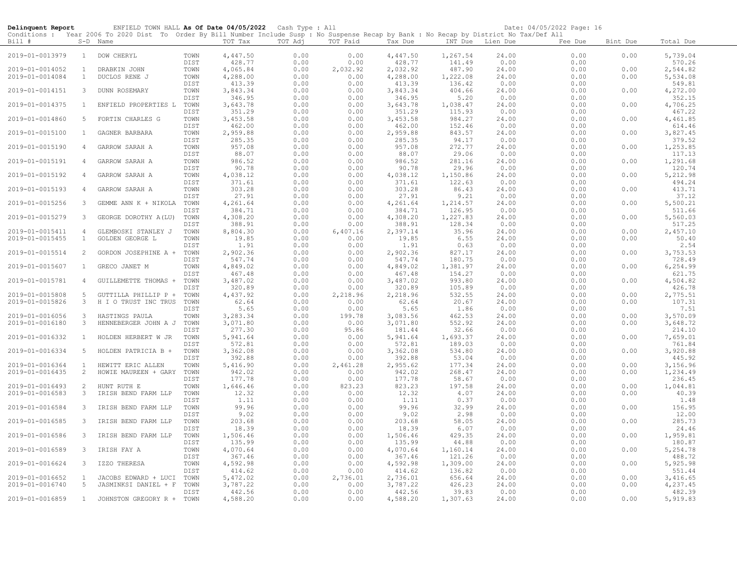| Delinquent Report                  |                         | ENFIELD TOWN HALL As Of Date 04/05/2022 Cash Type : All                                                                                                |              |                    |              |                  |                    |                    |                | Date: 04/05/2022 Page: 16 |              |                      |
|------------------------------------|-------------------------|--------------------------------------------------------------------------------------------------------------------------------------------------------|--------------|--------------------|--------------|------------------|--------------------|--------------------|----------------|---------------------------|--------------|----------------------|
| Bill #                             |                         | Conditions : Year 2006 To 2020 Dist To Order By Bill Number Include Susp : No Suspense Recap by Bank : No Recap by District No Tax/Def All<br>S-D Name |              | TOT Tax            | TOT Adj      | TOT Paid         | Tax Due            | INT Due Lien Due   |                | Fee Due                   | Bint Due     | Total Due            |
| 2019-01-0013979                    | $\mathbf{1}$            | DOW CHERYL                                                                                                                                             | TOWN         | 4,447.50           | 0.00         | 0.00             | 4,447.50           | 1,267.54           | 24,00          | 0.00                      | 0.00         | 5,739.04             |
| 2019-01-0014052                    | $\mathbf{1}$            | DRABKIN JOHN                                                                                                                                           | DIST<br>TOWN | 428.77<br>4,065.84 | 0.00<br>0.00 | 0.00<br>2,032.92 | 428.77<br>2,032.92 | 141.49<br>487.90   | 0.00<br>24.00  | 0.00<br>0.00              | 0.00         | 570.26<br>2,544.82   |
| 2019-01-0014084                    | $\mathbf{1}$            | DUCLOS RENE J                                                                                                                                          | TOWN         | 4,288.00           | 0.00         | 0.00             | 4,288.00           | 1,222.08           | 24.00          | 0.00                      | 0.00         | 5,534.08             |
|                                    |                         |                                                                                                                                                        | DIST         | 413.39             | 0.00         | 0.00             | 413.39             | 136.42             | 0.00           | 0.00                      |              | 549.81               |
| 2019-01-0014151                    | $\mathbf{3}$            | DUNN ROSEMARY                                                                                                                                          | TOWN         | 3,843.34           | 0.00         | 0.00             | 3,843.34           | 404.66             | 24.00          | 0.00                      | 0.00         | 4,272.00             |
| 2019-01-0014375                    | $\mathbf{1}$            | ENFIELD PROPERTIES L                                                                                                                                   | DIST<br>TOWN | 346.95<br>3,643.78 | 0.00<br>0.00 | 0.00<br>0.00     | 346.95             | 5.20               | 0.00<br>24.00  | 0.00<br>0.00              | 0.00         | 352.15<br>4,706.25   |
|                                    |                         |                                                                                                                                                        | DIST         | 351.29             | 0.00         | 0.00             | 3,643.78<br>351.29 | 1,038.47<br>115.93 | 0.00           | 0.00                      |              | 467.22               |
| 2019-01-0014860                    | -5                      | FORTIN CHARLES G                                                                                                                                       | TOWN         | 3,453.58           | 0.00         | 0.00             | 3,453.58           | 984.27             | 24.00          | 0.00                      | 0.00         | 4,461.85             |
|                                    |                         |                                                                                                                                                        | DIST         | 462.00             | 0.00         | 0.00             | 462.00             | 152.46             | 0.00           | 0.00                      |              | 614.46               |
| 2019-01-0015100                    | $\mathbf{1}$            | GAGNER BARBARA                                                                                                                                         | TOWN         | 2,959.88           | 0.00         | 0.00             | 2,959.88           | 843.57             | 24.00          | 0.00                      | 0.00         | 3,827.45             |
| 2019-01-0015190                    | $\overline{4}$          | GARROW SARAH A                                                                                                                                         | DIST<br>TOWN | 285.35<br>957.08   | 0.00<br>0.00 | 0.00<br>0.00     | 285.35<br>957.08   | 94.17<br>272.77    | 0.00<br>24.00  | 0.00<br>0.00              | 0.00         | 379.52<br>1,253.85   |
|                                    |                         |                                                                                                                                                        | DIST         | 88.07              | 0.00         | 0.00             | 88.07              | 29.06              | 0.00           | 0.00                      |              | 117.13               |
| 2019-01-0015191                    | 4                       | GARROW SARAH A                                                                                                                                         | TOWN         | 986.52             | 0.00         | 0.00             | 986.52             | 281.16             | 24.00          | 0.00                      | 0.00         | 1,291.68             |
|                                    |                         |                                                                                                                                                        | DIST         | 90.78              | 0.00         | 0.00             | 90.78              | 29.96              | 0.00           | 0.00                      |              | 120.74               |
| 2019-01-0015192                    | $\overline{4}$          | GARROW SARAH A                                                                                                                                         | TOWN<br>DIST | 4,038.12<br>371.61 | 0.00<br>0.00 | 0.00<br>0.00     | 4,038.12<br>371.61 | 1,150.86<br>122.63 | 24.00<br>0.00  | 0.00<br>0.00              | 0.00         | 5,212.98<br>494.24   |
| 2019-01-0015193                    | $\overline{4}$          | GARROW SARAH A                                                                                                                                         | TOWN         | 303.28             | 0.00         | 0.00             | 303.28             | 86.43              | 24.00          | 0.00                      | 0.00         | 413.71               |
|                                    |                         |                                                                                                                                                        | DIST         | 27.91              | 0.00         | 0.00             | 27.91              | 9.21               | 0.00           | 0.00                      |              | 37.12                |
| 2019-01-0015256                    | 3                       | GEMME ANN K + NIKOLA                                                                                                                                   | TOWN         | 4,261.64           | 0.00         | 0.00             | 4,261.64           | 1,214.57           | 24.00          | 0.00                      | 0.00         | 5,500.21             |
|                                    |                         |                                                                                                                                                        | DIST         | 384.71             | 0.00         | 0.00             | 384.71             | 126.95             | 0.00           | 0.00                      |              | 511.66               |
| 2019-01-0015279                    | 3                       | GEORGE DOROTHY A(LU)                                                                                                                                   | TOWN<br>DIST | 4,308.20<br>388.91 | 0.00<br>0.00 | 0.00<br>0.00     | 4,308.20<br>388.91 | 1,227.83<br>128.34 | 24.00<br>0.00  | 0.00<br>0.00              | 0.00         | 5,560.03<br>517.25   |
| 2019-01-0015411                    | $\overline{4}$          | GLEMBOSKI STANLEY J                                                                                                                                    | TOWN         | 8,804.30           | 0.00         | 6,407.16         | 2,397.14           | 35.96              | 24.00          | 0.00                      | 0.00         | 2,457.10             |
| 2019-01-0015455                    | $\mathbf{1}$            | GOLDEN GEORGE L                                                                                                                                        | TOWN         | 19.85              | 0.00         | 0.00             | 19.85              | 6.55               | 24.00          | 0.00                      | 0.00         | 50.40                |
|                                    |                         |                                                                                                                                                        | DIST         | 1.91               | 0.00         | 0.00             | 1.91               | 0.63               | 0.00           | 0.00                      |              | 2.54                 |
| 2019-01-0015514                    | 2                       | GORDON JOSEPHINE A +                                                                                                                                   | TOWN<br>DIST | 2,902.36<br>547.74 | 0.00<br>0.00 | 0.00<br>0.00     | 2,902.36<br>547.74 | 827.17<br>180.75   | 24.00<br>0.00  | 0.00<br>0.00              | 0.00         | 3,753.53<br>728.49   |
| 2019-01-0015607                    | $\mathbf{1}$            | GRECO JANET M                                                                                                                                          | TOWN         | 4,849.02           | 0.00         | 0.00             | 4,849.02           | 1,381.97           | 24.00          | 0.00                      | 0.00         | 6,254.99             |
|                                    |                         |                                                                                                                                                        | DIST         | 467.48             | 0.00         | 0.00             | 467.48             | 154.27             | 0.00           | 0.00                      |              | 621.75               |
| 2019-01-0015781                    | $\overline{4}$          | GUILLEMETTE THOMAS +                                                                                                                                   | TOWN         | 3,487.02           | 0.00         | 0.00             | 3,487.02           | 993.80             | 24.00          | 0.00                      | 0.00         | 4,504.82             |
|                                    | 5                       |                                                                                                                                                        | DIST         | 320.89             | 0.00         | 0.00             | 320.89             | 105.89             | 0.00           | 0.00                      |              | 426.78               |
| 2019-01-0015808<br>2019-01-0015826 | $\overline{\mathbf{3}}$ | GUTTILLA PHILLIP P +<br>H I O TRUST INC TRUS                                                                                                           | TOWN<br>TOWN | 4,437.92<br>62.64  | 0.00<br>0.00 | 2,218.96<br>0.00 | 2,218.96<br>62.64  | 532.55<br>20.67    | 24.00<br>24.00 | 0.00<br>0.00              | 0.00<br>0.00 | 2,775.51<br>107.31   |
|                                    |                         |                                                                                                                                                        | DIST         | 5.65               | 0.00         | 0.00             | 5.65               | 1.86               | 0.00           | 0.00                      |              | 7.51                 |
| 2019-01-0016056                    | $\mathbf{3}$            | HASTINGS PAULA                                                                                                                                         | TOWN         | 3,283.34           | 0.00         | 199.78           | 3,083.56           | 462.53             | 24.00          | 0.00                      | 0.00         | 3,570.09             |
| 2019-01-0016180                    | $\mathbf{3}$            | HENNEBERGER JOHN A J                                                                                                                                   | TOWN         | 3,071.80           | 0.00         | 0.00             | 3,071.80           | 552.92             | 24.00          | 0.00                      | 0.00         | 3,648.72             |
| 2019-01-0016332                    | $\mathbf{1}$            | HOLDEN HERBERT W JR                                                                                                                                    | DIST<br>TOWN | 277.30<br>5,941.64 | 0.00<br>0.00 | 95.86<br>0.00    | 181.44<br>5,941.64 | 32.66<br>1,693.37  | 0.00<br>24.00  | 0.00<br>0.00              | 0.00         | 214.10<br>7,659.01   |
|                                    |                         |                                                                                                                                                        | DIST         | 572.81             | 0.00         | 0.00             | 572.81             | 189.03             | 0.00           | 0.00                      |              | 761.84               |
| 2019-01-0016334                    | 5                       | HOLDEN PATRICIA B +                                                                                                                                    | TOWN         | 3,362.08           | 0.00         | 0.00             | 3,362.08           | 534.80             | 24.00          | 0.00                      | 0.00         | 3,920.88             |
|                                    |                         |                                                                                                                                                        | DIST         | 392.88             | 0.00         | 0.00             | 392.88             | 53.04              | 0.00           | 0.00                      |              | 445.92               |
| 2019-01-0016364<br>2019-01-0016435 | 1<br>2                  | HEWITT ERIC ALLEN<br>HOWIE MAUREEN + GARY                                                                                                              | TOWN<br>TOWN | 5,416.90<br>942.02 | 0.00<br>0.00 | 2,461.28<br>0.00 | 2,955.62<br>942.02 | 177.34<br>268.47   | 24.00<br>24.00 | 0.00<br>0.00              | 0.00<br>0.00 | 3,156.96<br>1,234.49 |
|                                    |                         |                                                                                                                                                        | DIST         | 177.78             | 0.00         | 0.00             | 177.78             | 58.67              | 0.00           | 0.00                      |              | 236.45               |
| 2019-01-0016493                    | 2                       | HUNT RUTH E                                                                                                                                            | TOWN         | 1,646.46           | 0.00         | 823.23           | 823.23             | 197.58             | 24.00          | 0.00                      | 0.00         | 1,044.81             |
| 2019-01-0016583                    | 3                       | IRISH BEND FARM LLP                                                                                                                                    | TOWN         | 12.32              | 0.00         | 0.00             | 12.32              | 4.07               | 24.00          | 0.00                      | 0.00         | 40.39                |
| 2019-01-0016584                    | $\mathbf{3}$            |                                                                                                                                                        | DIST<br>TOWN | 1.11<br>99.96      | 0.00<br>0.00 | 0.00             | 1.11<br>99.96      | 0.37               | 0.00           | 0.00<br>0.00              | 0.00         | 1.48<br>156.95       |
|                                    |                         | IRISH BEND FARM LLP                                                                                                                                    | DIST         | 9.02               | 0.00         | 0.00<br>0.00     | 9.02               | 32.99<br>2.98      | 24.00<br>0.00  | 0.00                      |              | 12.00                |
| 2019-01-0016585                    | 3                       | IRISH BEND FARM LLP                                                                                                                                    | TOWN         | 203.68             | 0.00         | 0.00             | 203.68             | 58.05              | 24.00          | 0.00                      | 0.00         | 285.73               |
|                                    |                         |                                                                                                                                                        | DIST         | 18.39              | 0.00         | 0.00             | 18.39              | 6.07               | 0.00           | 0.00                      |              | 24.46                |
| 2019-01-0016586                    | $\mathbf{3}$            | IRISH BEND FARM LLP                                                                                                                                    | TOWN         | 1,506.46           | 0.00         | 0.00             | 1,506.46           | 429.35             | 24.00          | 0.00                      | 0.00         | 1,959.81             |
| 2019-01-0016589                    | 3                       | IRISH FAY A                                                                                                                                            | DIST<br>TOWN | 135.99<br>4,070.64 | 0.00<br>0.00 | 0.00<br>0.00     | 135.99<br>4,070.64 | 44.88<br>1,160.14  | 0.00<br>24.00  | 0.00<br>0.00              | 0.00         | 180.87<br>5,254.78   |
|                                    |                         |                                                                                                                                                        | DIST         | 367.46             | 0.00         | 0.00             | 367.46             | 121.26             | 0.00           | 0.00                      |              | 488.72               |
| 2019-01-0016624                    | 3                       | IZZO THERESA                                                                                                                                           | TOWN         | 4,592.98           | 0.00         | 0.00             | 4,592.98           | 1,309.00           | 24.00          | 0.00                      | 0.00         | 5,925.98             |
|                                    |                         |                                                                                                                                                        | DIST         | 414.62             | 0.00         | 0.00             | 414.62             | 136.82             | 0.00           | 0.00                      |              | 551.44               |
| 2019-01-0016652                    | $\mathbf{1}$            | JACOBS EDWARD + LUCI                                                                                                                                   | TOWN         | 5,472.02           | 0.00         | 2,736.01         | 2,736.01           | 656.64             | 24.00          | 0.00                      | 0.00         | 3,416.65             |
| 2019-01-0016740                    | 5                       | JASMINKSI DANIEL + F                                                                                                                                   | TOWN<br>DIST | 3,787.22<br>442.56 | 0.00<br>0.00 | 0.00<br>0.00     | 3,787.22<br>442.56 | 426.23<br>39.83    | 24.00<br>0.00  | 0.00<br>0.00              | 0.00         | 4,237.45<br>482.39   |
| 2019-01-0016859                    | $\mathbf{1}$            | JOHNSTON GREGORY R + TOWN                                                                                                                              |              | 4,588.20           | 0.00         | 0.00             | 4,588.20           | 1,307.63           | 24.00          | 0.00                      | 0.00         | 5,919.83             |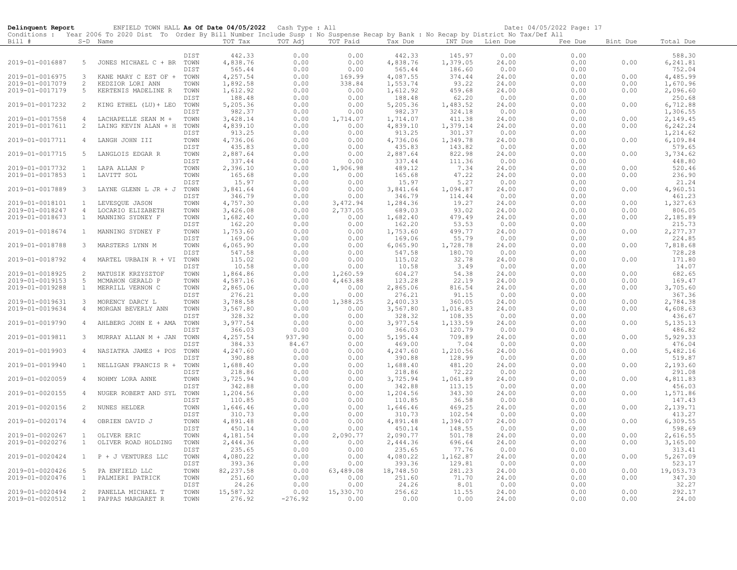| Conditions : Year 2006 To 2020 Dist To Order By Bill Number Include Susp : No Suspense Recap by Bank : No Recap by District No Tax/Def All<br>TOT Tax<br>TOT Adj<br>TOT Paid<br>Bill #<br>S-D Name<br>Tax Due<br>INT Due Lien Due<br>Fee Due<br>Bint Due<br>Total Due<br>442.33<br>0.00<br>DIST<br>0.00<br>442.33<br>145.97<br>0.00<br>0.00<br>588.30<br>1,379.05<br>2019-01-0016887<br>5<br>4,838.76<br>0.00<br>0.00<br>4,838.76<br>0.00<br>6,241.81<br>JONES MICHAEL C + BR<br>TOWN<br>24.00<br>0.00<br>565.44<br>0.00<br>565.44<br>186.60<br>0.00<br>752.04<br>DIST<br>0.00<br>0.00<br>4,257.54<br>0.00<br>4,087.55<br>374.44<br>24.00<br>4,485.99<br>2019-01-0016975<br>$\mathbf{3}$<br>TOWN<br>169.99<br>0.00<br>0.00<br>KANE MARY C EST OF +<br>2019-01-0017079<br>2<br>TOWN<br>1,892.58<br>0.00<br>338.84<br>1,553.74<br>93.22<br>24.00<br>0.00<br>0.00<br>1,670.96<br>KEDZIOR LORI ANN<br>2019-01-0017179<br>5<br>1,612.92<br>0.00<br>1,612.92<br>459.68<br>0.00<br>2,096.60<br>KERTENIS MADELINE R<br>TOWN<br>0.00<br>24.00<br>0.00<br>188.48<br>0.00<br>0.00<br>62.20<br>0.00<br>250.68<br>DIST<br>188.48<br>0.00<br>2019-01-0017232<br>5,205.36<br>0.00<br>5,205.36<br>1,483.52<br>0.00<br>6,712.88<br>2<br>KING ETHEL (LU) + LEO<br>TOWN<br>0.00<br>24.00<br>0.00<br>982.37<br>982.37<br>324.18<br>1,306.55<br>DIST<br>0.00<br>0.00<br>0.00<br>0.00<br>2019-01-0017558<br>3,428.14<br>0.00<br>1,714.07<br>1,714.07<br>411.38<br>24.00<br>0.00<br>0.00<br>2,149.45<br>$\overline{4}$<br>LACHAPELLE SEAN M +<br>TOWN<br>4,839.10<br>0.00<br>4,839.10<br>1,379.14<br>6,242.24<br>2019-01-0017611<br>$\overline{c}$<br>LAING KEVIN ALAN + H<br>TOWN<br>0.00<br>24.00<br>0.00<br>0.00<br>913.25<br>0.00<br>0.00<br>301.37<br>1,214.62<br>DIST<br>913.25<br>0.00<br>0.00<br>4,736.06<br>0.00<br>0.00<br>4,736.06<br>1,349.78<br>6,109.84<br>2019-01-0017711<br>$\overline{4}$<br>LANGH JOHN III<br>TOWN<br>24.00<br>0.00<br>0.00<br>435.83<br>435.83<br>0.00<br>0.00<br>143.82<br>0.00<br>579.65<br>DIST<br>0.00<br>2,887.64<br>0.00<br>2,887.64<br>24.00<br>3,734.62<br>2019-01-0017715<br>5<br>LANGLOIS EDGAR R<br>TOWN<br>0.00<br>822.98<br>0.00<br>0.00<br>337.44<br>0.00<br>0.00<br>337.44<br>111.36<br>0.00<br>0.00<br>448.80<br>DIST<br>2,396.10<br>0.00<br>489.12<br>7.34<br>0.00<br>0.00<br>520.46<br>2019-01-0017732<br>$\mathbf{1}$<br>LAPA ALLAN P<br>TOWN<br>1,906.98<br>24.00<br>165.68<br>0.00<br>165.68<br>47.22<br>0.00<br>236.90<br>2019-01-0017853<br>LAVITT SOL<br>TOWN<br>0.00<br>24.00<br>0.00<br>$\mathbf{1}$<br>15.97<br>21.24<br>DIST<br>0.00<br>0.00<br>15.97<br>5.27<br>0.00<br>0.00<br>2019-01-0017889<br>3,841.64<br>0.00<br>3,841.64<br>3<br>LAYNE GLENN L JR + J<br>TOWN<br>0.00<br>1,094.87<br>24.00<br>0.00<br>0.00<br>4,960.51<br>346.79<br>DIST<br>0.00<br>0.00<br>346.79<br>114.44<br>0.00<br>0.00<br>461.23<br>4,757.30<br>0.00<br>3,472.94<br>19.27<br>1,327.63<br>2019-01-0018101<br>$\mathbf{1}$<br>LEVESQUE JASON<br>TOWN<br>1,284.36<br>24.00<br>0.00<br>0.00<br>3,426.08<br>0.00<br>2,737.05<br>689.03<br>806.05<br>2019-01-0018247<br>$\overline{4}$<br>LOCARIO ELIZABETH<br>TOWN<br>93.02<br>24.00<br>0.00<br>0.00<br>MANNING SYDNEY F<br>0.00<br>479.49<br>2,185.89<br>2019-01-0018673<br>$\mathbf{1}$<br>1,682.40<br>0.00<br>1,682.40<br>24.00<br>0.00<br>TOWN<br>0.00<br>162.20<br>0.00<br>53.53<br>215.73<br>DIST<br>0.00<br>162.20<br>0.00<br>0.00<br>1,753.60<br>0.00<br>1,753.60<br>499.77<br>2,277.37<br>2019-01-0018674<br>MANNING SYDNEY F<br>TOWN<br>0.00<br>24.00<br>0.00<br>0.00<br>$\mathbf{1}$<br>169.06<br>0.00<br>0.00<br>169.06<br>55.79<br>0.00<br>224.85<br>DIST<br>0.00<br>2019-01-0018788<br>$\mathbf{3}$<br>MARSTERS LYNN M<br>TOWN<br>6,065.90<br>0.00<br>0.00<br>6,065.90<br>1,728.78<br>24.00<br>0.00<br>0.00<br>7,818.68<br>547.58<br>728.28<br>DIST<br>0.00<br>0.00<br>547.58<br>180.70<br>0.00<br>0.00<br>115.02<br>0.00<br>0.00<br>171.80<br>2019-01-0018792<br>$\overline{4}$<br>MARTEL URBAIN R + VI<br>TOWN<br>115.02<br>32.78<br>24.00<br>0.00<br>0.00<br>14.07<br>DIST<br>10.58<br>0.00<br>0.00<br>10.58<br>3.49<br>0.00<br>0.00<br>2<br>1,864.86<br>0.00<br>1,260.59<br>54.38<br>0.00<br>682.65<br>2019-01-0018925<br>MATUSIK KRZYSZTOF<br>TOWN<br>604.27<br>24.00<br>0.00<br>4,463.88<br>169.47<br>2019-01-0019153<br>-5<br>MCMAHON GERALD P<br>TOWN<br>4,587.16<br>0.00<br>123.28<br>22.19<br>24.00<br>0.00<br>0.00<br>3,705.60<br>2019-01-0019288<br>$\mathbf{1}$<br>MERRILL VERNON C<br>TOWN<br>2,865.06<br>0.00<br>0.00<br>2,865.06<br>816.54<br>24.00<br>0.00<br>0.00<br>276.21<br>0.00<br>276.21<br>91.15<br>367.36<br>DIST<br>0.00<br>0.00<br>0.00<br>3,788.58<br>0.00<br>2,400.33<br>360.05<br>0.00<br>2,784.38<br>2019-01-0019631<br>$\mathbf{3}$<br>MORENCY DARCY L<br>TOWN<br>1,388.25<br>24.00<br>0.00<br>3,567.80<br>0.00<br>3,567.80<br>1,016.83<br>0.00<br>0.00<br>4,608.63<br>2019-01-0019634<br>MORGAN BEVERLY ANN<br>TOWN<br>0.00<br>24.00<br>4<br>328.32<br>0.00<br>0.00<br>328.32<br>108.35<br>0.00<br>0.00<br>436.67<br>DIST<br>2019-01-0019790<br>3,977.54<br>0.00<br>0.00<br>3,977.54<br>1,133.59<br>0.00<br>0.00<br>5, 135. 13<br>$\overline{4}$<br>AHLBERG JOHN E + AMA<br>TOWN<br>24.00<br>0.00<br>DIST<br>366.03<br>0.00<br>366.03<br>120.79<br>0.00<br>0.00<br>486.82<br>4,257.54<br>937.90<br>5,929.33<br>2019-01-0019811<br>$\mathbf{3}$<br>TOWN<br>0.00<br>5,195.44<br>709.89<br>24.00<br>0.00<br>0.00<br>MURRAY ALLAN M + JAN<br>384.33<br>84.67<br>0.00<br>7.04<br>476.04<br>DIST<br>469.00<br>0.00<br>0.00<br>5,482.16<br>2019-01-0019903<br>TOWN<br>4,247.60<br>0.00<br>0.00<br>4,247.60<br>1,210.56<br>24.00<br>0.00<br>0.00<br>$\overline{4}$<br>NASIATKA JAMES + POS<br>390.88<br>0.00<br>0.00<br>390.88<br>128.99<br>0.00<br>0.00<br>519.87<br>DIST<br>0.00<br>1,688.40<br>481.20<br>24.00<br>2,193.60<br>2019-01-0019940<br>$\mathbf{1}$<br>NELLIGAN FRANCIS R +<br>1,688.40<br>0.00<br>0.00<br>0.00<br>TOWN<br>DIST<br>218.86<br>0.00<br>0.00<br>218.86<br>72.22<br>0.00<br>0.00<br>291.08<br>2019-01-0020059<br>3,725.94<br>0.00<br>3,725.94<br>1,061.89<br>0.00<br>0.00<br>4,811.83<br>$\overline{4}$<br>NOHMY LORA ANNE<br>TOWN<br>0.00<br>24.00<br>0.00<br>456.03<br>DIST<br>342.88<br>0.00<br>342.88<br>113.15<br>0.00<br>0.00<br>1,571.86<br>2019-01-0020155<br>1,204.56<br>0.00<br>0.00<br>1,204.56<br>343.30<br>24.00<br>0.00<br>0.00<br>$\overline{4}$<br>NUGER ROBERT AND SYL TOWN<br>0.00<br>36.58<br>147.43<br>110.85<br>0.00<br>110.85<br>0.00<br>0.00<br>DIST<br>2019-01-0020156<br>2<br>TOWN<br>1,646.46<br>0.00<br>0.00<br>1,646.46<br>469.25<br>24.00<br>0.00<br>2,139.71<br>NUNES HELDER<br>0.00<br>0.00<br>0.00<br>310.73<br>102.54<br>413.27<br>DIST<br>310.73<br>0.00<br>0.00<br>4,891.48<br>0.00<br>0.00<br>4,891.48<br>1,394.07<br>0.00<br>6,309.55<br>2019-01-0020174<br>4<br>OBRIEN DAVID J<br>TOWN<br>24.00<br>0.00<br>598.69<br>DIST<br>450.14<br>0.00<br>0.00<br>450.14<br>148.55<br>0.00<br>0.00<br>4,181.54<br>0.00<br>2,090.77<br>2,090.77<br>501.78<br>24.00<br>0.00<br>2,616.55<br>2019-01-0020267<br>$\mathbf{1}$<br>TOWN<br>0.00<br>OLIVER ERIC<br>2019-01-0020276<br>$\mathbf{1}$<br>OLIVER ROAD HOLDING<br>2,444.36<br>0.00<br>0.00<br>2,444.36<br>696.64<br>24.00<br>0.00<br>0.00<br>3,165.00<br>TOWN<br>235.65<br>0.00<br>0.00<br>235.65<br>77.76<br>0.00<br>313.41<br>DIST<br>0.00<br>2019-01-0020424<br>P + J VENTURES LLC<br>4,080.22<br>0.00<br>0.00<br>4,080.22<br>1,162.87<br>0.00<br>0.00<br>5,267.09<br>1<br>TOWN<br>24.00<br>393.36<br>0.00<br>393.36<br>129.81<br>0.00<br>523.17<br>DIST<br>0.00<br>0.00<br>82, 237.58<br>0.00<br>19,053.73<br>2019-01-0020426<br>5<br>PA ENFIELD LLC<br>TOWN<br>63,489.08<br>18,748.50<br>281.23<br>24.00<br>0.00<br>0.00<br>2019-01-0020476<br>PALMIERI PATRICK<br>251.60<br>0.00<br>0.00<br>251.60<br>71.70<br>24.00<br>0.00<br>347.30<br>$\mathbf{1}$<br>TOWN<br>0.00<br>0.00<br>32.27<br>DIST<br>24.26<br>0.00<br>24.26<br>8.01<br>0.00<br>0.00<br>2019-01-0020494<br>2<br>PANELLA MICHAEL T<br>15,587.32<br>0.00<br>15,330.70<br>11.55<br>0.00<br>292.17<br>TOWN<br>256.62<br>24.00<br>0.00<br>2019-01-0020512<br>$\mathbf{1}$<br>PAPPAS MARGARET R<br>TOWN<br>276.92<br>$-276.92$<br>0.00<br>0.00<br>0.00<br>24.00<br>0.00<br>0.00<br>24.00 | Delinquent Report | ENFIELD TOWN HALL As Of Date 04/05/2022 Cash Type : All |  |  |  | Date: 04/05/2022 Page: 17 |  |
|----------------------------------------------------------------------------------------------------------------------------------------------------------------------------------------------------------------------------------------------------------------------------------------------------------------------------------------------------------------------------------------------------------------------------------------------------------------------------------------------------------------------------------------------------------------------------------------------------------------------------------------------------------------------------------------------------------------------------------------------------------------------------------------------------------------------------------------------------------------------------------------------------------------------------------------------------------------------------------------------------------------------------------------------------------------------------------------------------------------------------------------------------------------------------------------------------------------------------------------------------------------------------------------------------------------------------------------------------------------------------------------------------------------------------------------------------------------------------------------------------------------------------------------------------------------------------------------------------------------------------------------------------------------------------------------------------------------------------------------------------------------------------------------------------------------------------------------------------------------------------------------------------------------------------------------------------------------------------------------------------------------------------------------------------------------------------------------------------------------------------------------------------------------------------------------------------------------------------------------------------------------------------------------------------------------------------------------------------------------------------------------------------------------------------------------------------------------------------------------------------------------------------------------------------------------------------------------------------------------------------------------------------------------------------------------------------------------------------------------------------------------------------------------------------------------------------------------------------------------------------------------------------------------------------------------------------------------------------------------------------------------------------------------------------------------------------------------------------------------------------------------------------------------------------------------------------------------------------------------------------------------------------------------------------------------------------------------------------------------------------------------------------------------------------------------------------------------------------------------------------------------------------------------------------------------------------------------------------------------------------------------------------------------------------------------------------------------------------------------------------------------------------------------------------------------------------------------------------------------------------------------------------------------------------------------------------------------------------------------------------------------------------------------------------------------------------------------------------------------------------------------------------------------------------------------------------------------------------------------------------------------------------------------------------------------------------------------------------------------------------------------------------------------------------------------------------------------------------------------------------------------------------------------------------------------------------------------------------------------------------------------------------------------------------------------------------------------------------------------------------------------------------------------------------------------------------------------------------------------------------------------------------------------------------------------------------------------------------------------------------------------------------------------------------------------------------------------------------------------------------------------------------------------------------------------------------------------------------------------------------------------------------------------------------------------------------------------------------------------------------------------------------------------------------------------------------------------------------------------------------------------------------------------------------------------------------------------------------------------------------------------------------------------------------------------------------------------------------------------------------------------------------------------------------------------------------------------------------------------------------------------------------------------------------------------------------------------------------------------------------------------------------------------------------------------------------------------------------------------------------------------------------------------------------------------------------------------------------------------------------------------------------------------------------------------------------------------------------------------------------------------------------------------------------------------------------------------------------------------------------------------------------------------------------------------------------------------------------------------------------------------------------------------------------------------------------------------------------------------------------------------------------------------------------------------------------------------------------------------------------------------------------------------------------------------------------------------------------------------------------------------------------------------------------------------------------------------------------------------------------------------------------------------------------------------------------------------------------------------------------------------------------------------------------------------------------------------------------------------------------------------------------------------------------------------------------------------------------------------------------------------------------------------------------------------------------------------------------------------------------------------------------------------------------------------------------------------------------------------------------------------------------------------------------------------------------------------------------------------------------------------------------------------------------------------------------------------------------------------------------------------------------------------------------------------------------------------------------------------------------------------------------------------------------------------------------------------------------------------------------------------------|-------------------|---------------------------------------------------------|--|--|--|---------------------------|--|
|                                                                                                                                                                                                                                                                                                                                                                                                                                                                                                                                                                                                                                                                                                                                                                                                                                                                                                                                                                                                                                                                                                                                                                                                                                                                                                                                                                                                                                                                                                                                                                                                                                                                                                                                                                                                                                                                                                                                                                                                                                                                                                                                                                                                                                                                                                                                                                                                                                                                                                                                                                                                                                                                                                                                                                                                                                                                                                                                                                                                                                                                                                                                                                                                                                                                                                                                                                                                                                                                                                                                                                                                                                                                                                                                                                                                                                                                                                                                                                                                                                                                                                                                                                                                                                                                                                                                                                                                                                                                                                                                                                                                                                                                                                                                                                                                                                                                                                                                                                                                                                                                                                                                                                                                                                                                                                                                                                                                                                                                                                                                                                                                                                                                                                                                                                                                                                                                                                                                                                                                                                                                                                                                                                                                                                                                                                                                                                                                                                                                                                                                                                                                                                                                                                                                                                                                                                                                                                                                                                                                                                                                                                                                                                                                                                                                                                                                                                                                                                                                                                                                                                                                                                                                                                                                                                                                                                                                                                                                                                                                                                                                                                                                                                                                                                                                      |                   |                                                         |  |  |  |                           |  |
|                                                                                                                                                                                                                                                                                                                                                                                                                                                                                                                                                                                                                                                                                                                                                                                                                                                                                                                                                                                                                                                                                                                                                                                                                                                                                                                                                                                                                                                                                                                                                                                                                                                                                                                                                                                                                                                                                                                                                                                                                                                                                                                                                                                                                                                                                                                                                                                                                                                                                                                                                                                                                                                                                                                                                                                                                                                                                                                                                                                                                                                                                                                                                                                                                                                                                                                                                                                                                                                                                                                                                                                                                                                                                                                                                                                                                                                                                                                                                                                                                                                                                                                                                                                                                                                                                                                                                                                                                                                                                                                                                                                                                                                                                                                                                                                                                                                                                                                                                                                                                                                                                                                                                                                                                                                                                                                                                                                                                                                                                                                                                                                                                                                                                                                                                                                                                                                                                                                                                                                                                                                                                                                                                                                                                                                                                                                                                                                                                                                                                                                                                                                                                                                                                                                                                                                                                                                                                                                                                                                                                                                                                                                                                                                                                                                                                                                                                                                                                                                                                                                                                                                                                                                                                                                                                                                                                                                                                                                                                                                                                                                                                                                                                                                                                                                                      |                   |                                                         |  |  |  |                           |  |
|                                                                                                                                                                                                                                                                                                                                                                                                                                                                                                                                                                                                                                                                                                                                                                                                                                                                                                                                                                                                                                                                                                                                                                                                                                                                                                                                                                                                                                                                                                                                                                                                                                                                                                                                                                                                                                                                                                                                                                                                                                                                                                                                                                                                                                                                                                                                                                                                                                                                                                                                                                                                                                                                                                                                                                                                                                                                                                                                                                                                                                                                                                                                                                                                                                                                                                                                                                                                                                                                                                                                                                                                                                                                                                                                                                                                                                                                                                                                                                                                                                                                                                                                                                                                                                                                                                                                                                                                                                                                                                                                                                                                                                                                                                                                                                                                                                                                                                                                                                                                                                                                                                                                                                                                                                                                                                                                                                                                                                                                                                                                                                                                                                                                                                                                                                                                                                                                                                                                                                                                                                                                                                                                                                                                                                                                                                                                                                                                                                                                                                                                                                                                                                                                                                                                                                                                                                                                                                                                                                                                                                                                                                                                                                                                                                                                                                                                                                                                                                                                                                                                                                                                                                                                                                                                                                                                                                                                                                                                                                                                                                                                                                                                                                                                                                                                      |                   |                                                         |  |  |  |                           |  |
|                                                                                                                                                                                                                                                                                                                                                                                                                                                                                                                                                                                                                                                                                                                                                                                                                                                                                                                                                                                                                                                                                                                                                                                                                                                                                                                                                                                                                                                                                                                                                                                                                                                                                                                                                                                                                                                                                                                                                                                                                                                                                                                                                                                                                                                                                                                                                                                                                                                                                                                                                                                                                                                                                                                                                                                                                                                                                                                                                                                                                                                                                                                                                                                                                                                                                                                                                                                                                                                                                                                                                                                                                                                                                                                                                                                                                                                                                                                                                                                                                                                                                                                                                                                                                                                                                                                                                                                                                                                                                                                                                                                                                                                                                                                                                                                                                                                                                                                                                                                                                                                                                                                                                                                                                                                                                                                                                                                                                                                                                                                                                                                                                                                                                                                                                                                                                                                                                                                                                                                                                                                                                                                                                                                                                                                                                                                                                                                                                                                                                                                                                                                                                                                                                                                                                                                                                                                                                                                                                                                                                                                                                                                                                                                                                                                                                                                                                                                                                                                                                                                                                                                                                                                                                                                                                                                                                                                                                                                                                                                                                                                                                                                                                                                                                                                                      |                   |                                                         |  |  |  |                           |  |
|                                                                                                                                                                                                                                                                                                                                                                                                                                                                                                                                                                                                                                                                                                                                                                                                                                                                                                                                                                                                                                                                                                                                                                                                                                                                                                                                                                                                                                                                                                                                                                                                                                                                                                                                                                                                                                                                                                                                                                                                                                                                                                                                                                                                                                                                                                                                                                                                                                                                                                                                                                                                                                                                                                                                                                                                                                                                                                                                                                                                                                                                                                                                                                                                                                                                                                                                                                                                                                                                                                                                                                                                                                                                                                                                                                                                                                                                                                                                                                                                                                                                                                                                                                                                                                                                                                                                                                                                                                                                                                                                                                                                                                                                                                                                                                                                                                                                                                                                                                                                                                                                                                                                                                                                                                                                                                                                                                                                                                                                                                                                                                                                                                                                                                                                                                                                                                                                                                                                                                                                                                                                                                                                                                                                                                                                                                                                                                                                                                                                                                                                                                                                                                                                                                                                                                                                                                                                                                                                                                                                                                                                                                                                                                                                                                                                                                                                                                                                                                                                                                                                                                                                                                                                                                                                                                                                                                                                                                                                                                                                                                                                                                                                                                                                                                                                      |                   |                                                         |  |  |  |                           |  |
|                                                                                                                                                                                                                                                                                                                                                                                                                                                                                                                                                                                                                                                                                                                                                                                                                                                                                                                                                                                                                                                                                                                                                                                                                                                                                                                                                                                                                                                                                                                                                                                                                                                                                                                                                                                                                                                                                                                                                                                                                                                                                                                                                                                                                                                                                                                                                                                                                                                                                                                                                                                                                                                                                                                                                                                                                                                                                                                                                                                                                                                                                                                                                                                                                                                                                                                                                                                                                                                                                                                                                                                                                                                                                                                                                                                                                                                                                                                                                                                                                                                                                                                                                                                                                                                                                                                                                                                                                                                                                                                                                                                                                                                                                                                                                                                                                                                                                                                                                                                                                                                                                                                                                                                                                                                                                                                                                                                                                                                                                                                                                                                                                                                                                                                                                                                                                                                                                                                                                                                                                                                                                                                                                                                                                                                                                                                                                                                                                                                                                                                                                                                                                                                                                                                                                                                                                                                                                                                                                                                                                                                                                                                                                                                                                                                                                                                                                                                                                                                                                                                                                                                                                                                                                                                                                                                                                                                                                                                                                                                                                                                                                                                                                                                                                                                                      |                   |                                                         |  |  |  |                           |  |
|                                                                                                                                                                                                                                                                                                                                                                                                                                                                                                                                                                                                                                                                                                                                                                                                                                                                                                                                                                                                                                                                                                                                                                                                                                                                                                                                                                                                                                                                                                                                                                                                                                                                                                                                                                                                                                                                                                                                                                                                                                                                                                                                                                                                                                                                                                                                                                                                                                                                                                                                                                                                                                                                                                                                                                                                                                                                                                                                                                                                                                                                                                                                                                                                                                                                                                                                                                                                                                                                                                                                                                                                                                                                                                                                                                                                                                                                                                                                                                                                                                                                                                                                                                                                                                                                                                                                                                                                                                                                                                                                                                                                                                                                                                                                                                                                                                                                                                                                                                                                                                                                                                                                                                                                                                                                                                                                                                                                                                                                                                                                                                                                                                                                                                                                                                                                                                                                                                                                                                                                                                                                                                                                                                                                                                                                                                                                                                                                                                                                                                                                                                                                                                                                                                                                                                                                                                                                                                                                                                                                                                                                                                                                                                                                                                                                                                                                                                                                                                                                                                                                                                                                                                                                                                                                                                                                                                                                                                                                                                                                                                                                                                                                                                                                                                                                      |                   |                                                         |  |  |  |                           |  |
|                                                                                                                                                                                                                                                                                                                                                                                                                                                                                                                                                                                                                                                                                                                                                                                                                                                                                                                                                                                                                                                                                                                                                                                                                                                                                                                                                                                                                                                                                                                                                                                                                                                                                                                                                                                                                                                                                                                                                                                                                                                                                                                                                                                                                                                                                                                                                                                                                                                                                                                                                                                                                                                                                                                                                                                                                                                                                                                                                                                                                                                                                                                                                                                                                                                                                                                                                                                                                                                                                                                                                                                                                                                                                                                                                                                                                                                                                                                                                                                                                                                                                                                                                                                                                                                                                                                                                                                                                                                                                                                                                                                                                                                                                                                                                                                                                                                                                                                                                                                                                                                                                                                                                                                                                                                                                                                                                                                                                                                                                                                                                                                                                                                                                                                                                                                                                                                                                                                                                                                                                                                                                                                                                                                                                                                                                                                                                                                                                                                                                                                                                                                                                                                                                                                                                                                                                                                                                                                                                                                                                                                                                                                                                                                                                                                                                                                                                                                                                                                                                                                                                                                                                                                                                                                                                                                                                                                                                                                                                                                                                                                                                                                                                                                                                                                                      |                   |                                                         |  |  |  |                           |  |
|                                                                                                                                                                                                                                                                                                                                                                                                                                                                                                                                                                                                                                                                                                                                                                                                                                                                                                                                                                                                                                                                                                                                                                                                                                                                                                                                                                                                                                                                                                                                                                                                                                                                                                                                                                                                                                                                                                                                                                                                                                                                                                                                                                                                                                                                                                                                                                                                                                                                                                                                                                                                                                                                                                                                                                                                                                                                                                                                                                                                                                                                                                                                                                                                                                                                                                                                                                                                                                                                                                                                                                                                                                                                                                                                                                                                                                                                                                                                                                                                                                                                                                                                                                                                                                                                                                                                                                                                                                                                                                                                                                                                                                                                                                                                                                                                                                                                                                                                                                                                                                                                                                                                                                                                                                                                                                                                                                                                                                                                                                                                                                                                                                                                                                                                                                                                                                                                                                                                                                                                                                                                                                                                                                                                                                                                                                                                                                                                                                                                                                                                                                                                                                                                                                                                                                                                                                                                                                                                                                                                                                                                                                                                                                                                                                                                                                                                                                                                                                                                                                                                                                                                                                                                                                                                                                                                                                                                                                                                                                                                                                                                                                                                                                                                                                                                      |                   |                                                         |  |  |  |                           |  |
|                                                                                                                                                                                                                                                                                                                                                                                                                                                                                                                                                                                                                                                                                                                                                                                                                                                                                                                                                                                                                                                                                                                                                                                                                                                                                                                                                                                                                                                                                                                                                                                                                                                                                                                                                                                                                                                                                                                                                                                                                                                                                                                                                                                                                                                                                                                                                                                                                                                                                                                                                                                                                                                                                                                                                                                                                                                                                                                                                                                                                                                                                                                                                                                                                                                                                                                                                                                                                                                                                                                                                                                                                                                                                                                                                                                                                                                                                                                                                                                                                                                                                                                                                                                                                                                                                                                                                                                                                                                                                                                                                                                                                                                                                                                                                                                                                                                                                                                                                                                                                                                                                                                                                                                                                                                                                                                                                                                                                                                                                                                                                                                                                                                                                                                                                                                                                                                                                                                                                                                                                                                                                                                                                                                                                                                                                                                                                                                                                                                                                                                                                                                                                                                                                                                                                                                                                                                                                                                                                                                                                                                                                                                                                                                                                                                                                                                                                                                                                                                                                                                                                                                                                                                                                                                                                                                                                                                                                                                                                                                                                                                                                                                                                                                                                                                                      |                   |                                                         |  |  |  |                           |  |
|                                                                                                                                                                                                                                                                                                                                                                                                                                                                                                                                                                                                                                                                                                                                                                                                                                                                                                                                                                                                                                                                                                                                                                                                                                                                                                                                                                                                                                                                                                                                                                                                                                                                                                                                                                                                                                                                                                                                                                                                                                                                                                                                                                                                                                                                                                                                                                                                                                                                                                                                                                                                                                                                                                                                                                                                                                                                                                                                                                                                                                                                                                                                                                                                                                                                                                                                                                                                                                                                                                                                                                                                                                                                                                                                                                                                                                                                                                                                                                                                                                                                                                                                                                                                                                                                                                                                                                                                                                                                                                                                                                                                                                                                                                                                                                                                                                                                                                                                                                                                                                                                                                                                                                                                                                                                                                                                                                                                                                                                                                                                                                                                                                                                                                                                                                                                                                                                                                                                                                                                                                                                                                                                                                                                                                                                                                                                                                                                                                                                                                                                                                                                                                                                                                                                                                                                                                                                                                                                                                                                                                                                                                                                                                                                                                                                                                                                                                                                                                                                                                                                                                                                                                                                                                                                                                                                                                                                                                                                                                                                                                                                                                                                                                                                                                                                      |                   |                                                         |  |  |  |                           |  |
|                                                                                                                                                                                                                                                                                                                                                                                                                                                                                                                                                                                                                                                                                                                                                                                                                                                                                                                                                                                                                                                                                                                                                                                                                                                                                                                                                                                                                                                                                                                                                                                                                                                                                                                                                                                                                                                                                                                                                                                                                                                                                                                                                                                                                                                                                                                                                                                                                                                                                                                                                                                                                                                                                                                                                                                                                                                                                                                                                                                                                                                                                                                                                                                                                                                                                                                                                                                                                                                                                                                                                                                                                                                                                                                                                                                                                                                                                                                                                                                                                                                                                                                                                                                                                                                                                                                                                                                                                                                                                                                                                                                                                                                                                                                                                                                                                                                                                                                                                                                                                                                                                                                                                                                                                                                                                                                                                                                                                                                                                                                                                                                                                                                                                                                                                                                                                                                                                                                                                                                                                                                                                                                                                                                                                                                                                                                                                                                                                                                                                                                                                                                                                                                                                                                                                                                                                                                                                                                                                                                                                                                                                                                                                                                                                                                                                                                                                                                                                                                                                                                                                                                                                                                                                                                                                                                                                                                                                                                                                                                                                                                                                                                                                                                                                                                                      |                   |                                                         |  |  |  |                           |  |
|                                                                                                                                                                                                                                                                                                                                                                                                                                                                                                                                                                                                                                                                                                                                                                                                                                                                                                                                                                                                                                                                                                                                                                                                                                                                                                                                                                                                                                                                                                                                                                                                                                                                                                                                                                                                                                                                                                                                                                                                                                                                                                                                                                                                                                                                                                                                                                                                                                                                                                                                                                                                                                                                                                                                                                                                                                                                                                                                                                                                                                                                                                                                                                                                                                                                                                                                                                                                                                                                                                                                                                                                                                                                                                                                                                                                                                                                                                                                                                                                                                                                                                                                                                                                                                                                                                                                                                                                                                                                                                                                                                                                                                                                                                                                                                                                                                                                                                                                                                                                                                                                                                                                                                                                                                                                                                                                                                                                                                                                                                                                                                                                                                                                                                                                                                                                                                                                                                                                                                                                                                                                                                                                                                                                                                                                                                                                                                                                                                                                                                                                                                                                                                                                                                                                                                                                                                                                                                                                                                                                                                                                                                                                                                                                                                                                                                                                                                                                                                                                                                                                                                                                                                                                                                                                                                                                                                                                                                                                                                                                                                                                                                                                                                                                                                                                      |                   |                                                         |  |  |  |                           |  |
|                                                                                                                                                                                                                                                                                                                                                                                                                                                                                                                                                                                                                                                                                                                                                                                                                                                                                                                                                                                                                                                                                                                                                                                                                                                                                                                                                                                                                                                                                                                                                                                                                                                                                                                                                                                                                                                                                                                                                                                                                                                                                                                                                                                                                                                                                                                                                                                                                                                                                                                                                                                                                                                                                                                                                                                                                                                                                                                                                                                                                                                                                                                                                                                                                                                                                                                                                                                                                                                                                                                                                                                                                                                                                                                                                                                                                                                                                                                                                                                                                                                                                                                                                                                                                                                                                                                                                                                                                                                                                                                                                                                                                                                                                                                                                                                                                                                                                                                                                                                                                                                                                                                                                                                                                                                                                                                                                                                                                                                                                                                                                                                                                                                                                                                                                                                                                                                                                                                                                                                                                                                                                                                                                                                                                                                                                                                                                                                                                                                                                                                                                                                                                                                                                                                                                                                                                                                                                                                                                                                                                                                                                                                                                                                                                                                                                                                                                                                                                                                                                                                                                                                                                                                                                                                                                                                                                                                                                                                                                                                                                                                                                                                                                                                                                                                                      |                   |                                                         |  |  |  |                           |  |
|                                                                                                                                                                                                                                                                                                                                                                                                                                                                                                                                                                                                                                                                                                                                                                                                                                                                                                                                                                                                                                                                                                                                                                                                                                                                                                                                                                                                                                                                                                                                                                                                                                                                                                                                                                                                                                                                                                                                                                                                                                                                                                                                                                                                                                                                                                                                                                                                                                                                                                                                                                                                                                                                                                                                                                                                                                                                                                                                                                                                                                                                                                                                                                                                                                                                                                                                                                                                                                                                                                                                                                                                                                                                                                                                                                                                                                                                                                                                                                                                                                                                                                                                                                                                                                                                                                                                                                                                                                                                                                                                                                                                                                                                                                                                                                                                                                                                                                                                                                                                                                                                                                                                                                                                                                                                                                                                                                                                                                                                                                                                                                                                                                                                                                                                                                                                                                                                                                                                                                                                                                                                                                                                                                                                                                                                                                                                                                                                                                                                                                                                                                                                                                                                                                                                                                                                                                                                                                                                                                                                                                                                                                                                                                                                                                                                                                                                                                                                                                                                                                                                                                                                                                                                                                                                                                                                                                                                                                                                                                                                                                                                                                                                                                                                                                                                      |                   |                                                         |  |  |  |                           |  |
|                                                                                                                                                                                                                                                                                                                                                                                                                                                                                                                                                                                                                                                                                                                                                                                                                                                                                                                                                                                                                                                                                                                                                                                                                                                                                                                                                                                                                                                                                                                                                                                                                                                                                                                                                                                                                                                                                                                                                                                                                                                                                                                                                                                                                                                                                                                                                                                                                                                                                                                                                                                                                                                                                                                                                                                                                                                                                                                                                                                                                                                                                                                                                                                                                                                                                                                                                                                                                                                                                                                                                                                                                                                                                                                                                                                                                                                                                                                                                                                                                                                                                                                                                                                                                                                                                                                                                                                                                                                                                                                                                                                                                                                                                                                                                                                                                                                                                                                                                                                                                                                                                                                                                                                                                                                                                                                                                                                                                                                                                                                                                                                                                                                                                                                                                                                                                                                                                                                                                                                                                                                                                                                                                                                                                                                                                                                                                                                                                                                                                                                                                                                                                                                                                                                                                                                                                                                                                                                                                                                                                                                                                                                                                                                                                                                                                                                                                                                                                                                                                                                                                                                                                                                                                                                                                                                                                                                                                                                                                                                                                                                                                                                                                                                                                                                                      |                   |                                                         |  |  |  |                           |  |
|                                                                                                                                                                                                                                                                                                                                                                                                                                                                                                                                                                                                                                                                                                                                                                                                                                                                                                                                                                                                                                                                                                                                                                                                                                                                                                                                                                                                                                                                                                                                                                                                                                                                                                                                                                                                                                                                                                                                                                                                                                                                                                                                                                                                                                                                                                                                                                                                                                                                                                                                                                                                                                                                                                                                                                                                                                                                                                                                                                                                                                                                                                                                                                                                                                                                                                                                                                                                                                                                                                                                                                                                                                                                                                                                                                                                                                                                                                                                                                                                                                                                                                                                                                                                                                                                                                                                                                                                                                                                                                                                                                                                                                                                                                                                                                                                                                                                                                                                                                                                                                                                                                                                                                                                                                                                                                                                                                                                                                                                                                                                                                                                                                                                                                                                                                                                                                                                                                                                                                                                                                                                                                                                                                                                                                                                                                                                                                                                                                                                                                                                                                                                                                                                                                                                                                                                                                                                                                                                                                                                                                                                                                                                                                                                                                                                                                                                                                                                                                                                                                                                                                                                                                                                                                                                                                                                                                                                                                                                                                                                                                                                                                                                                                                                                                                                      |                   |                                                         |  |  |  |                           |  |
|                                                                                                                                                                                                                                                                                                                                                                                                                                                                                                                                                                                                                                                                                                                                                                                                                                                                                                                                                                                                                                                                                                                                                                                                                                                                                                                                                                                                                                                                                                                                                                                                                                                                                                                                                                                                                                                                                                                                                                                                                                                                                                                                                                                                                                                                                                                                                                                                                                                                                                                                                                                                                                                                                                                                                                                                                                                                                                                                                                                                                                                                                                                                                                                                                                                                                                                                                                                                                                                                                                                                                                                                                                                                                                                                                                                                                                                                                                                                                                                                                                                                                                                                                                                                                                                                                                                                                                                                                                                                                                                                                                                                                                                                                                                                                                                                                                                                                                                                                                                                                                                                                                                                                                                                                                                                                                                                                                                                                                                                                                                                                                                                                                                                                                                                                                                                                                                                                                                                                                                                                                                                                                                                                                                                                                                                                                                                                                                                                                                                                                                                                                                                                                                                                                                                                                                                                                                                                                                                                                                                                                                                                                                                                                                                                                                                                                                                                                                                                                                                                                                                                                                                                                                                                                                                                                                                                                                                                                                                                                                                                                                                                                                                                                                                                                                                      |                   |                                                         |  |  |  |                           |  |
|                                                                                                                                                                                                                                                                                                                                                                                                                                                                                                                                                                                                                                                                                                                                                                                                                                                                                                                                                                                                                                                                                                                                                                                                                                                                                                                                                                                                                                                                                                                                                                                                                                                                                                                                                                                                                                                                                                                                                                                                                                                                                                                                                                                                                                                                                                                                                                                                                                                                                                                                                                                                                                                                                                                                                                                                                                                                                                                                                                                                                                                                                                                                                                                                                                                                                                                                                                                                                                                                                                                                                                                                                                                                                                                                                                                                                                                                                                                                                                                                                                                                                                                                                                                                                                                                                                                                                                                                                                                                                                                                                                                                                                                                                                                                                                                                                                                                                                                                                                                                                                                                                                                                                                                                                                                                                                                                                                                                                                                                                                                                                                                                                                                                                                                                                                                                                                                                                                                                                                                                                                                                                                                                                                                                                                                                                                                                                                                                                                                                                                                                                                                                                                                                                                                                                                                                                                                                                                                                                                                                                                                                                                                                                                                                                                                                                                                                                                                                                                                                                                                                                                                                                                                                                                                                                                                                                                                                                                                                                                                                                                                                                                                                                                                                                                                                      |                   |                                                         |  |  |  |                           |  |
|                                                                                                                                                                                                                                                                                                                                                                                                                                                                                                                                                                                                                                                                                                                                                                                                                                                                                                                                                                                                                                                                                                                                                                                                                                                                                                                                                                                                                                                                                                                                                                                                                                                                                                                                                                                                                                                                                                                                                                                                                                                                                                                                                                                                                                                                                                                                                                                                                                                                                                                                                                                                                                                                                                                                                                                                                                                                                                                                                                                                                                                                                                                                                                                                                                                                                                                                                                                                                                                                                                                                                                                                                                                                                                                                                                                                                                                                                                                                                                                                                                                                                                                                                                                                                                                                                                                                                                                                                                                                                                                                                                                                                                                                                                                                                                                                                                                                                                                                                                                                                                                                                                                                                                                                                                                                                                                                                                                                                                                                                                                                                                                                                                                                                                                                                                                                                                                                                                                                                                                                                                                                                                                                                                                                                                                                                                                                                                                                                                                                                                                                                                                                                                                                                                                                                                                                                                                                                                                                                                                                                                                                                                                                                                                                                                                                                                                                                                                                                                                                                                                                                                                                                                                                                                                                                                                                                                                                                                                                                                                                                                                                                                                                                                                                                                                                      |                   |                                                         |  |  |  |                           |  |
|                                                                                                                                                                                                                                                                                                                                                                                                                                                                                                                                                                                                                                                                                                                                                                                                                                                                                                                                                                                                                                                                                                                                                                                                                                                                                                                                                                                                                                                                                                                                                                                                                                                                                                                                                                                                                                                                                                                                                                                                                                                                                                                                                                                                                                                                                                                                                                                                                                                                                                                                                                                                                                                                                                                                                                                                                                                                                                                                                                                                                                                                                                                                                                                                                                                                                                                                                                                                                                                                                                                                                                                                                                                                                                                                                                                                                                                                                                                                                                                                                                                                                                                                                                                                                                                                                                                                                                                                                                                                                                                                                                                                                                                                                                                                                                                                                                                                                                                                                                                                                                                                                                                                                                                                                                                                                                                                                                                                                                                                                                                                                                                                                                                                                                                                                                                                                                                                                                                                                                                                                                                                                                                                                                                                                                                                                                                                                                                                                                                                                                                                                                                                                                                                                                                                                                                                                                                                                                                                                                                                                                                                                                                                                                                                                                                                                                                                                                                                                                                                                                                                                                                                                                                                                                                                                                                                                                                                                                                                                                                                                                                                                                                                                                                                                                                                      |                   |                                                         |  |  |  |                           |  |
|                                                                                                                                                                                                                                                                                                                                                                                                                                                                                                                                                                                                                                                                                                                                                                                                                                                                                                                                                                                                                                                                                                                                                                                                                                                                                                                                                                                                                                                                                                                                                                                                                                                                                                                                                                                                                                                                                                                                                                                                                                                                                                                                                                                                                                                                                                                                                                                                                                                                                                                                                                                                                                                                                                                                                                                                                                                                                                                                                                                                                                                                                                                                                                                                                                                                                                                                                                                                                                                                                                                                                                                                                                                                                                                                                                                                                                                                                                                                                                                                                                                                                                                                                                                                                                                                                                                                                                                                                                                                                                                                                                                                                                                                                                                                                                                                                                                                                                                                                                                                                                                                                                                                                                                                                                                                                                                                                                                                                                                                                                                                                                                                                                                                                                                                                                                                                                                                                                                                                                                                                                                                                                                                                                                                                                                                                                                                                                                                                                                                                                                                                                                                                                                                                                                                                                                                                                                                                                                                                                                                                                                                                                                                                                                                                                                                                                                                                                                                                                                                                                                                                                                                                                                                                                                                                                                                                                                                                                                                                                                                                                                                                                                                                                                                                                                                      |                   |                                                         |  |  |  |                           |  |
|                                                                                                                                                                                                                                                                                                                                                                                                                                                                                                                                                                                                                                                                                                                                                                                                                                                                                                                                                                                                                                                                                                                                                                                                                                                                                                                                                                                                                                                                                                                                                                                                                                                                                                                                                                                                                                                                                                                                                                                                                                                                                                                                                                                                                                                                                                                                                                                                                                                                                                                                                                                                                                                                                                                                                                                                                                                                                                                                                                                                                                                                                                                                                                                                                                                                                                                                                                                                                                                                                                                                                                                                                                                                                                                                                                                                                                                                                                                                                                                                                                                                                                                                                                                                                                                                                                                                                                                                                                                                                                                                                                                                                                                                                                                                                                                                                                                                                                                                                                                                                                                                                                                                                                                                                                                                                                                                                                                                                                                                                                                                                                                                                                                                                                                                                                                                                                                                                                                                                                                                                                                                                                                                                                                                                                                                                                                                                                                                                                                                                                                                                                                                                                                                                                                                                                                                                                                                                                                                                                                                                                                                                                                                                                                                                                                                                                                                                                                                                                                                                                                                                                                                                                                                                                                                                                                                                                                                                                                                                                                                                                                                                                                                                                                                                                                                      |                   |                                                         |  |  |  |                           |  |
|                                                                                                                                                                                                                                                                                                                                                                                                                                                                                                                                                                                                                                                                                                                                                                                                                                                                                                                                                                                                                                                                                                                                                                                                                                                                                                                                                                                                                                                                                                                                                                                                                                                                                                                                                                                                                                                                                                                                                                                                                                                                                                                                                                                                                                                                                                                                                                                                                                                                                                                                                                                                                                                                                                                                                                                                                                                                                                                                                                                                                                                                                                                                                                                                                                                                                                                                                                                                                                                                                                                                                                                                                                                                                                                                                                                                                                                                                                                                                                                                                                                                                                                                                                                                                                                                                                                                                                                                                                                                                                                                                                                                                                                                                                                                                                                                                                                                                                                                                                                                                                                                                                                                                                                                                                                                                                                                                                                                                                                                                                                                                                                                                                                                                                                                                                                                                                                                                                                                                                                                                                                                                                                                                                                                                                                                                                                                                                                                                                                                                                                                                                                                                                                                                                                                                                                                                                                                                                                                                                                                                                                                                                                                                                                                                                                                                                                                                                                                                                                                                                                                                                                                                                                                                                                                                                                                                                                                                                                                                                                                                                                                                                                                                                                                                                                                      |                   |                                                         |  |  |  |                           |  |
|                                                                                                                                                                                                                                                                                                                                                                                                                                                                                                                                                                                                                                                                                                                                                                                                                                                                                                                                                                                                                                                                                                                                                                                                                                                                                                                                                                                                                                                                                                                                                                                                                                                                                                                                                                                                                                                                                                                                                                                                                                                                                                                                                                                                                                                                                                                                                                                                                                                                                                                                                                                                                                                                                                                                                                                                                                                                                                                                                                                                                                                                                                                                                                                                                                                                                                                                                                                                                                                                                                                                                                                                                                                                                                                                                                                                                                                                                                                                                                                                                                                                                                                                                                                                                                                                                                                                                                                                                                                                                                                                                                                                                                                                                                                                                                                                                                                                                                                                                                                                                                                                                                                                                                                                                                                                                                                                                                                                                                                                                                                                                                                                                                                                                                                                                                                                                                                                                                                                                                                                                                                                                                                                                                                                                                                                                                                                                                                                                                                                                                                                                                                                                                                                                                                                                                                                                                                                                                                                                                                                                                                                                                                                                                                                                                                                                                                                                                                                                                                                                                                                                                                                                                                                                                                                                                                                                                                                                                                                                                                                                                                                                                                                                                                                                                                                      |                   |                                                         |  |  |  |                           |  |
|                                                                                                                                                                                                                                                                                                                                                                                                                                                                                                                                                                                                                                                                                                                                                                                                                                                                                                                                                                                                                                                                                                                                                                                                                                                                                                                                                                                                                                                                                                                                                                                                                                                                                                                                                                                                                                                                                                                                                                                                                                                                                                                                                                                                                                                                                                                                                                                                                                                                                                                                                                                                                                                                                                                                                                                                                                                                                                                                                                                                                                                                                                                                                                                                                                                                                                                                                                                                                                                                                                                                                                                                                                                                                                                                                                                                                                                                                                                                                                                                                                                                                                                                                                                                                                                                                                                                                                                                                                                                                                                                                                                                                                                                                                                                                                                                                                                                                                                                                                                                                                                                                                                                                                                                                                                                                                                                                                                                                                                                                                                                                                                                                                                                                                                                                                                                                                                                                                                                                                                                                                                                                                                                                                                                                                                                                                                                                                                                                                                                                                                                                                                                                                                                                                                                                                                                                                                                                                                                                                                                                                                                                                                                                                                                                                                                                                                                                                                                                                                                                                                                                                                                                                                                                                                                                                                                                                                                                                                                                                                                                                                                                                                                                                                                                                                                      |                   |                                                         |  |  |  |                           |  |
|                                                                                                                                                                                                                                                                                                                                                                                                                                                                                                                                                                                                                                                                                                                                                                                                                                                                                                                                                                                                                                                                                                                                                                                                                                                                                                                                                                                                                                                                                                                                                                                                                                                                                                                                                                                                                                                                                                                                                                                                                                                                                                                                                                                                                                                                                                                                                                                                                                                                                                                                                                                                                                                                                                                                                                                                                                                                                                                                                                                                                                                                                                                                                                                                                                                                                                                                                                                                                                                                                                                                                                                                                                                                                                                                                                                                                                                                                                                                                                                                                                                                                                                                                                                                                                                                                                                                                                                                                                                                                                                                                                                                                                                                                                                                                                                                                                                                                                                                                                                                                                                                                                                                                                                                                                                                                                                                                                                                                                                                                                                                                                                                                                                                                                                                                                                                                                                                                                                                                                                                                                                                                                                                                                                                                                                                                                                                                                                                                                                                                                                                                                                                                                                                                                                                                                                                                                                                                                                                                                                                                                                                                                                                                                                                                                                                                                                                                                                                                                                                                                                                                                                                                                                                                                                                                                                                                                                                                                                                                                                                                                                                                                                                                                                                                                                                      |                   |                                                         |  |  |  |                           |  |
|                                                                                                                                                                                                                                                                                                                                                                                                                                                                                                                                                                                                                                                                                                                                                                                                                                                                                                                                                                                                                                                                                                                                                                                                                                                                                                                                                                                                                                                                                                                                                                                                                                                                                                                                                                                                                                                                                                                                                                                                                                                                                                                                                                                                                                                                                                                                                                                                                                                                                                                                                                                                                                                                                                                                                                                                                                                                                                                                                                                                                                                                                                                                                                                                                                                                                                                                                                                                                                                                                                                                                                                                                                                                                                                                                                                                                                                                                                                                                                                                                                                                                                                                                                                                                                                                                                                                                                                                                                                                                                                                                                                                                                                                                                                                                                                                                                                                                                                                                                                                                                                                                                                                                                                                                                                                                                                                                                                                                                                                                                                                                                                                                                                                                                                                                                                                                                                                                                                                                                                                                                                                                                                                                                                                                                                                                                                                                                                                                                                                                                                                                                                                                                                                                                                                                                                                                                                                                                                                                                                                                                                                                                                                                                                                                                                                                                                                                                                                                                                                                                                                                                                                                                                                                                                                                                                                                                                                                                                                                                                                                                                                                                                                                                                                                                                                      |                   |                                                         |  |  |  |                           |  |
|                                                                                                                                                                                                                                                                                                                                                                                                                                                                                                                                                                                                                                                                                                                                                                                                                                                                                                                                                                                                                                                                                                                                                                                                                                                                                                                                                                                                                                                                                                                                                                                                                                                                                                                                                                                                                                                                                                                                                                                                                                                                                                                                                                                                                                                                                                                                                                                                                                                                                                                                                                                                                                                                                                                                                                                                                                                                                                                                                                                                                                                                                                                                                                                                                                                                                                                                                                                                                                                                                                                                                                                                                                                                                                                                                                                                                                                                                                                                                                                                                                                                                                                                                                                                                                                                                                                                                                                                                                                                                                                                                                                                                                                                                                                                                                                                                                                                                                                                                                                                                                                                                                                                                                                                                                                                                                                                                                                                                                                                                                                                                                                                                                                                                                                                                                                                                                                                                                                                                                                                                                                                                                                                                                                                                                                                                                                                                                                                                                                                                                                                                                                                                                                                                                                                                                                                                                                                                                                                                                                                                                                                                                                                                                                                                                                                                                                                                                                                                                                                                                                                                                                                                                                                                                                                                                                                                                                                                                                                                                                                                                                                                                                                                                                                                                                                      |                   |                                                         |  |  |  |                           |  |
|                                                                                                                                                                                                                                                                                                                                                                                                                                                                                                                                                                                                                                                                                                                                                                                                                                                                                                                                                                                                                                                                                                                                                                                                                                                                                                                                                                                                                                                                                                                                                                                                                                                                                                                                                                                                                                                                                                                                                                                                                                                                                                                                                                                                                                                                                                                                                                                                                                                                                                                                                                                                                                                                                                                                                                                                                                                                                                                                                                                                                                                                                                                                                                                                                                                                                                                                                                                                                                                                                                                                                                                                                                                                                                                                                                                                                                                                                                                                                                                                                                                                                                                                                                                                                                                                                                                                                                                                                                                                                                                                                                                                                                                                                                                                                                                                                                                                                                                                                                                                                                                                                                                                                                                                                                                                                                                                                                                                                                                                                                                                                                                                                                                                                                                                                                                                                                                                                                                                                                                                                                                                                                                                                                                                                                                                                                                                                                                                                                                                                                                                                                                                                                                                                                                                                                                                                                                                                                                                                                                                                                                                                                                                                                                                                                                                                                                                                                                                                                                                                                                                                                                                                                                                                                                                                                                                                                                                                                                                                                                                                                                                                                                                                                                                                                                                      |                   |                                                         |  |  |  |                           |  |
|                                                                                                                                                                                                                                                                                                                                                                                                                                                                                                                                                                                                                                                                                                                                                                                                                                                                                                                                                                                                                                                                                                                                                                                                                                                                                                                                                                                                                                                                                                                                                                                                                                                                                                                                                                                                                                                                                                                                                                                                                                                                                                                                                                                                                                                                                                                                                                                                                                                                                                                                                                                                                                                                                                                                                                                                                                                                                                                                                                                                                                                                                                                                                                                                                                                                                                                                                                                                                                                                                                                                                                                                                                                                                                                                                                                                                                                                                                                                                                                                                                                                                                                                                                                                                                                                                                                                                                                                                                                                                                                                                                                                                                                                                                                                                                                                                                                                                                                                                                                                                                                                                                                                                                                                                                                                                                                                                                                                                                                                                                                                                                                                                                                                                                                                                                                                                                                                                                                                                                                                                                                                                                                                                                                                                                                                                                                                                                                                                                                                                                                                                                                                                                                                                                                                                                                                                                                                                                                                                                                                                                                                                                                                                                                                                                                                                                                                                                                                                                                                                                                                                                                                                                                                                                                                                                                                                                                                                                                                                                                                                                                                                                                                                                                                                                                                      |                   |                                                         |  |  |  |                           |  |
|                                                                                                                                                                                                                                                                                                                                                                                                                                                                                                                                                                                                                                                                                                                                                                                                                                                                                                                                                                                                                                                                                                                                                                                                                                                                                                                                                                                                                                                                                                                                                                                                                                                                                                                                                                                                                                                                                                                                                                                                                                                                                                                                                                                                                                                                                                                                                                                                                                                                                                                                                                                                                                                                                                                                                                                                                                                                                                                                                                                                                                                                                                                                                                                                                                                                                                                                                                                                                                                                                                                                                                                                                                                                                                                                                                                                                                                                                                                                                                                                                                                                                                                                                                                                                                                                                                                                                                                                                                                                                                                                                                                                                                                                                                                                                                                                                                                                                                                                                                                                                                                                                                                                                                                                                                                                                                                                                                                                                                                                                                                                                                                                                                                                                                                                                                                                                                                                                                                                                                                                                                                                                                                                                                                                                                                                                                                                                                                                                                                                                                                                                                                                                                                                                                                                                                                                                                                                                                                                                                                                                                                                                                                                                                                                                                                                                                                                                                                                                                                                                                                                                                                                                                                                                                                                                                                                                                                                                                                                                                                                                                                                                                                                                                                                                                                                      |                   |                                                         |  |  |  |                           |  |
|                                                                                                                                                                                                                                                                                                                                                                                                                                                                                                                                                                                                                                                                                                                                                                                                                                                                                                                                                                                                                                                                                                                                                                                                                                                                                                                                                                                                                                                                                                                                                                                                                                                                                                                                                                                                                                                                                                                                                                                                                                                                                                                                                                                                                                                                                                                                                                                                                                                                                                                                                                                                                                                                                                                                                                                                                                                                                                                                                                                                                                                                                                                                                                                                                                                                                                                                                                                                                                                                                                                                                                                                                                                                                                                                                                                                                                                                                                                                                                                                                                                                                                                                                                                                                                                                                                                                                                                                                                                                                                                                                                                                                                                                                                                                                                                                                                                                                                                                                                                                                                                                                                                                                                                                                                                                                                                                                                                                                                                                                                                                                                                                                                                                                                                                                                                                                                                                                                                                                                                                                                                                                                                                                                                                                                                                                                                                                                                                                                                                                                                                                                                                                                                                                                                                                                                                                                                                                                                                                                                                                                                                                                                                                                                                                                                                                                                                                                                                                                                                                                                                                                                                                                                                                                                                                                                                                                                                                                                                                                                                                                                                                                                                                                                                                                                                      |                   |                                                         |  |  |  |                           |  |
|                                                                                                                                                                                                                                                                                                                                                                                                                                                                                                                                                                                                                                                                                                                                                                                                                                                                                                                                                                                                                                                                                                                                                                                                                                                                                                                                                                                                                                                                                                                                                                                                                                                                                                                                                                                                                                                                                                                                                                                                                                                                                                                                                                                                                                                                                                                                                                                                                                                                                                                                                                                                                                                                                                                                                                                                                                                                                                                                                                                                                                                                                                                                                                                                                                                                                                                                                                                                                                                                                                                                                                                                                                                                                                                                                                                                                                                                                                                                                                                                                                                                                                                                                                                                                                                                                                                                                                                                                                                                                                                                                                                                                                                                                                                                                                                                                                                                                                                                                                                                                                                                                                                                                                                                                                                                                                                                                                                                                                                                                                                                                                                                                                                                                                                                                                                                                                                                                                                                                                                                                                                                                                                                                                                                                                                                                                                                                                                                                                                                                                                                                                                                                                                                                                                                                                                                                                                                                                                                                                                                                                                                                                                                                                                                                                                                                                                                                                                                                                                                                                                                                                                                                                                                                                                                                                                                                                                                                                                                                                                                                                                                                                                                                                                                                                                                      |                   |                                                         |  |  |  |                           |  |
|                                                                                                                                                                                                                                                                                                                                                                                                                                                                                                                                                                                                                                                                                                                                                                                                                                                                                                                                                                                                                                                                                                                                                                                                                                                                                                                                                                                                                                                                                                                                                                                                                                                                                                                                                                                                                                                                                                                                                                                                                                                                                                                                                                                                                                                                                                                                                                                                                                                                                                                                                                                                                                                                                                                                                                                                                                                                                                                                                                                                                                                                                                                                                                                                                                                                                                                                                                                                                                                                                                                                                                                                                                                                                                                                                                                                                                                                                                                                                                                                                                                                                                                                                                                                                                                                                                                                                                                                                                                                                                                                                                                                                                                                                                                                                                                                                                                                                                                                                                                                                                                                                                                                                                                                                                                                                                                                                                                                                                                                                                                                                                                                                                                                                                                                                                                                                                                                                                                                                                                                                                                                                                                                                                                                                                                                                                                                                                                                                                                                                                                                                                                                                                                                                                                                                                                                                                                                                                                                                                                                                                                                                                                                                                                                                                                                                                                                                                                                                                                                                                                                                                                                                                                                                                                                                                                                                                                                                                                                                                                                                                                                                                                                                                                                                                                                      |                   |                                                         |  |  |  |                           |  |
|                                                                                                                                                                                                                                                                                                                                                                                                                                                                                                                                                                                                                                                                                                                                                                                                                                                                                                                                                                                                                                                                                                                                                                                                                                                                                                                                                                                                                                                                                                                                                                                                                                                                                                                                                                                                                                                                                                                                                                                                                                                                                                                                                                                                                                                                                                                                                                                                                                                                                                                                                                                                                                                                                                                                                                                                                                                                                                                                                                                                                                                                                                                                                                                                                                                                                                                                                                                                                                                                                                                                                                                                                                                                                                                                                                                                                                                                                                                                                                                                                                                                                                                                                                                                                                                                                                                                                                                                                                                                                                                                                                                                                                                                                                                                                                                                                                                                                                                                                                                                                                                                                                                                                                                                                                                                                                                                                                                                                                                                                                                                                                                                                                                                                                                                                                                                                                                                                                                                                                                                                                                                                                                                                                                                                                                                                                                                                                                                                                                                                                                                                                                                                                                                                                                                                                                                                                                                                                                                                                                                                                                                                                                                                                                                                                                                                                                                                                                                                                                                                                                                                                                                                                                                                                                                                                                                                                                                                                                                                                                                                                                                                                                                                                                                                                                                      |                   |                                                         |  |  |  |                           |  |
|                                                                                                                                                                                                                                                                                                                                                                                                                                                                                                                                                                                                                                                                                                                                                                                                                                                                                                                                                                                                                                                                                                                                                                                                                                                                                                                                                                                                                                                                                                                                                                                                                                                                                                                                                                                                                                                                                                                                                                                                                                                                                                                                                                                                                                                                                                                                                                                                                                                                                                                                                                                                                                                                                                                                                                                                                                                                                                                                                                                                                                                                                                                                                                                                                                                                                                                                                                                                                                                                                                                                                                                                                                                                                                                                                                                                                                                                                                                                                                                                                                                                                                                                                                                                                                                                                                                                                                                                                                                                                                                                                                                                                                                                                                                                                                                                                                                                                                                                                                                                                                                                                                                                                                                                                                                                                                                                                                                                                                                                                                                                                                                                                                                                                                                                                                                                                                                                                                                                                                                                                                                                                                                                                                                                                                                                                                                                                                                                                                                                                                                                                                                                                                                                                                                                                                                                                                                                                                                                                                                                                                                                                                                                                                                                                                                                                                                                                                                                                                                                                                                                                                                                                                                                                                                                                                                                                                                                                                                                                                                                                                                                                                                                                                                                                                                                      |                   |                                                         |  |  |  |                           |  |
|                                                                                                                                                                                                                                                                                                                                                                                                                                                                                                                                                                                                                                                                                                                                                                                                                                                                                                                                                                                                                                                                                                                                                                                                                                                                                                                                                                                                                                                                                                                                                                                                                                                                                                                                                                                                                                                                                                                                                                                                                                                                                                                                                                                                                                                                                                                                                                                                                                                                                                                                                                                                                                                                                                                                                                                                                                                                                                                                                                                                                                                                                                                                                                                                                                                                                                                                                                                                                                                                                                                                                                                                                                                                                                                                                                                                                                                                                                                                                                                                                                                                                                                                                                                                                                                                                                                                                                                                                                                                                                                                                                                                                                                                                                                                                                                                                                                                                                                                                                                                                                                                                                                                                                                                                                                                                                                                                                                                                                                                                                                                                                                                                                                                                                                                                                                                                                                                                                                                                                                                                                                                                                                                                                                                                                                                                                                                                                                                                                                                                                                                                                                                                                                                                                                                                                                                                                                                                                                                                                                                                                                                                                                                                                                                                                                                                                                                                                                                                                                                                                                                                                                                                                                                                                                                                                                                                                                                                                                                                                                                                                                                                                                                                                                                                                                                      |                   |                                                         |  |  |  |                           |  |
|                                                                                                                                                                                                                                                                                                                                                                                                                                                                                                                                                                                                                                                                                                                                                                                                                                                                                                                                                                                                                                                                                                                                                                                                                                                                                                                                                                                                                                                                                                                                                                                                                                                                                                                                                                                                                                                                                                                                                                                                                                                                                                                                                                                                                                                                                                                                                                                                                                                                                                                                                                                                                                                                                                                                                                                                                                                                                                                                                                                                                                                                                                                                                                                                                                                                                                                                                                                                                                                                                                                                                                                                                                                                                                                                                                                                                                                                                                                                                                                                                                                                                                                                                                                                                                                                                                                                                                                                                                                                                                                                                                                                                                                                                                                                                                                                                                                                                                                                                                                                                                                                                                                                                                                                                                                                                                                                                                                                                                                                                                                                                                                                                                                                                                                                                                                                                                                                                                                                                                                                                                                                                                                                                                                                                                                                                                                                                                                                                                                                                                                                                                                                                                                                                                                                                                                                                                                                                                                                                                                                                                                                                                                                                                                                                                                                                                                                                                                                                                                                                                                                                                                                                                                                                                                                                                                                                                                                                                                                                                                                                                                                                                                                                                                                                                                                      |                   |                                                         |  |  |  |                           |  |
|                                                                                                                                                                                                                                                                                                                                                                                                                                                                                                                                                                                                                                                                                                                                                                                                                                                                                                                                                                                                                                                                                                                                                                                                                                                                                                                                                                                                                                                                                                                                                                                                                                                                                                                                                                                                                                                                                                                                                                                                                                                                                                                                                                                                                                                                                                                                                                                                                                                                                                                                                                                                                                                                                                                                                                                                                                                                                                                                                                                                                                                                                                                                                                                                                                                                                                                                                                                                                                                                                                                                                                                                                                                                                                                                                                                                                                                                                                                                                                                                                                                                                                                                                                                                                                                                                                                                                                                                                                                                                                                                                                                                                                                                                                                                                                                                                                                                                                                                                                                                                                                                                                                                                                                                                                                                                                                                                                                                                                                                                                                                                                                                                                                                                                                                                                                                                                                                                                                                                                                                                                                                                                                                                                                                                                                                                                                                                                                                                                                                                                                                                                                                                                                                                                                                                                                                                                                                                                                                                                                                                                                                                                                                                                                                                                                                                                                                                                                                                                                                                                                                                                                                                                                                                                                                                                                                                                                                                                                                                                                                                                                                                                                                                                                                                                                                      |                   |                                                         |  |  |  |                           |  |
|                                                                                                                                                                                                                                                                                                                                                                                                                                                                                                                                                                                                                                                                                                                                                                                                                                                                                                                                                                                                                                                                                                                                                                                                                                                                                                                                                                                                                                                                                                                                                                                                                                                                                                                                                                                                                                                                                                                                                                                                                                                                                                                                                                                                                                                                                                                                                                                                                                                                                                                                                                                                                                                                                                                                                                                                                                                                                                                                                                                                                                                                                                                                                                                                                                                                                                                                                                                                                                                                                                                                                                                                                                                                                                                                                                                                                                                                                                                                                                                                                                                                                                                                                                                                                                                                                                                                                                                                                                                                                                                                                                                                                                                                                                                                                                                                                                                                                                                                                                                                                                                                                                                                                                                                                                                                                                                                                                                                                                                                                                                                                                                                                                                                                                                                                                                                                                                                                                                                                                                                                                                                                                                                                                                                                                                                                                                                                                                                                                                                                                                                                                                                                                                                                                                                                                                                                                                                                                                                                                                                                                                                                                                                                                                                                                                                                                                                                                                                                                                                                                                                                                                                                                                                                                                                                                                                                                                                                                                                                                                                                                                                                                                                                                                                                                                                      |                   |                                                         |  |  |  |                           |  |
|                                                                                                                                                                                                                                                                                                                                                                                                                                                                                                                                                                                                                                                                                                                                                                                                                                                                                                                                                                                                                                                                                                                                                                                                                                                                                                                                                                                                                                                                                                                                                                                                                                                                                                                                                                                                                                                                                                                                                                                                                                                                                                                                                                                                                                                                                                                                                                                                                                                                                                                                                                                                                                                                                                                                                                                                                                                                                                                                                                                                                                                                                                                                                                                                                                                                                                                                                                                                                                                                                                                                                                                                                                                                                                                                                                                                                                                                                                                                                                                                                                                                                                                                                                                                                                                                                                                                                                                                                                                                                                                                                                                                                                                                                                                                                                                                                                                                                                                                                                                                                                                                                                                                                                                                                                                                                                                                                                                                                                                                                                                                                                                                                                                                                                                                                                                                                                                                                                                                                                                                                                                                                                                                                                                                                                                                                                                                                                                                                                                                                                                                                                                                                                                                                                                                                                                                                                                                                                                                                                                                                                                                                                                                                                                                                                                                                                                                                                                                                                                                                                                                                                                                                                                                                                                                                                                                                                                                                                                                                                                                                                                                                                                                                                                                                                                                      |                   |                                                         |  |  |  |                           |  |
|                                                                                                                                                                                                                                                                                                                                                                                                                                                                                                                                                                                                                                                                                                                                                                                                                                                                                                                                                                                                                                                                                                                                                                                                                                                                                                                                                                                                                                                                                                                                                                                                                                                                                                                                                                                                                                                                                                                                                                                                                                                                                                                                                                                                                                                                                                                                                                                                                                                                                                                                                                                                                                                                                                                                                                                                                                                                                                                                                                                                                                                                                                                                                                                                                                                                                                                                                                                                                                                                                                                                                                                                                                                                                                                                                                                                                                                                                                                                                                                                                                                                                                                                                                                                                                                                                                                                                                                                                                                                                                                                                                                                                                                                                                                                                                                                                                                                                                                                                                                                                                                                                                                                                                                                                                                                                                                                                                                                                                                                                                                                                                                                                                                                                                                                                                                                                                                                                                                                                                                                                                                                                                                                                                                                                                                                                                                                                                                                                                                                                                                                                                                                                                                                                                                                                                                                                                                                                                                                                                                                                                                                                                                                                                                                                                                                                                                                                                                                                                                                                                                                                                                                                                                                                                                                                                                                                                                                                                                                                                                                                                                                                                                                                                                                                                                                      |                   |                                                         |  |  |  |                           |  |
|                                                                                                                                                                                                                                                                                                                                                                                                                                                                                                                                                                                                                                                                                                                                                                                                                                                                                                                                                                                                                                                                                                                                                                                                                                                                                                                                                                                                                                                                                                                                                                                                                                                                                                                                                                                                                                                                                                                                                                                                                                                                                                                                                                                                                                                                                                                                                                                                                                                                                                                                                                                                                                                                                                                                                                                                                                                                                                                                                                                                                                                                                                                                                                                                                                                                                                                                                                                                                                                                                                                                                                                                                                                                                                                                                                                                                                                                                                                                                                                                                                                                                                                                                                                                                                                                                                                                                                                                                                                                                                                                                                                                                                                                                                                                                                                                                                                                                                                                                                                                                                                                                                                                                                                                                                                                                                                                                                                                                                                                                                                                                                                                                                                                                                                                                                                                                                                                                                                                                                                                                                                                                                                                                                                                                                                                                                                                                                                                                                                                                                                                                                                                                                                                                                                                                                                                                                                                                                                                                                                                                                                                                                                                                                                                                                                                                                                                                                                                                                                                                                                                                                                                                                                                                                                                                                                                                                                                                                                                                                                                                                                                                                                                                                                                                                                                      |                   |                                                         |  |  |  |                           |  |
|                                                                                                                                                                                                                                                                                                                                                                                                                                                                                                                                                                                                                                                                                                                                                                                                                                                                                                                                                                                                                                                                                                                                                                                                                                                                                                                                                                                                                                                                                                                                                                                                                                                                                                                                                                                                                                                                                                                                                                                                                                                                                                                                                                                                                                                                                                                                                                                                                                                                                                                                                                                                                                                                                                                                                                                                                                                                                                                                                                                                                                                                                                                                                                                                                                                                                                                                                                                                                                                                                                                                                                                                                                                                                                                                                                                                                                                                                                                                                                                                                                                                                                                                                                                                                                                                                                                                                                                                                                                                                                                                                                                                                                                                                                                                                                                                                                                                                                                                                                                                                                                                                                                                                                                                                                                                                                                                                                                                                                                                                                                                                                                                                                                                                                                                                                                                                                                                                                                                                                                                                                                                                                                                                                                                                                                                                                                                                                                                                                                                                                                                                                                                                                                                                                                                                                                                                                                                                                                                                                                                                                                                                                                                                                                                                                                                                                                                                                                                                                                                                                                                                                                                                                                                                                                                                                                                                                                                                                                                                                                                                                                                                                                                                                                                                                                                      |                   |                                                         |  |  |  |                           |  |
|                                                                                                                                                                                                                                                                                                                                                                                                                                                                                                                                                                                                                                                                                                                                                                                                                                                                                                                                                                                                                                                                                                                                                                                                                                                                                                                                                                                                                                                                                                                                                                                                                                                                                                                                                                                                                                                                                                                                                                                                                                                                                                                                                                                                                                                                                                                                                                                                                                                                                                                                                                                                                                                                                                                                                                                                                                                                                                                                                                                                                                                                                                                                                                                                                                                                                                                                                                                                                                                                                                                                                                                                                                                                                                                                                                                                                                                                                                                                                                                                                                                                                                                                                                                                                                                                                                                                                                                                                                                                                                                                                                                                                                                                                                                                                                                                                                                                                                                                                                                                                                                                                                                                                                                                                                                                                                                                                                                                                                                                                                                                                                                                                                                                                                                                                                                                                                                                                                                                                                                                                                                                                                                                                                                                                                                                                                                                                                                                                                                                                                                                                                                                                                                                                                                                                                                                                                                                                                                                                                                                                                                                                                                                                                                                                                                                                                                                                                                                                                                                                                                                                                                                                                                                                                                                                                                                                                                                                                                                                                                                                                                                                                                                                                                                                                                                      |                   |                                                         |  |  |  |                           |  |
|                                                                                                                                                                                                                                                                                                                                                                                                                                                                                                                                                                                                                                                                                                                                                                                                                                                                                                                                                                                                                                                                                                                                                                                                                                                                                                                                                                                                                                                                                                                                                                                                                                                                                                                                                                                                                                                                                                                                                                                                                                                                                                                                                                                                                                                                                                                                                                                                                                                                                                                                                                                                                                                                                                                                                                                                                                                                                                                                                                                                                                                                                                                                                                                                                                                                                                                                                                                                                                                                                                                                                                                                                                                                                                                                                                                                                                                                                                                                                                                                                                                                                                                                                                                                                                                                                                                                                                                                                                                                                                                                                                                                                                                                                                                                                                                                                                                                                                                                                                                                                                                                                                                                                                                                                                                                                                                                                                                                                                                                                                                                                                                                                                                                                                                                                                                                                                                                                                                                                                                                                                                                                                                                                                                                                                                                                                                                                                                                                                                                                                                                                                                                                                                                                                                                                                                                                                                                                                                                                                                                                                                                                                                                                                                                                                                                                                                                                                                                                                                                                                                                                                                                                                                                                                                                                                                                                                                                                                                                                                                                                                                                                                                                                                                                                                                                      |                   |                                                         |  |  |  |                           |  |
|                                                                                                                                                                                                                                                                                                                                                                                                                                                                                                                                                                                                                                                                                                                                                                                                                                                                                                                                                                                                                                                                                                                                                                                                                                                                                                                                                                                                                                                                                                                                                                                                                                                                                                                                                                                                                                                                                                                                                                                                                                                                                                                                                                                                                                                                                                                                                                                                                                                                                                                                                                                                                                                                                                                                                                                                                                                                                                                                                                                                                                                                                                                                                                                                                                                                                                                                                                                                                                                                                                                                                                                                                                                                                                                                                                                                                                                                                                                                                                                                                                                                                                                                                                                                                                                                                                                                                                                                                                                                                                                                                                                                                                                                                                                                                                                                                                                                                                                                                                                                                                                                                                                                                                                                                                                                                                                                                                                                                                                                                                                                                                                                                                                                                                                                                                                                                                                                                                                                                                                                                                                                                                                                                                                                                                                                                                                                                                                                                                                                                                                                                                                                                                                                                                                                                                                                                                                                                                                                                                                                                                                                                                                                                                                                                                                                                                                                                                                                                                                                                                                                                                                                                                                                                                                                                                                                                                                                                                                                                                                                                                                                                                                                                                                                                                                                      |                   |                                                         |  |  |  |                           |  |
|                                                                                                                                                                                                                                                                                                                                                                                                                                                                                                                                                                                                                                                                                                                                                                                                                                                                                                                                                                                                                                                                                                                                                                                                                                                                                                                                                                                                                                                                                                                                                                                                                                                                                                                                                                                                                                                                                                                                                                                                                                                                                                                                                                                                                                                                                                                                                                                                                                                                                                                                                                                                                                                                                                                                                                                                                                                                                                                                                                                                                                                                                                                                                                                                                                                                                                                                                                                                                                                                                                                                                                                                                                                                                                                                                                                                                                                                                                                                                                                                                                                                                                                                                                                                                                                                                                                                                                                                                                                                                                                                                                                                                                                                                                                                                                                                                                                                                                                                                                                                                                                                                                                                                                                                                                                                                                                                                                                                                                                                                                                                                                                                                                                                                                                                                                                                                                                                                                                                                                                                                                                                                                                                                                                                                                                                                                                                                                                                                                                                                                                                                                                                                                                                                                                                                                                                                                                                                                                                                                                                                                                                                                                                                                                                                                                                                                                                                                                                                                                                                                                                                                                                                                                                                                                                                                                                                                                                                                                                                                                                                                                                                                                                                                                                                                                                      |                   |                                                         |  |  |  |                           |  |
|                                                                                                                                                                                                                                                                                                                                                                                                                                                                                                                                                                                                                                                                                                                                                                                                                                                                                                                                                                                                                                                                                                                                                                                                                                                                                                                                                                                                                                                                                                                                                                                                                                                                                                                                                                                                                                                                                                                                                                                                                                                                                                                                                                                                                                                                                                                                                                                                                                                                                                                                                                                                                                                                                                                                                                                                                                                                                                                                                                                                                                                                                                                                                                                                                                                                                                                                                                                                                                                                                                                                                                                                                                                                                                                                                                                                                                                                                                                                                                                                                                                                                                                                                                                                                                                                                                                                                                                                                                                                                                                                                                                                                                                                                                                                                                                                                                                                                                                                                                                                                                                                                                                                                                                                                                                                                                                                                                                                                                                                                                                                                                                                                                                                                                                                                                                                                                                                                                                                                                                                                                                                                                                                                                                                                                                                                                                                                                                                                                                                                                                                                                                                                                                                                                                                                                                                                                                                                                                                                                                                                                                                                                                                                                                                                                                                                                                                                                                                                                                                                                                                                                                                                                                                                                                                                                                                                                                                                                                                                                                                                                                                                                                                                                                                                                                                      |                   |                                                         |  |  |  |                           |  |
|                                                                                                                                                                                                                                                                                                                                                                                                                                                                                                                                                                                                                                                                                                                                                                                                                                                                                                                                                                                                                                                                                                                                                                                                                                                                                                                                                                                                                                                                                                                                                                                                                                                                                                                                                                                                                                                                                                                                                                                                                                                                                                                                                                                                                                                                                                                                                                                                                                                                                                                                                                                                                                                                                                                                                                                                                                                                                                                                                                                                                                                                                                                                                                                                                                                                                                                                                                                                                                                                                                                                                                                                                                                                                                                                                                                                                                                                                                                                                                                                                                                                                                                                                                                                                                                                                                                                                                                                                                                                                                                                                                                                                                                                                                                                                                                                                                                                                                                                                                                                                                                                                                                                                                                                                                                                                                                                                                                                                                                                                                                                                                                                                                                                                                                                                                                                                                                                                                                                                                                                                                                                                                                                                                                                                                                                                                                                                                                                                                                                                                                                                                                                                                                                                                                                                                                                                                                                                                                                                                                                                                                                                                                                                                                                                                                                                                                                                                                                                                                                                                                                                                                                                                                                                                                                                                                                                                                                                                                                                                                                                                                                                                                                                                                                                                                                      |                   |                                                         |  |  |  |                           |  |
|                                                                                                                                                                                                                                                                                                                                                                                                                                                                                                                                                                                                                                                                                                                                                                                                                                                                                                                                                                                                                                                                                                                                                                                                                                                                                                                                                                                                                                                                                                                                                                                                                                                                                                                                                                                                                                                                                                                                                                                                                                                                                                                                                                                                                                                                                                                                                                                                                                                                                                                                                                                                                                                                                                                                                                                                                                                                                                                                                                                                                                                                                                                                                                                                                                                                                                                                                                                                                                                                                                                                                                                                                                                                                                                                                                                                                                                                                                                                                                                                                                                                                                                                                                                                                                                                                                                                                                                                                                                                                                                                                                                                                                                                                                                                                                                                                                                                                                                                                                                                                                                                                                                                                                                                                                                                                                                                                                                                                                                                                                                                                                                                                                                                                                                                                                                                                                                                                                                                                                                                                                                                                                                                                                                                                                                                                                                                                                                                                                                                                                                                                                                                                                                                                                                                                                                                                                                                                                                                                                                                                                                                                                                                                                                                                                                                                                                                                                                                                                                                                                                                                                                                                                                                                                                                                                                                                                                                                                                                                                                                                                                                                                                                                                                                                                                                      |                   |                                                         |  |  |  |                           |  |
|                                                                                                                                                                                                                                                                                                                                                                                                                                                                                                                                                                                                                                                                                                                                                                                                                                                                                                                                                                                                                                                                                                                                                                                                                                                                                                                                                                                                                                                                                                                                                                                                                                                                                                                                                                                                                                                                                                                                                                                                                                                                                                                                                                                                                                                                                                                                                                                                                                                                                                                                                                                                                                                                                                                                                                                                                                                                                                                                                                                                                                                                                                                                                                                                                                                                                                                                                                                                                                                                                                                                                                                                                                                                                                                                                                                                                                                                                                                                                                                                                                                                                                                                                                                                                                                                                                                                                                                                                                                                                                                                                                                                                                                                                                                                                                                                                                                                                                                                                                                                                                                                                                                                                                                                                                                                                                                                                                                                                                                                                                                                                                                                                                                                                                                                                                                                                                                                                                                                                                                                                                                                                                                                                                                                                                                                                                                                                                                                                                                                                                                                                                                                                                                                                                                                                                                                                                                                                                                                                                                                                                                                                                                                                                                                                                                                                                                                                                                                                                                                                                                                                                                                                                                                                                                                                                                                                                                                                                                                                                                                                                                                                                                                                                                                                                                                      |                   |                                                         |  |  |  |                           |  |
|                                                                                                                                                                                                                                                                                                                                                                                                                                                                                                                                                                                                                                                                                                                                                                                                                                                                                                                                                                                                                                                                                                                                                                                                                                                                                                                                                                                                                                                                                                                                                                                                                                                                                                                                                                                                                                                                                                                                                                                                                                                                                                                                                                                                                                                                                                                                                                                                                                                                                                                                                                                                                                                                                                                                                                                                                                                                                                                                                                                                                                                                                                                                                                                                                                                                                                                                                                                                                                                                                                                                                                                                                                                                                                                                                                                                                                                                                                                                                                                                                                                                                                                                                                                                                                                                                                                                                                                                                                                                                                                                                                                                                                                                                                                                                                                                                                                                                                                                                                                                                                                                                                                                                                                                                                                                                                                                                                                                                                                                                                                                                                                                                                                                                                                                                                                                                                                                                                                                                                                                                                                                                                                                                                                                                                                                                                                                                                                                                                                                                                                                                                                                                                                                                                                                                                                                                                                                                                                                                                                                                                                                                                                                                                                                                                                                                                                                                                                                                                                                                                                                                                                                                                                                                                                                                                                                                                                                                                                                                                                                                                                                                                                                                                                                                                                                      |                   |                                                         |  |  |  |                           |  |
|                                                                                                                                                                                                                                                                                                                                                                                                                                                                                                                                                                                                                                                                                                                                                                                                                                                                                                                                                                                                                                                                                                                                                                                                                                                                                                                                                                                                                                                                                                                                                                                                                                                                                                                                                                                                                                                                                                                                                                                                                                                                                                                                                                                                                                                                                                                                                                                                                                                                                                                                                                                                                                                                                                                                                                                                                                                                                                                                                                                                                                                                                                                                                                                                                                                                                                                                                                                                                                                                                                                                                                                                                                                                                                                                                                                                                                                                                                                                                                                                                                                                                                                                                                                                                                                                                                                                                                                                                                                                                                                                                                                                                                                                                                                                                                                                                                                                                                                                                                                                                                                                                                                                                                                                                                                                                                                                                                                                                                                                                                                                                                                                                                                                                                                                                                                                                                                                                                                                                                                                                                                                                                                                                                                                                                                                                                                                                                                                                                                                                                                                                                                                                                                                                                                                                                                                                                                                                                                                                                                                                                                                                                                                                                                                                                                                                                                                                                                                                                                                                                                                                                                                                                                                                                                                                                                                                                                                                                                                                                                                                                                                                                                                                                                                                                                                      |                   |                                                         |  |  |  |                           |  |
|                                                                                                                                                                                                                                                                                                                                                                                                                                                                                                                                                                                                                                                                                                                                                                                                                                                                                                                                                                                                                                                                                                                                                                                                                                                                                                                                                                                                                                                                                                                                                                                                                                                                                                                                                                                                                                                                                                                                                                                                                                                                                                                                                                                                                                                                                                                                                                                                                                                                                                                                                                                                                                                                                                                                                                                                                                                                                                                                                                                                                                                                                                                                                                                                                                                                                                                                                                                                                                                                                                                                                                                                                                                                                                                                                                                                                                                                                                                                                                                                                                                                                                                                                                                                                                                                                                                                                                                                                                                                                                                                                                                                                                                                                                                                                                                                                                                                                                                                                                                                                                                                                                                                                                                                                                                                                                                                                                                                                                                                                                                                                                                                                                                                                                                                                                                                                                                                                                                                                                                                                                                                                                                                                                                                                                                                                                                                                                                                                                                                                                                                                                                                                                                                                                                                                                                                                                                                                                                                                                                                                                                                                                                                                                                                                                                                                                                                                                                                                                                                                                                                                                                                                                                                                                                                                                                                                                                                                                                                                                                                                                                                                                                                                                                                                                                                      |                   |                                                         |  |  |  |                           |  |
|                                                                                                                                                                                                                                                                                                                                                                                                                                                                                                                                                                                                                                                                                                                                                                                                                                                                                                                                                                                                                                                                                                                                                                                                                                                                                                                                                                                                                                                                                                                                                                                                                                                                                                                                                                                                                                                                                                                                                                                                                                                                                                                                                                                                                                                                                                                                                                                                                                                                                                                                                                                                                                                                                                                                                                                                                                                                                                                                                                                                                                                                                                                                                                                                                                                                                                                                                                                                                                                                                                                                                                                                                                                                                                                                                                                                                                                                                                                                                                                                                                                                                                                                                                                                                                                                                                                                                                                                                                                                                                                                                                                                                                                                                                                                                                                                                                                                                                                                                                                                                                                                                                                                                                                                                                                                                                                                                                                                                                                                                                                                                                                                                                                                                                                                                                                                                                                                                                                                                                                                                                                                                                                                                                                                                                                                                                                                                                                                                                                                                                                                                                                                                                                                                                                                                                                                                                                                                                                                                                                                                                                                                                                                                                                                                                                                                                                                                                                                                                                                                                                                                                                                                                                                                                                                                                                                                                                                                                                                                                                                                                                                                                                                                                                                                                                                      |                   |                                                         |  |  |  |                           |  |
|                                                                                                                                                                                                                                                                                                                                                                                                                                                                                                                                                                                                                                                                                                                                                                                                                                                                                                                                                                                                                                                                                                                                                                                                                                                                                                                                                                                                                                                                                                                                                                                                                                                                                                                                                                                                                                                                                                                                                                                                                                                                                                                                                                                                                                                                                                                                                                                                                                                                                                                                                                                                                                                                                                                                                                                                                                                                                                                                                                                                                                                                                                                                                                                                                                                                                                                                                                                                                                                                                                                                                                                                                                                                                                                                                                                                                                                                                                                                                                                                                                                                                                                                                                                                                                                                                                                                                                                                                                                                                                                                                                                                                                                                                                                                                                                                                                                                                                                                                                                                                                                                                                                                                                                                                                                                                                                                                                                                                                                                                                                                                                                                                                                                                                                                                                                                                                                                                                                                                                                                                                                                                                                                                                                                                                                                                                                                                                                                                                                                                                                                                                                                                                                                                                                                                                                                                                                                                                                                                                                                                                                                                                                                                                                                                                                                                                                                                                                                                                                                                                                                                                                                                                                                                                                                                                                                                                                                                                                                                                                                                                                                                                                                                                                                                                                                      |                   |                                                         |  |  |  |                           |  |
|                                                                                                                                                                                                                                                                                                                                                                                                                                                                                                                                                                                                                                                                                                                                                                                                                                                                                                                                                                                                                                                                                                                                                                                                                                                                                                                                                                                                                                                                                                                                                                                                                                                                                                                                                                                                                                                                                                                                                                                                                                                                                                                                                                                                                                                                                                                                                                                                                                                                                                                                                                                                                                                                                                                                                                                                                                                                                                                                                                                                                                                                                                                                                                                                                                                                                                                                                                                                                                                                                                                                                                                                                                                                                                                                                                                                                                                                                                                                                                                                                                                                                                                                                                                                                                                                                                                                                                                                                                                                                                                                                                                                                                                                                                                                                                                                                                                                                                                                                                                                                                                                                                                                                                                                                                                                                                                                                                                                                                                                                                                                                                                                                                                                                                                                                                                                                                                                                                                                                                                                                                                                                                                                                                                                                                                                                                                                                                                                                                                                                                                                                                                                                                                                                                                                                                                                                                                                                                                                                                                                                                                                                                                                                                                                                                                                                                                                                                                                                                                                                                                                                                                                                                                                                                                                                                                                                                                                                                                                                                                                                                                                                                                                                                                                                                                                      |                   |                                                         |  |  |  |                           |  |
|                                                                                                                                                                                                                                                                                                                                                                                                                                                                                                                                                                                                                                                                                                                                                                                                                                                                                                                                                                                                                                                                                                                                                                                                                                                                                                                                                                                                                                                                                                                                                                                                                                                                                                                                                                                                                                                                                                                                                                                                                                                                                                                                                                                                                                                                                                                                                                                                                                                                                                                                                                                                                                                                                                                                                                                                                                                                                                                                                                                                                                                                                                                                                                                                                                                                                                                                                                                                                                                                                                                                                                                                                                                                                                                                                                                                                                                                                                                                                                                                                                                                                                                                                                                                                                                                                                                                                                                                                                                                                                                                                                                                                                                                                                                                                                                                                                                                                                                                                                                                                                                                                                                                                                                                                                                                                                                                                                                                                                                                                                                                                                                                                                                                                                                                                                                                                                                                                                                                                                                                                                                                                                                                                                                                                                                                                                                                                                                                                                                                                                                                                                                                                                                                                                                                                                                                                                                                                                                                                                                                                                                                                                                                                                                                                                                                                                                                                                                                                                                                                                                                                                                                                                                                                                                                                                                                                                                                                                                                                                                                                                                                                                                                                                                                                                                                      |                   |                                                         |  |  |  |                           |  |
|                                                                                                                                                                                                                                                                                                                                                                                                                                                                                                                                                                                                                                                                                                                                                                                                                                                                                                                                                                                                                                                                                                                                                                                                                                                                                                                                                                                                                                                                                                                                                                                                                                                                                                                                                                                                                                                                                                                                                                                                                                                                                                                                                                                                                                                                                                                                                                                                                                                                                                                                                                                                                                                                                                                                                                                                                                                                                                                                                                                                                                                                                                                                                                                                                                                                                                                                                                                                                                                                                                                                                                                                                                                                                                                                                                                                                                                                                                                                                                                                                                                                                                                                                                                                                                                                                                                                                                                                                                                                                                                                                                                                                                                                                                                                                                                                                                                                                                                                                                                                                                                                                                                                                                                                                                                                                                                                                                                                                                                                                                                                                                                                                                                                                                                                                                                                                                                                                                                                                                                                                                                                                                                                                                                                                                                                                                                                                                                                                                                                                                                                                                                                                                                                                                                                                                                                                                                                                                                                                                                                                                                                                                                                                                                                                                                                                                                                                                                                                                                                                                                                                                                                                                                                                                                                                                                                                                                                                                                                                                                                                                                                                                                                                                                                                                                                      |                   |                                                         |  |  |  |                           |  |
|                                                                                                                                                                                                                                                                                                                                                                                                                                                                                                                                                                                                                                                                                                                                                                                                                                                                                                                                                                                                                                                                                                                                                                                                                                                                                                                                                                                                                                                                                                                                                                                                                                                                                                                                                                                                                                                                                                                                                                                                                                                                                                                                                                                                                                                                                                                                                                                                                                                                                                                                                                                                                                                                                                                                                                                                                                                                                                                                                                                                                                                                                                                                                                                                                                                                                                                                                                                                                                                                                                                                                                                                                                                                                                                                                                                                                                                                                                                                                                                                                                                                                                                                                                                                                                                                                                                                                                                                                                                                                                                                                                                                                                                                                                                                                                                                                                                                                                                                                                                                                                                                                                                                                                                                                                                                                                                                                                                                                                                                                                                                                                                                                                                                                                                                                                                                                                                                                                                                                                                                                                                                                                                                                                                                                                                                                                                                                                                                                                                                                                                                                                                                                                                                                                                                                                                                                                                                                                                                                                                                                                                                                                                                                                                                                                                                                                                                                                                                                                                                                                                                                                                                                                                                                                                                                                                                                                                                                                                                                                                                                                                                                                                                                                                                                                                                      |                   |                                                         |  |  |  |                           |  |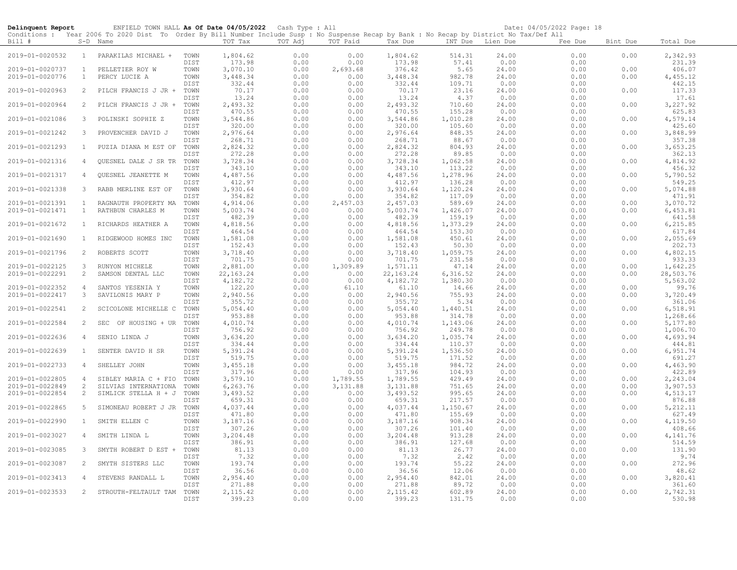| Delinquent Report                  |                              | ENFIELD TOWN HALL As Of Date 04/05/2022 Cash Type : All<br>Conditions : Year 2006 To 2020 Dist To Order By Bill Number Include Susp : No Suspense Recap by Bank : No Recap by District No Tax/Def All |              |                      |              |                  |                      |                    |                | Date: 04/05/2022 Page: 18 |              |                      |
|------------------------------------|------------------------------|-------------------------------------------------------------------------------------------------------------------------------------------------------------------------------------------------------|--------------|----------------------|--------------|------------------|----------------------|--------------------|----------------|---------------------------|--------------|----------------------|
| Bill #                             |                              | S-D Name                                                                                                                                                                                              |              | TOT Tax              | TOT Adj      | TOT Paid         | Tax Due              | INT Due Lien Due   |                | Fee Due                   | Bint Due     | Total Due            |
| 2019-01-0020532                    | $\mathbf{1}$                 | PARAKILAS MICHAEL +                                                                                                                                                                                   | TOWN<br>DIST | 1,804.62<br>173.98   | 0.00<br>0.00 | 0.00<br>0.00     | 1,804.62<br>173.98   | 514.31<br>57.41    | 24.00<br>0.00  | 0.00<br>0.00              | 0.00         | 2,342.93<br>231.39   |
| 2019-01-0020737                    | $\mathbf{1}$                 | PELLETIER ROY W                                                                                                                                                                                       | TOWN         | 3,070.10             | 0.00         | 2,693.68         | 376.42               | 5.65               | 24.00          | 0.00                      | 0.00         | 406.07               |
| 2019-01-0020776                    | $\mathbf{1}$                 | PERCY LUCIE A                                                                                                                                                                                         | TOWN         | 3,448.34             | 0.00         | 0.00             | 3,448.34             | 982.78             | 24.00          | 0.00                      | 0.00         | 4,455.12             |
|                                    |                              |                                                                                                                                                                                                       | DIST         | 332.44               | 0.00         | 0.00             | 332.44               | 109.71             | 0.00           | 0.00                      |              | 442.15               |
| 2019-01-0020963                    | 2                            | PILCH FRANCIS J JR +                                                                                                                                                                                  | TOWN         | 70.17                | 0.00         | 0.00             | 70.17                | 23.16              | 24.00          | 0.00                      | 0.00         | 117.33               |
|                                    |                              |                                                                                                                                                                                                       | DIST         | 13.24                | 0.00         | 0.00             | 13.24                | 4.37               | 0.00           | 0.00                      |              | 17.61                |
| 2019-01-0020964                    | 2                            | PILCH FRANCIS J JR +                                                                                                                                                                                  | TOWN<br>DIST | 2,493.32<br>470.55   | 0.00<br>0.00 | 0.00<br>0.00     | 2,493.32<br>470.55   | 710.60<br>155.28   | 24.00<br>0.00  | 0.00<br>0.00              | 0.00         | 3,227.92<br>625.83   |
| 2019-01-0021086                    | $\mathbf{3}$                 | POLINSKI SOPHIE Z                                                                                                                                                                                     | TOWN         | 3,544.86             | 0.00         | 0.00             | 3,544.86             | 1,010.28           | 24.00          | 0.00                      | 0.00         | 4,579.14             |
|                                    |                              |                                                                                                                                                                                                       | DIST         | 320.00               | 0.00         | 0.00             | 320.00               | 105.60             | 0.00           | 0.00                      |              | 425.60               |
| 2019-01-0021242                    | 3                            | PROVENCHER DAVID J                                                                                                                                                                                    | TOWN         | 2,976.64             | 0.00         | 0.00             | 2,976.64             | 848.35             | 24.00          | 0.00                      | 0.00         | 3,848.99             |
|                                    |                              |                                                                                                                                                                                                       | DIST         | 268.71               | 0.00         | 0.00             | 268.71               | 88.67              | 0.00           | 0.00                      |              | 357.38               |
| 2019-01-0021293                    | $\mathbf{1}$                 | PUZIA DIANA M EST OF                                                                                                                                                                                  | TOWN<br>DIST | 2,824.32             | 0.00         | 0.00             | 2,824.32             | 804.93             | 24.00          | 0.00                      | 0.00         | 3,653.25             |
| 2019-01-0021316                    | $\overline{4}$               | OUESNEL DALE J SR TR                                                                                                                                                                                  | TOWN         | 272.28<br>3,728.34   | 0.00<br>0.00 | 0.00<br>0.00     | 272.28<br>3,728.34   | 89.85<br>1,062.58  | 0.00<br>24.00  | 0.00<br>0.00              | 0.00         | 362.13<br>4,814.92   |
|                                    |                              |                                                                                                                                                                                                       | DIST         | 343.10               | 0.00         | 0.00             | 343.10               | 113.22             | 0.00           | 0.00                      |              | 456.32               |
| 2019-01-0021317                    | 4                            | QUESNEL JEANETTE M                                                                                                                                                                                    | TOWN         | 4,487.56             | 0.00         | 0.00             | 4,487.56             | 1,278.96           | 24.00          | 0.00                      | 0.00         | 5,790.52             |
|                                    |                              |                                                                                                                                                                                                       | DIST         | 412.97               | 0.00         | 0.00             | 412.97               | 136.28             | 0.00           | 0.00                      |              | 549.25               |
| 2019-01-0021338                    | 3                            | RABB MERLINE EST OF                                                                                                                                                                                   | TOWN         | 3,930.64             | 0.00         | 0.00             | 3,930.64             | 1,120.24           | 24.00          | 0.00                      | 0.00         | 5,074.88             |
|                                    |                              |                                                                                                                                                                                                       | DIST         | 354.82               | 0.00         | 0.00             | 354.82               | 117.09             | 0.00           | 0.00                      |              | 471.91               |
| 2019-01-0021391<br>2019-01-0021471 | $\mathbf{1}$<br>$\mathbf{1}$ | RAGNAUTH PROPERTY MA<br>RATHBUN CHARLES M                                                                                                                                                             | TOWN<br>TOWN | 4,914.06<br>5,003.74 | 0.00<br>0.00 | 2,457.03<br>0.00 | 2,457.03<br>5,003.74 | 589.69<br>1,426.07 | 24.00<br>24.00 | 0.00<br>0.00              | 0.00<br>0.00 | 3,070.72<br>6,453.81 |
|                                    |                              |                                                                                                                                                                                                       | DIST         | 482.39               | 0.00         | 0.00             | 482.39               | 159.19             | 0.00           | 0.00                      |              | 641.58               |
| 2019-01-0021672                    | $\mathbf{1}$                 | RICHARDS HEATHER A                                                                                                                                                                                    | TOWN         | 4,818.56             | 0.00         | 0.00             | 4,818.56             | 1,373.29           | 24.00          | 0.00                      | 0.00         | 6,215.85             |
|                                    |                              |                                                                                                                                                                                                       | DIST         | 464.54               | 0.00         | 0.00             | 464.54               | 153.30             | 0.00           | 0.00                      |              | 617.84               |
| 2019-01-0021690                    | $\mathbf{1}$                 | RIDGEWOOD HOMES INC                                                                                                                                                                                   | TOWN         | 1,581.08             | 0.00         | 0.00             | 1,581.08             | 450.61             | 24.00          | 0.00                      | 0.00         | 2,055.69             |
|                                    | 2                            |                                                                                                                                                                                                       | DIST         | 152.43               | 0.00         | 0.00             | 152.43               | 50.30              | 0.00           | 0.00                      |              | 202.73               |
| 2019-01-0021796                    |                              | ROBERTS SCOTT                                                                                                                                                                                         | TOWN<br>DIST | 3,718.40<br>701.75   | 0.00<br>0.00 | 0.00<br>0.00     | 3,718.40<br>701.75   | 1,059.75<br>231.58 | 24.00<br>0.00  | 0.00<br>0.00              | 0.00         | 4,802.15<br>933.33   |
| 2019-01-0022125                    | $\mathbf{3}$                 | RUNYON MICHELE                                                                                                                                                                                        | TOWN         | 2,881.00             | 0.00         | 1,309.89         | 1,571.11             | 47.14              | 24.00          | 0.00                      | 0.00         | 1,642.25             |
| 2019-01-0022291                    | 2                            | SAMSON DENTAL LLC                                                                                                                                                                                     | TOWN         | 22, 163.24           | 0.00         | 0.00             | 22, 163. 24          | 6,316.52           | 24.00          | 0.00                      | 0.00         | 28,503.76            |
|                                    |                              |                                                                                                                                                                                                       | DIST         | 4,182.72             | 0.00         | 0.00             | 4,182.72             | 1,380.30           | 0.00           | 0.00                      |              | 5,563.02             |
| 2019-01-0022352                    | 4                            | SANTOS YESENIA Y                                                                                                                                                                                      | TOWN         | 122.20               | 0.00         | 61.10            | 61.10                | 14.66              | 24.00          | 0.00                      | 0.00         | 99.76                |
| 2019-01-0022417                    | $\mathbf{3}$                 | SAVILONIS MARY P                                                                                                                                                                                      | TOWN<br>DIST | 2,940.56<br>355.72   | 0.00<br>0.00 | 0.00<br>0.00     | 2,940.56<br>355.72   | 755.93<br>5.34     | 24.00<br>0.00  | 0.00<br>0.00              | 0.00         | 3,720.49<br>361.06   |
| 2019-01-0022541                    | 2                            | SCICOLONE MICHELLE C                                                                                                                                                                                  | TOWN         | 5,054.40             | 0.00         | 0.00             | 5,054.40             | 1,440.51           | 24.00          | 0.00                      | 0.00         | 6,518.91             |
|                                    |                              |                                                                                                                                                                                                       | DIST         | 953.88               | 0.00         | 0.00             | 953.88               | 314.78             | 0.00           | 0.00                      |              | 1,268.66             |
| 2019-01-0022584                    | 2                            | SEC OF HOUSING + UR                                                                                                                                                                                   | TOWN         | 4,010.74             | 0.00         | 0.00             | 4,010.74             | 1,143.06           | 24.00          | 0.00                      | 0.00         | 5,177.80             |
|                                    |                              |                                                                                                                                                                                                       | DIST         | 756.92               | 0.00         | 0.00             | 756.92               | 249.78             | 0.00           | 0.00                      |              | 1,006.70             |
| 2019-01-0022636                    | $\overline{4}$               | SENIO LINDA J                                                                                                                                                                                         | TOWN         | 3,634.20<br>334.44   | 0.00<br>0.00 | 0.00<br>0.00     | 3,634.20             | 1,035.74           | 24.00<br>0.00  | 0.00<br>0.00              | 0.00         | 4,693.94<br>444.81   |
| 2019-01-0022639                    | $\mathbf{1}$                 | SENTER DAVID H SR                                                                                                                                                                                     | DIST<br>TOWN | 5,391.24             | 0.00         | 0.00             | 334.44<br>5,391.24   | 110.37<br>1,536.50 | 24.00          | 0.00                      | 0.00         | 6,951.74             |
|                                    |                              |                                                                                                                                                                                                       | DIST         | 519.75               | 0.00         | 0.00             | 519.75               | 171.52             | 0.00           | 0.00                      |              | 691.27               |
| 2019-01-0022733                    | $\overline{4}$               | SHELLEY JOHN                                                                                                                                                                                          | TOWN         | 3,455.18             | 0.00         | 0.00             | 3,455.18             | 984.72             | 24.00          | 0.00                      | 0.00         | 4,463.90             |
|                                    |                              |                                                                                                                                                                                                       | DIST         | 317.96               | 0.00         | 0.00             | 317.96               | 104.93             | 0.00           | 0.00                      |              | 422.89               |
| 2019-01-0022805                    | 4                            | SIBLEY MARIA C + FIO                                                                                                                                                                                  | TOWN         | 3,579.10             | 0.00         | 1,789.55         | 1,789.55             | 429.49             | 24.00          | 0.00                      | 0.00         | 2,243.04             |
| 2019-01-0022849<br>2019-01-0022854 | 2<br>2                       | SILVIAS INTERNATIONA<br>SIMLICK STELLA H + J                                                                                                                                                          | TOWN<br>TOWN | 6,263.76<br>3,493.52 | 0.00<br>0.00 | 3,131.88<br>0.00 | 3,131.88<br>3,493.52 | 751.65<br>995.65   | 24.00<br>24.00 | 0.00<br>0.00              | 0.00<br>0.00 | 3,907.53<br>4,513.17 |
|                                    |                              |                                                                                                                                                                                                       | DIST         | 659.31               | 0.00         | 0.00             | 659.31               | 217.57             | 0.00           | 0.00                      |              | 876.88               |
| 2019-01-0022865                    | 5                            | SIMONEAU ROBERT J JR                                                                                                                                                                                  | TOWN         | 4,037.44             | 0.00         | 0.00             | 4,037.44             | 1,150.67           | 24.00          | 0.00                      | 0.00         | 5, 212.11            |
|                                    |                              |                                                                                                                                                                                                       | DIST         | 471.80               | 0.00         | 0.00             | 471.80               | 155.69             | 0.00           | 0.00                      |              | 627.49               |
| 2019-01-0022990                    | $\mathbf{1}$                 | SMITH ELLEN C                                                                                                                                                                                         | TOWN         | 3,187.16             | 0.00         | 0.00             | 3,187.16             | 908.34             | 24.00          | 0.00                      | 0.00         | 4,119.50             |
|                                    |                              |                                                                                                                                                                                                       | DIST         | 307.26               | 0.00         | 0.00             | 307.26               | 101.40             | 0.00           | 0.00                      |              | 408.66               |
| 2019-01-0023027                    | 4                            | SMITH LINDA L                                                                                                                                                                                         | TOWN<br>DIST | 3,204.48<br>386.91   | 0.00<br>0.00 | 0.00<br>0.00     | 3,204.48<br>386.91   | 913.28<br>127.68   | 24.00<br>0.00  | 0.00<br>0.00              | 0.00         | 4,141.76<br>514.59   |
| 2019-01-0023085                    | $\mathbf{3}$                 | SMYTH ROBERT D EST +                                                                                                                                                                                  | TOWN         | 81.13                | 0.00         | 0.00             | 81.13                | 26.77              | 24.00          | 0.00                      | 0.00         | 131.90               |
|                                    |                              |                                                                                                                                                                                                       | DIST         | 7.32                 | 0.00         | 0.00             | 7.32                 | 2.42               | 0.00           | 0.00                      |              | 9.74                 |
| 2019-01-0023087                    | 2                            | SMYTH SISTERS LLC                                                                                                                                                                                     | TOWN         | 193.74               | 0.00         | 0.00             | 193.74               | 55.22              | 24.00          | 0.00                      | 0.00         | 272.96               |
|                                    |                              |                                                                                                                                                                                                       | DIST         | 36.56                | 0.00         | 0.00             | 36.56                | 12.06              | 0.00           | 0.00                      |              | 48.62                |
| 2019-01-0023413                    | $\overline{4}$               | STEVENS RANDALL L                                                                                                                                                                                     | TOWN         | 2,954.40             | 0.00<br>0.00 | 0.00             | 2,954.40             | 842.01<br>89.72    | 24.00          | 0.00                      | 0.00         | 3,820.41             |
| 2019-01-0023533                    | 2                            | STROUTH-FELTAULT TAM                                                                                                                                                                                  | DIST<br>TOWN | 271.88<br>2, 115.42  | 0.00         | 0.00<br>0.00     | 271.88<br>2, 115.42  | 602.89             | 0.00<br>24.00  | 0.00<br>0.00              | 0.00         | 361.60<br>2,742.31   |
|                                    |                              |                                                                                                                                                                                                       | DIST         | 399.23               | 0.00         | 0.00             | 399.23               | 131.75             | 0.00           | 0.00                      |              | 530.98               |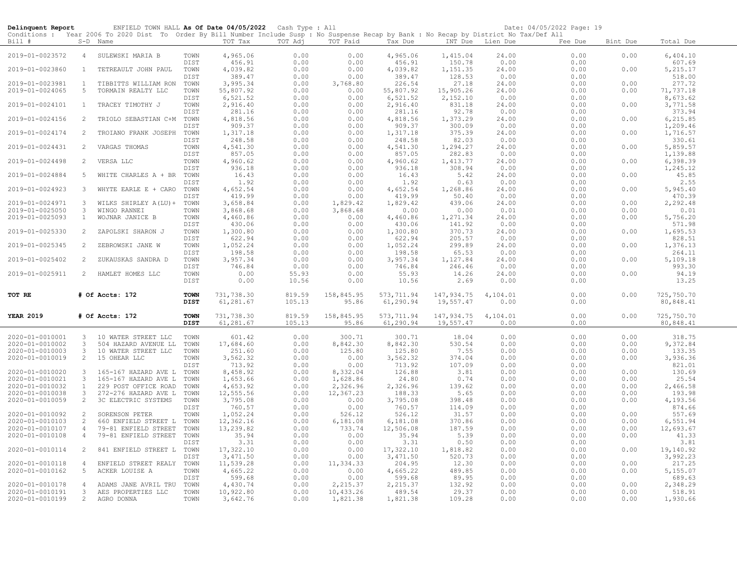| Delinquent Report                  |                | ENFIELD TOWN HALL As Of Date 04/05/2022 Cash Type : All<br>Conditions : Year 2006 To 2020 Dist To Order By Bill Number Include Susp : No Suspense Recap by Bank : No Recap by District No Tax/Def All |              |                       |              |                       |                    |                    |                  | Date: 04/05/2022 Page: 19 |              |                     |
|------------------------------------|----------------|-------------------------------------------------------------------------------------------------------------------------------------------------------------------------------------------------------|--------------|-----------------------|--------------|-----------------------|--------------------|--------------------|------------------|---------------------------|--------------|---------------------|
| Bill #                             |                | $S-D$ Name                                                                                                                                                                                            |              | TOT Tax               | TOT Adj      | TOT Paid              | Tax Due            |                    | INT Due Lien Due | Fee Due                   | Bint Due     | Total Due           |
| 2019-01-0023572                    | $\overline{4}$ | SULEWSKI MARIA B                                                                                                                                                                                      | TOWN         | 4,965.06              | 0.00         | 0.00                  | 4,965.06           | 1,415.04           | 24.00            | 0.00                      | 0.00         | 6,404.10            |
| 2019-01-0023860                    | $\mathbf{1}$   | TETREAULT JOHN PAUL                                                                                                                                                                                   | DIST<br>TOWN | 456.91<br>4,039.82    | 0.00<br>0.00 | 0.00<br>0.00          | 456.91<br>4,039.82 | 150.78<br>1,151.35 | 0.00<br>24.00    | 0.00<br>0.00              | 0.00         | 607.69<br>5, 215.17 |
|                                    |                |                                                                                                                                                                                                       | DIST         | 389.47                | 0.00         | 0.00                  | 389.47             | 128.53             | 0.00             | 0.00                      |              | 518.00              |
| 2019-01-0023981                    | $\mathbf{1}$   | TIBBITTS WILLIAM RON                                                                                                                                                                                  | TOWN         | 3,995.34              | 0.00         | 3,768.80              | 226.54             | 27.18              | 24.00            | 0.00                      | 0.00         | 277.72              |
| 2019-01-0024065                    | -5             | TORMAIN REALTY LLC                                                                                                                                                                                    | TOWN         | 55,807.92             | 0.00         | 0.00                  | 55,807.92          | 15,905.26          | 24.00            | 0.00                      | 0.00         | 71,737.18           |
|                                    |                |                                                                                                                                                                                                       | DIST<br>TOWN | 6,521.52              | 0.00         | 0.00                  | 6,521.52           | 2,152.10<br>831.18 | 0.00             | 0.00                      |              | 8,673.62            |
| 2019-01-0024101                    | $\mathbf{1}$   | TRACEY TIMOTHY J                                                                                                                                                                                      | DIST         | 2,916.40<br>281.16    | 0.00<br>0.00 | 0.00<br>0.00          | 2,916.40<br>281.16 | 92.78              | 24.00<br>0.00    | 0.00<br>0.00              | 0.00         | 3,771.58<br>373.94  |
| 2019-01-0024156                    | 2              | TRIOLO SEBASTIAN C+M                                                                                                                                                                                  | TOWN         | 4,818.56              | 0.00         | 0.00                  | 4,818.56           | 1,373.29           | 24.00            | 0.00                      | 0.00         | 6,215.85            |
|                                    |                |                                                                                                                                                                                                       | DIST         | 909.37                | 0.00         | 0.00                  | 909.37             | 300.09             | 0.00             | 0.00                      |              | 1,209.46            |
| 2019-01-0024174                    | 2              | TROIANO FRANK JOSEPH                                                                                                                                                                                  | TOWN         | 1,317.18              | 0.00         | 0.00                  | 1,317.18           | 375.39             | 24.00            | 0.00                      | 0.00         | 1,716.57            |
|                                    |                |                                                                                                                                                                                                       | DIST         | 248.58                | 0.00         | 0.00                  | 248.58             | 82.03              | 0.00             | 0.00                      |              | 330.61              |
| 2019-01-0024431                    | 2              | VARGAS THOMAS                                                                                                                                                                                         | TOWN         | 4,541.30              | 0.00         | 0.00                  | 4,541.30           | 1,294.27           | 24.00            | 0.00                      | 0.00         | 5,859.57            |
|                                    |                |                                                                                                                                                                                                       | DIST         | 857.05                | 0.00         | 0.00                  | 857.05             | 282.83             | 0.00             | 0.00                      |              | 1,139.88            |
| 2019-01-0024498                    | 2              | VERSA LLC                                                                                                                                                                                             | TOWN         | 4,960.62              | 0.00         | 0.00                  | 4,960.62           | 1,413.77           | 24.00            | 0.00                      | 0.00         | 6,398.39            |
|                                    |                |                                                                                                                                                                                                       | DIST         | 936.18                | 0.00         | 0.00                  | 936.18             | 308.94             | 0.00             | 0.00                      |              | 1,245.12            |
| 2019-01-0024884                    | -5             | WHITE CHARLES A + BR                                                                                                                                                                                  | TOWN         | 16.43                 | 0.00         | 0.00                  | 16.43              | 5.42               | 24.00            | 0.00                      | 0.00         | 45.85               |
|                                    |                |                                                                                                                                                                                                       | DIST         | 1.92                  | 0.00         | 0.00                  | 1.92               | 0.63               | 0.00             | 0.00                      |              | 2.55                |
| 2019-01-0024923                    | $\overline{3}$ | WHYTE EARLE E + CARO                                                                                                                                                                                  | TOWN         | 4,652.54              | 0.00         | 0.00                  | 4,652.54           | 1,268.86           | 24.00            | 0.00                      | 0.00         | 5,945.40            |
|                                    |                |                                                                                                                                                                                                       | DIST         | 419.99                | 0.00         | 0.00                  | 419.99             | 50.40              | 0.00             | 0.00                      |              | 470.39              |
| 2019-01-0024971                    | 3              | WILKS SHIRLEY A (LU) +                                                                                                                                                                                | TOWN         | 3,658.84              | 0.00         | 1,829.42              | 1,829.42           | 439.06             | 24.00            | 0.00                      | 0.00         | 2,292.48            |
| 2019-01-0025050                    | $\mathbf{3}$   | WINGO RANNEI                                                                                                                                                                                          | TOWN         | 3,868.68              | 0.00         | 3,868.68              | 0.00               | 0.00               | 0.01             | 0.00                      | 0.00         | 0.01                |
| 2019-01-0025093                    | $\mathbf{1}$   | WOJNAR JANICE B                                                                                                                                                                                       | TOWN<br>DIST | 4,460.86<br>430.06    | 0.00<br>0.00 | 0.00<br>0.00          | 4,460.86<br>430.06 | 1,271.34<br>141.92 | 24.00<br>0.00    | 0.00<br>0.00              | 0.00         | 5,756.20<br>571.98  |
| 2019-01-0025330                    | 2              | ZAPOLSKI SHARON J                                                                                                                                                                                     | TOWN         | 1,300.80              | 0.00         | 0.00                  | 1,300.80           | 370.73             | 24.00            | 0.00                      | 0.00         | 1,695.53            |
|                                    |                |                                                                                                                                                                                                       | DIST         | 622.94                | 0.00         | 0.00                  | 622.94             | 205.57             | 0.00             | 0.00                      |              | 828.51              |
| 2019-01-0025345                    | $\overline{2}$ | ZEBROWSKI JANE W                                                                                                                                                                                      | TOWN         | 1,052.24              | 0.00         | 0.00                  | 1,052.24           | 299.89             | 24.00            | 0.00                      | 0.00         | 1,376.13            |
|                                    |                |                                                                                                                                                                                                       | DIST         | 198.58                | 0.00         | 0.00                  | 198.58             | 65.53              | 0.00             | 0.00                      |              | 264.11              |
| 2019-01-0025402                    | 2              | ZUKAUSKAS SANDRA D                                                                                                                                                                                    | TOWN         | 3,957.34              | 0.00         | 0.00                  | 3,957.34           | 1,127.84           | 24.00            | 0.00                      | 0.00         | 5,109.18            |
|                                    |                |                                                                                                                                                                                                       | DIST         | 746.84                | 0.00         | 0.00                  | 746.84             | 246.46             | 0.00             | 0.00                      |              | 993.30              |
| 2019-01-0025911                    | 2              | HAMLET HOMES LLC                                                                                                                                                                                      | TOWN         | 0.00                  | 55.93        | 0.00                  | 55.93              | 14.26              | 24.00            | 0.00                      | 0.00         | 94.19               |
|                                    |                |                                                                                                                                                                                                       | DIST         | 0.00                  | 10.56        | 0.00                  | 10.56              | 2.69               | 0.00             | 0.00                      |              | 13.25               |
| TOT RE                             |                | # Of Accts: 172                                                                                                                                                                                       | <b>TOWN</b>  | 731,738.30            | 819.59       | 158,845.95            | 573, 711.94        | 147,934.75         | 4,104.01         | 0.00                      | 0.00         | 725,750.70          |
|                                    |                |                                                                                                                                                                                                       | <b>DIST</b>  | 61,281.67             | 105.13       | 95.86                 | 61,290.94          | 19,557.47          | 0.00             | 0.00                      |              | 80,848.41           |
| <b>YEAR 2019</b>                   |                | # Of Accts: 172                                                                                                                                                                                       | <b>TOWN</b>  | 731,738.30            | 819.59       | 158,845.95            | 573, 711.94        | 147,934.75         | 4,104.01         | 0.00                      | 0.00         | 725,750.70          |
|                                    |                |                                                                                                                                                                                                       | <b>DIST</b>  | 61,281.67             | 105.13       | 95.86                 | 61,290.94          | 19,557.47          | 0.00             | 0.00                      |              | 80,848.41           |
| 2020-01-0010001                    | 3 <sup>1</sup> | 10 WATER STREET LLC                                                                                                                                                                                   | TOWN         | 601.42                | 0.00         | 300.71                | 300.71             | 18.04              | 0.00             | 0.00                      | 0.00         | 318.75              |
| 2020-01-0010002                    | 3              | 504 HAZARD AVENUE LL                                                                                                                                                                                  | TOWN         | 17,684.60             | 0.00         | 8,842.30              | 8,842.30           | 530.54             | 0.00             | 0.00                      | 0.00         | 9,372.84            |
| 2020-01-0010003                    | 3              | 10 WATER STREET LLC                                                                                                                                                                                   | TOWN         | 251.60                | 0.00         | 125.80                | 125.80             | 7.55               | 0.00             | 0.00                      | 0.00         | 133.35              |
| 2020-01-0010019                    | $\overline{2}$ | 15 OHEAR LLC                                                                                                                                                                                          | TOWN         | 3,562.32              | 0.00         | 0.00                  | 3,562.32           | 374.04             | 0.00             | 0.00                      | 0.00         | 3,936.36            |
|                                    |                |                                                                                                                                                                                                       | DIST         | 713.92                | 0.00         | 0.00                  | 713.92             | 107.09             | 0.00             | 0.00                      |              | 821.01              |
| 2020-01-0010020                    | 3              | 165-167 HAZARD AVE L TOWN                                                                                                                                                                             |              | 8,458.92              | 0.00         | 8,332.04              | 126.88             | 3.81               | 0.00             | 0.00                      | 0.00         | 130.69              |
| 2020-01-0010021                    | 3              | 165-167 HAZARD AVE L                                                                                                                                                                                  | TOWN         | 1,653.66              | 0.00         | 1,628.86              | 24.80              | 0.74               | 0.00             | 0.00                      | 0.00         | 25.54               |
| 2020-01-0010032                    | $\mathbf{1}$   | 229 POST OFFICE ROAD                                                                                                                                                                                  | TOWN         | 4,653.92              | 0.00         | 2,326.96              | 2,326.96           | 139.62<br>5.65     | 0.00<br>0.00     | 0.00<br>0.00              | 0.00         | 2,466.58<br>193.98  |
| 2020-01-0010038<br>2020-01-0010059 | 3<br>2         | 272-276 HAZARD AVE L<br>3C ELECTRIC SYSTEMS                                                                                                                                                           | TOWN<br>TOWN | 12,555.56<br>3,795.08 | 0.00<br>0.00 | 12,367.23<br>0.00     | 188.33<br>3,795.08 | 398.48             | 0.00             | 0.00                      | 0.00<br>0.00 | 4,193.56            |
|                                    |                |                                                                                                                                                                                                       | DIST         | 760.57                | 0.00         | 0.00                  | 760.57             | 114.09             | 0.00             | 0.00                      |              | 874.66              |
| 2020-01-0010092                    | 2              | SORENSON PETER                                                                                                                                                                                        | TOWN         | 1,052.24              | 0.00         | 526.12                | 526.12             | 31.57              | 0.00             | 0.00                      | 0.00         | 557.69              |
| 2020-01-0010103                    | 2              | 660 ENFIELD STREET L                                                                                                                                                                                  | TOWN         | 12,362.16             | 0.00         | 6,181.08              | 6,181.08           | 370.86             | 0.00             | 0.00                      | 0.00         | 6,551.94            |
| 2020-01-0010107                    | $\overline{4}$ | 79-81 ENFIELD STREET                                                                                                                                                                                  | TOWN         | 13,239.82             | 0.00         | 733.74                | 12,506.08          | 187.59             | 0.00             | 0.00                      | 0.00         | 12,693.67           |
| 2020-01-0010108                    | $\overline{4}$ | 79-81 ENFIELD STREET                                                                                                                                                                                  | TOWN         | 35.94                 | 0.00         | 0.00                  | 35.94              | 5.39               | 0.00             | 0.00                      | 0.00         | 41.33               |
|                                    |                |                                                                                                                                                                                                       | DIST         | 3.31                  | 0.00         | 0.00                  | 3.31               | 0.50               | 0.00             | 0.00                      |              | 3.81                |
| 2020-01-0010114                    | 2              | 841 ENFIELD STREET L TOWN                                                                                                                                                                             |              | 17,322.10             | 0.00         | 0.00                  | 17,322.10          | 1,818.82           | 0.00             | 0.00                      | 0.00         | 19,140.92           |
|                                    |                |                                                                                                                                                                                                       | DIST         | 3,471.50              | 0.00         | 0.00                  | 3,471.50           | 520.73             | 0.00             | 0.00                      |              | 3,992.23            |
| 2020-01-0010118                    | $\overline{4}$ | ENFIELD STREET REALY                                                                                                                                                                                  | TOWN         | 11,539.28             | 0.00         | 11,334.33             | 204.95             | 12.30              | 0.00             | 0.00                      | 0.00         | 217.25              |
| 2020-01-0010162                    | 5              | ACKER LOUISE A                                                                                                                                                                                        | TOWN         | 4,665.22              | 0.00         | 0.00                  | 4,665.22           | 489.85             | 0.00             | 0.00                      | 0.00         | 5,155.07            |
| 2020-01-0010178                    | $\overline{4}$ |                                                                                                                                                                                                       | DIST<br>TOWN | 599.68                | 0.00<br>0.00 | 0.00                  | 599.68<br>2,215.37 | 89.95<br>132.92    | 0.00<br>0.00     | 0.00                      | 0.00         | 689.63<br>2,348.29  |
| 2020-01-0010191                    | $\mathbf{3}$   | ADAMS JANE AVRIL TRU<br>AES PROPERTIES LLC                                                                                                                                                            | TOWN         | 4,430.74<br>10,922.80 | 0.00         | 2,215.37<br>10,433.26 | 489.54             | 29.37              | 0.00             | 0.00<br>0.00              | 0.00         | 518.91              |
| 2020-01-0010199                    | $2^{\circ}$    | AGRO DONNA                                                                                                                                                                                            | TOWN         | 3,642.76              | 0.00         | 1,821.38              | 1,821.38           | 109.28             | 0.00             | 0.00                      | 0.00         | 1,930.66            |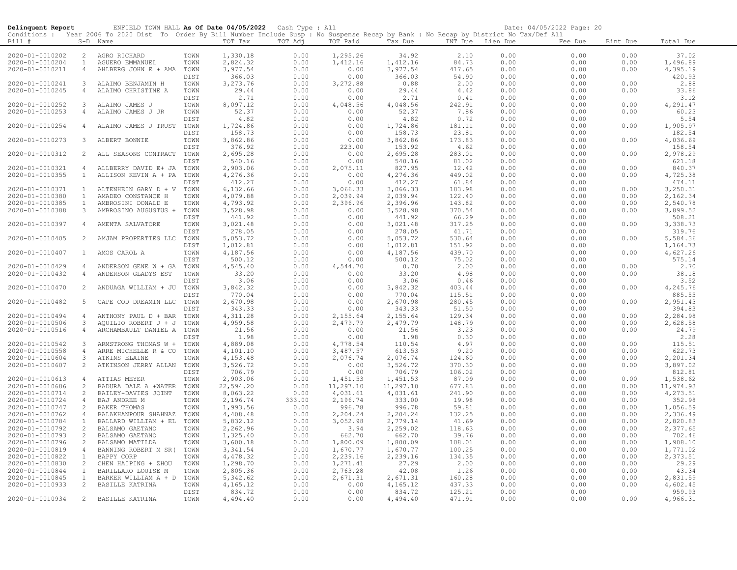| Delinquent Report                  |                | ENFIELD TOWN HALL As Of Date 04/05/2022 Cash Type : All<br>Conditions : Year 2006 To 2020 Dist To Order By Bill Number Include Susp : No Suspense Recap by Bank : No Recap by District No Tax/Def All |              |                      |              |                |                      |                  |              | Date: 04/05/2022 Page: 20 |              |                      |
|------------------------------------|----------------|-------------------------------------------------------------------------------------------------------------------------------------------------------------------------------------------------------|--------------|----------------------|--------------|----------------|----------------------|------------------|--------------|---------------------------|--------------|----------------------|
| Bill #                             |                | S-D Name                                                                                                                                                                                              |              | TOT Tax              | TOT Adj      | TOT Paid       | Tax Due              | INT Due Lien Due |              | Fee Due                   | Bint Due     | Total Due            |
| 2020-01-0010202                    | $\overline{2}$ | AGRO RICHARD                                                                                                                                                                                          | TOWN         | 1,330.18             | 0.00         | 1,295.26       | 34.92                | 2.10             | 0.00         | 0.00                      | 0.00         | 37.02                |
| 2020-01-0010204                    | $\mathbf{1}$   | AGUERO EMMANUEL                                                                                                                                                                                       | TOWN         | 2,824.32             | 0.00         | 1,412.16       | 1,412.16             | 84.73            | 0.00         | 0.00                      | 0.00         | 1,496.89             |
| 2020-01-0010211                    | $\overline{4}$ | AHLBERG JOHN E + AMA                                                                                                                                                                                  | TOWN         | 3,977.54             | 0.00         | 0.00           | 3,977.54             | 417.65           | 0.00         | 0.00                      | 0.00         | 4,395.19             |
|                                    |                |                                                                                                                                                                                                       | DIST         | 366.03               | 0.00         | 0.00           | 366.03               | 54.90            | 0.00         | 0.00                      |              | 420.93               |
| 2020-01-0010241                    | $\mathbf{3}$   | ALAIMO BENJAMIN H                                                                                                                                                                                     | TOWN         | 3,273.76             | 0.00         | 3,272.88       | 0.88                 | 2.00             | 0.00         | 0.00                      | 0.00         | 2.88                 |
| 2020-01-0010245                    | 4              | ALAIMO CHRISTINE A                                                                                                                                                                                    | TOWN         | 29.44                | 0.00         | 0.00           | 29.44                | 4.42             | 0.00         | 0.00                      | 0.00         | 33.86                |
|                                    |                |                                                                                                                                                                                                       | DIST         | 2.71                 | 0.00         | 0.00           | 2.71                 | 0.41             | 0.00         | 0.00                      |              | 3.12                 |
| 2020-01-0010252                    | $\mathbf{3}$   | ALAIMO JAMES J                                                                                                                                                                                        | TOWN         | 8,097.12             | 0.00         | 4,048.56       | 4,048.56             | 242.91           | 0.00         | 0.00                      | 0.00         | 4,291.47             |
| 2020-01-0010253                    | $\overline{4}$ | ALAIMO JAMES J JR                                                                                                                                                                                     | TOWN<br>DIST | 52.37<br>4.82        | 0.00<br>0.00 | 0.00<br>0.00   | 52.37<br>4.82        | 7.86<br>0.72     | 0.00<br>0.00 | 0.00<br>0.00              | 0.00         | 60.23<br>5.54        |
| 2020-01-0010254                    | $\overline{4}$ | ALAIMO JAMES J TRUST                                                                                                                                                                                  | TOWN         | 1,724.86             | 0.00         | 0.00           | 1,724.86             | 181.11           | 0.00         | 0.00                      | 0.00         | 1,905.97             |
|                                    |                |                                                                                                                                                                                                       | DIST         | 158.73               | 0.00         | 0.00           | 158.73               | 23.81            | 0.00         | 0.00                      |              | 182.54               |
| 2020-01-0010273                    | $\mathbf{3}$   | ALBERT BONNIE                                                                                                                                                                                         | TOWN         | 3,862.86             | 0.00         | 0.00           | 3,862.86             | 173.83           | 0.00         | 0.00                      | 0.00         | 4,036.69             |
|                                    |                |                                                                                                                                                                                                       | DIST         | 376.92               | 0.00         | 223.00         | 153.92               | 4.62             | 0.00         | 0.00                      |              | 158.54               |
| 2020-01-0010312                    | 2              | ALL SEASONS CONTRACT                                                                                                                                                                                  | TOWN         | 2,695.28             | 0.00         | 0.00           | 2,695.28             | 283.01           | 0.00         | 0.00                      | 0.00         | 2,978.29             |
|                                    |                |                                                                                                                                                                                                       | DIST         | 540.16               | 0.00         | 0.00           | 540.16               | 81.02            | 0.00         | 0.00                      |              | 621.18               |
| 2020-01-0010321                    | $\overline{4}$ | ALLBERRY DAVID E+ JA                                                                                                                                                                                  | TOWN         | 2,903.06             | 0.00         | 2,075.11       | 827.95               | 12.42            | 0.00         | 0.00                      | 0.00         | 840.37               |
| 2020-01-0010355                    | $\mathbf{1}$   | ALLISON KEVIN A + PA                                                                                                                                                                                  | TOWN         | 4,276.36<br>412.27   | 0.00<br>0.00 | 0.00<br>0.00   | 4,276.36<br>412.27   | 449.02<br>61.84  | 0.00<br>0.00 | 0.00<br>0.00              | 0.00         | 4,725.38<br>474.11   |
| 2020-01-0010371                    | $\mathbf{1}$   | ALTENHEIN GARY D + V                                                                                                                                                                                  | DIST<br>TOWN | 6,132.66             | 0.00         | 3,066.33       | 3,066.33             | 183.98           | 0.00         | 0.00                      | 0.00         | 3,250.31             |
| 2020-01-0010380                    | $\perp$        | AMADEO CONSTANCE H                                                                                                                                                                                    | TOWN         | 4,079.88             | 0.00         | 2,039.94       | 2,039.94             | 122.40           | 0.00         | 0.00                      | 0.00         | 2,162.34             |
| 2020-01-0010385                    | $\mathbf{1}$   | AMBROSINI DONALD E                                                                                                                                                                                    | TOWN         | 4,793.92             | 0.00         | 2,396.96       | 2,396.96             | 143.82           | 0.00         | 0.00                      | 0.00         | 2,540.78             |
| 2020-01-0010388                    | $\mathcal{S}$  | AMBROSINO AUGUSTUS +                                                                                                                                                                                  | TOWN         | 3,528.98             | 0.00         | 0.00           | 3,528.98             | 370.54           | 0.00         | 0.00                      | 0.00         | 3,899.52             |
|                                    |                |                                                                                                                                                                                                       | DIST         | 441.92               | 0.00         | 0.00           | 441.92               | 66.29            | 0.00         | 0.00                      |              | 508.21               |
| 2020-01-0010397                    | $\overline{4}$ | AMENTA SALVATORE                                                                                                                                                                                      | TOWN         | 3,021.48             | 0.00         | 0.00           | 3,021.48             | 317.25           | 0.00         | 0.00                      | 0.00         | 3,338.73             |
|                                    |                |                                                                                                                                                                                                       | DIST         | 278.05               | 0.00         | 0.00           | 278.05               | 41.71            | 0.00         | 0.00                      |              | 319.76               |
| 2020-01-0010405                    | 2              | AMJAM PROPERTIES LLC                                                                                                                                                                                  | TOWN<br>DIST | 5,053.72             | 0.00<br>0.00 | 0.00<br>0.00   | 5,053.72             | 530.64<br>151.92 | 0.00<br>0.00 | 0.00<br>0.00              | 0.00         | 5,584.36             |
| 2020-01-0010407                    | $\mathbf{1}$   | AMOS CAROL A                                                                                                                                                                                          | TOWN         | 1,012.81<br>4,187.56 | 0.00         | 0.00           | 1,012.81<br>4,187.56 | 439.70           | 0.00         | 0.00                      | 0.00         | 1,164.73<br>4,627.26 |
|                                    |                |                                                                                                                                                                                                       | DIST         | 500.12               | 0.00         | 0.00           | 500.12               | 75.02            | 0.00         | 0.00                      |              | 575.14               |
| 2020-01-0010429                    | $\overline{4}$ | ANDERSON GENE W + GA                                                                                                                                                                                  | TOWN         | 4,545.40             | 0.00         | 4,544.70       | 0.70                 | 2.00             | 0.00         | 0.00                      | 0.00         | 2.70                 |
| 2020-01-0010432                    | $\overline{4}$ | ANDERSON GLADYS EST                                                                                                                                                                                   | TOWN         | 33.20                | 0.00         | 0.00           | 33.20                | 4.98             | 0.00         | 0.00                      | 0.00         | 38.18                |
|                                    |                |                                                                                                                                                                                                       | DIST         | 3.06                 | 0.00         | 0.00           | 3.06                 | 0.46             | 0.00         | 0.00                      |              | 3.52                 |
| 2020-01-0010470                    | 2              | ANDUAGA WILLIAM + JU                                                                                                                                                                                  | TOWN         | 3,842.32             | 0.00         | 0.00           | 3,842.32             | 403.44           | 0.00         | 0.00                      | 0.00         | 4,245.76             |
|                                    |                |                                                                                                                                                                                                       | DIST         | 770.04               | 0.00         | 0.00           | 770.04               | 115.51           | 0.00         | 0.00                      |              | 885.55               |
| 2020-01-0010482                    | 5              | CAPE COD DREAMIN LLC                                                                                                                                                                                  | TOWN         | 2,670.98<br>343.33   | 0.00<br>0.00 | 0.00<br>0.00   | 2,670.98<br>343.33   | 280.45<br>51.50  | 0.00<br>0.00 | 0.00<br>0.00              | 0.00         | 2,951.43<br>394.83   |
| 2020-01-0010494                    | $\overline{4}$ | ANTHONY PAUL D + BAR                                                                                                                                                                                  | DIST<br>TOWN | 4, 311.28            | 0.00         | 2,155.64       | 2,155.64             | 129.34           | 0.00         | 0.00                      | 0.00         | 2,284.98             |
| 2020-01-0010506                    | 3              | AQUILIO ROBERT J + J                                                                                                                                                                                  | TOWN         | 4,959.58             | 0.00         | 2,479.79       | 2,479.79             | 148.79           | 0.00         | 0.00                      | 0.00         | 2,628.58             |
| 2020-01-0010516                    | 4              | ARCHAMBAULT DANIEL A                                                                                                                                                                                  | TOWN         | 21.56                | 0.00         | 0.00           | 21.56                | 3.23             | 0.00         | 0.00                      | 0.00         | 24.79                |
|                                    |                |                                                                                                                                                                                                       | DIST         | 1.98                 | 0.00         | 0.00           | 1.98                 | 0.30             | 0.00         | 0.00                      |              | 2.28                 |
| 2020-01-0010542                    | $\mathbf{3}$   | ARMSTRONG THOMAS W +                                                                                                                                                                                  | TOWN         | 4,889.08             | 0.00         | 4,778.54       | 110.54               | 4.97             | 0.00         | 0.00                      | 0.00         | 115.51               |
| 2020-01-0010558                    | $\overline{4}$ | ARRE MICHELLE R & CO                                                                                                                                                                                  | TOWN         | 4,101.10             | 0.00         | 3,487.57       | 613.53               | 9.20             | 0.00         | 0.00                      | 0.00         | 622.73               |
| 2020-01-0010604                    | 3              | ATKINS ELAINE                                                                                                                                                                                         | TOWN         | 4,153.48             | 0.00         | 2,076.74       | 2,076.74             | 124.60           | 0.00         | 0.00                      | 0.00         | 2,201.34             |
| 2020-01-0010607                    | 2              | ATKINSON JERRY ALLAN                                                                                                                                                                                  | TOWN<br>DIST | 3,526.72<br>706.79   | 0.00<br>0.00 | 0.00<br>0.00   | 3,526.72<br>706.79   | 370.30<br>106.02 | 0.00<br>0.00 | 0.00<br>0.00              | 0.00         | 3,897.02<br>812.81   |
| 2020-01-0010613                    | $\overline{4}$ | ATTIAS MEYER                                                                                                                                                                                          | TOWN         | 2,903.06             | 0.00         | 1,451.53       | 1,451.53             | 87.09            | 0.00         | 0.00                      | 0.00         | 1,538.62             |
| 2020-01-0010686                    | 2              | BADURA DALE A +WATER                                                                                                                                                                                  | TOWN         | 22,594.20            | 0.00         | 11,297.10      | 11,297.10            | 677.83           | 0.00         | 0.00                      | 0.00         | 11,974.93            |
| 2020-01-0010714                    | $\overline{c}$ | BAILEY-DAVIES JOINT                                                                                                                                                                                   | TOWN         | 8,063.22             | 0.00         | 4,031.61       | 4,031.61             | 241.90           | 0.00         | 0.00                      | 0.00         | 4,273.51             |
| 2020-01-0010724                    | 4              | BAJ ANDREE M                                                                                                                                                                                          | TOWN         | 2,196.74             | 333.00       | 2,196.74       | 333.00               | 19.98            | 0.00         | 0.00                      | 0.00         | 352.98               |
| 2020-01-0010747                    | 2              | <b>BAKER THOMAS</b>                                                                                                                                                                                   | TOWN         | 1,993.56             | 0.00         | 996.78         | 996.78               | 59.81            | 0.00         | 0.00                      | 0.00         | 1,056.59             |
| 2020-01-0010762                    | $\overline{4}$ | BALAKHANPOUR SHAHNAZ                                                                                                                                                                                  | TOWN         | 4,408.48             | 0.00         | 2,204.24       | 2,204.24             | 132.25           | 0.00         | 0.00                      | 0.00         | 2,336.49             |
| 2020-01-0010784                    | $\mathbf{1}$   | BALLARD WILLIAM + EL                                                                                                                                                                                  | TOWN         | 5,832.12             | 0.00         | 3,052.98       | 2,779.14             | 41.69            | 0.00         | 0.00                      | 0.00         | 2,820.83             |
| 2020-01-0010792<br>2020-01-0010793 | 2<br>2         | BALSAMO GAETANO<br>BALSAMO GAETANO                                                                                                                                                                    | TOWN<br>TOWN | 2,262.96<br>1,325.40 | 0.00<br>0.00 | 3.94<br>662.70 | 2,259.02<br>662.70   | 118.63<br>39.76  | 0.00<br>0.00 | 0.00<br>0.00              | 0.00<br>0.00 | 2,377.65<br>702.46   |
| 2020-01-0010796                    | 2              | BALSAMO MATILDA                                                                                                                                                                                       | TOWN         | 3,600.18             | 0.00         | 1,800.09       | 1,800.09             | 108.01           | 0.00         | 0.00                      | 0.00         | 1,908.10             |
| 2020-01-0010819                    | 4              | BANNING ROBERT M SR (                                                                                                                                                                                 | TOWN         | 3,341.54             | 0.00         | 1,670.77       | 1,670.77             | 100.25           | 0.00         | 0.00                      | 0.00         | 1,771.02             |
| 2020-01-0010822                    | $\overline{1}$ | BAPPY CORP                                                                                                                                                                                            | TOWN         | 4,478.32             | 0.00         | 2,239.16       | 2,239.16             | 134.35           | 0.00         | 0.00                      | 0.00         | 2,373.51             |
| 2020-01-0010830                    | 2              | CHEN HAIPING + ZHOU                                                                                                                                                                                   | TOWN         | 1,298.70             | 0.00         | 1,271.41       | 27.29                | 2.00             | 0.00         | 0.00                      | 0.00         | 29.29                |
| 2020-01-0010844                    | $\mathbf{1}$   | BARILLARO LOUISE M                                                                                                                                                                                    | TOWN         | 2,805.36             | 0.00         | 2,763.28       | 42.08                | 1.26             | 0.00         | 0.00                      | 0.00         | 43.34                |
| 2020-01-0010845                    | $\mathbf{1}$   | BARKER WILLIAM A + D                                                                                                                                                                                  | TOWN         | 5,342.62             | 0.00         | 2,671.31       | 2,671.31             | 160.28           | 0.00         | 0.00                      | 0.00         | 2,831.59             |
| 2020-01-0010933                    | $\overline{c}$ | BASILLE KATRINA                                                                                                                                                                                       | TOWN         | 4,165.12             | 0.00         | 0.00           | 4,165.12             | 437.33           | 0.00         | 0.00                      | 0.00         | 4,602.45             |
| 2020-01-0010934                    | 2              | BASILLE KATRINA                                                                                                                                                                                       | DIST<br>TOWN | 834.72<br>4,494.40   | 0.00<br>0.00 | 0.00<br>0.00   | 834.72<br>4,494.40   | 125.21<br>471.91 | 0.00<br>0.00 | 0.00<br>0.00              | 0.00         | 959.93<br>4,966.31   |
|                                    |                |                                                                                                                                                                                                       |              |                      |              |                |                      |                  |              |                           |              |                      |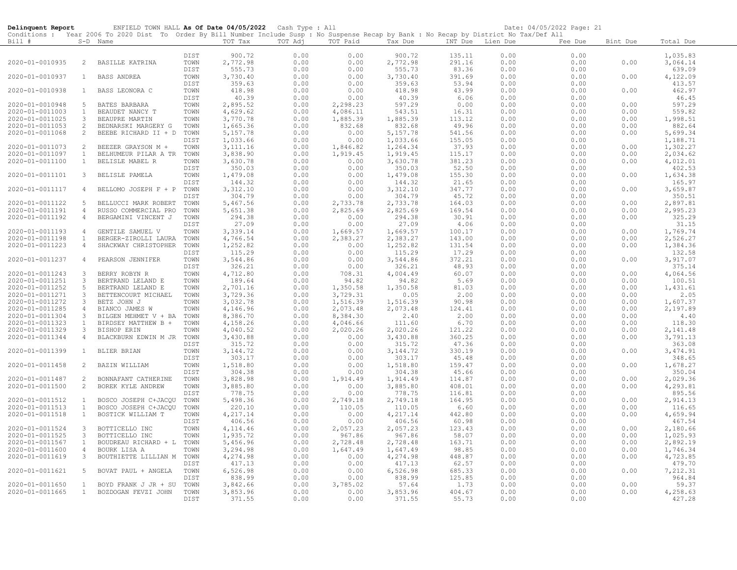| Delinquent Report                  |                     | ENFIELD TOWN HALL As Of Date 04/05/2022 Cash Type : All                                                                                                |              |                       |              |                  |                      |                  |              | Date: 04/05/2022 Page: 21 |              |                      |
|------------------------------------|---------------------|--------------------------------------------------------------------------------------------------------------------------------------------------------|--------------|-----------------------|--------------|------------------|----------------------|------------------|--------------|---------------------------|--------------|----------------------|
| Bill #                             |                     | Conditions : Year 2006 To 2020 Dist To Order By Bill Number Include Susp : No Suspense Recap by Bank : No Recap by District No Tax/Def All<br>S-D Name |              | TOT Tax               | TOT Adj      | TOT Paid         | Tax Due              | INT Due Lien Due |              | Fee Due                   | Bint Due     | Total Due            |
|                                    |                     |                                                                                                                                                        |              |                       |              |                  |                      |                  |              |                           |              |                      |
|                                    |                     |                                                                                                                                                        | DIST         | 900.72                | 0.00         | 0.00             | 900.72               | 135.11           | 0.00         | 0.00                      |              | 1,035.83             |
| 2020-01-0010935                    | $\overline{2}$      | BASILLE KATRINA                                                                                                                                        | TOWN         | 2,772.98              | 0.00         | 0.00             | 2,772.98             | 291.16           | 0.00         | 0.00                      | 0.00         | 3,064.14             |
|                                    |                     |                                                                                                                                                        | DIST         | 555.73                | 0.00         | 0.00             | 555.73               | 83.36            | 0.00         | 0.00                      |              | 639.09               |
| 2020-01-0010937                    | $\mathbf{1}$        | <b>BASS ANDREA</b>                                                                                                                                     | TOWN         | 3,730.40              | 0.00         | 0.00             | 3,730.40             | 391.69           | 0.00         | 0.00                      | 0.00         | 4,122.09             |
| 2020-01-0010938                    | $\mathbf{1}$        | BASS LEONORA C                                                                                                                                         | DIST<br>TOWN | 359.63<br>418.98      | 0.00<br>0.00 | 0.00<br>0.00     | 359.63<br>418.98     | 53.94<br>43.99   | 0.00<br>0.00 | 0.00<br>0.00              | 0.00         | 413.57<br>462.97     |
|                                    |                     |                                                                                                                                                        | DIST         | 40.39                 | 0.00         | 0.00             | 40.39                | 6.06             | 0.00         | 0.00                      |              | 46.45                |
| 2020-01-0010948                    | -5                  | BATES BARBARA                                                                                                                                          | TOWN         | 2,895.52              | 0.00         | 2,298.23         | 597.29               | 0.00             | 0.00         | 0.00                      | 0.00         | 597.29               |
| 2020-01-0011003                    | $\mathbf{1}$        | BEAUDET NANCY T                                                                                                                                        | TOWN         | 4,629.62              | 0.00         | 4,086.11         | 543.51               | 16.31            | 0.00         | 0.00                      | 0.00         | 559.82               |
| 2020-01-0011025                    | $\mathbf{3}$        | BEAUPRE MARTIN                                                                                                                                         | TOWN         | 3,770.78              | 0.00         | 1,885.39         | 1,885.39             | 113.12           | 0.00         | 0.00                      | 0.00         | 1,998.51             |
| 2020-01-0011053                    | 2                   | BEDNARSKI MARGERY G                                                                                                                                    | TOWN         | 1,665.36              | 0.00         | 832.68           | 832.68               | 49.96            | 0.00         | 0.00                      | 0.00         | 882.64               |
| 2020-01-0011068                    | 2                   | BEEBE RICHARD II + D                                                                                                                                   | TOWN<br>DIST | 5, 157.78<br>1,033.66 | 0.00<br>0.00 | 0.00<br>0.00     | 5,157.78<br>1,033.66 | 541.56<br>155.05 | 0.00<br>0.00 | 0.00<br>0.00              | 0.00         | 5,699.34<br>1,188.71 |
| 2020-01-0011073                    | 2                   | BEEZER GRAYSON M +                                                                                                                                     | TOWN         | 3, 111.16             | 0.00         | 1,846.82         | 1,264.34             | 37.93            | 0.00         | 0.00                      | 0.00         | 1,302.27             |
| 2020-01-0011097                    | $\mathbf{1}$        | BELHUMEUR PILAR A TR                                                                                                                                   | TOWN         | 3,838.90              | 0.00         | 1,919.45         | 1,919.45             | 115.17           | 0.00         | 0.00                      | 0.00         | 2,034.62             |
| 2020-01-0011100                    | $\mathbf{1}$        | BELISLE MABEL R                                                                                                                                        | TOWN         | 3,630.78              | 0.00         | 0.00             | 3,630.78             | 381.23           | 0.00         | 0.00                      | 0.00         | 4,012.01             |
|                                    |                     |                                                                                                                                                        | DIST         | 350.03                | 0.00         | 0.00             | 350.03               | 52.50            | 0.00         | 0.00                      |              | 402.53               |
| 2020-01-0011101                    | $\mathbf{3}$        | BELISLE PAMELA                                                                                                                                         | TOWN         | 1,479.08              | 0.00         | 0.00             | 1,479.08             | 155.30           | 0.00         | 0.00                      | 0.00         | 1,634.38             |
|                                    |                     |                                                                                                                                                        | DIST         | 144.32                | 0.00         | 0.00             | 144.32               | 21.65            | 0.00         | 0.00                      |              | 165.97               |
| 2020-01-0011117                    | $\overline{4}$      | BELLOMO JOSEPH F + P                                                                                                                                   | TOWN<br>DIST | 3,312.10<br>304.79    | 0.00         | 0.00<br>0.00     | 3, 312.10<br>304.79  | 347.77           | 0.00<br>0.00 | 0.00<br>0.00              | 0.00         | 3,659.87             |
| 2020-01-0011122                    | 5                   | BELLUCCI MARK ROBERT                                                                                                                                   | TOWN         | 5,467.56              | 0.00<br>0.00 | 2,733.78         | 2,733.78             | 45.72<br>164.03  | 0.00         | 0.00                      | 0.00         | 350.51<br>2,897.81   |
| 2020-01-0011191                    | $\overline{4}$      | RUSSO COMMERCIAL PRO                                                                                                                                   | TOWN         | 5,651.38              | 0.00         | 2,825.69         | 2,825.69             | 169.54           | 0.00         | 0.00                      | 0.00         | 2,995.23             |
| 2020-01-0011192                    | $\overline{4}$      | BERGAMINI VINCENT J                                                                                                                                    | TOWN         | 294.38                | 0.00         | 0.00             | 294.38               | 30.91            | 0.00         | 0.00                      | 0.00         | 325.29               |
|                                    |                     |                                                                                                                                                        | DIST         | 27.09                 | 0.00         | 0.00             | 27.09                | 4.06             | 0.00         | 0.00                      |              | 31.15                |
| 2020-01-0011193                    | $\overline{4}$      | GENTILE SAMUEL V                                                                                                                                       | TOWN         | 3,339.14              | 0.00         | 1,669.57         | 1,669.57             | 100.17           | 0.00         | 0.00                      | 0.00         | 1,769.74             |
| 2020-01-0011198                    | 1                   | BERGER-ZIROLLI LAURA                                                                                                                                   | TOWN         | 4,766.54              | 0.00         | 2,383.27         | 2,383.27             | 143.00           | 0.00         | 0.00                      | 0.00         | 2,526.27             |
| 2020-01-0011223                    | $\overline{4}$      | SHACKWAY CHRISTOPHER                                                                                                                                   | TOWN         | 1,252.82              | 0.00         | 0.00             | 1,252.82             | 131.54           | 0.00         | 0.00                      | 0.00         | 1,384.36             |
|                                    |                     |                                                                                                                                                        | DIST         | 115.29                | 0.00         | 0.00             | 115.29               | 17.29            | 0.00         | 0.00                      |              | 132.58               |
| 2020-01-0011237                    | $\overline{4}$      | PEARSON JENNIFER                                                                                                                                       | TOWN<br>DIST | 3,544.86<br>326.21    | 0.00<br>0.00 | 0.00<br>0.00     | 3,544.86<br>326.21   | 372.21<br>48.93  | 0.00<br>0.00 | 0.00<br>0.00              | 0.00         | 3,917.07<br>375.14   |
| 2020-01-0011243                    | $\mathcal{S}$       | BERRY ROBYN R                                                                                                                                          | TOWN         | 4,712.80              | 0.00         | 708.31           | 4,004.49             | 60.07            | 0.00         | 0.00                      | 0.00         | 4,064.56             |
| 2020-01-0011251                    | $\mathbf{3}$        | BERTRAND LELAND E                                                                                                                                      | TOWN         | 189.64                | 0.00         | 94.82            | 94.82                | 5.69             | 0.00         | 0.00                      | 0.00         | 100.51               |
| 2020-01-0011252                    | 5                   | BERTRAND LELAND E                                                                                                                                      | TOWN         | 2,701.16              | 0.00         | 1,350.58         | 1,350.58             | 81.03            | 0.00         | 0.00                      | 0.00         | 1,431.61             |
| 2020-01-0011271                    | $\mathcal{S}$       | BETTENCOURT MICHAEL                                                                                                                                    | TOWN         | 3,729.36              | 0.00         | 3,729.31         | 0.05                 | 2.00             | 0.00         | 0.00                      | 0.00         | 2.05                 |
| 2020-01-0011272                    | $\mathbf{3}$        | BETZ JOHN J                                                                                                                                            | TOWN         | 3,032.78              | 0.00         | 1,516.39         | 1,516.39             | 90.98            | 0.00         | 0.00                      | 0.00         | 1,607.37             |
| 2020-01-0011285                    | 4                   | BIANCO JAMES W                                                                                                                                         | TOWN         | 4,146.96              | 0.00         | 2,073.48         | 2,073.48             | 124.41           | 0.00         | 0.00                      | 0.00         | 2,197.89             |
| 2020-01-0011304                    | -3                  | BILGEN MEHMET V + BA                                                                                                                                   | TOWN         | 8,386.70              | 0.00         | 8,384.30         | 2.40                 | 2.00             | 0.00         | 0.00                      | 0.00         | 4.40                 |
| 2020-01-0011323<br>2020-01-0011329 | $\mathbf{1}$<br>3   | BIRDSEY MATTHEW B +                                                                                                                                    | TOWN         | 4,158.26<br>4,040.52  | 0.00<br>0.00 | 4,046.66         | 111.60<br>2,020.26   | 6.70             | 0.00<br>0.00 | 0.00<br>0.00              | 0.00<br>0.00 | 118.30<br>2,141.48   |
| 2020-01-0011344                    | $\overline{4}$      | BISHOP ERIN<br>BLACKBURN EDWIN M JR                                                                                                                    | TOWN<br>TOWN | 3,430.88              | 0.00         | 2,020.26<br>0.00 | 3,430.88             | 121.22<br>360.25 | 0.00         | 0.00                      | 0.00         | 3,791.13             |
|                                    |                     |                                                                                                                                                        | DIST         | 315.72                | 0.00         | 0.00             | 315.72               | 47.36            | 0.00         | 0.00                      |              | 363.08               |
| 2020-01-0011399                    | $\mathbf{1}$        | <b>BLIER BRIAN</b>                                                                                                                                     | TOWN         | 3, 144.72             | 0.00         | 0.00             | 3, 144.72            | 330.19           | 0.00         | 0.00                      | 0.00         | 3,474.91             |
|                                    |                     |                                                                                                                                                        | DIST         | 303.17                | 0.00         | 0.00             | 303.17               | 45.48            | 0.00         | 0.00                      |              | 348.65               |
| 2020-01-0011458                    | 2                   | BAZIN WILLIAM                                                                                                                                          | TOWN         | 1,518.80              | 0.00         | 0.00             | 1,518.80             | 159.47           | 0.00         | 0.00                      | 0.00         | 1,678.27             |
|                                    |                     |                                                                                                                                                        | DIST         | 304.38                | 0.00         | 0.00             | 304.38               | 45.66            | 0.00         | 0.00                      |              | 350.04               |
| 2020-01-0011487                    | 2                   | BONNAFANT CATHERINE                                                                                                                                    | TOWN         | 3,828.98              | 0.00         | 1,914.49         | 1,914.49             | 114.87           | 0.00         | 0.00                      | 0.00         | 2,029.36             |
| 2020-01-0011500                    | 2                   | BOREK KYLE ANDREW                                                                                                                                      | TOWN<br>DIST | 3,885.80<br>778.75    | 0.00<br>0.00 | 0.00<br>0.00     | 3,885.80<br>778.75   | 408.01<br>116.81 | 0.00<br>0.00 | 0.00<br>0.00              | 0.00         | 4,293.81<br>895.56   |
| 2020-01-0011512                    | 1                   | BOSCO JOSEPH C+JACQU                                                                                                                                   | TOWN         | 5,498.36              | 0.00         | 2,749.18         | 2,749.18             | 164.95           | 0.00         | 0.00                      | 0.00         | 2,914.13             |
| 2020-01-0011513                    | $\mathbf{1}$        | BOSCO JOSEPH C+JACQU                                                                                                                                   | TOWN         | 220.10                | 0.00         | 110.05           | 110.05               | 6.60             | 0.00         | 0.00                      | 0.00         | 116.65               |
| 2020-01-0011518                    | $\mathbf{1}$        | BOSTICK WILLIAM T                                                                                                                                      | TOWN         | 4,217.14              | 0.00         | 0.00             | 4,217.14             | 442.80           | 0.00         | 0.00                      | 0.00         | 4,659.94             |
|                                    |                     |                                                                                                                                                        | DIST         | 406.56                | 0.00         | 0.00             | 406.56               | 60.98            | 0.00         | 0.00                      |              | 467.54               |
| 2020-01-0011524                    | $\mathbf{3}$        | BOTTICELLO INC                                                                                                                                         | TOWN         | 4, 114.46             | 0.00         | 2,057.23         | 2,057.23             | 123.43           | 0.00         | 0.00                      | 0.00         | 2,180.66             |
| 2020-01-0011525                    | 3                   | BOTTICELLO INC                                                                                                                                         | TOWN         | 1,935.72              | 0.00         | 967.86           | 967.86               | 58.07            | 0.00         | 0.00                      | 0.00         | 1,025.93             |
| 2020-01-0011567                    | $\mathbf{1}$        | BOUDREAU RICHARD + L                                                                                                                                   | TOWN         | 5,456.96              | 0.00         | 2,728.48         | 2,728.48             | 163.71           | 0.00         | 0.00                      | 0.00         | 2,892.19             |
| 2020-01-0011600<br>2020-01-0011619 | $\overline{4}$<br>3 | BOURK LISA A<br>BOUTHIETTE LILLIAN M                                                                                                                   | TOWN<br>TOWN | 3,294.98<br>4,274.98  | 0.00<br>0.00 | 1,647.49<br>0.00 | 1,647.49<br>4,274.98 | 98.85<br>448.87  | 0.00<br>0.00 | 0.00<br>0.00              | 0.00<br>0.00 | 1,746.34<br>4,723.85 |
|                                    |                     |                                                                                                                                                        | DIST         | 417.13                | 0.00         | 0.00             | 417.13               | 62.57            | 0.00         | 0.00                      |              | 479.70               |
| 2020-01-0011621                    | -5                  | BOVAT PAUL + ANGELA                                                                                                                                    | TOWN         | 6,526.98              | 0.00         | 0.00             | 6,526.98             | 685.33           | 0.00         | 0.00                      | 0.00         | 7,212.31             |
|                                    |                     |                                                                                                                                                        | DIST         | 838.99                | 0.00         | 0.00             | 838.99               | 125.85           | 0.00         | 0.00                      |              | 964.84               |
| 2020-01-0011650                    | $\overline{1}$      | BOYD FRANK J JR + SU                                                                                                                                   | TOWN         | 3,842.66              | 0.00         | 3,785.02         | 57.64                | 1.73             | 0.00         | 0.00                      | 0.00         | 59.37                |
| 2020-01-0011665                    | 1                   | BOZDOGAN FEVZI JOHN                                                                                                                                    | TOWN         | 3,853.96              | 0.00         | 0.00             | 3,853.96             | 404.67           | 0.00         | 0.00                      | 0.00         | 4,258.63             |
|                                    |                     |                                                                                                                                                        | DIST         | 371.55                | 0.00         | 0.00             | 371.55               | 55.73            | 0.00         | 0.00                      |              | 427.28               |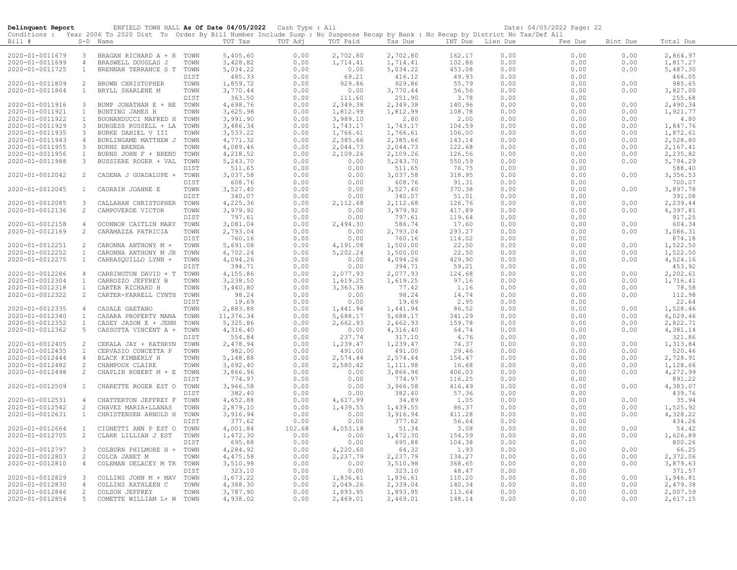| Delinquent Report |                | ENFIELD TOWN HALL As Of Date 04/05/2022 Cash Type : All                                                                                    |                     |                      |              |                    |                    |                  |              | Date: 04/05/2022 Page: 22 |          |                    |
|-------------------|----------------|--------------------------------------------------------------------------------------------------------------------------------------------|---------------------|----------------------|--------------|--------------------|--------------------|------------------|--------------|---------------------------|----------|--------------------|
|                   |                | Conditions : Year 2006 To 2020 Dist To Order By Bill Number Include Susp : No Suspense Recap by Bank : No Recap by District No Tax/Def All |                     |                      |              |                    |                    |                  |              |                           |          |                    |
| Bill #            |                | S-D Name                                                                                                                                   |                     | TOT Tax              | TOT Adj      | TOT Paid           | Tax Due            | INT Due Lien Due |              | Fee Due                   | Bint Due | Total Due          |
|                   |                |                                                                                                                                            |                     |                      |              |                    |                    |                  |              |                           |          |                    |
| 2020-01-0011679   | 3              | BRAGAN RICHARD A + R TOWN                                                                                                                  |                     | 5,405.60             | 0.00         | 2,702.80           | 2,702.80           | 162.17           | 0.00         | 0.00                      | 0.00     | 2,864.97           |
| 2020-01-0011699   | $\overline{4}$ | BRASWELL DOUGLAS J                                                                                                                         | TOWN                | 3,428.82             | 0.00         | 1,714.41           | 1,714.41           | 102.86           | 0.00         | 0.00                      | 0.00     | 1,817.27           |
| 2020-01-0011725   | $\mathbf{1}$   | BRENNAN TERRANCE S T                                                                                                                       | TOWN                | 5,034.22             | 0.00         | 0.00               | 5,034.22           | 453.08           | 0.00         | 0.00                      | 0.00     | 5,487.30           |
|                   |                |                                                                                                                                            | <b>DIST</b>         | 485.33               | 0.00         | 69.21              | 416.12             | 49.93<br>55.79   | 0.00         | 0.00                      |          | 466.05             |
| 2020-01-0011809   | 2              | BROWN CHRISTOPHER                                                                                                                          | TOWN                | 1,859.72             | 0.00         | 929.86             | 929.86             |                  | 0.00         | 0.00                      | 0.00     | 985.65             |
| 2020-01-0011864   | 1              | BRYLL SHARLENE M                                                                                                                           | TOWN                | 3,770.44             | 0.00         | 0.00               | 3,770.44           | 56.56            | 0.00         | 0.00                      | 0.00     | 3,827.00           |
| 2020-01-0011916   | $\mathbf{3}$   | BUMP JONATHAN E + RE                                                                                                                       | <b>DIST</b><br>TOWN | 363.50<br>4,698.76   | 0.00         | 111.60<br>2,349.38 | 251.90<br>2,349.38 | 3.78<br>140.96   | 0.00<br>0.00 | 0.00<br>0.00              | 0.00     | 255.68<br>2,490.34 |
| 2020-01-0011921   | $\mathbf{1}$   | BUNTING JAMES H                                                                                                                            | TOWN                | 3,625.98             | 0.00<br>0.00 | 1,812.99           | 1,812.99           | 108.78           | 0.00         | 0.00                      | 0.00     | 1,921.77           |
| 2020-01-0011922   | $\mathbf{1}$   |                                                                                                                                            | TOWN                |                      | 0.00         | 3,989.10           | 2.80               |                  | 0.00         | 0.00                      | 0.00     | 4.80               |
| 2020-01-0011929   | $\mathbf{3}$   | BUONANDUCCI MAFRED H<br>BURGESS RUSSELL + LA                                                                                               | TOWN                | 3,991.90<br>3,486.34 | 0.00         | 1,743.17           | 1,743.17           | 2.00<br>104.59   | 0.00         | 0.00                      | 0.00     | 1,847.76           |
| 2020-01-0011935   | $\mathbf{3}$   | BURKE DANIEL V III                                                                                                                         | TOWN                | 3,533.22             | 0.00         | 1,766.61           | 1,766.61           | 106.00           | 0.00         | 0.00                      | 0.00     | 1,872.61           |
| 2020-01-0011943   | $\overline{4}$ | BURLINGAME MATTHEW J                                                                                                                       | TOWN                | 4,771.32             | 0.00         | 2,385.66           | 2,385.66           | 143.14           | 0.00         | 0.00                      | 0.00     | 2,528.80           |
| 2020-01-0011955   | 3              | BURNS BRENDA                                                                                                                               | TOWN                | 4,089.46             | 0.00         | 2,044.73           | 2,044.73           | 122.68           | 0.00         | 0.00                      | 0.00     | 2,167.41           |
| 2020-01-0011956   | $\mathbf{1}$   | BURNS JOHN F + BREND                                                                                                                       | TOWN                | 4,218.52             | 0.00         | 2,109.26           | 2,109.26           | 126.56           | 0.00         | 0.00                      | 0.00     | 2,235.82           |
| 2020-01-0011988   | 3              | BUSSIERE ROGER + VAL                                                                                                                       | TOWN                | 5,243.70             | 0.00         | 0.00               | 5,243.70           | 550.59           | 0.00         | 0.00                      | 0.00     | 5,794.29           |
|                   |                |                                                                                                                                            | DIST                | 511.65               | 0.00         | 0.00               | 511.65             | 76.75            | 0.00         | 0.00                      |          | 588.40             |
| 2020-01-0012042   | 2              | CADENA J GUADALUPE +                                                                                                                       | TOWN                | 3,037.58             | 0.00         | 0.00               | 3,037.58           | 318.95           | 0.00         | 0.00                      | 0.00     | 3,356.53           |
|                   |                |                                                                                                                                            | DIST                | 608.76               | 0.00         | 0.00               | 608.76             | 91.31            | 0.00         | 0.00                      |          | 700.07             |
| 2020-01-0012045   | $\mathbf{1}$   | CADRAIN JOANNE E                                                                                                                           | TOWN                | 3,527.40             | 0.00         | 0.00               | 3,527.40           | 370.38           | 0.00         | 0.00                      | 0.00     | 3,897.78           |
|                   |                |                                                                                                                                            | DIST                | 340.07               | 0.00         | 0.00               | 340.07             | 51.01            | 0.00         | 0.00                      |          | 391.08             |
| 2020-01-0012085   | $\mathbf{3}$   | CALLAHAN CHRISTOPHER                                                                                                                       | TOWN                | 4,225.36             | 0.00         | 2,112.68           | 2,112.68           | 126.76           | 0.00         | 0.00                      | 0.00     | 2,239.44           |
| 2020-01-0012136   | $\overline{2}$ | CAMPOVERDE VICTOR                                                                                                                          | TOWN                | 3,979.92             | 0.00         | 0.00               | 3,979.92           | 417.89           | 0.00         | 0.00                      | 0.00     | 4,397.81           |
|                   |                |                                                                                                                                            | DIST                | 797.61               | 0.00         | 0.00               | 797.61             | 119.64           | 0.00         | 0.00                      |          | 917.25             |
| 2020-01-0012158   | 4              | OCONNOR CAITLIN MARY                                                                                                                       | TOWN                | 3,081.04             | 0.00         | 2,494.30           | 586.74             | 17.60            | 0.00         | 0.00                      | 0.00     | 604.34             |
| 2020-01-0012169   | $\overline{2}$ | CARAMAZZA PATRICIA                                                                                                                         | TOWN                | 2,793.04             | 0.00         | 0.00               | 2,793.04           | 293.27           | 0.00         | 0.00                      | 0.00     | 3,086.31           |
|                   |                |                                                                                                                                            | DIST                | 760.16               | 0.00         | 0.00               | 760.16             | 114.02           | 0.00         | 0.00                      |          | 874.18             |
| 2020-01-0012251   | 2              | CARONNA ANTHONY M +                                                                                                                        | TOWN                | 5,691.08             | 0.00         | 4,191.08           | 1,500.00           | 22.50            | 0.00         | 0.00                      | 0.00     | 1,522.50           |
| 2020-01-0012252   | $\overline{1}$ | CARONNA ANTHONY M JR                                                                                                                       | TOWN                | 6,702.24             | 0.00         | 5,202.24           | 1,500.00           | 22.50            | 0.00         | 0.00                      | 0.00     | 1,522.50           |
| 2020-01-0012275   | $\mathbf{1}$   | CARRASQUILLO LYNN +                                                                                                                        | TOWN                | 4,094.26             | 0.00         | 0.00               | 4,094.26           | 429.90           | 0.00         | 0.00                      | 0.00     | 4,524.16           |
|                   |                |                                                                                                                                            | DIST                | 394.71               | 0.00         | 0.00               | 394.71             | 59.21            | 0.00         | 0.00                      |          | 453.92             |
| 2020-01-0012286   | $\overline{4}$ | CARRINGTON DAVID + T                                                                                                                       | TOWN                | 4,155.86             | 0.00         | 2,077.93           | 2,077.93           | 124.68           | 0.00         | 0.00                      | 0.00     | 2,202.61           |
| 2020-01-0012304   | $\mathbf{1}$   | CARROZZO JEFFREY B                                                                                                                         | TOWN                | 3,238.50             | 0.00         | 1,619.25           | 1,619.25           | 97.16            | 0.00         | 0.00                      | 0.00     | 1,716.41           |
| 2020-01-0012318   | $\mathbf{1}$   | CARTER RICHARD H                                                                                                                           | TOWN                | 3,440.80             | 0.00         | 3,363.38           | 77.42              | 1.16             | 0.00         | 0.00                      | 0.00     | 78.58              |
| 2020-01-0012322   | $\overline{2}$ | CARTER-FARRELL CYNTH                                                                                                                       | TOWN                | 98.24                | 0.00         | 0.00               | 98.24              | 14.74            | 0.00         | 0.00                      | 0.00     | 112.98             |
|                   |                |                                                                                                                                            | DIST                | 19.69                | 0.00         | 0.00               | 19.69              | 2.95             | 0.00         | 0.00                      |          | 22.64              |
| 2020-01-0012335   | $\overline{4}$ | CASALE GAETANO                                                                                                                             | TOWN                | 2,883.88             | 0.00         | 1,441.94           | 1,441.94           | 86.52            | 0.00         | 0.00                      | 0.00     | 1,528.46           |
| 2020-01-0012340   | $\mathbf{1}$   | CASARA PROPERTY MANA                                                                                                                       | TOWN                | 11,376.34            | 0.00         | 5,688.17           | 5,688.17           | 341.29           | 0.00         | 0.00                      | 0.00     | 6,029.46           |
| 2020-01-0012352   | $\mathbf{1}$   | CASEY JASON E + JENN                                                                                                                       | TOWN                | 5,325.86             | 0.00         | 2,662.93           | 2,662.93           | 159.78           | 0.00         | 0.00                      | 0.00     | 2,822.71           |
| 2020-01-0012362   | 5              | CASSOTTA VINCENT A +                                                                                                                       | TOWN                | 4,316.40             | 0.00         | 0.00               | 4,316.40           | 64.74            | 0.00         | 0.00                      | 0.00     | 4,381.14           |
|                   |                |                                                                                                                                            | DIST                | 554.84               | 0.00         | 237.74             | 317.10             | 4.76             | 0.00         | 0.00                      |          | 321.86             |
| 2020-01-0012405   | 2              | CEKALA JAY + KATHRYN                                                                                                                       | TOWN                | 2,478.94             | 0.00         | 1,239.47           | 1,239.47           | 74.37            | 0.00         | 0.00                      | 0.00     | 1,313.84           |
| 2020-01-0012435   | $\mathbf{1}$   | CERVASIO CONCETTA P                                                                                                                        | TOWN                | 982.00               | 0.00         | 491.00             | 491.00             | 29.46            | 0.00         | 0.00                      | 0.00     | 520.46             |
| 2020-01-0012444   | $\overline{4}$ | BLACK KIMBERLY H                                                                                                                           | TOWN                | 5,148.88             | 0.00         | 2,574.44           | 2,574.44           | 154.47           | 0.00         | 0.00                      | 0.00     | 2,728.91           |
| 2020-01-0012482   | $\overline{2}$ | CHAMPOUX CLAIRE                                                                                                                            | TOWN                | 3,692.40             | 0.00         | 2,580.42           | 1,111.98           | 16.68            | 0.00         | 0.00                      | 0.00     | 1,128.66           |
| 2020-01-0012498   | 2              | CHAPLIN ROBERT M + E                                                                                                                       | TOWN                | 3,866.96             | 0.00         | 0.00               | 3,866.96           | 406.03           | 0.00         | 0.00                      | 0.00     | 4,272.99           |
|                   |                |                                                                                                                                            | DIST                | 774.97               | 0.00         | 0.00               | 774.97             | 116.25           | 0.00         | 0.00                      |          | 891.22             |
| 2020-01-0012509   | $\mathbf{1}$   | CHARETTE ROGER EST O                                                                                                                       | TOWN                | 3,966.58             | 0.00         | 0.00               | 3,966.58           | 416.49           | 0.00         | 0.00                      | 0.00     | 4,383.07           |
|                   |                |                                                                                                                                            | <b>DIST</b>         | 382.40               | 0.00         | 0.00               | 382.40             | 57.36            | 0.00         | 0.00                      |          | 439.76             |
| 2020-01-0012531   | 4              | CHATTERTON JEFFREY F                                                                                                                       | TOWN                | 4,652.88             | 0.00         | 4,617.99           | 34.89              | 1.05             | 0.00         | 0.00                      | 0.00     | 35.94              |
| 2020-01-0012542   | 2              | CHAVEZ MARIA+LLANAS                                                                                                                        | TOWN                | 2,879.10             | 0.00         | 1,439.55           | 1,439.55           | 86.37            | 0.00         | 0.00                      | 0.00     | 1,525.92           |
| 2020-01-0012631   | $\mathbf{1}$   | CHRISTENSEN ARNOLD H                                                                                                                       | TOWN                | 3,916.94             | 0.00         | 0.00               | 3,916.94           | 411.28           | 0.00         | 0.00                      | 0.00     | 4,328.22           |
|                   |                |                                                                                                                                            | DIST                | 377.62               | 0.00         | 0.00               | 377.62             | 56.64            | 0.00         | 0.00                      |          | 434.26             |
| 2020-01-0012664   | $\overline{1}$ | CIGNETTI ANN P EST O                                                                                                                       | TOWN                | 4,001.84             | 102.68       | 4,053.18           | 51.34              | 3.08             | 0.00         | 0.00                      | 0.00     | 54.42              |
| 2020-01-0012705   | 2              | CLARK LILLIAN J EST                                                                                                                        | TOWN                | 1,472.30             | 0.00         | 0.00               | 1,472.30           | 154.59           | 0.00         | 0.00                      | 0.00     | 1,626.89           |
|                   |                |                                                                                                                                            | <b>DIST</b>         | 695.88               | 0.00         | 0.00               | 695.88             | 104.38           | 0.00         | 0.00                      |          | 800.26             |
| 2020-01-0012797   | $\mathbf{3}$   | COLBURN PHILMORE H +                                                                                                                       | TOWN                | 4,284.92             | 0.00         | 4,220.60           | 64.32              | 1.93             | 0.00         | 0.00                      | 0.00     | 66.25              |
| 2020-01-0012803   | 2              | COLCA JANET M                                                                                                                              | TOWN                | 4,475.58             | 0.00         | 2,237.79           | 2,237.79           | 134.27           | 0.00         | 0.00                      | 0.00     | 2,372.06           |
| 2020-01-0012810   | 4              | COLEMAN DELACEY M TR                                                                                                                       | TOWN                | 3,510.98             | 0.00         | 0.00               | 3,510.98           | 368.65           | 0.00         | 0.00                      | 0.00     | 3,879.63           |
|                   |                |                                                                                                                                            | DIST                | 323.10               | 0.00         | 0.00               | 323.10             | 48.47            | 0.00         | 0.00                      |          | 371.57             |
| 2020-01-0012829   | $\mathbf{3}$   | COLLINS JOHN M + MAV                                                                                                                       | TOWN                | 3,673.22             | 0.00         | 1,836.61           | 1,836.61           | 110.20           | 0.00         | 0.00                      | 0.00     | 1,946.81           |
| 2020-01-0012830   | $\overline{4}$ | COLLINS KATHLEEN C                                                                                                                         | TOWN                | 4,388.30             | 0.00         | 2,049.26           | 2,339.04           | 140.34           | 0.00         | 0.00                      | 0.00     | 2,479.38           |
| 2020-01-0012846   | 2              | COLSON JEFFREY                                                                                                                             | TOWN                | 3,787.90             | 0.00         | 1,893.95           | 1,893.95           | 113.64           | 0.00         | 0.00                      | 0.00     | 2,007.59           |
| 2020-01-0012854   | 5              | COMETTE WILLIAM L+ W                                                                                                                       | TOWN                | 4,938.02             | 0.00         | 2,469.01           | 2,469.01           | 148.14           | 0.00         | 0.00                      | 0.00     | 2,617.15           |

L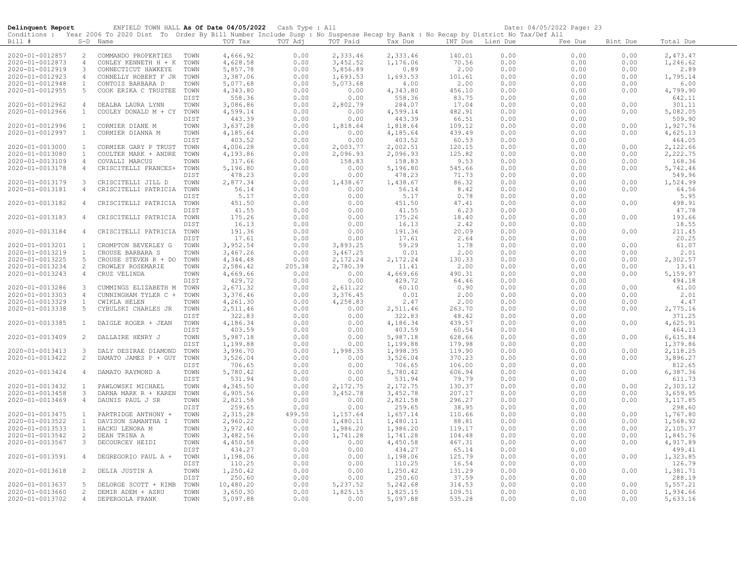| Delinquent Report                  |                   | ENFIELD TOWN HALL As Of Date 04/05/2022 Cash Type : All                                                                                    |              |                      |              |                      |                      |                  |              | Date: 04/05/2022 Page: 23 |              |                      |
|------------------------------------|-------------------|--------------------------------------------------------------------------------------------------------------------------------------------|--------------|----------------------|--------------|----------------------|----------------------|------------------|--------------|---------------------------|--------------|----------------------|
|                                    |                   | Conditions : Year 2006 To 2020 Dist To Order By Bill Number Include Susp : No Suspense Recap by Bank : No Recap by District No Tax/Def All |              |                      |              |                      |                      |                  |              |                           |              |                      |
| Bill #                             |                   | S-D Name                                                                                                                                   |              | TOT Tax              | TOT Adj      | TOT Paid             | Tax Due              | INT Due Lien Due |              | Fee Due                   | Bint Due     | Total Due            |
| 2020-01-0012857                    | $\overline{2}$    | COMMANDO PROPERTIES                                                                                                                        | TOWN         | 4,666.92             | 0.00         | 2,333.46             | 2,333.46             | 140.01           | 0.00         | 0.00                      | 0.00         | 2,473.47             |
| 2020-01-0012873                    | $\overline{4}$    | CONLEY KENNETH H + K                                                                                                                       | TOWN         | 4,628.58             | 0.00         | 3,452.52             | 1,176.06             | 70.56            | 0.00         | 0.00                      | 0.00         | 1,246.62             |
| 2020-01-0012919                    | 3                 | CONNECTICUT HAWKEYE                                                                                                                        | TOWN         | 5,857.78             | 0.00         | 5,856.89             | 0.89                 | 2.00             | 0.00         | 0.00                      | 0.00         | 2.89                 |
| 2020-01-0012923                    | $\overline{4}$    | CONNELLY ROBERT F JR                                                                                                                       | TOWN         | 3,387.06             | 0.00         | 1,693.53             | 1,693.53             | 101.61           | 0.00         | 0.00                      | 0.00         | 1,795.14             |
| 2020-01-0012948                    | $\mathbf{1}$      | CONTOIS BARBARA D                                                                                                                          | TOWN         | 5,077.68             | 0.00         | 5,073.68             | 4.00                 | 2.00             | 0.00         | 0.00                      | 0.00         | 6.00                 |
| 2020-01-0012955                    | 5                 | COOK ERIKA C TRUSTEE                                                                                                                       | TOWN         | 4,343.80             | 0.00         | 0.00                 | 4,343.80             | 456.10           | 0.00         | 0.00                      | 0.00         | 4,799.90             |
|                                    |                   |                                                                                                                                            | DIST         | 558.36               | 0.00         | 0.00                 | 558.36               | 83.75            | 0.00         | 0.00                      |              | 642.11               |
| 2020-01-0012962                    | $\overline{4}$    | DEALBA LAURA LYNN                                                                                                                          | TOWN         | 3,086.86             | 0.00         | 2,802.79             | 284.07               | 17.04            | 0.00         | 0.00                      | 0.00         | 301.11               |
| 2020-01-0012966                    | 1                 | COOLEY DONALD M + CY                                                                                                                       | TOWN         | 4,599.14             | 0.00         | 0.00                 | 4,599.14             | 482.91           | 0.00         | 0.00                      | 0.00         | 5,082.05             |
|                                    |                   |                                                                                                                                            | DIST         | 443.39               | 0.00         | 0.00                 | 443.39               | 66.51            | 0.00         | 0.00                      |              | 509.90               |
| 2020-01-0012996                    | $\overline{1}$    | CORMIER DIANE M                                                                                                                            | TOWN         | 3,637.28             | 0.00         | 1,818.64             | 1,818.64             | 109.12           | 0.00         | 0.00                      | 0.00         | 1,927.76             |
| 2020-01-0012997                    | $\mathbf{1}$      | CORMIER DIANNA M                                                                                                                           | TOWN         | 4,185.64             | 0.00         | 0.00                 | 4,185.64             | 439.49           | 0.00         | 0.00                      | 0.00         | 4,625.13             |
| 2020-01-0013000                    | <sup>1</sup>      | CORMIER GARY P TRUST                                                                                                                       | DIST<br>TOWN | 403.52<br>4,006.28   | 0.00<br>0.00 | 0.00<br>2,003.77     | 403.52<br>2,002.51   | 60.53<br>120.15  | 0.00<br>0.00 | 0.00<br>0.00              | 0.00         | 464.05<br>2,122.66   |
| 2020-01-0013080                    | $\mathbf{1}$      | COULTER MARK + ANDRE                                                                                                                       | TOWN         | 4,193.86             | 0.00         | 2,096.93             | 2,096.93             | 125.82           | 0.00         | 0.00                      | 0.00         | 2,222.75             |
| 2020-01-0013109                    | $\overline{4}$    | COVALLI MARCUS                                                                                                                             | TOWN         | 317.66               | 0.00         | 158.83               | 158.83               | 9.53             | 0.00         | 0.00                      | 0.00         | 168.36               |
| 2020-01-0013178                    | $\overline{4}$    | CRISCITELLI FRANCES+                                                                                                                       | TOWN         | 5,196.80             | 0.00         | 0.00                 | 5,196.80             | 545.66           | 0.00         | 0.00                      | 0.00         | 5,742.46             |
|                                    |                   |                                                                                                                                            | DIST         | 478.23               | 0.00         | 0.00                 | 478.23               | 71.73            | 0.00         | 0.00                      |              | 549.96               |
| 2020-01-0013179                    | 3                 | CRISCITELLI JILL D                                                                                                                         | TOWN         | 2,877.34             | 0.00         | 1,438.67             | 1,438.67             | 86.32            | 0.00         | 0.00                      | 0.00         | 1,524.99             |
| 2020-01-0013181                    | 4                 | CRISCITELLI PATRICIA                                                                                                                       | TOWN         | 56.14                | 0.00         | 0.00                 | 56.14                | 8.42             | 0.00         | 0.00                      | 0.00         | 64.56                |
|                                    |                   |                                                                                                                                            | DIST         | 5.17                 | 0.00         | 0.00                 | 5.17                 | 0.78             | 0.00         | 0.00                      |              | 5.95                 |
| 2020-01-0013182                    | 4                 | CRISCITELLI PATRICIA                                                                                                                       | TOWN         | 451.50               | 0.00         | 0.00                 | 451.50               | 47.41            | 0.00         | 0.00                      | 0.00         | 498.91               |
|                                    |                   |                                                                                                                                            | DIST         | 41.55                | 0.00         | 0.00                 | 41.55                | 6.23             | 0.00         | 0.00                      |              | 47.78                |
| 2020-01-0013183                    | 4                 | CRISCITELLI PATRICIA                                                                                                                       | TOWN         | 175.26               | 0.00         | 0.00                 | 175.26               | 18.40            | 0.00         | 0.00                      | 0.00         | 193.66               |
|                                    |                   |                                                                                                                                            | DIST         | 16.13                | 0.00         | 0.00                 | 16.13                | 2.42             | 0.00         | 0.00                      |              | 18.55                |
| 2020-01-0013184                    | $\overline{4}$    | CRISCITELLI PATRICIA                                                                                                                       | TOWN         | 191.36               | 0.00         | 0.00                 | 191.36               | 20.09            | 0.00         | 0.00                      | 0.00         | 211.45               |
|                                    |                   |                                                                                                                                            | DIST         | 17.61                | 0.00         | 0.00                 | 17.61                | 2.64             | 0.00         | 0.00                      |              | 20.25                |
| 2020-01-0013201                    | $\mathbf{1}$      | CROMPTON BEVERLEY G                                                                                                                        | TOWN         | 3,952.54             | 0.00         | 3,893.25             | 59.29                | 1.78             | 0.00         | 0.00                      | 0.00         | 61.07                |
| 2020-01-0013219<br>2020-01-0013225 | $\mathbf{1}$<br>5 | CROUSE BARBARA S<br>CROUSE STEVEN R + DO                                                                                                   | TOWN<br>TOWN | 3,467.26<br>4,344.48 | 0.00<br>0.00 | 3,467.25<br>2,172.24 | 0.01<br>2,172.24     | 2.00<br>130.33   | 0.00<br>0.00 | 0.00<br>0.00              | 0.00<br>0.00 | 2.01<br>2,302.57     |
| 2020-01-0013234                    | 2                 | CROWLEY ROSEMARIE                                                                                                                          | TOWN         | 2,586.42             | 205.38       | 2,780.39             | 11.41                | 2.00             | 0.00         | 0.00                      | 0.00         | 13.41                |
| 2020-01-0013243                    | $\overline{4}$    | CRUZ VELINDA                                                                                                                               | TOWN         | 4,669.66             | 0.00         | 0.00                 | 4,669.66             | 490.31           | 0.00         | 0.00                      | 0.00         | 5,159.97             |
|                                    |                   |                                                                                                                                            | DIST         | 429.72               | 0.00         | 0.00                 | 429.72               | 64.46            | 0.00         | 0.00                      |              | 494.18               |
| 2020-01-0013286                    | 3                 | CUMMINGS ELIZABETH M                                                                                                                       | TOWN         | 2,671.32             | 0.00         | 2,611.22             | 60.10                | 0.90             | 0.00         | 0.00                      | 0.00         | 61.00                |
| 2020-01-0013303                    | $\overline{4}$    | CUNNINGHAM TYLER C +                                                                                                                       | TOWN         | 3,376.46             | 0.00         | 3,376.45             | 0.01                 | 2.00             | 0.00         | 0.00                      | 0.00         | 2.01                 |
| 2020-01-0013329                    | $\overline{1}$    | CWIKLA HELEN                                                                                                                               | TOWN         | 4,261.30             | 0.00         | 4,258.83             | 2.47                 | 2.00             | 0.00         | 0.00                      | 0.00         | 4.47                 |
| 2020-01-0013338                    | 5                 | CYBULSKI CHARLES JR                                                                                                                        | TOWN         | 2,511.46             | 0.00         | 0.00                 | 2,511.46             | 263.70           | 0.00         | 0.00                      | 0.00         | 2,775.16             |
|                                    |                   |                                                                                                                                            | DIST         | 322.83               | 0.00         | 0.00                 | 322.83               | 48.42            | 0.00         | 0.00                      |              | 371.25               |
| 2020-01-0013385                    | $\mathbf{1}$      | DAIGLE ROGER + JEAN                                                                                                                        | TOWN         | 4,186.34             | 0.00         | 0.00                 | 4,186.34             | 439.57           | 0.00         | 0.00                      | 0.00         | 4,625.91             |
|                                    |                   |                                                                                                                                            | DIST         | 403.59               | 0.00         | 0.00                 | 403.59               | 60.54            | 0.00         | 0.00                      |              | 464.13               |
| 2020-01-0013409                    | 2                 | DALLAIRE HENRY J                                                                                                                           | TOWN         | 5,987.18             | 0.00         | 0.00                 | 5,987.18             | 628.66           | 0.00         | 0.00                      | 0.00         | 6,615.84             |
|                                    |                   |                                                                                                                                            | DIST         | 1,199.88             | 0.00         | 0.00                 | 1,199.88             | 179.98           | 0.00         | 0.00                      |              | 1,379.86             |
| 2020-01-0013413<br>2020-01-0013422 | 3<br>2            | DALY DESIRAE DIAMOND<br>DAMATO JAMES P + GUY                                                                                               | TOWN<br>TOWN | 3,996.70<br>3,526.04 | 0.00<br>0.00 | 1,998.35<br>0.00     | 1,998.35<br>3,526.04 | 119.90<br>370.23 | 0.00<br>0.00 | 0.00<br>0.00              | 0.00<br>0.00 | 2,118.25<br>3,896.27 |
|                                    |                   |                                                                                                                                            | DIST         | 706.65               | 0.00         | 0.00                 | 706.65               | 106.00           | 0.00         | 0.00                      |              | 812.65               |
| 2020-01-0013424                    | $\overline{4}$    | DAMATO RAYMOND A                                                                                                                           | TOWN         | 5,780.42             | 0.00         | 0.00                 | 5,780.42             | 606.94           | 0.00         | 0.00                      | 0.00         | 6,387.36             |
|                                    |                   |                                                                                                                                            | DIST         | 531.94               | 0.00         | 0.00                 | 531.94               | 79.79            | 0.00         | 0.00                      |              | 611.73               |
| 2020-01-0013432                    | <sup>1</sup>      | PAWLOWSKI MICHAEL                                                                                                                          | TOWN         | 4,345.50             | 0.00         | 2,172.75             | 2,172.75             | 130.37           | 0.00         | 0.00                      | 0.00         | 2,303.12             |
| 2020-01-0013458                    | 3                 | DARNA MARK R + KAREN                                                                                                                       | TOWN         | 6,905.56             | 0.00         | 3,452.78             | 3,452.78             | 207.17           | 0.00         | 0.00                      | 0.00         | 3,659.95             |
| 2020-01-0013469                    | $\overline{4}$    | DAUNIS PAUL J SR                                                                                                                           | TOWN         | 2,821.58             | 0.00         | 0.00                 | 2,821.58             | 296.27           | 0.00         | 0.00                      | 0.00         | 3,117.85             |
|                                    |                   |                                                                                                                                            | DIST         | 259.65               | 0.00         | 0.00                 | 259.65               | 38.95            | 0.00         | 0.00                      |              | 298.60               |
| 2020-01-0013475                    | $\mathbf{1}$      | PARTRIDGE ANTHONY +                                                                                                                        | TOWN         | 2,315.28             | 499.50       | 1,157.64             | 1,657.14             | 110.66           | 0.00         | 0.00                      | 0.00         | 1,767.80             |
| 2020-01-0013522                    | $\mathbf{1}$      | DAVISON SAMANTHA I                                                                                                                         | TOWN         | 2,960.22             | 0.00         | 1,480.11             | 1,480.11             | 88.81            | 0.00         | 0.00                      | 0.00         | 1,568.92             |
| 2020-01-0013533                    | $\mathbf{1}$      | HACKU LENORA M                                                                                                                             | TOWN         | 3,972.40             | 0.00         | 1,986.20             | 1,986.20             | 119.17           | 0.00         | 0.00                      | 0.00         | 2,105.37             |
| 2020-01-0013542                    | 2                 | DEAN TRINA A                                                                                                                               | TOWN         | 3,482.56             | 0.00         | 1,741.28             | 1,741.28             | 104.48           | 0.00         | 0.00                      | 0.00         | 1,845.76             |
| 2020-01-0013567                    | $\mathbf{3}$      | DECOURCEY HEIDI                                                                                                                            | TOWN         | 4,450.58             | 0.00         | 0.00                 | 4,450.58             | 467.31           | 0.00         | 0.00                      | 0.00         | 4,917.89             |
|                                    |                   |                                                                                                                                            | DIST         | 434.27               | 0.00         | 0.00                 | 434.27               | 65.14            | 0.00         | 0.00                      |              | 499.41               |
| 2020-01-0013591                    | $\overline{4}$    | DEGREGORIO PAUL A +                                                                                                                        | TOWN<br>DIST | 1,198.06<br>110.25   | 0.00<br>0.00 | 0.00<br>0.00         | 1,198.06<br>110.25   | 125.79<br>16.54  | 0.00<br>0.00 | 0.00<br>0.00              | 0.00         | 1,323.85<br>126.79   |
| 2020-01-0013618                    | 2                 | DELIA JUSTIN A                                                                                                                             | TOWN         | 1,250.42             | 0.00         | 0.00                 | 1,250.42             | 131.29           | 0.00         | 0.00                      | 0.00         | 1,381.71             |
|                                    |                   |                                                                                                                                            | DIST         | 250.60               | 0.00         | 0.00                 | 250.60               | 37.59            | 0.00         | 0.00                      |              | 288.19               |
| 2020-01-0013637                    | $5^{\circ}$       | DELORGE SCOTT + KIMB                                                                                                                       | TOWN         | 10,480.20            | 0.00         | 5,237.52             | 5,242.68             | 314.53           | 0.00         | 0.00                      | 0.00         | 5,557.21             |
| 2020-01-0013660                    | 2                 | DEMIR ADEM + AZRU                                                                                                                          | TOWN         | 3,650.30             | 0.00         | 1,825.15             | 1,825.15             | 109.51           | 0.00         | 0.00                      | 0.00         | 1,934.66             |
| 2020-01-0013702                    | $\overline{4}$    | DEPERGOLA FRANK                                                                                                                            | TOWN         | 5,097.88             | 0.00         | 0.00                 | 5,097.88             | 535.28           | 0.00         | 0.00                      | 0.00         | 5,633.16             |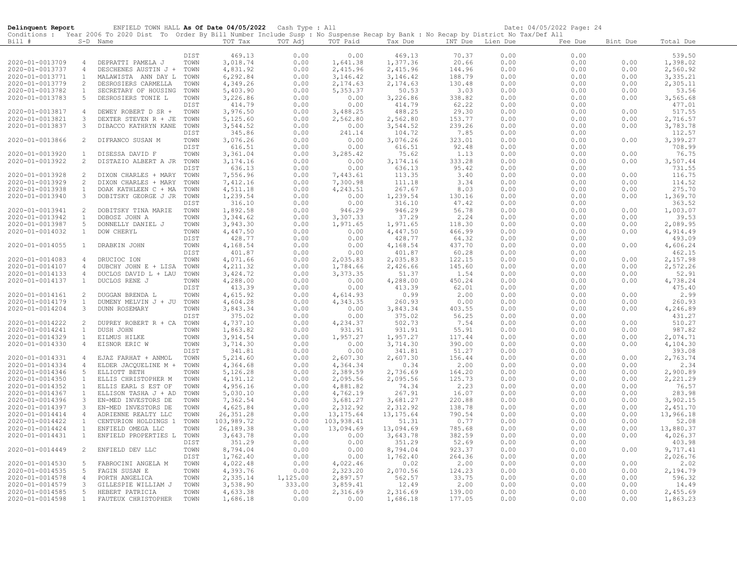| Conditions : Year 2006 To 2020 Dist To Order By Bill Number Include Susp : No Suspense Recap by Bank : No Recap by District No Tax/Def All<br>TOT Tax<br>TOT Adj<br>TOT Paid<br>Bill#<br>S-D Name<br>Tax Due<br>INT Due Lien Due<br>Fee Due<br>Bint Due<br>Total Due<br>70.37<br>DIST<br>469.13<br>0.00<br>0.00<br>469.13<br>0.00<br>0.00<br>539.50<br>1,377.36<br>20.66<br>$1,398.02$<br>2,560.92<br>2020-01-0013709<br>TOWN<br>3,018.74<br>0.00<br>1,641.38<br>0.00<br>0.00<br>0.00<br>$\overline{4}$<br>DEPRATTI PAMELA J<br>2,415.96<br>2,415.96<br>2020-01-0013737<br>4,831.92<br>0.00<br>144.96<br>0.00<br>0.00<br>0.00<br>$\overline{4}$<br>DESCHENES AUSTIN J + TOWN<br>188.79<br>2020-01-0013771<br>6,292.84<br>0.00<br>3,146.42<br>3,146.42<br>0.00<br>0.00<br>0.00<br>3,335.21<br><sup>1</sup><br>MALAWISTA ANN DAY L<br>TOWN<br>2020-01-0013779<br>2<br>4,349.26<br>0.00<br>2,174.63<br>2,174.63<br>130.48<br>0.00<br>0.00<br>0.00<br>2,305.11<br>DESROSIERS CARMELLA<br>TOWN<br>5,403.90<br>0.00<br>5,353.37<br>50.53<br>0.00<br>0.00<br>0.00<br>53.56<br>2020-01-0013782<br>$\mathbf{1}$<br>SECRETARY OF HOUSING<br>TOWN<br>3.03<br>2020-01-0013783<br>3,226.86<br>0.00<br>3,226.86<br>338.82<br>0.00<br>0.00<br>0.00<br>3,565.68<br>5<br>DESROSIERS TONIE L<br>TOWN<br>0.00<br>414.79<br>0.00<br>414.79<br>62.22<br>0.00<br>0.00<br>477.01<br>DIST<br>0.00<br>3,976.50<br>488.25<br>517.55<br>2020-01-0013817<br>TOWN<br>0.00<br>3,488.25<br>29.30<br>0.00<br>0.00<br>0.00<br>4<br>DEWEY ROBERT D SR +<br>2020-01-0013821<br>$\mathbf{3}$<br>DEXTER STEVEN R + JE<br>TOWN<br>5,125.60<br>0.00<br>2,562.80<br>2,562.80<br>153.77<br>0.00<br>0.00<br>0.00<br>2,716.57<br>$\mathbf{3}$<br>3,544.52<br>0.00<br>3,544.52<br>239.26<br>0.00<br>3,783.78<br>2020-01-0013837<br>DIBACCO KATHRYN KANE<br>TOWN<br>0.00<br>0.00<br>0.00<br>345.86<br>0.00<br>241.14<br>104.72<br>7.85<br>0.00<br>0.00<br>112.57<br>DIST<br>2020-01-0013866<br>3,076.26<br>0.00<br>3,076.26<br>323.01<br>3,399.27<br>2<br>DIFRANCO SUSAN M<br>TOWN<br>0.00<br>0.00<br>0.00<br>0.00<br>0.00<br>616.51<br>92.48<br>708.99<br>DIST<br>616.51<br>0.00<br>0.00<br>0.00<br>3,361.04<br>0.00<br>0.00<br>0.00<br>0.00<br>76.75<br>2020-01-0013920<br>$\mathbf{1}$<br>DISESSA DAVID F<br>TOWN<br>3,285.42<br>75.62<br>1.13<br>2020-01-0013922<br>2<br>3, 174.16<br>0.00<br>333.28<br>0.00<br>0.00<br>0.00<br>3,507.44<br>DISTAZIO ALBERT A JR TOWN<br>0.00<br>3, 174.16<br>636.13<br>0.00<br>0.00<br>636.13<br>95.42<br>0.00<br>0.00<br>731.55<br>DIST<br>2020-01-0013928<br>7,556.96<br>0.00<br>7,443.61<br>113.35<br>0.00<br>0.00<br>0.00<br>116.75<br>2<br>DIXON CHARLES + MARY<br>TOWN<br>3.40<br>7,412.16<br>7,300.98<br>111.18<br>114.52<br>2020-01-0013929<br>2<br>DIXON CHARLES + MARY<br>TOWN<br>0.00<br>3.34<br>0.00<br>0.00<br>0.00<br>2020-01-0013938<br>4,511.18<br>267.67<br>0.00<br>0.00<br>275.70<br>$\mathbf{1}$<br>DOAK KATHLEEN C + MA<br>TOWN<br>0.00<br>4,243.51<br>8.03<br>0.00<br>1,239.54<br>2020-01-0013940<br>$\mathbf{3}$<br>DOBITSKY GEORGE J JR<br>TOWN<br>0.00<br>0.00<br>1,239.54<br>130.16<br>0.00<br>0.00<br>0.00<br>1,369.70<br>316.10<br>0.00<br>316.10<br>47.42<br>0.00<br>363.52<br>DIST<br>0.00<br>0.00<br>1,892.58<br>0.00<br>946.29<br>946.29<br>56.78<br>0.00<br>1,003.07<br>2020-01-0013941<br>2<br>DOBITSKY TINA MARIE<br>TOWN<br>0.00<br>0.00<br>3,344.62<br>0.00<br>3,307.33<br>39.53<br>2020-01-0013942<br>TOWN<br>37.29<br>2.24<br>0.00<br>0.00<br>0.00<br>$\mathbf{1}$<br>DOBOSZ JOHN A<br>1,971.65<br>2020-01-0013987<br>5<br>3,943.30<br>0.00<br>1,971.65<br>118.30<br>0.00<br>0.00<br>2,089.95<br>DONNELLY DANIEL J<br>TOWN<br>0.00<br>4,447.50<br>0.00<br>4,447.50<br>466.99<br>0.00<br>4,914.49<br>2020-01-0014032<br>$\mathbf{1}$<br>DOW CHERYL<br>TOWN<br>0.00<br>0.00<br>0.00<br>0.00<br>428.77<br>493.09<br>428.77<br>64.32<br>0.00<br>0.00<br>DIST<br>0.00<br>437.70<br>4,606.24<br>2020-01-0014055<br>DRABKIN JOHN<br>TOWN<br>4,168.54<br>0.00<br>0.00<br>4,168.54<br>0.00<br>0.00<br>0.00<br>$\mathbf{1}$<br>401.87<br>401.87<br>462.15<br>DIST<br>0.00<br>0.00<br>60.28<br>0.00<br>0.00<br>4,071.66<br>0.00<br>2,035.83<br>2,035.83<br>122.15<br>0.00<br>0.00<br>2,157.98<br>2020-01-0014083<br>$\overline{4}$<br>DRUCIOC ION<br>TOWN<br>0.00<br>4,211.32<br>2,572.26<br>2020-01-0014107<br>$\overline{4}$<br>DUBCHY JOHN E + LISA<br>TOWN<br>0.00<br>1,784.66<br>2,426.66<br>145.60<br>0.00<br>0.00<br>0.00<br>52.91<br>3,424.72<br>0.00<br>3,373.35<br>1.54<br>0.00<br>2020-01-0014133<br>$\overline{4}$<br>DUCLOS DAVID L + LAU<br>TOWN<br>51.37<br>0.00<br>0.00<br>4,288.00<br>4,738.24<br>2020-01-0014137<br>$\mathbf{1}$<br>DUCLOS RENE J<br>TOWN<br>0.00<br>0.00<br>4,288.00<br>450.24<br>0.00<br>0.00<br>0.00<br>413.39<br>475.40<br>DIST<br>413.39<br>0.00<br>62.01<br>0.00<br>0.00<br>0.00<br>4,615.92<br>0.00<br>4,614.93<br>0.99<br>2.00<br>0.00<br>0.00<br>0.00<br>2.99<br>2020-01-0014161<br>2<br>DUGGAN BRENDA L<br>TOWN<br>4,343.35<br>260.93<br>0.00<br>2020-01-0014179<br>$\overline{1}$<br>DUMENY MELVIN J + JU<br>TOWN<br>4,604.28<br>0.00<br>0.00<br>0.00<br>0.00<br>260.93<br>2020-01-0014204<br>TOWN<br>3,843.34<br>0.00<br>0.00<br>3,843.34<br>403.55<br>0.00<br>0.00<br>4,246.89<br>3<br><b>DUNN ROSEMARY</b><br>0.00<br>375.02<br>431.27<br>DIST<br>375.02<br>0.00<br>0.00<br>56.25<br>0.00<br>0.00<br>4,737.10<br>502.73<br>510.27<br>2020-01-0014222<br>2<br>TOWN<br>0.00<br>4,234.37<br>7.54<br>0.00<br>0.00<br>0.00<br>DUPREY ROBERT R + CA<br>1,863.82<br>931.91<br>55.91<br>987.82<br>2020-01-0014241<br>TOWN<br>0.00<br>931.91<br>0.00<br>0.00<br>0.00<br>$\mathbf{1}$<br>DUSH JOHN<br>3,914.54<br>0.00<br>1,957.27<br>0.00<br>2,074.71<br>2020-01-0014329<br>$\mathbf{1}$<br>EILMUS HILKE<br>TOWN<br>1,957.27<br>117.44<br>0.00<br>0.00<br>TOWN<br>3,714.30<br>0.00<br>3,714.30<br>390.00<br>0.00<br>4,104.30<br>2020-01-0014330<br>$\overline{4}$<br>EISNOR ERIC W<br>0.00<br>0.00<br>0.00<br>341.81<br>341.81<br>51.27<br>393.08<br>DIST<br>0.00<br>0.00<br>0.00<br>0.00<br>2,607.30<br>2,763.74<br>2020-01-0014331<br>TOWN<br>5,214.60<br>0.00<br>2,607.30<br>156.44<br>0.00<br>0.00<br>0.00<br>$\overline{4}$<br>EJAZ FARHAT + ANMOL<br>0.00<br>4,364.34<br>0.00<br>2020-01-0014334<br>ELDER JACQUELINE M +<br>TOWN<br>4,364.68<br>0.34<br>2.00<br>0.00<br>0.00<br>2.34<br>$\overline{4}$<br>2020-01-0014346<br>5<br>ELLIOTT BETH<br>TOWN<br>5,126.28<br>0.00<br>2,389.59<br>2,736.69<br>164.20<br>0.00<br>0.00<br>0.00<br>2,900.89<br>TOWN<br>4,191.12<br>0.00<br>2,095.56<br>2,095.56<br>125.73<br>0.00<br>0.00<br>0.00<br>2,221.29<br>2020-01-0014350<br>ELLIS CHRISTOPHER M<br>$\mathbf{1}$<br>0.00<br>0.00<br>0.00<br>2020-01-0014352<br>ELLIS EARL S EST OF<br>TOWN<br>4,956.16<br>0.00<br>4,881.82<br>74.34<br>2.23<br>76.57<br>1<br>5,030.10<br>267.91<br>2020-01-0014367<br>ELLISON TASHA J + AD<br>0.00<br>4,762.19<br>16.07<br>0.00<br>0.00<br>0.00<br>283.98<br>TOWN<br>$\mathbf{1}$<br>7,362.54<br>3,681.27<br>3,902.15<br>2020-01-0014396<br>EN-MED INVESTORS DE<br>0.00<br>3,681.27<br>220.88<br>0.00<br>0.00<br>0.00<br>-3<br>TOWN<br>2020-01-0014397<br>$\mathbf{3}$<br>EN-MED INVESTORS DE<br>TOWN<br>4,625.84<br>0.00<br>2,312.92<br>2,312.92<br>138.78<br>0.00<br>0.00<br>0.00<br>2,451.70<br>26, 351.28<br>0.00<br>13, 175.64<br>13, 175.64<br>790.54<br>0.00<br>0.00<br>13,966.18<br>2020-01-0014414<br>$\overline{4}$<br>TOWN<br>0.00<br>ADRIENNE REALTY LLC<br>$\mathbf{1}$<br>TOWN<br>103,989.72<br>0.00<br>103,938.41<br>51.31<br>0.77<br>0.00<br>0.00<br>0.00<br>52.08<br>2020-01-0014422<br>CENTURION HOLDINGS 1<br>13,880.37<br>2020-01-0014424<br>TOWN<br>26,189.38<br>0.00<br>13,094.69<br>13,094.69<br>785.68<br>0.00<br>0.00<br>0.00<br>$\mathbf{1}$<br>ENFIELD OMEGA LLC<br>3,643.78<br>382.59<br>4,026.37<br>3,643.78<br>0.00<br>0.00<br>2020-01-0014431<br>$\mathbf{1}$<br>ENFIELD PROPERTIES L<br>0.00<br>0.00<br>0.00<br>TOWN<br>DIST<br>351.29<br>0.00<br>0.00<br>351.29<br>52.69<br>0.00<br>0.00<br>403.98<br>2020-01-0014449<br>ENFIELD DEV LLC<br>TOWN<br>8,794.04<br>0.00<br>0.00<br>8,794.04<br>923.37<br>0.00<br>0.00<br>9,717.41<br>2<br>0.00<br>1,762.40<br>2,026.76<br>1,762.40<br>0.00<br>0.00<br>264.36<br>0.00<br>0.00<br>DIST<br>4,022.48<br>0.00<br>4,022.46<br>2.00<br>0.00<br>0.00<br>0.00<br>2.02<br>2020-01-0014530<br>-5<br>FABROCINI ANGELA M<br>TOWN<br>0.02<br>0.00<br>2,323.20<br>2,194.79<br>2020-01-0014535<br>FAGIN SUSAN E<br>TOWN<br>4,393.76<br>2,070.56<br>124.23<br>0.00<br>0.00<br>0.00<br>5<br>2020-01-0014578<br>PORTH ANGELICA<br>TOWN<br>2,335.14<br>1,125.00<br>2,897.57<br>562.57<br>33.75<br>0.00<br>0.00<br>0.00<br>596.32<br>$\overline{4}$<br>$\mathbf{3}$<br>TOWN<br>3,538.90<br>333.00<br>0.00<br>2020-01-0014579<br>3,859.41<br>12.49<br>2.00<br>0.00<br>0.00<br>14.49<br>GILLESPIE WILLIAM J<br>5<br>TOWN<br>4,633.38<br>0.00<br>2,316.69<br>0.00<br>0.00<br>2,455.69<br>2020-01-0014585<br>HEBERT PATRICIA<br>2,316.69<br>139.00<br>0.00 | Delinquent Report |              | ENFIELD TOWN HALL As Of Date 04/05/2022 Cash Type : All |      |          |      |      |          |        |      | Date: 04/05/2022 Page: 24 |      |          |
|-------------------------------------------------------------------------------------------------------------------------------------------------------------------------------------------------------------------------------------------------------------------------------------------------------------------------------------------------------------------------------------------------------------------------------------------------------------------------------------------------------------------------------------------------------------------------------------------------------------------------------------------------------------------------------------------------------------------------------------------------------------------------------------------------------------------------------------------------------------------------------------------------------------------------------------------------------------------------------------------------------------------------------------------------------------------------------------------------------------------------------------------------------------------------------------------------------------------------------------------------------------------------------------------------------------------------------------------------------------------------------------------------------------------------------------------------------------------------------------------------------------------------------------------------------------------------------------------------------------------------------------------------------------------------------------------------------------------------------------------------------------------------------------------------------------------------------------------------------------------------------------------------------------------------------------------------------------------------------------------------------------------------------------------------------------------------------------------------------------------------------------------------------------------------------------------------------------------------------------------------------------------------------------------------------------------------------------------------------------------------------------------------------------------------------------------------------------------------------------------------------------------------------------------------------------------------------------------------------------------------------------------------------------------------------------------------------------------------------------------------------------------------------------------------------------------------------------------------------------------------------------------------------------------------------------------------------------------------------------------------------------------------------------------------------------------------------------------------------------------------------------------------------------------------------------------------------------------------------------------------------------------------------------------------------------------------------------------------------------------------------------------------------------------------------------------------------------------------------------------------------------------------------------------------------------------------------------------------------------------------------------------------------------------------------------------------------------------------------------------------------------------------------------------------------------------------------------------------------------------------------------------------------------------------------------------------------------------------------------------------------------------------------------------------------------------------------------------------------------------------------------------------------------------------------------------------------------------------------------------------------------------------------------------------------------------------------------------------------------------------------------------------------------------------------------------------------------------------------------------------------------------------------------------------------------------------------------------------------------------------------------------------------------------------------------------------------------------------------------------------------------------------------------------------------------------------------------------------------------------------------------------------------------------------------------------------------------------------------------------------------------------------------------------------------------------------------------------------------------------------------------------------------------------------------------------------------------------------------------------------------------------------------------------------------------------------------------------------------------------------------------------------------------------------------------------------------------------------------------------------------------------------------------------------------------------------------------------------------------------------------------------------------------------------------------------------------------------------------------------------------------------------------------------------------------------------------------------------------------------------------------------------------------------------------------------------------------------------------------------------------------------------------------------------------------------------------------------------------------------------------------------------------------------------------------------------------------------------------------------------------------------------------------------------------------------------------------------------------------------------------------------------------------------------------------------------------------------------------------------------------------------------------------------------------------------------------------------------------------------------------------------------------------------------------------------------------------------------------------------------------------------------------------------------------------------------------------------------------------------------------------------------------------------------------------------------------------------------------------------------------------------------------------------------------------------------------------------------------------------------------------------------------------------------------------------------------------------------------------------------------------------------------------------------------------------------------------------------------------------------------------------------------------------------------------------------------------------------------------------------------------------------------------------------------------------------------------------------------------------------------------------------------------------------------------------------------------------------------------------------------------------------------------------------------------------------------------------------------------------------------------------------------------------------------------------------------------------------------------------------------------------------------------------------------------------------------------------------------------------------------------------------------------------------------------------------------------------------------------------------------------------------------------------------------------------------------------------------------------------------------------------------------------------------------------------------------------------------------------------------------------------------------------------------------------------------------------------------------------------------------------------------------------------------------------------------------------------------------------------------------------------------------------------------------------------------------------------------------------------------------------------------------------------------------------------------------------------------------------------------------------|-------------------|--------------|---------------------------------------------------------|------|----------|------|------|----------|--------|------|---------------------------|------|----------|
|                                                                                                                                                                                                                                                                                                                                                                                                                                                                                                                                                                                                                                                                                                                                                                                                                                                                                                                                                                                                                                                                                                                                                                                                                                                                                                                                                                                                                                                                                                                                                                                                                                                                                                                                                                                                                                                                                                                                                                                                                                                                                                                                                                                                                                                                                                                                                                                                                                                                                                                                                                                                                                                                                                                                                                                                                                                                                                                                                                                                                                                                                                                                                                                                                                                                                                                                                                                                                                                                                                                                                                                                                                                                                                                                                                                                                                                                                                                                                                                                                                                                                                                                                                                                                                                                                                                                                                                                                                                                                                                                                                                                                                                                                                                                                                                                                                                                                                                                                                                                                                                                                                                                                                                                                                                                                                                                                                                                                                                                                                                                                                                                                                                                                                                                                                                                                                                                                                                                                                                                                                                                                                                                                                                                                                                                                                                                                                                                                                                                                                                                                                                                                                                                                                                                                                                                                                                                                                                                                                                                                                                                                                                                                                                                                                                                                                                                                                                                                                                                                                                                                                                                                                                                                                                                                                                                                                                                                                                                                                                                                                                                                                                                                                                                                                                                                                                                                                                                                                                                                                                                                                                                                                                                                                                                                                                                                                                                                                                                                                                                             |                   |              |                                                         |      |          |      |      |          |        |      |                           |      |          |
|                                                                                                                                                                                                                                                                                                                                                                                                                                                                                                                                                                                                                                                                                                                                                                                                                                                                                                                                                                                                                                                                                                                                                                                                                                                                                                                                                                                                                                                                                                                                                                                                                                                                                                                                                                                                                                                                                                                                                                                                                                                                                                                                                                                                                                                                                                                                                                                                                                                                                                                                                                                                                                                                                                                                                                                                                                                                                                                                                                                                                                                                                                                                                                                                                                                                                                                                                                                                                                                                                                                                                                                                                                                                                                                                                                                                                                                                                                                                                                                                                                                                                                                                                                                                                                                                                                                                                                                                                                                                                                                                                                                                                                                                                                                                                                                                                                                                                                                                                                                                                                                                                                                                                                                                                                                                                                                                                                                                                                                                                                                                                                                                                                                                                                                                                                                                                                                                                                                                                                                                                                                                                                                                                                                                                                                                                                                                                                                                                                                                                                                                                                                                                                                                                                                                                                                                                                                                                                                                                                                                                                                                                                                                                                                                                                                                                                                                                                                                                                                                                                                                                                                                                                                                                                                                                                                                                                                                                                                                                                                                                                                                                                                                                                                                                                                                                                                                                                                                                                                                                                                                                                                                                                                                                                                                                                                                                                                                                                                                                                                                             |                   |              |                                                         |      |          |      |      |          |        |      |                           |      |          |
|                                                                                                                                                                                                                                                                                                                                                                                                                                                                                                                                                                                                                                                                                                                                                                                                                                                                                                                                                                                                                                                                                                                                                                                                                                                                                                                                                                                                                                                                                                                                                                                                                                                                                                                                                                                                                                                                                                                                                                                                                                                                                                                                                                                                                                                                                                                                                                                                                                                                                                                                                                                                                                                                                                                                                                                                                                                                                                                                                                                                                                                                                                                                                                                                                                                                                                                                                                                                                                                                                                                                                                                                                                                                                                                                                                                                                                                                                                                                                                                                                                                                                                                                                                                                                                                                                                                                                                                                                                                                                                                                                                                                                                                                                                                                                                                                                                                                                                                                                                                                                                                                                                                                                                                                                                                                                                                                                                                                                                                                                                                                                                                                                                                                                                                                                                                                                                                                                                                                                                                                                                                                                                                                                                                                                                                                                                                                                                                                                                                                                                                                                                                                                                                                                                                                                                                                                                                                                                                                                                                                                                                                                                                                                                                                                                                                                                                                                                                                                                                                                                                                                                                                                                                                                                                                                                                                                                                                                                                                                                                                                                                                                                                                                                                                                                                                                                                                                                                                                                                                                                                                                                                                                                                                                                                                                                                                                                                                                                                                                                                                             |                   |              |                                                         |      |          |      |      |          |        |      |                           |      |          |
|                                                                                                                                                                                                                                                                                                                                                                                                                                                                                                                                                                                                                                                                                                                                                                                                                                                                                                                                                                                                                                                                                                                                                                                                                                                                                                                                                                                                                                                                                                                                                                                                                                                                                                                                                                                                                                                                                                                                                                                                                                                                                                                                                                                                                                                                                                                                                                                                                                                                                                                                                                                                                                                                                                                                                                                                                                                                                                                                                                                                                                                                                                                                                                                                                                                                                                                                                                                                                                                                                                                                                                                                                                                                                                                                                                                                                                                                                                                                                                                                                                                                                                                                                                                                                                                                                                                                                                                                                                                                                                                                                                                                                                                                                                                                                                                                                                                                                                                                                                                                                                                                                                                                                                                                                                                                                                                                                                                                                                                                                                                                                                                                                                                                                                                                                                                                                                                                                                                                                                                                                                                                                                                                                                                                                                                                                                                                                                                                                                                                                                                                                                                                                                                                                                                                                                                                                                                                                                                                                                                                                                                                                                                                                                                                                                                                                                                                                                                                                                                                                                                                                                                                                                                                                                                                                                                                                                                                                                                                                                                                                                                                                                                                                                                                                                                                                                                                                                                                                                                                                                                                                                                                                                                                                                                                                                                                                                                                                                                                                                                                             |                   |              |                                                         |      |          |      |      |          |        |      |                           |      |          |
|                                                                                                                                                                                                                                                                                                                                                                                                                                                                                                                                                                                                                                                                                                                                                                                                                                                                                                                                                                                                                                                                                                                                                                                                                                                                                                                                                                                                                                                                                                                                                                                                                                                                                                                                                                                                                                                                                                                                                                                                                                                                                                                                                                                                                                                                                                                                                                                                                                                                                                                                                                                                                                                                                                                                                                                                                                                                                                                                                                                                                                                                                                                                                                                                                                                                                                                                                                                                                                                                                                                                                                                                                                                                                                                                                                                                                                                                                                                                                                                                                                                                                                                                                                                                                                                                                                                                                                                                                                                                                                                                                                                                                                                                                                                                                                                                                                                                                                                                                                                                                                                                                                                                                                                                                                                                                                                                                                                                                                                                                                                                                                                                                                                                                                                                                                                                                                                                                                                                                                                                                                                                                                                                                                                                                                                                                                                                                                                                                                                                                                                                                                                                                                                                                                                                                                                                                                                                                                                                                                                                                                                                                                                                                                                                                                                                                                                                                                                                                                                                                                                                                                                                                                                                                                                                                                                                                                                                                                                                                                                                                                                                                                                                                                                                                                                                                                                                                                                                                                                                                                                                                                                                                                                                                                                                                                                                                                                                                                                                                                                                             |                   |              |                                                         |      |          |      |      |          |        |      |                           |      |          |
|                                                                                                                                                                                                                                                                                                                                                                                                                                                                                                                                                                                                                                                                                                                                                                                                                                                                                                                                                                                                                                                                                                                                                                                                                                                                                                                                                                                                                                                                                                                                                                                                                                                                                                                                                                                                                                                                                                                                                                                                                                                                                                                                                                                                                                                                                                                                                                                                                                                                                                                                                                                                                                                                                                                                                                                                                                                                                                                                                                                                                                                                                                                                                                                                                                                                                                                                                                                                                                                                                                                                                                                                                                                                                                                                                                                                                                                                                                                                                                                                                                                                                                                                                                                                                                                                                                                                                                                                                                                                                                                                                                                                                                                                                                                                                                                                                                                                                                                                                                                                                                                                                                                                                                                                                                                                                                                                                                                                                                                                                                                                                                                                                                                                                                                                                                                                                                                                                                                                                                                                                                                                                                                                                                                                                                                                                                                                                                                                                                                                                                                                                                                                                                                                                                                                                                                                                                                                                                                                                                                                                                                                                                                                                                                                                                                                                                                                                                                                                                                                                                                                                                                                                                                                                                                                                                                                                                                                                                                                                                                                                                                                                                                                                                                                                                                                                                                                                                                                                                                                                                                                                                                                                                                                                                                                                                                                                                                                                                                                                                                                             |                   |              |                                                         |      |          |      |      |          |        |      |                           |      |          |
|                                                                                                                                                                                                                                                                                                                                                                                                                                                                                                                                                                                                                                                                                                                                                                                                                                                                                                                                                                                                                                                                                                                                                                                                                                                                                                                                                                                                                                                                                                                                                                                                                                                                                                                                                                                                                                                                                                                                                                                                                                                                                                                                                                                                                                                                                                                                                                                                                                                                                                                                                                                                                                                                                                                                                                                                                                                                                                                                                                                                                                                                                                                                                                                                                                                                                                                                                                                                                                                                                                                                                                                                                                                                                                                                                                                                                                                                                                                                                                                                                                                                                                                                                                                                                                                                                                                                                                                                                                                                                                                                                                                                                                                                                                                                                                                                                                                                                                                                                                                                                                                                                                                                                                                                                                                                                                                                                                                                                                                                                                                                                                                                                                                                                                                                                                                                                                                                                                                                                                                                                                                                                                                                                                                                                                                                                                                                                                                                                                                                                                                                                                                                                                                                                                                                                                                                                                                                                                                                                                                                                                                                                                                                                                                                                                                                                                                                                                                                                                                                                                                                                                                                                                                                                                                                                                                                                                                                                                                                                                                                                                                                                                                                                                                                                                                                                                                                                                                                                                                                                                                                                                                                                                                                                                                                                                                                                                                                                                                                                                                                             |                   |              |                                                         |      |          |      |      |          |        |      |                           |      |          |
|                                                                                                                                                                                                                                                                                                                                                                                                                                                                                                                                                                                                                                                                                                                                                                                                                                                                                                                                                                                                                                                                                                                                                                                                                                                                                                                                                                                                                                                                                                                                                                                                                                                                                                                                                                                                                                                                                                                                                                                                                                                                                                                                                                                                                                                                                                                                                                                                                                                                                                                                                                                                                                                                                                                                                                                                                                                                                                                                                                                                                                                                                                                                                                                                                                                                                                                                                                                                                                                                                                                                                                                                                                                                                                                                                                                                                                                                                                                                                                                                                                                                                                                                                                                                                                                                                                                                                                                                                                                                                                                                                                                                                                                                                                                                                                                                                                                                                                                                                                                                                                                                                                                                                                                                                                                                                                                                                                                                                                                                                                                                                                                                                                                                                                                                                                                                                                                                                                                                                                                                                                                                                                                                                                                                                                                                                                                                                                                                                                                                                                                                                                                                                                                                                                                                                                                                                                                                                                                                                                                                                                                                                                                                                                                                                                                                                                                                                                                                                                                                                                                                                                                                                                                                                                                                                                                                                                                                                                                                                                                                                                                                                                                                                                                                                                                                                                                                                                                                                                                                                                                                                                                                                                                                                                                                                                                                                                                                                                                                                                                                             |                   |              |                                                         |      |          |      |      |          |        |      |                           |      |          |
|                                                                                                                                                                                                                                                                                                                                                                                                                                                                                                                                                                                                                                                                                                                                                                                                                                                                                                                                                                                                                                                                                                                                                                                                                                                                                                                                                                                                                                                                                                                                                                                                                                                                                                                                                                                                                                                                                                                                                                                                                                                                                                                                                                                                                                                                                                                                                                                                                                                                                                                                                                                                                                                                                                                                                                                                                                                                                                                                                                                                                                                                                                                                                                                                                                                                                                                                                                                                                                                                                                                                                                                                                                                                                                                                                                                                                                                                                                                                                                                                                                                                                                                                                                                                                                                                                                                                                                                                                                                                                                                                                                                                                                                                                                                                                                                                                                                                                                                                                                                                                                                                                                                                                                                                                                                                                                                                                                                                                                                                                                                                                                                                                                                                                                                                                                                                                                                                                                                                                                                                                                                                                                                                                                                                                                                                                                                                                                                                                                                                                                                                                                                                                                                                                                                                                                                                                                                                                                                                                                                                                                                                                                                                                                                                                                                                                                                                                                                                                                                                                                                                                                                                                                                                                                                                                                                                                                                                                                                                                                                                                                                                                                                                                                                                                                                                                                                                                                                                                                                                                                                                                                                                                                                                                                                                                                                                                                                                                                                                                                                                             |                   |              |                                                         |      |          |      |      |          |        |      |                           |      |          |
|                                                                                                                                                                                                                                                                                                                                                                                                                                                                                                                                                                                                                                                                                                                                                                                                                                                                                                                                                                                                                                                                                                                                                                                                                                                                                                                                                                                                                                                                                                                                                                                                                                                                                                                                                                                                                                                                                                                                                                                                                                                                                                                                                                                                                                                                                                                                                                                                                                                                                                                                                                                                                                                                                                                                                                                                                                                                                                                                                                                                                                                                                                                                                                                                                                                                                                                                                                                                                                                                                                                                                                                                                                                                                                                                                                                                                                                                                                                                                                                                                                                                                                                                                                                                                                                                                                                                                                                                                                                                                                                                                                                                                                                                                                                                                                                                                                                                                                                                                                                                                                                                                                                                                                                                                                                                                                                                                                                                                                                                                                                                                                                                                                                                                                                                                                                                                                                                                                                                                                                                                                                                                                                                                                                                                                                                                                                                                                                                                                                                                                                                                                                                                                                                                                                                                                                                                                                                                                                                                                                                                                                                                                                                                                                                                                                                                                                                                                                                                                                                                                                                                                                                                                                                                                                                                                                                                                                                                                                                                                                                                                                                                                                                                                                                                                                                                                                                                                                                                                                                                                                                                                                                                                                                                                                                                                                                                                                                                                                                                                                                             |                   |              |                                                         |      |          |      |      |          |        |      |                           |      |          |
|                                                                                                                                                                                                                                                                                                                                                                                                                                                                                                                                                                                                                                                                                                                                                                                                                                                                                                                                                                                                                                                                                                                                                                                                                                                                                                                                                                                                                                                                                                                                                                                                                                                                                                                                                                                                                                                                                                                                                                                                                                                                                                                                                                                                                                                                                                                                                                                                                                                                                                                                                                                                                                                                                                                                                                                                                                                                                                                                                                                                                                                                                                                                                                                                                                                                                                                                                                                                                                                                                                                                                                                                                                                                                                                                                                                                                                                                                                                                                                                                                                                                                                                                                                                                                                                                                                                                                                                                                                                                                                                                                                                                                                                                                                                                                                                                                                                                                                                                                                                                                                                                                                                                                                                                                                                                                                                                                                                                                                                                                                                                                                                                                                                                                                                                                                                                                                                                                                                                                                                                                                                                                                                                                                                                                                                                                                                                                                                                                                                                                                                                                                                                                                                                                                                                                                                                                                                                                                                                                                                                                                                                                                                                                                                                                                                                                                                                                                                                                                                                                                                                                                                                                                                                                                                                                                                                                                                                                                                                                                                                                                                                                                                                                                                                                                                                                                                                                                                                                                                                                                                                                                                                                                                                                                                                                                                                                                                                                                                                                                                                             |                   |              |                                                         |      |          |      |      |          |        |      |                           |      |          |
|                                                                                                                                                                                                                                                                                                                                                                                                                                                                                                                                                                                                                                                                                                                                                                                                                                                                                                                                                                                                                                                                                                                                                                                                                                                                                                                                                                                                                                                                                                                                                                                                                                                                                                                                                                                                                                                                                                                                                                                                                                                                                                                                                                                                                                                                                                                                                                                                                                                                                                                                                                                                                                                                                                                                                                                                                                                                                                                                                                                                                                                                                                                                                                                                                                                                                                                                                                                                                                                                                                                                                                                                                                                                                                                                                                                                                                                                                                                                                                                                                                                                                                                                                                                                                                                                                                                                                                                                                                                                                                                                                                                                                                                                                                                                                                                                                                                                                                                                                                                                                                                                                                                                                                                                                                                                                                                                                                                                                                                                                                                                                                                                                                                                                                                                                                                                                                                                                                                                                                                                                                                                                                                                                                                                                                                                                                                                                                                                                                                                                                                                                                                                                                                                                                                                                                                                                                                                                                                                                                                                                                                                                                                                                                                                                                                                                                                                                                                                                                                                                                                                                                                                                                                                                                                                                                                                                                                                                                                                                                                                                                                                                                                                                                                                                                                                                                                                                                                                                                                                                                                                                                                                                                                                                                                                                                                                                                                                                                                                                                                                             |                   |              |                                                         |      |          |      |      |          |        |      |                           |      |          |
|                                                                                                                                                                                                                                                                                                                                                                                                                                                                                                                                                                                                                                                                                                                                                                                                                                                                                                                                                                                                                                                                                                                                                                                                                                                                                                                                                                                                                                                                                                                                                                                                                                                                                                                                                                                                                                                                                                                                                                                                                                                                                                                                                                                                                                                                                                                                                                                                                                                                                                                                                                                                                                                                                                                                                                                                                                                                                                                                                                                                                                                                                                                                                                                                                                                                                                                                                                                                                                                                                                                                                                                                                                                                                                                                                                                                                                                                                                                                                                                                                                                                                                                                                                                                                                                                                                                                                                                                                                                                                                                                                                                                                                                                                                                                                                                                                                                                                                                                                                                                                                                                                                                                                                                                                                                                                                                                                                                                                                                                                                                                                                                                                                                                                                                                                                                                                                                                                                                                                                                                                                                                                                                                                                                                                                                                                                                                                                                                                                                                                                                                                                                                                                                                                                                                                                                                                                                                                                                                                                                                                                                                                                                                                                                                                                                                                                                                                                                                                                                                                                                                                                                                                                                                                                                                                                                                                                                                                                                                                                                                                                                                                                                                                                                                                                                                                                                                                                                                                                                                                                                                                                                                                                                                                                                                                                                                                                                                                                                                                                                                             |                   |              |                                                         |      |          |      |      |          |        |      |                           |      |          |
|                                                                                                                                                                                                                                                                                                                                                                                                                                                                                                                                                                                                                                                                                                                                                                                                                                                                                                                                                                                                                                                                                                                                                                                                                                                                                                                                                                                                                                                                                                                                                                                                                                                                                                                                                                                                                                                                                                                                                                                                                                                                                                                                                                                                                                                                                                                                                                                                                                                                                                                                                                                                                                                                                                                                                                                                                                                                                                                                                                                                                                                                                                                                                                                                                                                                                                                                                                                                                                                                                                                                                                                                                                                                                                                                                                                                                                                                                                                                                                                                                                                                                                                                                                                                                                                                                                                                                                                                                                                                                                                                                                                                                                                                                                                                                                                                                                                                                                                                                                                                                                                                                                                                                                                                                                                                                                                                                                                                                                                                                                                                                                                                                                                                                                                                                                                                                                                                                                                                                                                                                                                                                                                                                                                                                                                                                                                                                                                                                                                                                                                                                                                                                                                                                                                                                                                                                                                                                                                                                                                                                                                                                                                                                                                                                                                                                                                                                                                                                                                                                                                                                                                                                                                                                                                                                                                                                                                                                                                                                                                                                                                                                                                                                                                                                                                                                                                                                                                                                                                                                                                                                                                                                                                                                                                                                                                                                                                                                                                                                                                                             |                   |              |                                                         |      |          |      |      |          |        |      |                           |      |          |
|                                                                                                                                                                                                                                                                                                                                                                                                                                                                                                                                                                                                                                                                                                                                                                                                                                                                                                                                                                                                                                                                                                                                                                                                                                                                                                                                                                                                                                                                                                                                                                                                                                                                                                                                                                                                                                                                                                                                                                                                                                                                                                                                                                                                                                                                                                                                                                                                                                                                                                                                                                                                                                                                                                                                                                                                                                                                                                                                                                                                                                                                                                                                                                                                                                                                                                                                                                                                                                                                                                                                                                                                                                                                                                                                                                                                                                                                                                                                                                                                                                                                                                                                                                                                                                                                                                                                                                                                                                                                                                                                                                                                                                                                                                                                                                                                                                                                                                                                                                                                                                                                                                                                                                                                                                                                                                                                                                                                                                                                                                                                                                                                                                                                                                                                                                                                                                                                                                                                                                                                                                                                                                                                                                                                                                                                                                                                                                                                                                                                                                                                                                                                                                                                                                                                                                                                                                                                                                                                                                                                                                                                                                                                                                                                                                                                                                                                                                                                                                                                                                                                                                                                                                                                                                                                                                                                                                                                                                                                                                                                                                                                                                                                                                                                                                                                                                                                                                                                                                                                                                                                                                                                                                                                                                                                                                                                                                                                                                                                                                                                             |                   |              |                                                         |      |          |      |      |          |        |      |                           |      |          |
|                                                                                                                                                                                                                                                                                                                                                                                                                                                                                                                                                                                                                                                                                                                                                                                                                                                                                                                                                                                                                                                                                                                                                                                                                                                                                                                                                                                                                                                                                                                                                                                                                                                                                                                                                                                                                                                                                                                                                                                                                                                                                                                                                                                                                                                                                                                                                                                                                                                                                                                                                                                                                                                                                                                                                                                                                                                                                                                                                                                                                                                                                                                                                                                                                                                                                                                                                                                                                                                                                                                                                                                                                                                                                                                                                                                                                                                                                                                                                                                                                                                                                                                                                                                                                                                                                                                                                                                                                                                                                                                                                                                                                                                                                                                                                                                                                                                                                                                                                                                                                                                                                                                                                                                                                                                                                                                                                                                                                                                                                                                                                                                                                                                                                                                                                                                                                                                                                                                                                                                                                                                                                                                                                                                                                                                                                                                                                                                                                                                                                                                                                                                                                                                                                                                                                                                                                                                                                                                                                                                                                                                                                                                                                                                                                                                                                                                                                                                                                                                                                                                                                                                                                                                                                                                                                                                                                                                                                                                                                                                                                                                                                                                                                                                                                                                                                                                                                                                                                                                                                                                                                                                                                                                                                                                                                                                                                                                                                                                                                                                                             |                   |              |                                                         |      |          |      |      |          |        |      |                           |      |          |
|                                                                                                                                                                                                                                                                                                                                                                                                                                                                                                                                                                                                                                                                                                                                                                                                                                                                                                                                                                                                                                                                                                                                                                                                                                                                                                                                                                                                                                                                                                                                                                                                                                                                                                                                                                                                                                                                                                                                                                                                                                                                                                                                                                                                                                                                                                                                                                                                                                                                                                                                                                                                                                                                                                                                                                                                                                                                                                                                                                                                                                                                                                                                                                                                                                                                                                                                                                                                                                                                                                                                                                                                                                                                                                                                                                                                                                                                                                                                                                                                                                                                                                                                                                                                                                                                                                                                                                                                                                                                                                                                                                                                                                                                                                                                                                                                                                                                                                                                                                                                                                                                                                                                                                                                                                                                                                                                                                                                                                                                                                                                                                                                                                                                                                                                                                                                                                                                                                                                                                                                                                                                                                                                                                                                                                                                                                                                                                                                                                                                                                                                                                                                                                                                                                                                                                                                                                                                                                                                                                                                                                                                                                                                                                                                                                                                                                                                                                                                                                                                                                                                                                                                                                                                                                                                                                                                                                                                                                                                                                                                                                                                                                                                                                                                                                                                                                                                                                                                                                                                                                                                                                                                                                                                                                                                                                                                                                                                                                                                                                                                             |                   |              |                                                         |      |          |      |      |          |        |      |                           |      |          |
|                                                                                                                                                                                                                                                                                                                                                                                                                                                                                                                                                                                                                                                                                                                                                                                                                                                                                                                                                                                                                                                                                                                                                                                                                                                                                                                                                                                                                                                                                                                                                                                                                                                                                                                                                                                                                                                                                                                                                                                                                                                                                                                                                                                                                                                                                                                                                                                                                                                                                                                                                                                                                                                                                                                                                                                                                                                                                                                                                                                                                                                                                                                                                                                                                                                                                                                                                                                                                                                                                                                                                                                                                                                                                                                                                                                                                                                                                                                                                                                                                                                                                                                                                                                                                                                                                                                                                                                                                                                                                                                                                                                                                                                                                                                                                                                                                                                                                                                                                                                                                                                                                                                                                                                                                                                                                                                                                                                                                                                                                                                                                                                                                                                                                                                                                                                                                                                                                                                                                                                                                                                                                                                                                                                                                                                                                                                                                                                                                                                                                                                                                                                                                                                                                                                                                                                                                                                                                                                                                                                                                                                                                                                                                                                                                                                                                                                                                                                                                                                                                                                                                                                                                                                                                                                                                                                                                                                                                                                                                                                                                                                                                                                                                                                                                                                                                                                                                                                                                                                                                                                                                                                                                                                                                                                                                                                                                                                                                                                                                                                                             |                   |              |                                                         |      |          |      |      |          |        |      |                           |      |          |
|                                                                                                                                                                                                                                                                                                                                                                                                                                                                                                                                                                                                                                                                                                                                                                                                                                                                                                                                                                                                                                                                                                                                                                                                                                                                                                                                                                                                                                                                                                                                                                                                                                                                                                                                                                                                                                                                                                                                                                                                                                                                                                                                                                                                                                                                                                                                                                                                                                                                                                                                                                                                                                                                                                                                                                                                                                                                                                                                                                                                                                                                                                                                                                                                                                                                                                                                                                                                                                                                                                                                                                                                                                                                                                                                                                                                                                                                                                                                                                                                                                                                                                                                                                                                                                                                                                                                                                                                                                                                                                                                                                                                                                                                                                                                                                                                                                                                                                                                                                                                                                                                                                                                                                                                                                                                                                                                                                                                                                                                                                                                                                                                                                                                                                                                                                                                                                                                                                                                                                                                                                                                                                                                                                                                                                                                                                                                                                                                                                                                                                                                                                                                                                                                                                                                                                                                                                                                                                                                                                                                                                                                                                                                                                                                                                                                                                                                                                                                                                                                                                                                                                                                                                                                                                                                                                                                                                                                                                                                                                                                                                                                                                                                                                                                                                                                                                                                                                                                                                                                                                                                                                                                                                                                                                                                                                                                                                                                                                                                                                                                             |                   |              |                                                         |      |          |      |      |          |        |      |                           |      |          |
|                                                                                                                                                                                                                                                                                                                                                                                                                                                                                                                                                                                                                                                                                                                                                                                                                                                                                                                                                                                                                                                                                                                                                                                                                                                                                                                                                                                                                                                                                                                                                                                                                                                                                                                                                                                                                                                                                                                                                                                                                                                                                                                                                                                                                                                                                                                                                                                                                                                                                                                                                                                                                                                                                                                                                                                                                                                                                                                                                                                                                                                                                                                                                                                                                                                                                                                                                                                                                                                                                                                                                                                                                                                                                                                                                                                                                                                                                                                                                                                                                                                                                                                                                                                                                                                                                                                                                                                                                                                                                                                                                                                                                                                                                                                                                                                                                                                                                                                                                                                                                                                                                                                                                                                                                                                                                                                                                                                                                                                                                                                                                                                                                                                                                                                                                                                                                                                                                                                                                                                                                                                                                                                                                                                                                                                                                                                                                                                                                                                                                                                                                                                                                                                                                                                                                                                                                                                                                                                                                                                                                                                                                                                                                                                                                                                                                                                                                                                                                                                                                                                                                                                                                                                                                                                                                                                                                                                                                                                                                                                                                                                                                                                                                                                                                                                                                                                                                                                                                                                                                                                                                                                                                                                                                                                                                                                                                                                                                                                                                                                                             |                   |              |                                                         |      |          |      |      |          |        |      |                           |      |          |
|                                                                                                                                                                                                                                                                                                                                                                                                                                                                                                                                                                                                                                                                                                                                                                                                                                                                                                                                                                                                                                                                                                                                                                                                                                                                                                                                                                                                                                                                                                                                                                                                                                                                                                                                                                                                                                                                                                                                                                                                                                                                                                                                                                                                                                                                                                                                                                                                                                                                                                                                                                                                                                                                                                                                                                                                                                                                                                                                                                                                                                                                                                                                                                                                                                                                                                                                                                                                                                                                                                                                                                                                                                                                                                                                                                                                                                                                                                                                                                                                                                                                                                                                                                                                                                                                                                                                                                                                                                                                                                                                                                                                                                                                                                                                                                                                                                                                                                                                                                                                                                                                                                                                                                                                                                                                                                                                                                                                                                                                                                                                                                                                                                                                                                                                                                                                                                                                                                                                                                                                                                                                                                                                                                                                                                                                                                                                                                                                                                                                                                                                                                                                                                                                                                                                                                                                                                                                                                                                                                                                                                                                                                                                                                                                                                                                                                                                                                                                                                                                                                                                                                                                                                                                                                                                                                                                                                                                                                                                                                                                                                                                                                                                                                                                                                                                                                                                                                                                                                                                                                                                                                                                                                                                                                                                                                                                                                                                                                                                                                                                             |                   |              |                                                         |      |          |      |      |          |        |      |                           |      |          |
|                                                                                                                                                                                                                                                                                                                                                                                                                                                                                                                                                                                                                                                                                                                                                                                                                                                                                                                                                                                                                                                                                                                                                                                                                                                                                                                                                                                                                                                                                                                                                                                                                                                                                                                                                                                                                                                                                                                                                                                                                                                                                                                                                                                                                                                                                                                                                                                                                                                                                                                                                                                                                                                                                                                                                                                                                                                                                                                                                                                                                                                                                                                                                                                                                                                                                                                                                                                                                                                                                                                                                                                                                                                                                                                                                                                                                                                                                                                                                                                                                                                                                                                                                                                                                                                                                                                                                                                                                                                                                                                                                                                                                                                                                                                                                                                                                                                                                                                                                                                                                                                                                                                                                                                                                                                                                                                                                                                                                                                                                                                                                                                                                                                                                                                                                                                                                                                                                                                                                                                                                                                                                                                                                                                                                                                                                                                                                                                                                                                                                                                                                                                                                                                                                                                                                                                                                                                                                                                                                                                                                                                                                                                                                                                                                                                                                                                                                                                                                                                                                                                                                                                                                                                                                                                                                                                                                                                                                                                                                                                                                                                                                                                                                                                                                                                                                                                                                                                                                                                                                                                                                                                                                                                                                                                                                                                                                                                                                                                                                                                                             |                   |              |                                                         |      |          |      |      |          |        |      |                           |      |          |
|                                                                                                                                                                                                                                                                                                                                                                                                                                                                                                                                                                                                                                                                                                                                                                                                                                                                                                                                                                                                                                                                                                                                                                                                                                                                                                                                                                                                                                                                                                                                                                                                                                                                                                                                                                                                                                                                                                                                                                                                                                                                                                                                                                                                                                                                                                                                                                                                                                                                                                                                                                                                                                                                                                                                                                                                                                                                                                                                                                                                                                                                                                                                                                                                                                                                                                                                                                                                                                                                                                                                                                                                                                                                                                                                                                                                                                                                                                                                                                                                                                                                                                                                                                                                                                                                                                                                                                                                                                                                                                                                                                                                                                                                                                                                                                                                                                                                                                                                                                                                                                                                                                                                                                                                                                                                                                                                                                                                                                                                                                                                                                                                                                                                                                                                                                                                                                                                                                                                                                                                                                                                                                                                                                                                                                                                                                                                                                                                                                                                                                                                                                                                                                                                                                                                                                                                                                                                                                                                                                                                                                                                                                                                                                                                                                                                                                                                                                                                                                                                                                                                                                                                                                                                                                                                                                                                                                                                                                                                                                                                                                                                                                                                                                                                                                                                                                                                                                                                                                                                                                                                                                                                                                                                                                                                                                                                                                                                                                                                                                                                             |                   |              |                                                         |      |          |      |      |          |        |      |                           |      |          |
|                                                                                                                                                                                                                                                                                                                                                                                                                                                                                                                                                                                                                                                                                                                                                                                                                                                                                                                                                                                                                                                                                                                                                                                                                                                                                                                                                                                                                                                                                                                                                                                                                                                                                                                                                                                                                                                                                                                                                                                                                                                                                                                                                                                                                                                                                                                                                                                                                                                                                                                                                                                                                                                                                                                                                                                                                                                                                                                                                                                                                                                                                                                                                                                                                                                                                                                                                                                                                                                                                                                                                                                                                                                                                                                                                                                                                                                                                                                                                                                                                                                                                                                                                                                                                                                                                                                                                                                                                                                                                                                                                                                                                                                                                                                                                                                                                                                                                                                                                                                                                                                                                                                                                                                                                                                                                                                                                                                                                                                                                                                                                                                                                                                                                                                                                                                                                                                                                                                                                                                                                                                                                                                                                                                                                                                                                                                                                                                                                                                                                                                                                                                                                                                                                                                                                                                                                                                                                                                                                                                                                                                                                                                                                                                                                                                                                                                                                                                                                                                                                                                                                                                                                                                                                                                                                                                                                                                                                                                                                                                                                                                                                                                                                                                                                                                                                                                                                                                                                                                                                                                                                                                                                                                                                                                                                                                                                                                                                                                                                                                                             |                   |              |                                                         |      |          |      |      |          |        |      |                           |      |          |
|                                                                                                                                                                                                                                                                                                                                                                                                                                                                                                                                                                                                                                                                                                                                                                                                                                                                                                                                                                                                                                                                                                                                                                                                                                                                                                                                                                                                                                                                                                                                                                                                                                                                                                                                                                                                                                                                                                                                                                                                                                                                                                                                                                                                                                                                                                                                                                                                                                                                                                                                                                                                                                                                                                                                                                                                                                                                                                                                                                                                                                                                                                                                                                                                                                                                                                                                                                                                                                                                                                                                                                                                                                                                                                                                                                                                                                                                                                                                                                                                                                                                                                                                                                                                                                                                                                                                                                                                                                                                                                                                                                                                                                                                                                                                                                                                                                                                                                                                                                                                                                                                                                                                                                                                                                                                                                                                                                                                                                                                                                                                                                                                                                                                                                                                                                                                                                                                                                                                                                                                                                                                                                                                                                                                                                                                                                                                                                                                                                                                                                                                                                                                                                                                                                                                                                                                                                                                                                                                                                                                                                                                                                                                                                                                                                                                                                                                                                                                                                                                                                                                                                                                                                                                                                                                                                                                                                                                                                                                                                                                                                                                                                                                                                                                                                                                                                                                                                                                                                                                                                                                                                                                                                                                                                                                                                                                                                                                                                                                                                                                             |                   |              |                                                         |      |          |      |      |          |        |      |                           |      |          |
|                                                                                                                                                                                                                                                                                                                                                                                                                                                                                                                                                                                                                                                                                                                                                                                                                                                                                                                                                                                                                                                                                                                                                                                                                                                                                                                                                                                                                                                                                                                                                                                                                                                                                                                                                                                                                                                                                                                                                                                                                                                                                                                                                                                                                                                                                                                                                                                                                                                                                                                                                                                                                                                                                                                                                                                                                                                                                                                                                                                                                                                                                                                                                                                                                                                                                                                                                                                                                                                                                                                                                                                                                                                                                                                                                                                                                                                                                                                                                                                                                                                                                                                                                                                                                                                                                                                                                                                                                                                                                                                                                                                                                                                                                                                                                                                                                                                                                                                                                                                                                                                                                                                                                                                                                                                                                                                                                                                                                                                                                                                                                                                                                                                                                                                                                                                                                                                                                                                                                                                                                                                                                                                                                                                                                                                                                                                                                                                                                                                                                                                                                                                                                                                                                                                                                                                                                                                                                                                                                                                                                                                                                                                                                                                                                                                                                                                                                                                                                                                                                                                                                                                                                                                                                                                                                                                                                                                                                                                                                                                                                                                                                                                                                                                                                                                                                                                                                                                                                                                                                                                                                                                                                                                                                                                                                                                                                                                                                                                                                                                                             |                   |              |                                                         |      |          |      |      |          |        |      |                           |      |          |
|                                                                                                                                                                                                                                                                                                                                                                                                                                                                                                                                                                                                                                                                                                                                                                                                                                                                                                                                                                                                                                                                                                                                                                                                                                                                                                                                                                                                                                                                                                                                                                                                                                                                                                                                                                                                                                                                                                                                                                                                                                                                                                                                                                                                                                                                                                                                                                                                                                                                                                                                                                                                                                                                                                                                                                                                                                                                                                                                                                                                                                                                                                                                                                                                                                                                                                                                                                                                                                                                                                                                                                                                                                                                                                                                                                                                                                                                                                                                                                                                                                                                                                                                                                                                                                                                                                                                                                                                                                                                                                                                                                                                                                                                                                                                                                                                                                                                                                                                                                                                                                                                                                                                                                                                                                                                                                                                                                                                                                                                                                                                                                                                                                                                                                                                                                                                                                                                                                                                                                                                                                                                                                                                                                                                                                                                                                                                                                                                                                                                                                                                                                                                                                                                                                                                                                                                                                                                                                                                                                                                                                                                                                                                                                                                                                                                                                                                                                                                                                                                                                                                                                                                                                                                                                                                                                                                                                                                                                                                                                                                                                                                                                                                                                                                                                                                                                                                                                                                                                                                                                                                                                                                                                                                                                                                                                                                                                                                                                                                                                                                             |                   |              |                                                         |      |          |      |      |          |        |      |                           |      |          |
|                                                                                                                                                                                                                                                                                                                                                                                                                                                                                                                                                                                                                                                                                                                                                                                                                                                                                                                                                                                                                                                                                                                                                                                                                                                                                                                                                                                                                                                                                                                                                                                                                                                                                                                                                                                                                                                                                                                                                                                                                                                                                                                                                                                                                                                                                                                                                                                                                                                                                                                                                                                                                                                                                                                                                                                                                                                                                                                                                                                                                                                                                                                                                                                                                                                                                                                                                                                                                                                                                                                                                                                                                                                                                                                                                                                                                                                                                                                                                                                                                                                                                                                                                                                                                                                                                                                                                                                                                                                                                                                                                                                                                                                                                                                                                                                                                                                                                                                                                                                                                                                                                                                                                                                                                                                                                                                                                                                                                                                                                                                                                                                                                                                                                                                                                                                                                                                                                                                                                                                                                                                                                                                                                                                                                                                                                                                                                                                                                                                                                                                                                                                                                                                                                                                                                                                                                                                                                                                                                                                                                                                                                                                                                                                                                                                                                                                                                                                                                                                                                                                                                                                                                                                                                                                                                                                                                                                                                                                                                                                                                                                                                                                                                                                                                                                                                                                                                                                                                                                                                                                                                                                                                                                                                                                                                                                                                                                                                                                                                                                                             |                   |              |                                                         |      |          |      |      |          |        |      |                           |      |          |
|                                                                                                                                                                                                                                                                                                                                                                                                                                                                                                                                                                                                                                                                                                                                                                                                                                                                                                                                                                                                                                                                                                                                                                                                                                                                                                                                                                                                                                                                                                                                                                                                                                                                                                                                                                                                                                                                                                                                                                                                                                                                                                                                                                                                                                                                                                                                                                                                                                                                                                                                                                                                                                                                                                                                                                                                                                                                                                                                                                                                                                                                                                                                                                                                                                                                                                                                                                                                                                                                                                                                                                                                                                                                                                                                                                                                                                                                                                                                                                                                                                                                                                                                                                                                                                                                                                                                                                                                                                                                                                                                                                                                                                                                                                                                                                                                                                                                                                                                                                                                                                                                                                                                                                                                                                                                                                                                                                                                                                                                                                                                                                                                                                                                                                                                                                                                                                                                                                                                                                                                                                                                                                                                                                                                                                                                                                                                                                                                                                                                                                                                                                                                                                                                                                                                                                                                                                                                                                                                                                                                                                                                                                                                                                                                                                                                                                                                                                                                                                                                                                                                                                                                                                                                                                                                                                                                                                                                                                                                                                                                                                                                                                                                                                                                                                                                                                                                                                                                                                                                                                                                                                                                                                                                                                                                                                                                                                                                                                                                                                                                             |                   |              |                                                         |      |          |      |      |          |        |      |                           |      |          |
|                                                                                                                                                                                                                                                                                                                                                                                                                                                                                                                                                                                                                                                                                                                                                                                                                                                                                                                                                                                                                                                                                                                                                                                                                                                                                                                                                                                                                                                                                                                                                                                                                                                                                                                                                                                                                                                                                                                                                                                                                                                                                                                                                                                                                                                                                                                                                                                                                                                                                                                                                                                                                                                                                                                                                                                                                                                                                                                                                                                                                                                                                                                                                                                                                                                                                                                                                                                                                                                                                                                                                                                                                                                                                                                                                                                                                                                                                                                                                                                                                                                                                                                                                                                                                                                                                                                                                                                                                                                                                                                                                                                                                                                                                                                                                                                                                                                                                                                                                                                                                                                                                                                                                                                                                                                                                                                                                                                                                                                                                                                                                                                                                                                                                                                                                                                                                                                                                                                                                                                                                                                                                                                                                                                                                                                                                                                                                                                                                                                                                                                                                                                                                                                                                                                                                                                                                                                                                                                                                                                                                                                                                                                                                                                                                                                                                                                                                                                                                                                                                                                                                                                                                                                                                                                                                                                                                                                                                                                                                                                                                                                                                                                                                                                                                                                                                                                                                                                                                                                                                                                                                                                                                                                                                                                                                                                                                                                                                                                                                                                                             |                   |              |                                                         |      |          |      |      |          |        |      |                           |      |          |
|                                                                                                                                                                                                                                                                                                                                                                                                                                                                                                                                                                                                                                                                                                                                                                                                                                                                                                                                                                                                                                                                                                                                                                                                                                                                                                                                                                                                                                                                                                                                                                                                                                                                                                                                                                                                                                                                                                                                                                                                                                                                                                                                                                                                                                                                                                                                                                                                                                                                                                                                                                                                                                                                                                                                                                                                                                                                                                                                                                                                                                                                                                                                                                                                                                                                                                                                                                                                                                                                                                                                                                                                                                                                                                                                                                                                                                                                                                                                                                                                                                                                                                                                                                                                                                                                                                                                                                                                                                                                                                                                                                                                                                                                                                                                                                                                                                                                                                                                                                                                                                                                                                                                                                                                                                                                                                                                                                                                                                                                                                                                                                                                                                                                                                                                                                                                                                                                                                                                                                                                                                                                                                                                                                                                                                                                                                                                                                                                                                                                                                                                                                                                                                                                                                                                                                                                                                                                                                                                                                                                                                                                                                                                                                                                                                                                                                                                                                                                                                                                                                                                                                                                                                                                                                                                                                                                                                                                                                                                                                                                                                                                                                                                                                                                                                                                                                                                                                                                                                                                                                                                                                                                                                                                                                                                                                                                                                                                                                                                                                                                             |                   |              |                                                         |      |          |      |      |          |        |      |                           |      |          |
|                                                                                                                                                                                                                                                                                                                                                                                                                                                                                                                                                                                                                                                                                                                                                                                                                                                                                                                                                                                                                                                                                                                                                                                                                                                                                                                                                                                                                                                                                                                                                                                                                                                                                                                                                                                                                                                                                                                                                                                                                                                                                                                                                                                                                                                                                                                                                                                                                                                                                                                                                                                                                                                                                                                                                                                                                                                                                                                                                                                                                                                                                                                                                                                                                                                                                                                                                                                                                                                                                                                                                                                                                                                                                                                                                                                                                                                                                                                                                                                                                                                                                                                                                                                                                                                                                                                                                                                                                                                                                                                                                                                                                                                                                                                                                                                                                                                                                                                                                                                                                                                                                                                                                                                                                                                                                                                                                                                                                                                                                                                                                                                                                                                                                                                                                                                                                                                                                                                                                                                                                                                                                                                                                                                                                                                                                                                                                                                                                                                                                                                                                                                                                                                                                                                                                                                                                                                                                                                                                                                                                                                                                                                                                                                                                                                                                                                                                                                                                                                                                                                                                                                                                                                                                                                                                                                                                                                                                                                                                                                                                                                                                                                                                                                                                                                                                                                                                                                                                                                                                                                                                                                                                                                                                                                                                                                                                                                                                                                                                                                                             |                   |              |                                                         |      |          |      |      |          |        |      |                           |      |          |
|                                                                                                                                                                                                                                                                                                                                                                                                                                                                                                                                                                                                                                                                                                                                                                                                                                                                                                                                                                                                                                                                                                                                                                                                                                                                                                                                                                                                                                                                                                                                                                                                                                                                                                                                                                                                                                                                                                                                                                                                                                                                                                                                                                                                                                                                                                                                                                                                                                                                                                                                                                                                                                                                                                                                                                                                                                                                                                                                                                                                                                                                                                                                                                                                                                                                                                                                                                                                                                                                                                                                                                                                                                                                                                                                                                                                                                                                                                                                                                                                                                                                                                                                                                                                                                                                                                                                                                                                                                                                                                                                                                                                                                                                                                                                                                                                                                                                                                                                                                                                                                                                                                                                                                                                                                                                                                                                                                                                                                                                                                                                                                                                                                                                                                                                                                                                                                                                                                                                                                                                                                                                                                                                                                                                                                                                                                                                                                                                                                                                                                                                                                                                                                                                                                                                                                                                                                                                                                                                                                                                                                                                                                                                                                                                                                                                                                                                                                                                                                                                                                                                                                                                                                                                                                                                                                                                                                                                                                                                                                                                                                                                                                                                                                                                                                                                                                                                                                                                                                                                                                                                                                                                                                                                                                                                                                                                                                                                                                                                                                                                             |                   |              |                                                         |      |          |      |      |          |        |      |                           |      |          |
|                                                                                                                                                                                                                                                                                                                                                                                                                                                                                                                                                                                                                                                                                                                                                                                                                                                                                                                                                                                                                                                                                                                                                                                                                                                                                                                                                                                                                                                                                                                                                                                                                                                                                                                                                                                                                                                                                                                                                                                                                                                                                                                                                                                                                                                                                                                                                                                                                                                                                                                                                                                                                                                                                                                                                                                                                                                                                                                                                                                                                                                                                                                                                                                                                                                                                                                                                                                                                                                                                                                                                                                                                                                                                                                                                                                                                                                                                                                                                                                                                                                                                                                                                                                                                                                                                                                                                                                                                                                                                                                                                                                                                                                                                                                                                                                                                                                                                                                                                                                                                                                                                                                                                                                                                                                                                                                                                                                                                                                                                                                                                                                                                                                                                                                                                                                                                                                                                                                                                                                                                                                                                                                                                                                                                                                                                                                                                                                                                                                                                                                                                                                                                                                                                                                                                                                                                                                                                                                                                                                                                                                                                                                                                                                                                                                                                                                                                                                                                                                                                                                                                                                                                                                                                                                                                                                                                                                                                                                                                                                                                                                                                                                                                                                                                                                                                                                                                                                                                                                                                                                                                                                                                                                                                                                                                                                                                                                                                                                                                                                                             |                   |              |                                                         |      |          |      |      |          |        |      |                           |      |          |
|                                                                                                                                                                                                                                                                                                                                                                                                                                                                                                                                                                                                                                                                                                                                                                                                                                                                                                                                                                                                                                                                                                                                                                                                                                                                                                                                                                                                                                                                                                                                                                                                                                                                                                                                                                                                                                                                                                                                                                                                                                                                                                                                                                                                                                                                                                                                                                                                                                                                                                                                                                                                                                                                                                                                                                                                                                                                                                                                                                                                                                                                                                                                                                                                                                                                                                                                                                                                                                                                                                                                                                                                                                                                                                                                                                                                                                                                                                                                                                                                                                                                                                                                                                                                                                                                                                                                                                                                                                                                                                                                                                                                                                                                                                                                                                                                                                                                                                                                                                                                                                                                                                                                                                                                                                                                                                                                                                                                                                                                                                                                                                                                                                                                                                                                                                                                                                                                                                                                                                                                                                                                                                                                                                                                                                                                                                                                                                                                                                                                                                                                                                                                                                                                                                                                                                                                                                                                                                                                                                                                                                                                                                                                                                                                                                                                                                                                                                                                                                                                                                                                                                                                                                                                                                                                                                                                                                                                                                                                                                                                                                                                                                                                                                                                                                                                                                                                                                                                                                                                                                                                                                                                                                                                                                                                                                                                                                                                                                                                                                                                             |                   |              |                                                         |      |          |      |      |          |        |      |                           |      |          |
|                                                                                                                                                                                                                                                                                                                                                                                                                                                                                                                                                                                                                                                                                                                                                                                                                                                                                                                                                                                                                                                                                                                                                                                                                                                                                                                                                                                                                                                                                                                                                                                                                                                                                                                                                                                                                                                                                                                                                                                                                                                                                                                                                                                                                                                                                                                                                                                                                                                                                                                                                                                                                                                                                                                                                                                                                                                                                                                                                                                                                                                                                                                                                                                                                                                                                                                                                                                                                                                                                                                                                                                                                                                                                                                                                                                                                                                                                                                                                                                                                                                                                                                                                                                                                                                                                                                                                                                                                                                                                                                                                                                                                                                                                                                                                                                                                                                                                                                                                                                                                                                                                                                                                                                                                                                                                                                                                                                                                                                                                                                                                                                                                                                                                                                                                                                                                                                                                                                                                                                                                                                                                                                                                                                                                                                                                                                                                                                                                                                                                                                                                                                                                                                                                                                                                                                                                                                                                                                                                                                                                                                                                                                                                                                                                                                                                                                                                                                                                                                                                                                                                                                                                                                                                                                                                                                                                                                                                                                                                                                                                                                                                                                                                                                                                                                                                                                                                                                                                                                                                                                                                                                                                                                                                                                                                                                                                                                                                                                                                                                                             |                   |              |                                                         |      |          |      |      |          |        |      |                           |      |          |
|                                                                                                                                                                                                                                                                                                                                                                                                                                                                                                                                                                                                                                                                                                                                                                                                                                                                                                                                                                                                                                                                                                                                                                                                                                                                                                                                                                                                                                                                                                                                                                                                                                                                                                                                                                                                                                                                                                                                                                                                                                                                                                                                                                                                                                                                                                                                                                                                                                                                                                                                                                                                                                                                                                                                                                                                                                                                                                                                                                                                                                                                                                                                                                                                                                                                                                                                                                                                                                                                                                                                                                                                                                                                                                                                                                                                                                                                                                                                                                                                                                                                                                                                                                                                                                                                                                                                                                                                                                                                                                                                                                                                                                                                                                                                                                                                                                                                                                                                                                                                                                                                                                                                                                                                                                                                                                                                                                                                                                                                                                                                                                                                                                                                                                                                                                                                                                                                                                                                                                                                                                                                                                                                                                                                                                                                                                                                                                                                                                                                                                                                                                                                                                                                                                                                                                                                                                                                                                                                                                                                                                                                                                                                                                                                                                                                                                                                                                                                                                                                                                                                                                                                                                                                                                                                                                                                                                                                                                                                                                                                                                                                                                                                                                                                                                                                                                                                                                                                                                                                                                                                                                                                                                                                                                                                                                                                                                                                                                                                                                                                             |                   |              |                                                         |      |          |      |      |          |        |      |                           |      |          |
|                                                                                                                                                                                                                                                                                                                                                                                                                                                                                                                                                                                                                                                                                                                                                                                                                                                                                                                                                                                                                                                                                                                                                                                                                                                                                                                                                                                                                                                                                                                                                                                                                                                                                                                                                                                                                                                                                                                                                                                                                                                                                                                                                                                                                                                                                                                                                                                                                                                                                                                                                                                                                                                                                                                                                                                                                                                                                                                                                                                                                                                                                                                                                                                                                                                                                                                                                                                                                                                                                                                                                                                                                                                                                                                                                                                                                                                                                                                                                                                                                                                                                                                                                                                                                                                                                                                                                                                                                                                                                                                                                                                                                                                                                                                                                                                                                                                                                                                                                                                                                                                                                                                                                                                                                                                                                                                                                                                                                                                                                                                                                                                                                                                                                                                                                                                                                                                                                                                                                                                                                                                                                                                                                                                                                                                                                                                                                                                                                                                                                                                                                                                                                                                                                                                                                                                                                                                                                                                                                                                                                                                                                                                                                                                                                                                                                                                                                                                                                                                                                                                                                                                                                                                                                                                                                                                                                                                                                                                                                                                                                                                                                                                                                                                                                                                                                                                                                                                                                                                                                                                                                                                                                                                                                                                                                                                                                                                                                                                                                                                                             |                   |              |                                                         |      |          |      |      |          |        |      |                           |      |          |
|                                                                                                                                                                                                                                                                                                                                                                                                                                                                                                                                                                                                                                                                                                                                                                                                                                                                                                                                                                                                                                                                                                                                                                                                                                                                                                                                                                                                                                                                                                                                                                                                                                                                                                                                                                                                                                                                                                                                                                                                                                                                                                                                                                                                                                                                                                                                                                                                                                                                                                                                                                                                                                                                                                                                                                                                                                                                                                                                                                                                                                                                                                                                                                                                                                                                                                                                                                                                                                                                                                                                                                                                                                                                                                                                                                                                                                                                                                                                                                                                                                                                                                                                                                                                                                                                                                                                                                                                                                                                                                                                                                                                                                                                                                                                                                                                                                                                                                                                                                                                                                                                                                                                                                                                                                                                                                                                                                                                                                                                                                                                                                                                                                                                                                                                                                                                                                                                                                                                                                                                                                                                                                                                                                                                                                                                                                                                                                                                                                                                                                                                                                                                                                                                                                                                                                                                                                                                                                                                                                                                                                                                                                                                                                                                                                                                                                                                                                                                                                                                                                                                                                                                                                                                                                                                                                                                                                                                                                                                                                                                                                                                                                                                                                                                                                                                                                                                                                                                                                                                                                                                                                                                                                                                                                                                                                                                                                                                                                                                                                                                             |                   |              |                                                         |      |          |      |      |          |        |      |                           |      |          |
|                                                                                                                                                                                                                                                                                                                                                                                                                                                                                                                                                                                                                                                                                                                                                                                                                                                                                                                                                                                                                                                                                                                                                                                                                                                                                                                                                                                                                                                                                                                                                                                                                                                                                                                                                                                                                                                                                                                                                                                                                                                                                                                                                                                                                                                                                                                                                                                                                                                                                                                                                                                                                                                                                                                                                                                                                                                                                                                                                                                                                                                                                                                                                                                                                                                                                                                                                                                                                                                                                                                                                                                                                                                                                                                                                                                                                                                                                                                                                                                                                                                                                                                                                                                                                                                                                                                                                                                                                                                                                                                                                                                                                                                                                                                                                                                                                                                                                                                                                                                                                                                                                                                                                                                                                                                                                                                                                                                                                                                                                                                                                                                                                                                                                                                                                                                                                                                                                                                                                                                                                                                                                                                                                                                                                                                                                                                                                                                                                                                                                                                                                                                                                                                                                                                                                                                                                                                                                                                                                                                                                                                                                                                                                                                                                                                                                                                                                                                                                                                                                                                                                                                                                                                                                                                                                                                                                                                                                                                                                                                                                                                                                                                                                                                                                                                                                                                                                                                                                                                                                                                                                                                                                                                                                                                                                                                                                                                                                                                                                                                                             |                   |              |                                                         |      |          |      |      |          |        |      |                           |      |          |
|                                                                                                                                                                                                                                                                                                                                                                                                                                                                                                                                                                                                                                                                                                                                                                                                                                                                                                                                                                                                                                                                                                                                                                                                                                                                                                                                                                                                                                                                                                                                                                                                                                                                                                                                                                                                                                                                                                                                                                                                                                                                                                                                                                                                                                                                                                                                                                                                                                                                                                                                                                                                                                                                                                                                                                                                                                                                                                                                                                                                                                                                                                                                                                                                                                                                                                                                                                                                                                                                                                                                                                                                                                                                                                                                                                                                                                                                                                                                                                                                                                                                                                                                                                                                                                                                                                                                                                                                                                                                                                                                                                                                                                                                                                                                                                                                                                                                                                                                                                                                                                                                                                                                                                                                                                                                                                                                                                                                                                                                                                                                                                                                                                                                                                                                                                                                                                                                                                                                                                                                                                                                                                                                                                                                                                                                                                                                                                                                                                                                                                                                                                                                                                                                                                                                                                                                                                                                                                                                                                                                                                                                                                                                                                                                                                                                                                                                                                                                                                                                                                                                                                                                                                                                                                                                                                                                                                                                                                                                                                                                                                                                                                                                                                                                                                                                                                                                                                                                                                                                                                                                                                                                                                                                                                                                                                                                                                                                                                                                                                                                             |                   |              |                                                         |      |          |      |      |          |        |      |                           |      |          |
|                                                                                                                                                                                                                                                                                                                                                                                                                                                                                                                                                                                                                                                                                                                                                                                                                                                                                                                                                                                                                                                                                                                                                                                                                                                                                                                                                                                                                                                                                                                                                                                                                                                                                                                                                                                                                                                                                                                                                                                                                                                                                                                                                                                                                                                                                                                                                                                                                                                                                                                                                                                                                                                                                                                                                                                                                                                                                                                                                                                                                                                                                                                                                                                                                                                                                                                                                                                                                                                                                                                                                                                                                                                                                                                                                                                                                                                                                                                                                                                                                                                                                                                                                                                                                                                                                                                                                                                                                                                                                                                                                                                                                                                                                                                                                                                                                                                                                                                                                                                                                                                                                                                                                                                                                                                                                                                                                                                                                                                                                                                                                                                                                                                                                                                                                                                                                                                                                                                                                                                                                                                                                                                                                                                                                                                                                                                                                                                                                                                                                                                                                                                                                                                                                                                                                                                                                                                                                                                                                                                                                                                                                                                                                                                                                                                                                                                                                                                                                                                                                                                                                                                                                                                                                                                                                                                                                                                                                                                                                                                                                                                                                                                                                                                                                                                                                                                                                                                                                                                                                                                                                                                                                                                                                                                                                                                                                                                                                                                                                                                                             |                   |              |                                                         |      |          |      |      |          |        |      |                           |      |          |
|                                                                                                                                                                                                                                                                                                                                                                                                                                                                                                                                                                                                                                                                                                                                                                                                                                                                                                                                                                                                                                                                                                                                                                                                                                                                                                                                                                                                                                                                                                                                                                                                                                                                                                                                                                                                                                                                                                                                                                                                                                                                                                                                                                                                                                                                                                                                                                                                                                                                                                                                                                                                                                                                                                                                                                                                                                                                                                                                                                                                                                                                                                                                                                                                                                                                                                                                                                                                                                                                                                                                                                                                                                                                                                                                                                                                                                                                                                                                                                                                                                                                                                                                                                                                                                                                                                                                                                                                                                                                                                                                                                                                                                                                                                                                                                                                                                                                                                                                                                                                                                                                                                                                                                                                                                                                                                                                                                                                                                                                                                                                                                                                                                                                                                                                                                                                                                                                                                                                                                                                                                                                                                                                                                                                                                                                                                                                                                                                                                                                                                                                                                                                                                                                                                                                                                                                                                                                                                                                                                                                                                                                                                                                                                                                                                                                                                                                                                                                                                                                                                                                                                                                                                                                                                                                                                                                                                                                                                                                                                                                                                                                                                                                                                                                                                                                                                                                                                                                                                                                                                                                                                                                                                                                                                                                                                                                                                                                                                                                                                                                             |                   |              |                                                         |      |          |      |      |          |        |      |                           |      |          |
|                                                                                                                                                                                                                                                                                                                                                                                                                                                                                                                                                                                                                                                                                                                                                                                                                                                                                                                                                                                                                                                                                                                                                                                                                                                                                                                                                                                                                                                                                                                                                                                                                                                                                                                                                                                                                                                                                                                                                                                                                                                                                                                                                                                                                                                                                                                                                                                                                                                                                                                                                                                                                                                                                                                                                                                                                                                                                                                                                                                                                                                                                                                                                                                                                                                                                                                                                                                                                                                                                                                                                                                                                                                                                                                                                                                                                                                                                                                                                                                                                                                                                                                                                                                                                                                                                                                                                                                                                                                                                                                                                                                                                                                                                                                                                                                                                                                                                                                                                                                                                                                                                                                                                                                                                                                                                                                                                                                                                                                                                                                                                                                                                                                                                                                                                                                                                                                                                                                                                                                                                                                                                                                                                                                                                                                                                                                                                                                                                                                                                                                                                                                                                                                                                                                                                                                                                                                                                                                                                                                                                                                                                                                                                                                                                                                                                                                                                                                                                                                                                                                                                                                                                                                                                                                                                                                                                                                                                                                                                                                                                                                                                                                                                                                                                                                                                                                                                                                                                                                                                                                                                                                                                                                                                                                                                                                                                                                                                                                                                                                                             |                   |              |                                                         |      |          |      |      |          |        |      |                           |      |          |
|                                                                                                                                                                                                                                                                                                                                                                                                                                                                                                                                                                                                                                                                                                                                                                                                                                                                                                                                                                                                                                                                                                                                                                                                                                                                                                                                                                                                                                                                                                                                                                                                                                                                                                                                                                                                                                                                                                                                                                                                                                                                                                                                                                                                                                                                                                                                                                                                                                                                                                                                                                                                                                                                                                                                                                                                                                                                                                                                                                                                                                                                                                                                                                                                                                                                                                                                                                                                                                                                                                                                                                                                                                                                                                                                                                                                                                                                                                                                                                                                                                                                                                                                                                                                                                                                                                                                                                                                                                                                                                                                                                                                                                                                                                                                                                                                                                                                                                                                                                                                                                                                                                                                                                                                                                                                                                                                                                                                                                                                                                                                                                                                                                                                                                                                                                                                                                                                                                                                                                                                                                                                                                                                                                                                                                                                                                                                                                                                                                                                                                                                                                                                                                                                                                                                                                                                                                                                                                                                                                                                                                                                                                                                                                                                                                                                                                                                                                                                                                                                                                                                                                                                                                                                                                                                                                                                                                                                                                                                                                                                                                                                                                                                                                                                                                                                                                                                                                                                                                                                                                                                                                                                                                                                                                                                                                                                                                                                                                                                                                                                             |                   |              |                                                         |      |          |      |      |          |        |      |                           |      |          |
|                                                                                                                                                                                                                                                                                                                                                                                                                                                                                                                                                                                                                                                                                                                                                                                                                                                                                                                                                                                                                                                                                                                                                                                                                                                                                                                                                                                                                                                                                                                                                                                                                                                                                                                                                                                                                                                                                                                                                                                                                                                                                                                                                                                                                                                                                                                                                                                                                                                                                                                                                                                                                                                                                                                                                                                                                                                                                                                                                                                                                                                                                                                                                                                                                                                                                                                                                                                                                                                                                                                                                                                                                                                                                                                                                                                                                                                                                                                                                                                                                                                                                                                                                                                                                                                                                                                                                                                                                                                                                                                                                                                                                                                                                                                                                                                                                                                                                                                                                                                                                                                                                                                                                                                                                                                                                                                                                                                                                                                                                                                                                                                                                                                                                                                                                                                                                                                                                                                                                                                                                                                                                                                                                                                                                                                                                                                                                                                                                                                                                                                                                                                                                                                                                                                                                                                                                                                                                                                                                                                                                                                                                                                                                                                                                                                                                                                                                                                                                                                                                                                                                                                                                                                                                                                                                                                                                                                                                                                                                                                                                                                                                                                                                                                                                                                                                                                                                                                                                                                                                                                                                                                                                                                                                                                                                                                                                                                                                                                                                                                                             |                   |              |                                                         |      |          |      |      |          |        |      |                           |      |          |
|                                                                                                                                                                                                                                                                                                                                                                                                                                                                                                                                                                                                                                                                                                                                                                                                                                                                                                                                                                                                                                                                                                                                                                                                                                                                                                                                                                                                                                                                                                                                                                                                                                                                                                                                                                                                                                                                                                                                                                                                                                                                                                                                                                                                                                                                                                                                                                                                                                                                                                                                                                                                                                                                                                                                                                                                                                                                                                                                                                                                                                                                                                                                                                                                                                                                                                                                                                                                                                                                                                                                                                                                                                                                                                                                                                                                                                                                                                                                                                                                                                                                                                                                                                                                                                                                                                                                                                                                                                                                                                                                                                                                                                                                                                                                                                                                                                                                                                                                                                                                                                                                                                                                                                                                                                                                                                                                                                                                                                                                                                                                                                                                                                                                                                                                                                                                                                                                                                                                                                                                                                                                                                                                                                                                                                                                                                                                                                                                                                                                                                                                                                                                                                                                                                                                                                                                                                                                                                                                                                                                                                                                                                                                                                                                                                                                                                                                                                                                                                                                                                                                                                                                                                                                                                                                                                                                                                                                                                                                                                                                                                                                                                                                                                                                                                                                                                                                                                                                                                                                                                                                                                                                                                                                                                                                                                                                                                                                                                                                                                                                             |                   |              |                                                         |      |          |      |      |          |        |      |                           |      |          |
|                                                                                                                                                                                                                                                                                                                                                                                                                                                                                                                                                                                                                                                                                                                                                                                                                                                                                                                                                                                                                                                                                                                                                                                                                                                                                                                                                                                                                                                                                                                                                                                                                                                                                                                                                                                                                                                                                                                                                                                                                                                                                                                                                                                                                                                                                                                                                                                                                                                                                                                                                                                                                                                                                                                                                                                                                                                                                                                                                                                                                                                                                                                                                                                                                                                                                                                                                                                                                                                                                                                                                                                                                                                                                                                                                                                                                                                                                                                                                                                                                                                                                                                                                                                                                                                                                                                                                                                                                                                                                                                                                                                                                                                                                                                                                                                                                                                                                                                                                                                                                                                                                                                                                                                                                                                                                                                                                                                                                                                                                                                                                                                                                                                                                                                                                                                                                                                                                                                                                                                                                                                                                                                                                                                                                                                                                                                                                                                                                                                                                                                                                                                                                                                                                                                                                                                                                                                                                                                                                                                                                                                                                                                                                                                                                                                                                                                                                                                                                                                                                                                                                                                                                                                                                                                                                                                                                                                                                                                                                                                                                                                                                                                                                                                                                                                                                                                                                                                                                                                                                                                                                                                                                                                                                                                                                                                                                                                                                                                                                                                                             |                   |              |                                                         |      |          |      |      |          |        |      |                           |      |          |
|                                                                                                                                                                                                                                                                                                                                                                                                                                                                                                                                                                                                                                                                                                                                                                                                                                                                                                                                                                                                                                                                                                                                                                                                                                                                                                                                                                                                                                                                                                                                                                                                                                                                                                                                                                                                                                                                                                                                                                                                                                                                                                                                                                                                                                                                                                                                                                                                                                                                                                                                                                                                                                                                                                                                                                                                                                                                                                                                                                                                                                                                                                                                                                                                                                                                                                                                                                                                                                                                                                                                                                                                                                                                                                                                                                                                                                                                                                                                                                                                                                                                                                                                                                                                                                                                                                                                                                                                                                                                                                                                                                                                                                                                                                                                                                                                                                                                                                                                                                                                                                                                                                                                                                                                                                                                                                                                                                                                                                                                                                                                                                                                                                                                                                                                                                                                                                                                                                                                                                                                                                                                                                                                                                                                                                                                                                                                                                                                                                                                                                                                                                                                                                                                                                                                                                                                                                                                                                                                                                                                                                                                                                                                                                                                                                                                                                                                                                                                                                                                                                                                                                                                                                                                                                                                                                                                                                                                                                                                                                                                                                                                                                                                                                                                                                                                                                                                                                                                                                                                                                                                                                                                                                                                                                                                                                                                                                                                                                                                                                                                             |                   |              |                                                         |      |          |      |      |          |        |      |                           |      |          |
|                                                                                                                                                                                                                                                                                                                                                                                                                                                                                                                                                                                                                                                                                                                                                                                                                                                                                                                                                                                                                                                                                                                                                                                                                                                                                                                                                                                                                                                                                                                                                                                                                                                                                                                                                                                                                                                                                                                                                                                                                                                                                                                                                                                                                                                                                                                                                                                                                                                                                                                                                                                                                                                                                                                                                                                                                                                                                                                                                                                                                                                                                                                                                                                                                                                                                                                                                                                                                                                                                                                                                                                                                                                                                                                                                                                                                                                                                                                                                                                                                                                                                                                                                                                                                                                                                                                                                                                                                                                                                                                                                                                                                                                                                                                                                                                                                                                                                                                                                                                                                                                                                                                                                                                                                                                                                                                                                                                                                                                                                                                                                                                                                                                                                                                                                                                                                                                                                                                                                                                                                                                                                                                                                                                                                                                                                                                                                                                                                                                                                                                                                                                                                                                                                                                                                                                                                                                                                                                                                                                                                                                                                                                                                                                                                                                                                                                                                                                                                                                                                                                                                                                                                                                                                                                                                                                                                                                                                                                                                                                                                                                                                                                                                                                                                                                                                                                                                                                                                                                                                                                                                                                                                                                                                                                                                                                                                                                                                                                                                                                                             |                   |              |                                                         |      |          |      |      |          |        |      |                           |      |          |
|                                                                                                                                                                                                                                                                                                                                                                                                                                                                                                                                                                                                                                                                                                                                                                                                                                                                                                                                                                                                                                                                                                                                                                                                                                                                                                                                                                                                                                                                                                                                                                                                                                                                                                                                                                                                                                                                                                                                                                                                                                                                                                                                                                                                                                                                                                                                                                                                                                                                                                                                                                                                                                                                                                                                                                                                                                                                                                                                                                                                                                                                                                                                                                                                                                                                                                                                                                                                                                                                                                                                                                                                                                                                                                                                                                                                                                                                                                                                                                                                                                                                                                                                                                                                                                                                                                                                                                                                                                                                                                                                                                                                                                                                                                                                                                                                                                                                                                                                                                                                                                                                                                                                                                                                                                                                                                                                                                                                                                                                                                                                                                                                                                                                                                                                                                                                                                                                                                                                                                                                                                                                                                                                                                                                                                                                                                                                                                                                                                                                                                                                                                                                                                                                                                                                                                                                                                                                                                                                                                                                                                                                                                                                                                                                                                                                                                                                                                                                                                                                                                                                                                                                                                                                                                                                                                                                                                                                                                                                                                                                                                                                                                                                                                                                                                                                                                                                                                                                                                                                                                                                                                                                                                                                                                                                                                                                                                                                                                                                                                                                             |                   |              |                                                         |      |          |      |      |          |        |      |                           |      |          |
|                                                                                                                                                                                                                                                                                                                                                                                                                                                                                                                                                                                                                                                                                                                                                                                                                                                                                                                                                                                                                                                                                                                                                                                                                                                                                                                                                                                                                                                                                                                                                                                                                                                                                                                                                                                                                                                                                                                                                                                                                                                                                                                                                                                                                                                                                                                                                                                                                                                                                                                                                                                                                                                                                                                                                                                                                                                                                                                                                                                                                                                                                                                                                                                                                                                                                                                                                                                                                                                                                                                                                                                                                                                                                                                                                                                                                                                                                                                                                                                                                                                                                                                                                                                                                                                                                                                                                                                                                                                                                                                                                                                                                                                                                                                                                                                                                                                                                                                                                                                                                                                                                                                                                                                                                                                                                                                                                                                                                                                                                                                                                                                                                                                                                                                                                                                                                                                                                                                                                                                                                                                                                                                                                                                                                                                                                                                                                                                                                                                                                                                                                                                                                                                                                                                                                                                                                                                                                                                                                                                                                                                                                                                                                                                                                                                                                                                                                                                                                                                                                                                                                                                                                                                                                                                                                                                                                                                                                                                                                                                                                                                                                                                                                                                                                                                                                                                                                                                                                                                                                                                                                                                                                                                                                                                                                                                                                                                                                                                                                                                                             |                   |              |                                                         |      |          |      |      |          |        |      |                           |      |          |
|                                                                                                                                                                                                                                                                                                                                                                                                                                                                                                                                                                                                                                                                                                                                                                                                                                                                                                                                                                                                                                                                                                                                                                                                                                                                                                                                                                                                                                                                                                                                                                                                                                                                                                                                                                                                                                                                                                                                                                                                                                                                                                                                                                                                                                                                                                                                                                                                                                                                                                                                                                                                                                                                                                                                                                                                                                                                                                                                                                                                                                                                                                                                                                                                                                                                                                                                                                                                                                                                                                                                                                                                                                                                                                                                                                                                                                                                                                                                                                                                                                                                                                                                                                                                                                                                                                                                                                                                                                                                                                                                                                                                                                                                                                                                                                                                                                                                                                                                                                                                                                                                                                                                                                                                                                                                                                                                                                                                                                                                                                                                                                                                                                                                                                                                                                                                                                                                                                                                                                                                                                                                                                                                                                                                                                                                                                                                                                                                                                                                                                                                                                                                                                                                                                                                                                                                                                                                                                                                                                                                                                                                                                                                                                                                                                                                                                                                                                                                                                                                                                                                                                                                                                                                                                                                                                                                                                                                                                                                                                                                                                                                                                                                                                                                                                                                                                                                                                                                                                                                                                                                                                                                                                                                                                                                                                                                                                                                                                                                                                                                             |                   |              |                                                         |      |          |      |      |          |        |      |                           |      |          |
|                                                                                                                                                                                                                                                                                                                                                                                                                                                                                                                                                                                                                                                                                                                                                                                                                                                                                                                                                                                                                                                                                                                                                                                                                                                                                                                                                                                                                                                                                                                                                                                                                                                                                                                                                                                                                                                                                                                                                                                                                                                                                                                                                                                                                                                                                                                                                                                                                                                                                                                                                                                                                                                                                                                                                                                                                                                                                                                                                                                                                                                                                                                                                                                                                                                                                                                                                                                                                                                                                                                                                                                                                                                                                                                                                                                                                                                                                                                                                                                                                                                                                                                                                                                                                                                                                                                                                                                                                                                                                                                                                                                                                                                                                                                                                                                                                                                                                                                                                                                                                                                                                                                                                                                                                                                                                                                                                                                                                                                                                                                                                                                                                                                                                                                                                                                                                                                                                                                                                                                                                                                                                                                                                                                                                                                                                                                                                                                                                                                                                                                                                                                                                                                                                                                                                                                                                                                                                                                                                                                                                                                                                                                                                                                                                                                                                                                                                                                                                                                                                                                                                                                                                                                                                                                                                                                                                                                                                                                                                                                                                                                                                                                                                                                                                                                                                                                                                                                                                                                                                                                                                                                                                                                                                                                                                                                                                                                                                                                                                                                                             |                   |              |                                                         |      |          |      |      |          |        |      |                           |      |          |
|                                                                                                                                                                                                                                                                                                                                                                                                                                                                                                                                                                                                                                                                                                                                                                                                                                                                                                                                                                                                                                                                                                                                                                                                                                                                                                                                                                                                                                                                                                                                                                                                                                                                                                                                                                                                                                                                                                                                                                                                                                                                                                                                                                                                                                                                                                                                                                                                                                                                                                                                                                                                                                                                                                                                                                                                                                                                                                                                                                                                                                                                                                                                                                                                                                                                                                                                                                                                                                                                                                                                                                                                                                                                                                                                                                                                                                                                                                                                                                                                                                                                                                                                                                                                                                                                                                                                                                                                                                                                                                                                                                                                                                                                                                                                                                                                                                                                                                                                                                                                                                                                                                                                                                                                                                                                                                                                                                                                                                                                                                                                                                                                                                                                                                                                                                                                                                                                                                                                                                                                                                                                                                                                                                                                                                                                                                                                                                                                                                                                                                                                                                                                                                                                                                                                                                                                                                                                                                                                                                                                                                                                                                                                                                                                                                                                                                                                                                                                                                                                                                                                                                                                                                                                                                                                                                                                                                                                                                                                                                                                                                                                                                                                                                                                                                                                                                                                                                                                                                                                                                                                                                                                                                                                                                                                                                                                                                                                                                                                                                                                             |                   |              |                                                         |      |          |      |      |          |        |      |                           |      |          |
|                                                                                                                                                                                                                                                                                                                                                                                                                                                                                                                                                                                                                                                                                                                                                                                                                                                                                                                                                                                                                                                                                                                                                                                                                                                                                                                                                                                                                                                                                                                                                                                                                                                                                                                                                                                                                                                                                                                                                                                                                                                                                                                                                                                                                                                                                                                                                                                                                                                                                                                                                                                                                                                                                                                                                                                                                                                                                                                                                                                                                                                                                                                                                                                                                                                                                                                                                                                                                                                                                                                                                                                                                                                                                                                                                                                                                                                                                                                                                                                                                                                                                                                                                                                                                                                                                                                                                                                                                                                                                                                                                                                                                                                                                                                                                                                                                                                                                                                                                                                                                                                                                                                                                                                                                                                                                                                                                                                                                                                                                                                                                                                                                                                                                                                                                                                                                                                                                                                                                                                                                                                                                                                                                                                                                                                                                                                                                                                                                                                                                                                                                                                                                                                                                                                                                                                                                                                                                                                                                                                                                                                                                                                                                                                                                                                                                                                                                                                                                                                                                                                                                                                                                                                                                                                                                                                                                                                                                                                                                                                                                                                                                                                                                                                                                                                                                                                                                                                                                                                                                                                                                                                                                                                                                                                                                                                                                                                                                                                                                                                                             |                   |              |                                                         |      |          |      |      |          |        |      |                           |      |          |
|                                                                                                                                                                                                                                                                                                                                                                                                                                                                                                                                                                                                                                                                                                                                                                                                                                                                                                                                                                                                                                                                                                                                                                                                                                                                                                                                                                                                                                                                                                                                                                                                                                                                                                                                                                                                                                                                                                                                                                                                                                                                                                                                                                                                                                                                                                                                                                                                                                                                                                                                                                                                                                                                                                                                                                                                                                                                                                                                                                                                                                                                                                                                                                                                                                                                                                                                                                                                                                                                                                                                                                                                                                                                                                                                                                                                                                                                                                                                                                                                                                                                                                                                                                                                                                                                                                                                                                                                                                                                                                                                                                                                                                                                                                                                                                                                                                                                                                                                                                                                                                                                                                                                                                                                                                                                                                                                                                                                                                                                                                                                                                                                                                                                                                                                                                                                                                                                                                                                                                                                                                                                                                                                                                                                                                                                                                                                                                                                                                                                                                                                                                                                                                                                                                                                                                                                                                                                                                                                                                                                                                                                                                                                                                                                                                                                                                                                                                                                                                                                                                                                                                                                                                                                                                                                                                                                                                                                                                                                                                                                                                                                                                                                                                                                                                                                                                                                                                                                                                                                                                                                                                                                                                                                                                                                                                                                                                                                                                                                                                                                             |                   |              |                                                         |      |          |      |      |          |        |      |                           |      |          |
|                                                                                                                                                                                                                                                                                                                                                                                                                                                                                                                                                                                                                                                                                                                                                                                                                                                                                                                                                                                                                                                                                                                                                                                                                                                                                                                                                                                                                                                                                                                                                                                                                                                                                                                                                                                                                                                                                                                                                                                                                                                                                                                                                                                                                                                                                                                                                                                                                                                                                                                                                                                                                                                                                                                                                                                                                                                                                                                                                                                                                                                                                                                                                                                                                                                                                                                                                                                                                                                                                                                                                                                                                                                                                                                                                                                                                                                                                                                                                                                                                                                                                                                                                                                                                                                                                                                                                                                                                                                                                                                                                                                                                                                                                                                                                                                                                                                                                                                                                                                                                                                                                                                                                                                                                                                                                                                                                                                                                                                                                                                                                                                                                                                                                                                                                                                                                                                                                                                                                                                                                                                                                                                                                                                                                                                                                                                                                                                                                                                                                                                                                                                                                                                                                                                                                                                                                                                                                                                                                                                                                                                                                                                                                                                                                                                                                                                                                                                                                                                                                                                                                                                                                                                                                                                                                                                                                                                                                                                                                                                                                                                                                                                                                                                                                                                                                                                                                                                                                                                                                                                                                                                                                                                                                                                                                                                                                                                                                                                                                                                                             |                   |              |                                                         |      |          |      |      |          |        |      |                           |      |          |
|                                                                                                                                                                                                                                                                                                                                                                                                                                                                                                                                                                                                                                                                                                                                                                                                                                                                                                                                                                                                                                                                                                                                                                                                                                                                                                                                                                                                                                                                                                                                                                                                                                                                                                                                                                                                                                                                                                                                                                                                                                                                                                                                                                                                                                                                                                                                                                                                                                                                                                                                                                                                                                                                                                                                                                                                                                                                                                                                                                                                                                                                                                                                                                                                                                                                                                                                                                                                                                                                                                                                                                                                                                                                                                                                                                                                                                                                                                                                                                                                                                                                                                                                                                                                                                                                                                                                                                                                                                                                                                                                                                                                                                                                                                                                                                                                                                                                                                                                                                                                                                                                                                                                                                                                                                                                                                                                                                                                                                                                                                                                                                                                                                                                                                                                                                                                                                                                                                                                                                                                                                                                                                                                                                                                                                                                                                                                                                                                                                                                                                                                                                                                                                                                                                                                                                                                                                                                                                                                                                                                                                                                                                                                                                                                                                                                                                                                                                                                                                                                                                                                                                                                                                                                                                                                                                                                                                                                                                                                                                                                                                                                                                                                                                                                                                                                                                                                                                                                                                                                                                                                                                                                                                                                                                                                                                                                                                                                                                                                                                                                             |                   |              |                                                         |      |          |      |      |          |        |      |                           |      |          |
|                                                                                                                                                                                                                                                                                                                                                                                                                                                                                                                                                                                                                                                                                                                                                                                                                                                                                                                                                                                                                                                                                                                                                                                                                                                                                                                                                                                                                                                                                                                                                                                                                                                                                                                                                                                                                                                                                                                                                                                                                                                                                                                                                                                                                                                                                                                                                                                                                                                                                                                                                                                                                                                                                                                                                                                                                                                                                                                                                                                                                                                                                                                                                                                                                                                                                                                                                                                                                                                                                                                                                                                                                                                                                                                                                                                                                                                                                                                                                                                                                                                                                                                                                                                                                                                                                                                                                                                                                                                                                                                                                                                                                                                                                                                                                                                                                                                                                                                                                                                                                                                                                                                                                                                                                                                                                                                                                                                                                                                                                                                                                                                                                                                                                                                                                                                                                                                                                                                                                                                                                                                                                                                                                                                                                                                                                                                                                                                                                                                                                                                                                                                                                                                                                                                                                                                                                                                                                                                                                                                                                                                                                                                                                                                                                                                                                                                                                                                                                                                                                                                                                                                                                                                                                                                                                                                                                                                                                                                                                                                                                                                                                                                                                                                                                                                                                                                                                                                                                                                                                                                                                                                                                                                                                                                                                                                                                                                                                                                                                                                                             |                   |              |                                                         |      |          |      |      |          |        |      |                           |      |          |
|                                                                                                                                                                                                                                                                                                                                                                                                                                                                                                                                                                                                                                                                                                                                                                                                                                                                                                                                                                                                                                                                                                                                                                                                                                                                                                                                                                                                                                                                                                                                                                                                                                                                                                                                                                                                                                                                                                                                                                                                                                                                                                                                                                                                                                                                                                                                                                                                                                                                                                                                                                                                                                                                                                                                                                                                                                                                                                                                                                                                                                                                                                                                                                                                                                                                                                                                                                                                                                                                                                                                                                                                                                                                                                                                                                                                                                                                                                                                                                                                                                                                                                                                                                                                                                                                                                                                                                                                                                                                                                                                                                                                                                                                                                                                                                                                                                                                                                                                                                                                                                                                                                                                                                                                                                                                                                                                                                                                                                                                                                                                                                                                                                                                                                                                                                                                                                                                                                                                                                                                                                                                                                                                                                                                                                                                                                                                                                                                                                                                                                                                                                                                                                                                                                                                                                                                                                                                                                                                                                                                                                                                                                                                                                                                                                                                                                                                                                                                                                                                                                                                                                                                                                                                                                                                                                                                                                                                                                                                                                                                                                                                                                                                                                                                                                                                                                                                                                                                                                                                                                                                                                                                                                                                                                                                                                                                                                                                                                                                                                                                             |                   |              |                                                         |      |          |      |      |          |        |      |                           |      |          |
|                                                                                                                                                                                                                                                                                                                                                                                                                                                                                                                                                                                                                                                                                                                                                                                                                                                                                                                                                                                                                                                                                                                                                                                                                                                                                                                                                                                                                                                                                                                                                                                                                                                                                                                                                                                                                                                                                                                                                                                                                                                                                                                                                                                                                                                                                                                                                                                                                                                                                                                                                                                                                                                                                                                                                                                                                                                                                                                                                                                                                                                                                                                                                                                                                                                                                                                                                                                                                                                                                                                                                                                                                                                                                                                                                                                                                                                                                                                                                                                                                                                                                                                                                                                                                                                                                                                                                                                                                                                                                                                                                                                                                                                                                                                                                                                                                                                                                                                                                                                                                                                                                                                                                                                                                                                                                                                                                                                                                                                                                                                                                                                                                                                                                                                                                                                                                                                                                                                                                                                                                                                                                                                                                                                                                                                                                                                                                                                                                                                                                                                                                                                                                                                                                                                                                                                                                                                                                                                                                                                                                                                                                                                                                                                                                                                                                                                                                                                                                                                                                                                                                                                                                                                                                                                                                                                                                                                                                                                                                                                                                                                                                                                                                                                                                                                                                                                                                                                                                                                                                                                                                                                                                                                                                                                                                                                                                                                                                                                                                                                                             | 2020-01-0014598   | $\mathbf{1}$ | FAUTEUX CHRISTOPHER                                     | TOWN | 1,686.18 | 0.00 | 0.00 | 1,686.18 | 177.05 | 0.00 | 0.00                      | 0.00 | 1,863.23 |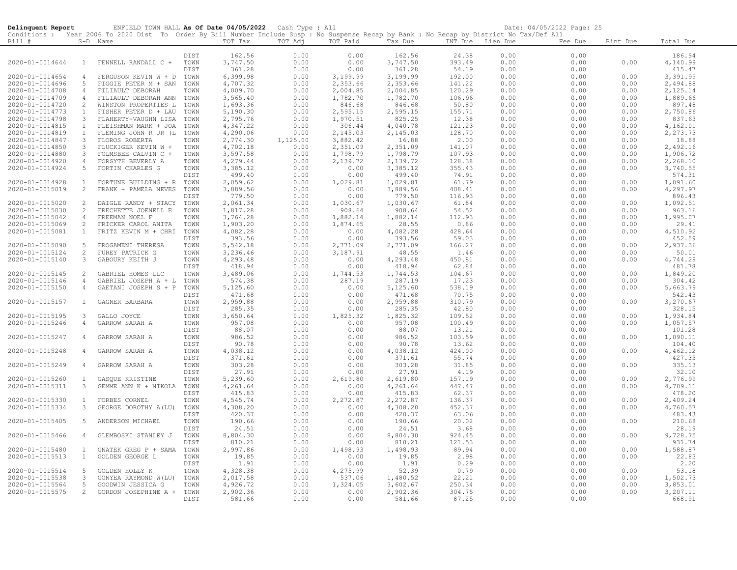| Delinquent Report                  |                                | ENFIELD TOWN HALL As Of Date 04/05/2022 Cash Type : All                                                                                    |              |                      |              |                    |                      |                  |              | Date: 04/05/2022 Page: 25 |              |                      |
|------------------------------------|--------------------------------|--------------------------------------------------------------------------------------------------------------------------------------------|--------------|----------------------|--------------|--------------------|----------------------|------------------|--------------|---------------------------|--------------|----------------------|
|                                    |                                | Conditions : Year 2006 To 2020 Dist To Order By Bill Number Include Susp : No Suspense Recap by Bank : No Recap by District No Tax/Def All |              |                      |              |                    |                      |                  |              |                           |              |                      |
| Bill #                             |                                | S-D Name                                                                                                                                   |              | TOT Tax              | TOT Adj      | TOT Paid           | Tax Due              | INT Due Lien Due |              | Fee Due                   | Bint Due     | Total Due            |
|                                    |                                |                                                                                                                                            | DIST         | 162.56               | 0.00         | 0.00               | 162.56               | 24.38            | 0.00         | 0.00                      |              | 186.94               |
| 2020-01-0014644                    | $\mathbf{1}$                   | FENNELL RANDALL C +                                                                                                                        | TOWN         | 3,747.50             | 0.00         | 0.00               | 3,747.50             | 393.49           | 0.00         | 0.00                      | 0.00         | 4,140.99             |
|                                    |                                |                                                                                                                                            | DIST         | 361.28               | 0.00         | 0.00               | 361.28               | 54.19            | 0.00         | 0.00                      |              | 415.47               |
| 2020-01-0014654                    | 4                              | FERGUSON KEVIN W + D                                                                                                                       | TOWN         | 6,399.98             | 0.00         | 3,199.99           | 3,199.99             | 192.00           | 0.00         | 0.00                      | 0.00         | 3,391.99             |
| 2020-01-0014696                    | -5                             | FIGGIE PETER M + SAN                                                                                                                       | TOWN         | 4,707.32             | 0.00         | 2,353.66           | 2,353.66             | 141.22           | 0.00         | 0.00                      | 0.00         | 2,494.88             |
| 2020-01-0014708                    | $\overline{4}$                 | FILIAULT DEBORAH                                                                                                                           | TOWN         | 4,009.70             | 0.00         | 2,004.85           | 2,004.85             | 120.29           | 0.00         | 0.00                      | 0.00         | 2,125.14             |
| 2020-01-0014709                    | $\overline{4}$                 | FILIAULT DEBORAH ANN                                                                                                                       | TOWN         | 3,565.40             | 0.00         | 1,782.70           | 1,782.70             | 106.96           | 0.00         | 0.00                      | 0.00         | 1,889.66             |
| 2020-01-0014720                    | 2                              | WINSTON PROPERTIES L                                                                                                                       | TOWN         | 1,693.36             | 0.00         | 846.68             | 846.68               | 50.80            | 0.00         | 0.00                      | 0.00         | 897.48               |
| 2020-01-0014773                    | $\mathbf{1}$                   | FISHER PETER D + LAU                                                                                                                       | TOWN         | 5,190.30             | 0.00         | 2,595.15           | 2,595.15             | 155.71           | 0.00         | 0.00                      | 0.00         | 2,750.86             |
| 2020-01-0014798                    | $\mathbf{3}$<br>$\overline{1}$ | FLAHERTY-VAUGHN LISA                                                                                                                       | TOWN         | 2,795.76             | 0.00         | 1,970.51           | 825.25               | 12.38            | 0.00         | 0.00                      | 0.00         | 837.63               |
| 2020-01-0014815<br>2020-01-0014819 | $\mathbf{1}$                   | FLEISHMAN MARK + JOA<br>FLEMING JOHN R JR (L                                                                                               | TOWN<br>TOWN | 4,347.22<br>4,290.06 | 0.00<br>0.00 | 306.44<br>2,145.03 | 4,040.78<br>2,145.03 | 121.23<br>128.70 | 0.00<br>0.00 | 0.00<br>0.00              | 0.00<br>0.00 | 4,162.01<br>2,273.73 |
| 2020-01-0014847                    | 3                              | FLOROS ROBERTA                                                                                                                             | TOWN         | 2,774.30             | 1,125.00     | 3,882.42           | 16.88                | 2.00             | 0.00         | 0.00                      | 0.00         | 18.88                |
| 2020-01-0014850                    | 3                              | FLUCKIGER KEVIN W +                                                                                                                        | TOWN         | 4,702.18             | 0.00         | 2,351.09           | 2,351.09             | 141.07           | 0.00         | 0.00                      | 0.00         | 2,492.16             |
| 2020-01-0014880                    | $\mathbf{3}$                   | FOLMSBEE CALVIN C +                                                                                                                        | TOWN         | 3,597.58             | 0.00         | 1,798.79           | 1,798.79             | 107.93           | 0.00         | 0.00                      | 0.00         | 1,906.72             |
| 2020-01-0014920                    | $\overline{4}$                 | FORSYTH BEVERLY A                                                                                                                          | TOWN         | 4,279.44             | 0.00         | 2,139.72           | 2,139.72             | 128.38           | 0.00         | 0.00                      | 0.00         | 2,268.10             |
| 2020-01-0014924                    |                                | FORTIN CHARLES G                                                                                                                           | TOWN         | 3,385.12             | 0.00         | 0.00               | 3,385.12             | 355.43           | 0.00         | 0.00                      | 0.00         | 3,740.55             |
|                                    |                                |                                                                                                                                            | DIST         | 499.40               | 0.00         | 0.00               | 499.40               | 74.91            | 0.00         | 0.00                      |              | 574.31               |
| 2020-01-0014928                    | $\mathbf{1}$                   | FORTUNE BUILDING + R                                                                                                                       | TOWN         | 2,059.62             | 0.00         | 1,029.81           | 1,029.81             | 61.79            | 0.00         | 0.00                      | 0.00         | 1,091.60             |
| 2020-01-0015019                    | 2                              | FRANK + PAMELA NEVES                                                                                                                       | TOWN         | 3,889.56             | 0.00         | 0.00               | 3,889.56             | 408.41           | 0.00         | 0.00                      | 0.00         | 4,297.97             |
| 2020-01-0015020                    | 2                              | DAIGLE RANDY + STACY                                                                                                                       | DIST<br>TOWN | 779.50<br>2,061.34   | 0.00<br>0.00 | 0.00<br>1,030.67   | 779.50<br>1,030.67   | 116.93<br>61.84  | 0.00<br>0.00 | 0.00<br>0.00              | 0.00         | 896.43<br>1,092.51   |
| 2020-01-0015030                    | 2                              | FRECHETTE JOENELL E                                                                                                                        | TOWN         | 1,817.28             | 0.00         | 908.64             | 908.64               | 54.52            | 0.00         | 0.00                      | 0.00         | 963.16               |
| 2020-01-0015042                    | $\overline{4}$                 | FREEMAN NOEL F                                                                                                                             | TOWN         | 3,764.28             | 0.00         | 1,882.14           | 1,882.14             | 112.93           | 0.00         | 0.00                      | 0.00         | 1,995.07             |
| 2020-01-0015069                    | 2                              | FRICKER CAROL ANITA                                                                                                                        | TOWN         | 1,903.20             | 0.00         | 1,874.65           | 28.55                | 0.86             | 0.00         | 0.00                      | 0.00         | 29.41                |
| 2020-01-0015081                    | $\mathbf{1}$                   | FRITZ KEVIN M + CHRI                                                                                                                       | TOWN         | 4,082.28             | 0.00         | 0.00               | 4,082.28             | 428.64           | 0.00         | 0.00                      | 0.00         | 4,510.92             |
|                                    |                                |                                                                                                                                            | DIST         | 393.56               | 0.00         | 0.00               | 393.56               | 59.03            | 0.00         | 0.00                      |              | 452.59               |
| 2020-01-0015090                    | 5                              | FROGAMENI THERESA                                                                                                                          | TOWN         | 5,542.18             | 0.00         | 2,771.09           | 2,771.09             | 166.27           | 0.00         | 0.00                      | 0.00         | 2,937.36             |
| 2020-01-0015124                    | 2                              | FUREY PATRICK G                                                                                                                            | TOWN         | 3,236.46             | 0.00         | 3,187.91           | 48.55                | 1.46             | 0.00         | 0.00                      | 0.00         | 50.01                |
| 2020-01-0015140                    | 3                              | GABOURY KEITH J                                                                                                                            | TOWN         | 4,293.48             | 0.00         | 0.00               | 4,293.48             | 450.81           | 0.00         | 0.00                      | 0.00         | 4,744.29             |
|                                    |                                |                                                                                                                                            | DIST         | 418.94               | 0.00         | 0.00               | 418.94               | 62.84            | 0.00         | 0.00                      |              | 481.78               |
| 2020-01-0015145<br>2020-01-0015146 | 2<br>4                         | GABRIEL HOMES LLC<br>GABRIEL JOSEPH A + L                                                                                                  | TOWN<br>TOWN | 3,489.06<br>574.38   | 0.00<br>0.00 | 1,744.53<br>287.19 | 1,744.53<br>287.19   | 104.67<br>17.23  | 0.00<br>0.00 | 0.00<br>0.00              | 0.00<br>0.00 | 1,849.20<br>304.42   |
| 2020-01-0015150                    | $\overline{4}$                 | GAETANI JOSEPH S + P                                                                                                                       | TOWN         | 5,125.60             | 0.00         | 0.00               | 5,125.60             | 538.19           | 0.00         | 0.00                      | 0.00         | 5,663.79             |
|                                    |                                |                                                                                                                                            | DIST         | 471.68               | 0.00         | 0.00               | 471.68               | 70.75            | 0.00         | 0.00                      |              | 542.43               |
| 2020-01-0015157                    | $\mathbf{1}$                   | GAGNER BARBARA                                                                                                                             | TOWN         | 2,959.88             | 0.00         | 0.00               | 2,959.88             | 310.79           | 0.00         | 0.00                      | 0.00         | 3,270.67             |
|                                    |                                |                                                                                                                                            | DIST         | 285.35               | 0.00         | 0.00               | 285.35               | 42.80            | 0.00         | 0.00                      |              | 328.15               |
| 2020-01-0015195                    | 3                              | GALLO JOYCE                                                                                                                                | TOWN         | 3,650.64             | 0.00         | 1,825.32           | 1,825.32             | 109.52           | 0.00         | 0.00                      | 0.00         | 1,934.84             |
| 2020-01-0015246                    | $\overline{4}$                 | GARROW SARAH A                                                                                                                             | TOWN         | 957.08               | 0.00         | 0.00               | 957.08               | 100.49           | 0.00         | 0.00                      | 0.00         | 1,057.57             |
|                                    |                                |                                                                                                                                            | DIST         | 88.07                | 0.00         | 0.00               | 88.07                | 13.21            | 0.00         | 0.00                      |              | 101.28               |
| 2020-01-0015247                    | 4                              | GARROW SARAH A                                                                                                                             | TOWN         | 986.52               | 0.00         | 0.00               | 986.52               | 103.59           | 0.00         | 0.00                      | 0.00         | 1,090.11             |
| 2020-01-0015248                    | 4                              |                                                                                                                                            | DIST<br>TOWN | 90.78<br>4,038.12    | 0.00<br>0.00 | 0.00<br>0.00       | 90.78                | 13.62            | 0.00<br>0.00 | 0.00<br>0.00              | 0.00         | 104.40               |
|                                    |                                | GARROW SARAH A                                                                                                                             | <b>DIST</b>  | 371.61               | 0.00         | 0.00               | 4,038.12<br>371.61   | 424.00<br>55.74  | 0.00         | 0.00                      |              | 4,462.12<br>427.35   |
| 2020-01-0015249                    | 4                              | GARROW SARAH A                                                                                                                             | TOWN         | 303.28               | 0.00         | 0.00               | 303.28               | 31.85            | 0.00         | 0.00                      | 0.00         | 335.13               |
|                                    |                                |                                                                                                                                            | DIST         | 27.91                | 0.00         | 0.00               | 27.91                | 4.19             | 0.00         | 0.00                      |              | 32.10                |
| 2020-01-0015260                    | $\mathbf{1}$                   | GASQUE KRISTINE                                                                                                                            | TOWN         | 5,239.60             | 0.00         | 2,619.80           | 2,619.80             | 157.19           | 0.00         | 0.00                      | 0.00         | 2,776.99             |
| 2020-01-0015311                    | 3                              | GEMME ANN K + NIKOLA                                                                                                                       | TOWN         | 4,261.64             | 0.00         | 0.00               | 4,261.64             | 447.47           | 0.00         | 0.00                      | 0.00         | 4,709.11             |
|                                    |                                |                                                                                                                                            | <b>DIST</b>  | 415.83               | 0.00         | 0.00               | 415.83               | 62.37            | 0.00         | 0.00                      |              | 478.20               |
| 2020-01-0015330                    | $\mathbf{1}$                   | FORBES CORNEL                                                                                                                              | TOWN         | 4,545.74             | 0.00         | 2,272.87           | 2,272.87             | 136.37           | 0.00         | 0.00                      | 0.00         | 2,409.24             |
| 2020-01-0015334                    | 3                              | GEORGE DOROTHY A(LU)                                                                                                                       | TOWN         | 4,308.20             | 0.00         | 0.00               | 4,308.20             | 452.37           | 0.00         | 0.00                      | 0.00         | 4,760.57             |
| 2020-01-0015405                    | -5                             | ANDERSON MICHAEL                                                                                                                           | DIST<br>TOWN | 420.37<br>190.66     | 0.00<br>0.00 | 0.00<br>0.00       | 420.37<br>190.66     | 63.06<br>20.02   | 0.00<br>0.00 | 0.00                      | 0.00         | 483.43<br>210.68     |
|                                    |                                |                                                                                                                                            | DIST         | 24.51                | 0.00         | 0.00               | 24.51                | 3.68             | 0.00         | 0.00<br>0.00              |              | 28.19                |
| 2020-01-0015466                    | 4                              | GLEMBOSKI STANLEY J                                                                                                                        | TOWN         | 8,804.30             | 0.00         | 0.00               | 8,804.30             | 924.45           | 0.00         | 0.00                      | 0.00         | 9,728.75             |
|                                    |                                |                                                                                                                                            | DIST         | 810.21               | 0.00         | 0.00               | 810.21               | 121.53           | 0.00         | 0.00                      |              | 931.74               |
| 2020-01-0015480                    | $\mathbf{1}$                   | GNATEK GREG P + SAMA                                                                                                                       | TOWN         | 2,997.86             | 0.00         | 1,498.93           | 1,498.93             | 89.94            | 0.00         | 0.00                      | 0.00         | 1,588.87             |
| 2020-01-0015513                    | $\mathbf{1}$                   | GOLDEN GEORGE L                                                                                                                            | TOWN         | 19.85                | 0.00         | 0.00               | 19.85                | 2.98             | 0.00         | 0.00                      | 0.00         | 22.83                |
|                                    |                                |                                                                                                                                            | DIST         | 1.91                 | 0.00         | 0.00               | 1.91                 | 0.29             | 0.00         | 0.00                      |              | 2.20                 |
| 2020-01-0015514                    | -5                             | GOLDEN HOLLY K                                                                                                                             | TOWN         | 4,328.38             | 0.00         | 4,275.99           | 52.39                | 0.79             | 0.00         | 0.00                      | 0.00         | 53.18                |
| 2020-01-0015538                    | $\mathbf{3}$                   | GONYEA RAYMOND W(LU)                                                                                                                       | TOWN         | 2,017.58             | 0.00         | 537.06             | 1,480.52             | 22.21            | 0.00         | 0.00                      | 0.00         | 1,502.73             |
| 2020-01-0015564                    | $\sqrt{5}$<br>$\overline{2}$   | GOODWIN JESSICA G                                                                                                                          | TOWN         | 4,926.72             | 0.00         | 1,324.05           | 3,602.67             | 250.34           | 0.00         | 0.00                      | 0.00         | 3,853.01             |
| 2020-01-0015575                    |                                | GORDON JOSEPHINE A +                                                                                                                       | TOWN<br>DIST | 2,902.36<br>581.66   | 0.00<br>0.00 | 0.00<br>0.00       | 2,902.36<br>581.66   | 304.75<br>87.25  | 0.00<br>0.00 | 0.00<br>0.00              | 0.00         | 3,207.11<br>668.91   |
|                                    |                                |                                                                                                                                            |              |                      |              |                    |                      |                  |              |                           |              |                      |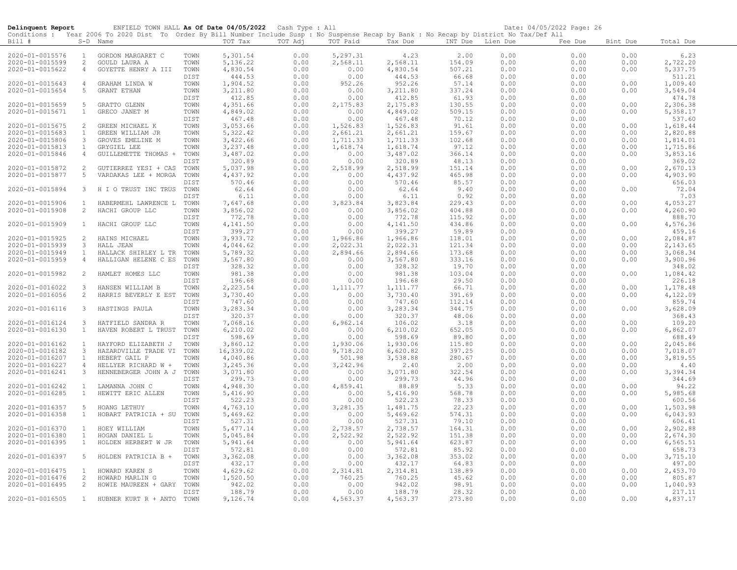| Delinquent Report                  |                              | ENFIELD TOWN HALL As Of Date 04/05/2022 Cash Type : All<br>Conditions : Year 2006 To 2020 Dist To Order By Bill Number Include Susp : No Suspense Recap by Bank : No Recap by District No Tax/Def All |              |                      |              |                      |                      |                  |              | Date: 04/05/2022 Page: 26 |              |                      |
|------------------------------------|------------------------------|-------------------------------------------------------------------------------------------------------------------------------------------------------------------------------------------------------|--------------|----------------------|--------------|----------------------|----------------------|------------------|--------------|---------------------------|--------------|----------------------|
| Bill #                             |                              | S-D Name                                                                                                                                                                                              |              | TOT Tax              | TOT Adj      | TOT Paid             | Tax Due              | INT Due Lien Due |              | Fee Due                   | Bint Due     | Total Due            |
| 2020-01-0015576                    | $\mathbf{1}$                 | GORDON MARGARET C                                                                                                                                                                                     | TOWN         | 5,301.54             | 0.00         | 5,297.31             | 4.23                 | 2.00             | 0.00         | 0.00                      | 0.00         | 6.23                 |
| 2020-01-0015599                    | 2                            | GOULD LAURA A                                                                                                                                                                                         | TOWN         | 5, 136.22            | 0.00         | 2,568.11             | 2,568.11             | 154.09           | 0.00         | 0.00                      | 0.00         | 2,722.20             |
| 2020-01-0015622                    | $\overline{4}$               | GOYETTE HENRY A III                                                                                                                                                                                   | TOWN         | 4,830.54             | 0.00         | 0.00                 | 4,830.54             | 507.21           | 0.00         | 0.00                      | 0.00         | 5,337.75             |
|                                    |                              |                                                                                                                                                                                                       | DIST         | 444.53               | 0.00         | 0.00                 | 444.53               | 66.68            | 0.00         | 0.00                      |              | 511.21               |
| 2020-01-0015643                    | $\overline{4}$               | GRAHAM LINDA W                                                                                                                                                                                        | TOWN         | 1,904.52             | 0.00         | 952.26               | 952.26               | 57.14            | 0.00         | 0.00                      | 0.00         | 1,009.40             |
| 2020-01-0015654                    | 5                            | GRANT ETHAN                                                                                                                                                                                           | TOWN         | 3,211.80             | 0.00         | 0.00                 | 3,211.80             | 337.24           | 0.00         | 0.00                      | 0.00         | 3,549.04             |
|                                    |                              |                                                                                                                                                                                                       | DIST         | 412.85               | 0.00         | 0.00                 | 412.85               | 61.93            | 0.00         | 0.00                      |              | 474.78               |
| 2020-01-0015659                    | 5                            | GRATTO GLENN                                                                                                                                                                                          | TOWN         | 4,351.66             | 0.00         | 2,175.83             | 2,175.83             | 130.55           | 0.00         | 0.00                      | 0.00         | 2,306.38             |
| 2020-01-0015671                    | $\mathbf{1}$                 | GRECO JANET M                                                                                                                                                                                         | TOWN         | 4,849.02             | 0.00         | 0.00                 | 4,849.02             | 509.15           | 0.00         | 0.00                      | 0.00         | 5,358.17             |
|                                    |                              |                                                                                                                                                                                                       | DIST         | 467.48               | 0.00         | 0.00                 | 467.48               | 70.12            | 0.00         | 0.00                      |              | 537.60               |
| 2020-01-0015675                    | 2                            | GREEN MICHAEL K                                                                                                                                                                                       | TOWN         | 3,053.66             | 0.00         | 1,526.83             | 1,526.83             | 91.61            | 0.00         | 0.00                      | 0.00         | 1,618.44             |
| 2020-01-0015683                    | $\mathbf{1}$                 | GREEN WILLIAM JR                                                                                                                                                                                      | TOWN         | 5, 322.42            | 0.00         | 2,661.21             | 2,661.21             | 159.67           | 0.00         | 0.00                      | 0.00         | 2,820.88             |
| 2020-01-0015806                    | $\mathbf{3}$                 | GROVES EMELINE M                                                                                                                                                                                      | TOWN         | 3,422.66             | 0.00         | 1,711.33             | 1,711.33             | 102.68           | 0.00         | 0.00                      | 0.00         | 1,814.01             |
| 2020-01-0015813                    | $\mathbf{1}$                 | GRYGIEL LEE                                                                                                                                                                                           | TOWN         | 3,237.48             | 0.00         | 1,618.74             | 1,618.74             | 97.12            | 0.00         | 0.00                      | 0.00         | 1,715.86             |
| 2020-01-0015846                    | $\overline{4}$               | GUILLEMETTE THOMAS +                                                                                                                                                                                  | TOWN         | 3,487.02             | 0.00<br>0.00 | 0.00                 | 3,487.02             | 366.14           | 0.00         | 0.00                      | 0.00         | 3,853.16             |
| 2020-01-0015872                    | 2                            | GUTIERREZ YESI + CAS                                                                                                                                                                                  | DIST<br>TOWN | 320.89<br>5,037.98   | 0.00         | 0.00<br>2,518.99     | 320.89<br>2,518.99   | 48.13<br>151.14  | 0.00<br>0.00 | 0.00<br>0.00              | 0.00         | 369.02<br>2,670.13   |
| 2020-01-0015877                    | 5                            | VARDAKAS LEE + MORGA                                                                                                                                                                                  | TOWN         | 4,437.92             | 0.00         | 0.00                 | 4,437.92             | 465.98           | 0.00         | 0.00                      | 0.00         | 4,903.90             |
|                                    |                              |                                                                                                                                                                                                       | DIST         | 570.46               | 0.00         | 0.00                 | 570.46               | 85.57            | 0.00         | 0.00                      |              | 656.03               |
| 2020-01-0015894                    | $\mathbf{3}$                 | H I O TRUST INC TRUS                                                                                                                                                                                  | TOWN         | 62.64                | 0.00         | 0.00                 | 62.64                | 9.40             | 0.00         | 0.00                      | 0.00         | 72.04                |
|                                    |                              |                                                                                                                                                                                                       | DIST         | 6.11                 | 0.00         | 0.00                 | 6.11                 | 0.92             | 0.00         | 0.00                      |              | 7.03                 |
| 2020-01-0015906                    | 1                            | HABERMEHL LAWRENCE L TOWN                                                                                                                                                                             |              | 7,647.68             | 0.00         | 3,823.84             | 3,823.84             | 229.43           | 0.00         | 0.00                      | 0.00         | 4,053.27             |
| 2020-01-0015908                    | 2                            | HACHI GROUP LLC                                                                                                                                                                                       | TOWN         | 3,856.02             | 0.00         | 0.00                 | 3,856.02             | 404.88           | 0.00         | 0.00                      | 0.00         | 4,260.90             |
|                                    |                              |                                                                                                                                                                                                       | DIST         | 772.78               | 0.00         | 0.00                 | 772.78               | 115.92           | 0.00         | 0.00                      |              | 888.70               |
| 2020-01-0015909                    | $\mathbf{1}$                 | HACHI GROUP LLC                                                                                                                                                                                       | TOWN         | 4,141.50             | 0.00         | 0.00                 | 4,141.50             | 434.86           | 0.00         | 0.00                      | 0.00         | 4,576.36             |
|                                    |                              |                                                                                                                                                                                                       | DIST         | 399.27               | 0.00         | 0.00                 | 399.27               | 59.89            | 0.00         | 0.00                      |              | 459.16               |
| 2020-01-0015925                    | 2                            | HAINS MICHAEL                                                                                                                                                                                         | TOWN         | 3,933.72             | 0.00         | 1,966.86             | 1,966.86             | 118.01           | 0.00         | 0.00                      | 0.00         | 2,084.87             |
| 2020-01-0015939                    | $\mathbf{3}$                 | HALL JEAN                                                                                                                                                                                             | TOWN         | 4,044.62             | 0.00         | 2,022.31             | 2,022.31             | 121.34           | 0.00         | 0.00                      | 0.00         | 2,143.65             |
| 2020-01-0015949                    | $\mathbf{1}$                 | HALLACK SHIRLEY L TR                                                                                                                                                                                  | TOWN         | 5,789.32             | 0.00         | 2,894.66             | 2,894.66             | 173.68           | 0.00         | 0.00                      | 0.00         | 3,068.34             |
| 2020-01-0015959                    | $\overline{4}$               | HALLIGAN HELENE C ES                                                                                                                                                                                  | TOWN         | 3,567.80             | 0.00         | 0.00                 | 3,567.80             | 333.16           | 0.00         | 0.00                      | 0.00         | 3,900.96             |
|                                    |                              |                                                                                                                                                                                                       | DIST         | 328.32               | 0.00         | 0.00                 | 328.32               | 19.70            | 0.00         | 0.00                      |              | 348.02               |
| 2020-01-0015982                    | 2                            | HAMLET HOMES LLC                                                                                                                                                                                      | TOWN         | 981.38               | 0.00         | 0.00                 | 981.38               | 103.04           | 0.00         | 0.00                      | 0.00         | 1,084.42             |
|                                    |                              |                                                                                                                                                                                                       | DIST         | 196.68               | 0.00         | 0.00                 | 196.68               | 29.50            | 0.00         | 0.00                      |              | 226.18               |
| 2020-01-0016022                    | $\mathbf{3}$<br>2            | HANSEN WILLIAM B                                                                                                                                                                                      | TOWN         | 2,223.54             | 0.00         | 1,111.77             | 1, 111.77            | 66.71            | 0.00         | 0.00                      | 0.00         | 1,178.48             |
| 2020-01-0016056                    |                              | HARRIS BEVERLY E EST                                                                                                                                                                                  | TOWN<br>DIST | 3,730.40<br>747.60   | 0.00<br>0.00 | 0.00<br>0.00         | 3,730.40<br>747.60   | 391.69<br>112.14 | 0.00<br>0.00 | 0.00<br>0.00              | 0.00         | 4,122.09<br>859.74   |
| 2020-01-0016116                    | $\mathbf{3}$                 | HASTINGS PAULA                                                                                                                                                                                        | TOWN         | 3,283.34             | 0.00         | 0.00                 | 3,283.34             | 344.75           | 0.00         | 0.00                      | 0.00         | 3,628.09             |
|                                    |                              |                                                                                                                                                                                                       | DIST         | 320.37               | 0.00         | 0.00                 | 320.37               | 48.06            | 0.00         | 0.00                      |              | 368.43               |
| 2020-01-0016124                    | $\mathbf{3}$                 | HATFIELD SANDRA R                                                                                                                                                                                     | TOWN         | 7,068.16             | 0.00         | 6,962.14             | 106.02               | 3.18             | 0.00         | 0.00                      | 0.00         | 109.20               |
| 2020-01-0016130                    | $\mathbf{1}$                 | HAVEN ROBERT L TRUST                                                                                                                                                                                  | TOWN         | 6, 210.02            | 0.00         | 0.00                 | 6, 210.02            | 652.05           | 0.00         | 0.00                      | 0.00         | 6,862.07             |
|                                    |                              |                                                                                                                                                                                                       | DIST         | 598.69               | 0.00         | 0.00                 | 598.69               | 89.80            | 0.00         | 0.00                      |              | 688.49               |
| 2020-01-0016162                    | $\mathbf{1}$                 | HAYFORD ELIZABETH J                                                                                                                                                                                   | TOWN         | 3,860.12             | 0.00         | 1,930.06             | 1,930.06             | 115.80           | 0.00         | 0.00                      | 0.00         | 2,045.86             |
| 2020-01-0016182                    | $\mathbf{3}$                 | HAZARDVILLE TRADE VI                                                                                                                                                                                  | TOWN         | 16,339.02            | 0.00         | 9,718.20             | 6,620.82             | 397.25           | 0.00         | 0.00                      | 0.00         | 7,018.07             |
| 2020-01-0016207                    | $\mathbf{1}$                 | HEBERT GAIL P                                                                                                                                                                                         | TOWN         | 4,040.86             | 0.00         | 501.98               | 3,538.88             | 280.67           | 0.00         | 0.00                      | 0.00         | 3,819.55             |
| 2020-01-0016227                    | $\overline{4}$               | HELLYER RICHARD W +                                                                                                                                                                                   | TOWN         | 3,245.36             | 0.00         | 3,242.96             | 2.40                 | 2.00             | 0.00         | 0.00                      | 0.00         | 4.40                 |
| 2020-01-0016241                    | 3                            | HENNEBERGER JOHN A J TOWN                                                                                                                                                                             |              | 3,071.80             | 0.00         | 0.00                 | 3,071.80             | 322.54           | 0.00         | 0.00                      | 0.00         | 3,394.34             |
|                                    |                              |                                                                                                                                                                                                       | DIST         | 299.73               | 0.00         | 0.00                 | 299.73               | 44.96            | 0.00         | 0.00                      |              | 344.69               |
| 2020-01-0016242                    | $\mathbf{1}$                 | LAMANNA JOHN C                                                                                                                                                                                        | TOWN         | 4,948.30             | 0.00         | 4,859.41             | 88.89                | 5.33             | 0.00         | 0.00                      | 0.00         | 94.22                |
| 2020-01-0016285                    | $\mathbf{1}$                 | HEWITT ERIC ALLEN                                                                                                                                                                                     | TOWN         | 5,416.90             | 0.00         | 0.00                 | 5,416.90             | 568.78           | 0.00         | 0.00                      | 0.00         | 5,985.68             |
|                                    |                              |                                                                                                                                                                                                       | DIST         | 522.23               | 0.00         | 0.00                 | 522.23               | 78.33            | 0.00         | 0.00                      |              | 600.56               |
| 2020-01-0016357                    | 5                            | HOANG LETHUY                                                                                                                                                                                          | TOWN         | 4,763.10             | 0.00         | 3,281.35             | 1,481.75             | 22.23            | 0.00         | 0.00                      | 0.00         | 1,503.98             |
| 2020-01-0016358                    | $\mathbf{1}$                 | HOBART PATRICIA + SU                                                                                                                                                                                  | TOWN         | 5,469.62             | 0.00<br>0.00 | 0.00                 | 5,469.62             | 574.31           | 0.00         | 0.00                      | 0.00         | 6,043.93             |
|                                    |                              |                                                                                                                                                                                                       | DIST         | 527.31               |              | 0.00                 | 527.31               | 79.10            | 0.00         | 0.00                      |              | 606.41               |
| 2020-01-0016370<br>2020-01-0016380 | $\mathbf{1}$<br>$\mathbf{1}$ | HOEY WILLIAM<br>HOGAN DANIEL L                                                                                                                                                                        | TOWN<br>TOWN | 5,477.14<br>5,045.84 | 0.00<br>0.00 | 2,738.57<br>2,522.92 | 2,738.57<br>2,522.92 | 164.31<br>151.38 | 0.00<br>0.00 | 0.00<br>0.00              | 0.00<br>0.00 | 2,902.88<br>2,674.30 |
| 2020-01-0016395                    | $\mathbf{1}$                 | HOLDEN HERBERT W JR                                                                                                                                                                                   | TOWN         | 5,941.64             | 0.00         | 0.00                 | 5,941.64             | 623.87           | 0.00         | 0.00                      | 0.00         | 6, 565.51            |
|                                    |                              |                                                                                                                                                                                                       | DIST         | 572.81               | 0.00         | 0.00                 | 572.81               | 85.92            | 0.00         | 0.00                      |              | 658.73               |
| 2020-01-0016397                    | 5                            | HOLDEN PATRICIA B +                                                                                                                                                                                   | TOWN         | 3,362.08             | 0.00         | 0.00                 | 3,362.08             | 353.02           | 0.00         | 0.00                      | 0.00         | 3,715.10             |
|                                    |                              |                                                                                                                                                                                                       | DIST         | 432.17               | 0.00         | 0.00                 | 432.17               | 64.83            | 0.00         | 0.00                      |              | 497.00               |
| 2020-01-0016475                    | $\mathbf{1}$                 | HOWARD KAREN S                                                                                                                                                                                        | TOWN         | 4,629.62             | 0.00         | 2,314.81             | 2,314.81             | 138.89           | 0.00         | 0.00                      | 0.00         | 2,453.70             |
| 2020-01-0016476                    | 2                            | HOWARD MARLIN G                                                                                                                                                                                       | TOWN         | 1,520.50             | 0.00         | 760.25               | 760.25               | 45.62            | 0.00         | 0.00                      | 0.00         | 805.87               |
| 2020-01-0016495                    | 2                            | HOWIE MAUREEN + GARY                                                                                                                                                                                  | TOWN         | 942.02               | 0.00         | 0.00                 | 942.02               | 98.91            | 0.00         | 0.00                      | 0.00         | 1,040.93             |
|                                    |                              |                                                                                                                                                                                                       | DIST         | 188.79               | 0.00         | 0.00                 | 188.79               | 28.32            | 0.00         | 0.00                      |              | 217.11               |
| 2020-01-0016505                    |                              | 1 HUBNER KURT R + ANTO                                                                                                                                                                                | TOWN         | 9,126.74             | 0.00         | 4,563.37             | 4,563.37             | 273.80           | 0.00         | 0.00                      | 0.00         | 4,837.17             |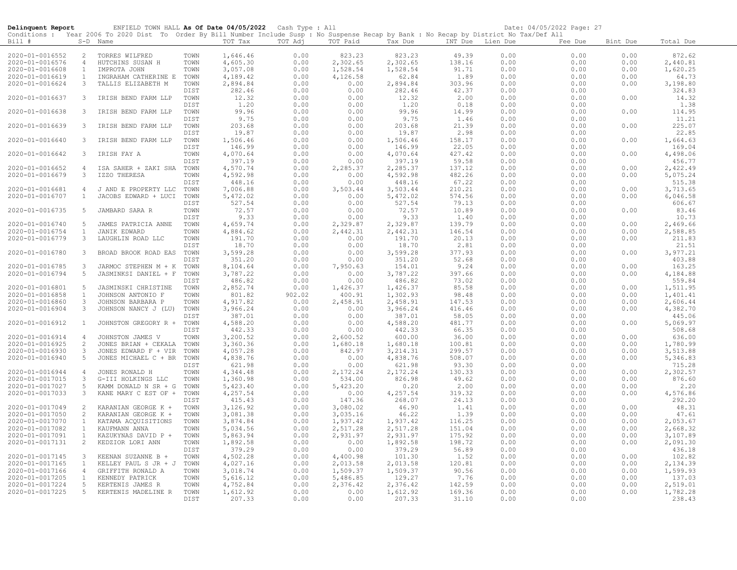| Delinquent Report                  |                                  | ENFIELD TOWN HALL As Of Date 04/05/2022 Cash Type : All                                                                                                  |              |                      |                |                      |                      |                  |              | Date: 04/05/2022 Page: 27 |              |                      |
|------------------------------------|----------------------------------|----------------------------------------------------------------------------------------------------------------------------------------------------------|--------------|----------------------|----------------|----------------------|----------------------|------------------|--------------|---------------------------|--------------|----------------------|
| Bill #                             |                                  | Conditions : Year 2006 To 2020 Dist To Order By Bill Number Include Susp : No Suspense Recap by Bank : No Recap by District No Tax/Def All<br>$S-D$ Name |              | TOT Tax              | TOT Adj        | TOT Paid             | Tax Due              | INT Due Lien Due |              | Fee Due                   | Bint Due     | Total Due            |
|                                    |                                  |                                                                                                                                                          |              |                      |                |                      |                      |                  |              |                           |              |                      |
| 2020-01-0016552<br>2020-01-0016576 | $\overline{2}$<br>$\overline{4}$ | TORRES WILFRED<br>HUTCHINS SUSAN H                                                                                                                       | TOWN<br>TOWN | 1,646.46             | 0.00<br>0.00   | 823.23               | 823.23               | 49.39            | 0.00<br>0.00 | 0.00<br>0.00              | 0.00<br>0.00 | 872.62               |
| 2020-01-0016608                    | $\mathbf{1}$                     | IMPROTA JOHN                                                                                                                                             | TOWN         | 4,605.30<br>3,057.08 | 0.00           | 2,302.65<br>1,528.54 | 2,302.65<br>1,528.54 | 138.16<br>91.71  | 0.00         | 0.00                      | 0.00         | 2,440.81<br>1,620.25 |
| 2020-01-0016619                    | $\mathbf{1}$                     | INGRAHAM CATHERINE E                                                                                                                                     | TOWN         | 4,189.42             | 0.00           | 4,126.58             | 62.84                | 1.89             | 0.00         | 0.00                      | 0.00         | 64.73                |
| 2020-01-0016624                    | $\mathbf{3}$                     | TALLIS ELIZABETH M                                                                                                                                       | TOWN         | 2,894.84             | 0.00           | 0.00                 | 2,894.84             | 303.96           | 0.00         | 0.00                      | 0.00         | 3,198.80             |
|                                    |                                  |                                                                                                                                                          | DIST         | 282.46               | 0.00           | 0.00                 | 282.46               | 42.37            | 0.00         | 0.00                      |              | 324.83               |
| 2020-01-0016637                    | 3                                | IRISH BEND FARM LLP                                                                                                                                      | TOWN         | 12.32                | 0.00           | 0.00                 | 12.32                | 2.00             | 0.00         | 0.00                      | 0.00         | 14.32                |
|                                    |                                  |                                                                                                                                                          | DIST         | 1.20                 | 0.00           | 0.00                 | 1.20                 | 0.18             | 0.00         | 0.00                      |              | 1.38                 |
| 2020-01-0016638                    | 3                                | IRISH BEND FARM LLP                                                                                                                                      | TOWN         | 99.96                | 0.00           | 0.00                 | 99.96                | 14.99            | 0.00         | 0.00                      | 0.00         | 114.95               |
|                                    |                                  |                                                                                                                                                          | DIST         | 9.75                 | 0.00           | 0.00                 | 9.75                 | 1.46             | 0.00         | 0.00                      |              | 11.21                |
| 2020-01-0016639                    | 3                                | IRISH BEND FARM LLP                                                                                                                                      | TOWN         | 203.68               | 0.00           | 0.00                 | 203.68               | 21.39            | 0.00         | 0.00                      | 0.00         | 225.07               |
|                                    |                                  |                                                                                                                                                          | DIST         | 19.87                | 0.00           | 0.00                 | 19.87                | 2.98             | 0.00         | 0.00                      |              | 22.85                |
| 2020-01-0016640                    | $\mathbf{3}$                     | IRISH BEND FARM LLP                                                                                                                                      | TOWN         | 1,506.46             | 0.00           | 0.00                 | 1,506.46             | 158.17           | 0.00         | 0.00                      | 0.00         | 1,664.63             |
|                                    |                                  |                                                                                                                                                          | DIST         | 146.99               | 0.00           | 0.00                 | 146.99               | 22.05            | 0.00         | 0.00                      |              | 169.04               |
| 2020-01-0016642                    | 3                                | IRISH FAY A                                                                                                                                              | TOWN         | 4,070.64             | 0.00           | 0.00                 | 4,070.64             | 427.42           | 0.00         | 0.00                      | 0.00         | 4,498.06             |
|                                    |                                  |                                                                                                                                                          | DIST         | 397.19               | 0.00           | 0.00                 | 397.19               | 59.58            | 0.00         | 0.00                      |              | 456.77               |
| 2020-01-0016652<br>2020-01-0016679 | 4                                | ISA SAHER + ZAKI SHA<br>IZZO THERESA                                                                                                                     | TOWN<br>TOWN | 4,570.74<br>4,592.98 | 0.00<br>0.00   | 2,285.37<br>0.00     | 2,285.37<br>4,592.98 | 137.12<br>482.26 | 0.00<br>0.00 | 0.00<br>0.00              | 0.00<br>0.00 | 2,422.49<br>5,075.24 |
|                                    | 3                                |                                                                                                                                                          | DIST         | 448.16               | 0.00           | 0.00                 | 448.16               | 67.22            | 0.00         | 0.00                      |              | 515.38               |
| 2020-01-0016681                    | $\overline{4}$                   | J AND E PROPERTY LLC                                                                                                                                     | TOWN         | 7,006.88             | 0.00           | 3,503.44             | 3,503.44             | 210.21           | 0.00         | 0.00                      | 0.00         | 3,713.65             |
| 2020-01-0016707                    | $\mathbf{1}$                     | JACOBS EDWARD + LUCI                                                                                                                                     | TOWN         | 5,472.02             | 0.00           | 0.00                 | 5,472.02             | 574.56           | 0.00         | 0.00                      | 0.00         | 6,046.58             |
|                                    |                                  |                                                                                                                                                          | DIST         | 527.54               | 0.00           | 0.00                 | 527.54               | 79.13            | 0.00         | 0.00                      |              | 606.67               |
| 2020-01-0016735                    | 5                                | JAMBARD SARA R                                                                                                                                           | TOWN         | 72.57                | 0.00           | 0.00                 | 72.57                | 10.89            | 0.00         | 0.00                      | 0.00         | 83.46                |
|                                    |                                  |                                                                                                                                                          | DIST         | 9.33                 | 0.00           | 0.00                 | 9.33                 | 1.40             | 0.00         | 0.00                      |              | 10.73                |
| 2020-01-0016740                    | 5                                | JAMES PATRICIA ANNE                                                                                                                                      | TOWN         | 4,659.74             | 0.00           | 2,329.87             | 2,329.87             | 139.79           | 0.00         | 0.00                      | 0.00         | 2,469.66             |
| 2020-01-0016754                    | $\mathbf{1}$                     | JANIK EDWARD                                                                                                                                             | TOWN         | 4,884.62             | 0.00           | 2,442.31             | 2,442.31             | 146.54           | 0.00         | 0.00                      | 0.00         | 2,588.85             |
| 2020-01-0016779                    | 3                                | LAUGHLIN ROAD LLC                                                                                                                                        | TOWN         | 191.70               | 0.00           | 0.00                 | 191.70               | 20.13            | 0.00         | 0.00                      | 0.00         | 211.83               |
|                                    |                                  |                                                                                                                                                          | DIST         | 18.70                | 0.00           | 0.00                 | 18.70                | 2.81             | 0.00         | 0.00                      |              | 21.51                |
| 2020-01-0016780                    | $\mathbf{3}$                     | BROAD BROOK ROAD EAS                                                                                                                                     | TOWN         | 3,599.28             | 0.00           | 0.00                 | 3,599.28             | 377.93           | 0.00         | 0.00                      | 0.00         | 3,977.21             |
|                                    |                                  |                                                                                                                                                          | DIST         | 351.20               | 0.00           | 0.00                 | 351.20               | 52.68            | 0.00         | 0.00                      |              | 403.88               |
| 2020-01-0016785                    | 3                                | JARMOC STEPHEN M + K                                                                                                                                     | TOWN         | 8,104.64             | 0.00           | 7,950.63             | 154.01               | 9.24             | 0.00         | 0.00                      | 0.00         | 163.25               |
| 2020-01-0016794                    | 5                                | JASMINKSI DANIEL + F                                                                                                                                     | TOWN         | 3,787.22             | 0.00           | 0.00                 | 3,787.22             | 397.66           | 0.00         | 0.00                      | 0.00         | 4,184.88             |
|                                    | 5                                |                                                                                                                                                          | DIST         | 486.82               | 0.00           | 0.00                 | 486.82               | 73.02<br>85.58   | 0.00         | 0.00<br>0.00              | 0.00         | 559.84               |
| 2020-01-0016801<br>2020-01-0016858 | $\mathbf{1}$                     | JASMINSKI CHRISTINE<br>JOHNSON ANTONIO F                                                                                                                 | TOWN<br>TOWN | 2,852.74<br>801.82   | 0.00<br>902.02 | 1,426.37<br>400.91   | 1,426.37<br>1,302.93 | 98.48            | 0.00<br>0.00 | 0.00                      | 0.00         | 1,511.95<br>1,401.41 |
| 2020-01-0016860                    | 3                                | JOHNSON BARBARA P                                                                                                                                        | TOWN         | 4,917.82             | 0.00           | 2,458.91             | 2,458.91             | 147.53           | 0.00         | 0.00                      | 0.00         | 2,606.44             |
| 2020-01-0016904                    | 3                                | JOHNSON NANCY J (LU)                                                                                                                                     | TOWN         | 3,966.24             | 0.00           | 0.00                 | 3,966.24             | 416.46           | 0.00         | 0.00                      | 0.00         | 4,382.70             |
|                                    |                                  |                                                                                                                                                          | DIST         | 387.01               | 0.00           | 0.00                 | 387.01               | 58.05            | 0.00         | 0.00                      |              | 445.06               |
| 2020-01-0016912                    | $\mathbf{1}$                     | JOHNSTON GREGORY R +                                                                                                                                     | TOWN         | 4,588.20             | 0.00           | 0.00                 | 4,588.20             | 481.77           | 0.00         | 0.00                      | 0.00         | 5,069.97             |
|                                    |                                  |                                                                                                                                                          | DIST         | 442.33               | 0.00           | 0.00                 | 442.33               | 66.35            | 0.00         | 0.00                      |              | 508.68               |
| 2020-01-0016914                    | $\overline{4}$                   | JOHNSTON JAMES V                                                                                                                                         | TOWN         | 3,200.52             | 0.00           | 2,600.52             | 600.00               | 36.00            | 0.00         | 0.00                      | 0.00         | 636.00               |
| 2020-01-0016925                    | 2                                | JONES BRIAN + CEKALA                                                                                                                                     | TOWN         | 3,360.36             | 0.00           | 1,680.18             | 1,680.18             | 100.81           | 0.00         | 0.00                      | 0.00         | 1,780.99             |
| 2020-01-0016930                    | 3                                | JONES EDWARD F + VIR                                                                                                                                     | TOWN         | 4,057.28             | 0.00           | 842.97               | 3, 214.31            | 299.57           | 0.00         | 0.00                      | 0.00         | 3,513.88             |
| 2020-01-0016940                    | 5                                | JONES MICHAEL C + BR                                                                                                                                     | TOWN         | 4,838.76             | 0.00           | 0.00                 | 4,838.76             | 508.07           | 0.00         | 0.00                      | 0.00         | 5,346.83             |
|                                    |                                  |                                                                                                                                                          | DIST         | 621.98               | 0.00           | 0.00                 | 621.98               | 93.30            | 0.00         | 0.00                      |              | 715.28               |
| 2020-01-0016944                    | $\overline{4}$                   | JONES RONALD H                                                                                                                                           | TOWN         | 4,344.48             | 0.00           | 2,172.24             | 2,172.24             | 130.33           | 0.00         | 0.00                      | 0.00         | 2,302.57             |
| 2020-01-0017015                    | 3                                | G-III HOLKINGS LLC                                                                                                                                       | TOWN         | 1,360.98             | 0.00           | 534.00               | 826.98               | 49.62            | 0.00         | 0.00                      | 0.00         | 876.60               |
| 2020-01-0017027                    | 5                                | KAMM DONALD N SR + G                                                                                                                                     | TOWN         | 5,423.40             | 0.00           | 5,423.20             | 0.20                 | 2.00             | 0.00         | 0.00                      | 0.00         | 2.20                 |
| 2020-01-0017033                    | 3                                | KANE MARY C EST OF +                                                                                                                                     | TOWN         | 4,257.54             | 0.00           | 0.00                 | 4,257.54             | 319.32           | 0.00         | 0.00                      | 0.00         | 4,576.86             |
| 2020-01-0017049                    | 2                                |                                                                                                                                                          | DIST<br>TOWN | 415.43<br>3,126.92   | 0.00<br>0.00   | 147.36<br>3,080.02   | 268.07<br>46.90      | 24.13<br>1.41    | 0.00<br>0.00 | 0.00<br>0.00              | 0.00         | 292.20<br>48.31      |
| 2020-01-0017050                    | $\overline{c}$                   | KARANIAN GEORGE K +<br>KARANIAN GEORGE K +                                                                                                               | TOWN         | 3,081.38             | 0.00           | 3,035.16             | 46.22                | 1.39             | 0.00         | 0.00                      | 0.00         | 47.61                |
| 2020-01-0017070                    | $\mathbf{1}$                     | KATAMA ACQUISITIONS                                                                                                                                      | TOWN         | 3,874.84             | 0.00           | 1,937.42             | 1,937.42             | 116.25           | 0.00         | 0.00                      | 0.00         | 2,053.67             |
| 2020-01-0017082                    | $\mathbf{1}$                     | KAUFMANN ANNA                                                                                                                                            | TOWN         | 5,034.56             | 0.00           | 2,517.28             | 2,517.28             | 151.04           | 0.00         | 0.00                      | 0.00         | 2,668.32             |
| 2020-01-0017091                    | $\mathbf{1}$                     | KAZUKYNAS DAVID P +                                                                                                                                      | TOWN         | 5,863.94             | 0.00           | 2,931.97             | 2,931.97             | 175.92           | 0.00         | 0.00                      | 0.00         | 3,107.89             |
| 2020-01-0017131                    | $\overline{2}$                   | KEDZIOR LORI ANN                                                                                                                                         | TOWN         | 1,892.58             | 0.00           | 0.00                 | 1,892.58             | 198.72           | 0.00         | 0.00                      | 0.00         | 2,091.30             |
|                                    |                                  |                                                                                                                                                          | DIST         | 379.29               | 0.00           | 0.00                 | 379.29               | 56.89            | 0.00         | 0.00                      |              | 436.18               |
| 2020-01-0017145                    | 3                                | KEENAN SUZANNE B +                                                                                                                                       | TOWN         | 4,502.28             | 0.00           | 4,400.98             | 101.30               | 1.52             | 0.00         | 0.00                      | 0.00         | 102.82               |
| 2020-01-0017165                    | $\mathbf{1}$                     | KELLEY PAUL S JR + J                                                                                                                                     | TOWN         | 4,027.16             | 0.00           | 2,013.58             | 2,013.58             | 120.81           | 0.00         | 0.00                      | 0.00         | 2,134.39             |
| 2020-01-0017166                    | $\overline{4}$                   | GRIFFITH RONALD A                                                                                                                                        | TOWN         | 3,018.74             | 0.00           | 1,509.37             | 1,509.37             | 90.56            | 0.00         | 0.00                      | 0.00         | 1,599.93             |
| 2020-01-0017205                    | $\mathbf{1}$                     | KENNEDY PATRICK                                                                                                                                          | TOWN         | 5,616.12             | 0.00           | 5,486.85             | 129.27               | 7.76             | 0.00         | 0.00                      | 0.00         | 137.03               |
| 2020-01-0017224                    | 5                                | KERTENIS JAMES R                                                                                                                                         | TOWN         | 4,752.84             | 0.00           | 2,376.42             | 2,376.42             | 142.59           | 0.00         | 0.00                      | 0.00         | 2,519.01             |
| 2020-01-0017225                    | $5 -$                            | KERTENIS MADELINE R                                                                                                                                      | TOWN         | 1,612.92             | 0.00           | 0.00                 | 1,612.92             | 169.36           | 0.00         | 0.00                      | 0.00         | 1,782.28             |
|                                    |                                  |                                                                                                                                                          | DIST         | 207.33               | 0.00           | 0.00                 | 207.33               | 31.10            | 0.00         | 0.00                      |              | 238.43               |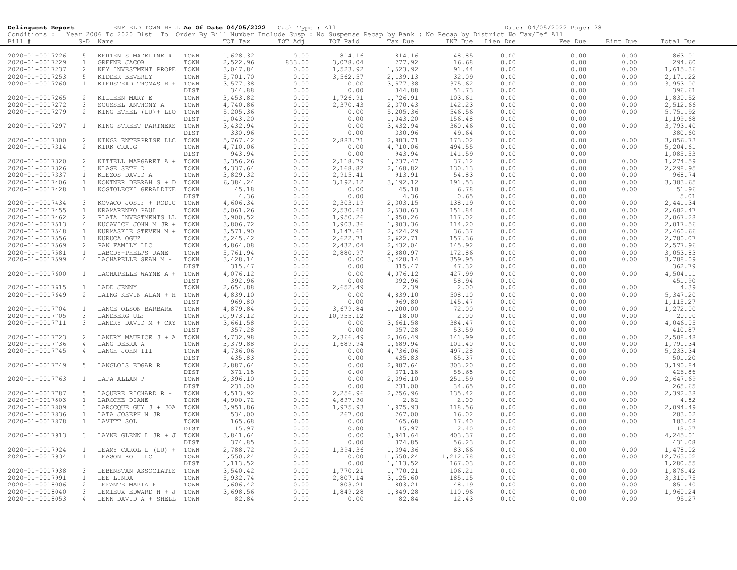| Delinquent Report                  |                | ENFIELD TOWN HALL As Of Date 04/05/2022 Cash Type : All                                                                                    |              |                      |              |                      |                    |                  |              | Date: 04/05/2022 Page: 28 |              |                    |
|------------------------------------|----------------|--------------------------------------------------------------------------------------------------------------------------------------------|--------------|----------------------|--------------|----------------------|--------------------|------------------|--------------|---------------------------|--------------|--------------------|
|                                    |                | Conditions : Year 2006 To 2020 Dist To Order By Bill Number Include Susp : No Suspense Recap by Bank : No Recap by District No Tax/Def All |              |                      |              |                      |                    |                  |              |                           |              |                    |
| Bill #                             |                | S-D Name                                                                                                                                   |              | TOT Tax              | TOT Adj      | TOT Paid             | Tax Due            | INT Due Lien Due |              | Fee Due                   | Bint Due     | Total Due          |
| 2020-01-0017226                    | 5              | KERTENIS MADELINE R                                                                                                                        | TOWN         | 1,628.32             | 0.00         | 814.16               | 814.16             | 48.85            | 0.00         | 0.00                      | 0.00         | 863.01             |
| 2020-01-0017229                    | $\mathbf{1}$   | GREENE JACOB                                                                                                                               | TOWN         | 2,522.96             | 833.00       | 3,078.04             | 277.92             | 16.68            | 0.00         | 0.00                      | 0.00         | 294.60             |
| 2020-01-0017237                    | $\overline{c}$ | KEY INVESTMENT PROPE                                                                                                                       | TOWN         | 3,047.84             | 0.00         | 1,523.92             | 1,523.92           | 91.44            | 0.00         | 0.00                      | 0.00         | 1,615.36           |
| 2020-01-0017253                    | 5              | KIDDER BEVERLY                                                                                                                             | TOWN         | 5,701.70             | 0.00         | 3,562.57             | 2,139.13           | 32.09            | 0.00         | 0.00                      | 0.00         | 2,171.22           |
| 2020-01-0017260                    | $\mathbf{1}$   | KIERSTEAD THOMAS B +                                                                                                                       | TOWN         | 3,577.38             | 0.00         | 0.00                 | 3,577.38           | 375.62           | 0.00         | 0.00                      | 0.00         | 3,953.00           |
|                                    |                |                                                                                                                                            | DIST         | 344.88               | 0.00         | 0.00                 | 344.88             | 51.73            | 0.00         | 0.00                      |              | 396.61             |
| 2020-01-0017265                    | 2              | KILLEEN MARY E                                                                                                                             | TOWN         | 3,453.82             | 0.00         | 1,726.91             | 1,726.91           | 103.61           | 0.00         | 0.00                      | 0.00         | 1,830.52           |
| 2020-01-0017272                    | 3              | SCUSSEL ANTHONY A                                                                                                                          | TOWN         | 4,740.86             | 0.00         | 2,370.43             | 2,370.43           | 142.23           | 0.00         | 0.00                      | 0.00         | 2,512.66           |
| 2020-01-0017279                    | $\overline{2}$ | KING ETHEL (LU) + LEO                                                                                                                      | TOWN         | 5,205.36             | 0.00         | 0.00                 | 5,205.36           | 546.56           | 0.00         | 0.00                      | 0.00         | 5,751.92           |
|                                    |                |                                                                                                                                            | DIST         | 1,043.20             | 0.00         | 0.00                 | 1,043.20           | 156.48           | 0.00         | 0.00                      |              | 1,199.68           |
| 2020-01-0017297                    | $\mathbf{1}$   | KING STREET PARTNERS                                                                                                                       | TOWN         | 3,432.94             | 0.00         | 0.00                 | 3,432.94           | 360.46           | 0.00         | 0.00                      | 0.00         | 3,793.40           |
| 2020-01-0017300                    | 2              |                                                                                                                                            | DIST         | 330.96<br>5,767.42   | 0.00<br>0.00 | 0.00<br>2,883.71     | 330.96<br>2,883.71 | 49.64<br>173.02  | 0.00<br>0.00 | 0.00<br>0.00              | 0.00         | 380.60<br>3,056.73 |
| 2020-01-0017314                    | $\overline{2}$ | KINGS ENTERPRISE LLC<br>KIRK CRAIG                                                                                                         | TOWN<br>TOWN | 4,710.06             | 0.00         | 0.00                 | 4,710.06           | 494.55           | 0.00         | 0.00                      | 0.00         | 5,204.61           |
|                                    |                |                                                                                                                                            | DIST         | 943.94               | 0.00         | 0.00                 | 943.94             | 141.59           | 0.00         | 0.00                      |              | 1,085.53           |
| 2020-01-0017320                    | 2              | KITTELL MARGARET A +                                                                                                                       | TOWN         | 3,356.26             | 0.00         | 2,118.79             | 1,237.47           | 37.12            | 0.00         | 0.00                      | 0.00         | 1,274.59           |
| 2020-01-0017326                    | 3              | KLASE SETH D                                                                                                                               | TOWN         | 4,337.64             | 0.00         | 2,168.82             | 2,168.82           | 130.13           | 0.00         | 0.00                      | 0.00         | 2,298.95           |
| 2020-01-0017337                    | $\mathbf{1}$   | KLEZOS DAVID A                                                                                                                             | TOWN         | 3,829.32             | 0.00         | 2,915.41             | 913.91             | 54.83            | 0.00         | 0.00                      | 0.00         | 968.74             |
| 2020-01-0017406                    | 1              | KONTNER DEBRAH S + D                                                                                                                       | TOWN         | 6,384.24             | 0.00         | 3,192.12             | 3, 192.12          | 191.53           | 0.00         | 0.00                      | 0.00         | 3,383.65           |
| 2020-01-0017428                    | $\mathbf{1}$   | KOSTOLECKI GERALDINE                                                                                                                       | TOWN         | 45.18                | 0.00         | 0.00                 | 45.18              | 6.78             | 0.00         | 0.00                      | 0.00         | 51.96              |
|                                    |                |                                                                                                                                            | DIST         | 4.36                 | 0.00         | 0.00                 | 4.36               | 0.65             | 0.00         | 0.00                      |              | 5.01               |
| 2020-01-0017434                    | 3              | KOVACO JOSIF + RODIC                                                                                                                       | TOWN         | 4,606.34             | 0.00         | 2,303.19             | 2,303.15           | 138.19           | 0.00         | 0.00                      | 0.00         | 2,441.34           |
| 2020-01-0017455                    | $\mathbf{1}$   | KRAMARENKO PAUL                                                                                                                            | TOWN         | 5,061.26             | 0.00         | 2,530.63             | 2,530.63           | 151.84           | 0.00         | 0.00                      | 0.00         | 2,682.47           |
| 2020-01-0017462                    | 2              | PLATA INVESTMENTS LL                                                                                                                       | TOWN         | 3,900.52             | 0.00         | 1,950.26             | 1,950.26           | 117.02           | 0.00         | 0.00                      | 0.00         | 2,067.28           |
| 2020-01-0017513                    | $\overline{4}$ | KUCAVICH JOHN M JR +                                                                                                                       | TOWN         | 3,806.72             | 0.00         | 1,903.36             | 1,903.36           | 114.20           | 0.00         | 0.00                      | 0.00         | 2,017.56           |
| 2020-01-0017548                    | $\mathbf{1}$   | KURMASKIE STEVEN M +                                                                                                                       | TOWN         | 3,571.90             | 0.00         | 1,147.61             | 2,424.29           | 36.37            | 0.00         | 0.00                      | 0.00         | 2,460.66           |
| 2020-01-0017556                    | 1              | KURUCA OGUZ                                                                                                                                | TOWN         | 5,245.42             | 0.00         | 2,622.71             | 2,622.71           | 157.36           | 0.00         | 0.00                      | 0.00         | 2,780.07           |
| 2020-01-0017569                    | 2              | PAN FAMILY LLC                                                                                                                             | TOWN         | 4,864.08             | 0.00         | 2,432.04             | 2,432.04           | 145.92           | 0.00         | 0.00                      | 0.00         | 2,577.96           |
| 2020-01-0017581                    | 1              | LABODY-PHELPS JANE                                                                                                                         | TOWN         | 5,761.94             | 0.00         | 2,880.97             | 2,880.97           | 172.86           | 0.00         | 0.00                      | 0.00         | 3,053.83           |
| 2020-01-0017599                    | $\overline{4}$ | LACHAPELLE SEAN M +                                                                                                                        | TOWN         | 3,428.14             | 0.00         | 0.00                 | 3,428.14           | 359.95           | 0.00         | 0.00                      | 0.00         | 3,788.09           |
|                                    |                |                                                                                                                                            | DIST         | 315.47               | 0.00         | 0.00                 | 315.47             | 47.32            | 0.00         | 0.00                      |              | 362.79             |
| 2020-01-0017600                    | $\mathbf{1}$   | LACHAPELLE WAYNE A +                                                                                                                       | TOWN<br>DIST | 4,076.12<br>392.96   | 0.00<br>0.00 | 0.00<br>0.00         | 4,076.12<br>392.96 | 427.99<br>58.94  | 0.00<br>0.00 | 0.00<br>0.00              | 0.00         | 4,504.11<br>451.90 |
| 2020-01-0017615                    | <sup>1</sup>   | LADD JENNY                                                                                                                                 | TOWN         | 2,654.88             | 0.00         | 2,652.49             | 2.39               | 2.00             | 0.00         | 0.00                      | 0.00         | 4.39               |
| 2020-01-0017649                    | 2              | LAING KEVIN ALAN + H                                                                                                                       | TOWN         | 4,839.10             | 0.00         | 0.00                 | 4,839.10           | 508.10           | 0.00         | 0.00                      | 0.00         | 5,347.20           |
|                                    |                |                                                                                                                                            | DIST         | 969.80               | 0.00         | 0.00                 | 969.80             | 145.47           | 0.00         | 0.00                      |              | 1, 115.27          |
| 2020-01-0017704                    | <sup>1</sup>   | LANCE OLSON BARBARA                                                                                                                        | TOWN         | 4,879.84             | 0.00         | 3,679.84             | 1,200.00           | 72.00            | 0.00         | 0.00                      | 0.00         | 1,272.00           |
| 2020-01-0017705                    | 3              | LANDBERG ULF                                                                                                                               | TOWN         | 10,973.12            | 0.00         | 10,955.12            | 18.00              | 2.00             | 0.00         | 0.00                      | 0.00         | 20.00              |
| 2020-01-0017711                    | $\mathbf{3}$   | LANDRY DAVID M + CRY                                                                                                                       | TOWN         | 3,661.58             | 0.00         | 0.00                 | 3,661.58           | 384.47           | 0.00         | 0.00                      | 0.00         | 4,046.05           |
|                                    |                |                                                                                                                                            | DIST         | 357.28               | 0.00         | 0.00                 | 357.28             | 53.59            | 0.00         | 0.00                      |              | 410.87             |
| 2020-01-0017723                    | 2              | LANDRY MAURICE J + A                                                                                                                       | TOWN         | 4,732.98             | 0.00         | 2,366.49             | 2,366.49           | 141.99           | 0.00         | 0.00                      | 0.00         | 2,508.48           |
| 2020-01-0017736                    | 4              | LANG DEBRA A                                                                                                                               | TOWN         | 3,379.88             | 0.00         | 1,689.94             | 1,689.94           | 101.40           | 0.00         | 0.00                      | 0.00         | 1,791.34           |
| 2020-01-0017745                    | $\overline{4}$ | LANGH JOHN III                                                                                                                             | TOWN         | 4,736.06             | 0.00         | 0.00                 | 4,736.06           | 497.28           | 0.00         | 0.00                      | 0.00         | 5,233.34           |
|                                    |                |                                                                                                                                            | DIST         | 435.83               | 0.00         | 0.00                 | 435.83             | 65.37            | 0.00         | 0.00                      |              | 501.20             |
| 2020-01-0017749                    | -5             | LANGLOIS EDGAR R                                                                                                                           | TOWN         | 2,887.64             | 0.00         | 0.00                 | 2,887.64           | 303.20           | 0.00         | 0.00                      | 0.00         | 3,190.84           |
|                                    |                |                                                                                                                                            | DIST         | 371.18               | 0.00         | 0.00                 | 371.18             | 55.68            | 0.00         | 0.00                      |              | 426.86             |
| 2020-01-0017763                    | $\mathbf{1}$   | LAPA ALLAN P                                                                                                                               | TOWN         | 2,396.10             | 0.00         | 0.00                 | 2,396.10           | 251.59           | 0.00         | 0.00                      | 0.00         | 2,647.69           |
|                                    |                |                                                                                                                                            | DIST         | 231.00               | 0.00         | 0.00                 | 231.00             | 34.65            | 0.00         | 0.00                      |              | 265.65             |
| 2020-01-0017787<br>2020-01-0017803 | 5<br>1         | LAQUERE RICHARD R +<br>LAROCHE DIANE                                                                                                       | TOWN<br>TOWN | 4,513.92<br>4,900.72 | 0.00<br>0.00 | 2,256.96<br>4,897.90 | 2,256.96<br>2.82   | 135.42<br>2.00   | 0.00<br>0.00 | 0.00<br>0.00              | 0.00<br>0.00 | 2,392.38<br>4.82   |
| 2020-01-0017809                    | $\mathbf{3}$   | LAROCQUE GUY J + JOA                                                                                                                       | TOWN         | 3,951.86             | 0.00         | 1,975.93             | 1,975.93           | 118.56           | 0.00         | 0.00                      | 0.00         | 2,094.49           |
| 2020-01-0017836                    | $\mathbf{1}$   | LATA JOSEPH N JR                                                                                                                           | TOWN         | 534.00               | 0.00         | 267.00               | 267.00             | 16.02            | 0.00         | 0.00                      | 0.00         | 283.02             |
| 2020-01-0017878                    | $\mathbf{1}$   | LAVITT SOL                                                                                                                                 | TOWN         | 165.68               | 0.00         | 0.00                 | 165.68             | 17.40            | 0.00         | 0.00                      | 0.00         | 183.08             |
|                                    |                |                                                                                                                                            | DIST         | 15.97                | 0.00         | 0.00                 | 15.97              | 2.40             | 0.00         | 0.00                      |              | 18.37              |
| 2020-01-0017913                    | 3              | LAYNE GLENN L JR + J                                                                                                                       | TOWN         | 3,841.64             | 0.00         | 0.00                 | 3,841.64           | 403.37           | 0.00         | 0.00                      | 0.00         | 4,245.01           |
|                                    |                |                                                                                                                                            | DIST         | 374.85               | 0.00         | 0.00                 | 374.85             | 56.23            | 0.00         | 0.00                      |              | 431.08             |
| 2020-01-0017924                    | $\mathbf{1}$   | LEAMY CAROL L (LU) +                                                                                                                       | TOWN         | 2,788.72             | 0.00         | 1,394.36             | 1,394.36           | 83.66            | 0.00         | 0.00                      | 0.00         | 1,478.02           |
| 2020-01-0017934                    | $\mathbf{1}$   | LEASON ROI LLC                                                                                                                             | TOWN         | 11,550.24            | 0.00         | 0.00                 | 11,550.24          | 1,212.78         | 0.00         | 0.00                      | 0.00         | 12,763.02          |
|                                    |                |                                                                                                                                            | DIST         | 1, 113.52            | 0.00         | 0.00                 | 1, 113.52          | 167.03           | 0.00         | 0.00                      |              | 1,280.55           |
| 2020-01-0017938                    | $\mathbf{3}$   | LEBENSTAN ASSOCIATES                                                                                                                       | TOWN         | 3,540.42             | 0.00         | 1,770.21             | 1,770.21           | 106.21           | 0.00         | 0.00                      | 0.00         | 1,876.42           |
| 2020-01-0017991                    | $\mathbf{1}$   | LEE LINDA                                                                                                                                  | TOWN         | 5,932.74             | 0.00         | 2,807.14             | 3,125.60           | 185.15           | 0.00         | 0.00                      | 0.00         | 3,310.75           |
| 2020-01-0018006                    | 2              | LEFANTE MARIA F                                                                                                                            | TOWN         | 1,606.42             | 0.00         | 803.21               | 803.21             | 48.19            | 0.00         | 0.00                      | 0.00         | 851.40             |
| 2020-01-0018040                    | 3              | LEMIEUX EDWARD H + J                                                                                                                       | TOWN         | 3,698.56             | 0.00         | 1,849.28             | 1,849.28           | 110.96           | 0.00         | 0.00                      | 0.00         | 1,960.24           |
| 2020-01-0018053                    | $\overline{4}$ | LENN DAVID A + SHELL                                                                                                                       | TOWN         | 82.84                | 0.00         | 0.00                 | 82.84              | 12.43            | 0.00         | 0.00                      | 0.00         | 95.27              |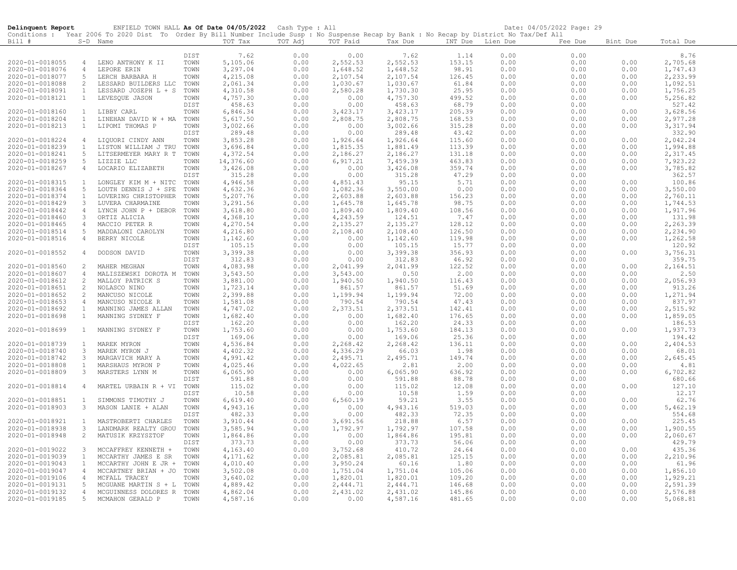| Delinquent Report                  |                                  | ENFIELD TOWN HALL As Of Date 04/05/2022 Cash Type : All                                                                                    |              |                      |              |                      |                      |                  |              | Date: 04/05/2022 Page: 29 |              |                      |
|------------------------------------|----------------------------------|--------------------------------------------------------------------------------------------------------------------------------------------|--------------|----------------------|--------------|----------------------|----------------------|------------------|--------------|---------------------------|--------------|----------------------|
|                                    |                                  | Conditions : Year 2006 To 2020 Dist To Order By Bill Number Include Susp : No Suspense Recap by Bank : No Recap by District No Tax/Def All |              |                      |              |                      |                      |                  |              |                           |              |                      |
| Bill #                             |                                  | S-D Name                                                                                                                                   |              | TOT Tax              | TOT Adj      | TOT Paid             | Tax Due              | INT Due Lien Due |              | Fee Due                   | Bint Due     | Total Due            |
|                                    |                                  |                                                                                                                                            |              |                      |              |                      |                      |                  |              |                           |              |                      |
| 2020-01-0018055                    |                                  | LENO ANTHONY K II                                                                                                                          | DIST<br>TOWN | 7.62                 | 0.00         | 0.00                 | 7.62                 | 1.14             | 0.00         | 0.00<br>0.00              | 0.00         | 8.76                 |
| 2020-01-0018076                    | $\overline{4}$<br>$\overline{4}$ | LEPORE ERIN                                                                                                                                | TOWN         | 5,105.06<br>3,297.04 | 0.00<br>0.00 | 2,552.53<br>1,648.52 | 2,552.53<br>1,648.52 | 153.15<br>98.91  | 0.00<br>0.00 | 0.00                      | 0.00         | 2,705.68<br>1,747.43 |
|                                    | 5                                |                                                                                                                                            |              |                      |              |                      |                      |                  |              |                           |              | 2,233.99             |
| 2020-01-0018077                    | 2                                | LERCH BARBARA H                                                                                                                            | TOWN<br>TOWN | 4,215.08             | 0.00         | 2,107.54<br>1,030.67 | 2,107.54<br>1,030.67 | 126.45           | 0.00<br>0.00 | 0.00                      | 0.00         | 1,092.51             |
| 2020-01-0018088                    |                                  | LESSARD BUILDERS LLC                                                                                                                       |              | 2,061.34             | 0.00         |                      |                      | 61.84            |              | 0.00                      | 0.00         |                      |
| 2020-01-0018091<br>2020-01-0018121 | $\mathbf{1}$<br>$\mathbf{1}$     | LESSARD JOSEPH L + S                                                                                                                       | TOWN<br>TOWN | 4,310.58             | 0.00         | 2,580.28<br>0.00     | 1,730.30<br>4,757.30 | 25.95            | 0.00         | 0.00                      | 0.00<br>0.00 | 1,756.25<br>5,256.82 |
|                                    |                                  | LEVESQUE JASON                                                                                                                             | DIST         | 4,757.30<br>458.63   | 0.00<br>0.00 | 0.00                 | 458.63               | 499.52<br>68.79  | 0.00<br>0.00 | 0.00<br>0.00              |              | 527.42               |
| 2020-01-0018160                    | $\mathbf{1}$                     | LIBBY CARL                                                                                                                                 | TOWN         | 6,846.34             | 0.00         | 3,423.17             | 3,423.17             | 205.39           | 0.00         | 0.00                      | 0.00         | 3,628.56             |
| 2020-01-0018204                    | $\mathbf{1}$                     | LINEHAN DAVID W + MA TOWN                                                                                                                  |              | 5,617.50             | 0.00         | 2,808.75             | 2,808.75             | 168.53           | 0.00         | 0.00                      | 0.00         | 2,977.28             |
| 2020-01-0018213                    | $\mathbf{1}$                     | LIPOMI THOMAS P                                                                                                                            | TOWN         | 3,002.66             | 0.00         | 0.00                 | 3,002.66             | 315.28           | 0.00         | 0.00                      | 0.00         | 3, 317.94            |
|                                    |                                  |                                                                                                                                            | DIST         | 289.48               | 0.00         | 0.00                 | 289.48               | 43.42            | 0.00         | 0.00                      |              | 332.90               |
| 2020-01-0018224                    | $\overline{4}$                   | LIQUORI CINDY ANN                                                                                                                          | TOWN         | 3,853.28             | 0.00         | 1,926.64             | 1,926.64             | 115.60           | 0.00         | 0.00                      | 0.00         | 2,042.24             |
| 2020-01-0018239                    | $\mathbf{1}$                     | LISTON WILLIAM J TRU                                                                                                                       | TOWN         | 3,696.84             | 0.00         | 1,815.35             | 1,881.49             | 113.39           | 0.00         | 0.00                      | 0.00         | 1,994.88             |
| 2020-01-0018241                    | 5                                | LITSERMEYER MARY R T TOWN                                                                                                                  |              | 4,372.54             | 0.00         | 2,186.27             | 2,186.27             | 131.18           | 0.00         | 0.00                      | 0.00         | 2,317.45             |
| 2020-01-0018259                    | 5                                | LIZZIE LLC                                                                                                                                 | TOWN         | 14,376.60            | 0.00         | 6,917.21             | 7,459.39             | 463.83           | 0.00         | 0.00                      | 0.00         | 7,923.22             |
| 2020-01-0018267                    | $\overline{4}$                   | LOCARIO ELIZABETH                                                                                                                          | TOWN         | 3,426.08             | 0.00         | 0.00                 | 3,426.08             | 359.74           | 0.00         | 0.00                      | 0.00         | 3,785.82             |
|                                    |                                  |                                                                                                                                            | DIST         | 315.28               | 0.00         | 0.00                 | 315.28               | 47.29            | 0.00         | 0.00                      |              | 362.57               |
| 2020-01-0018315                    | $\mathbf{1}$                     | LONGLEY KIM M + NITC                                                                                                                       | TOWN         | 4,946.58             | 0.00         | 4,851.43             | 95.15                | 5.71             | 0.00         | 0.00                      | 0.00         | 100.86               |
| 2020-01-0018364                    | -5                               | LOUTH DENNIS J + SPE                                                                                                                       | TOWN         | 4,632.36             | 0.00         | 1,082.36             | 3,550.00             | 0.00             | 0.00         | 0.00                      | 0.00         | 3,550.00             |
| 2020-01-0018374                    | $\perp$                          | LOVERING CHRISTOPHER                                                                                                                       | TOWN         | 5,207.76             | 0.00         | 2,603.88             | 2,603.88             | 156.23           | 0.00         | 0.00                      | 0.00         | 2,760.11             |
| 2020-01-0018429                    | 3                                | LUVERA CHARMAINE                                                                                                                           | TOWN         | 3,291.56             | 0.00         | 1,645.78             | 1,645.78             | 98.75            | 0.00         | 0.00                      | 0.00         | 1,744.53             |
| 2020-01-0018442                    | $\overline{4}$                   | LYNCH JOHN P + DEBOR                                                                                                                       | TOWN         | 3,618.80             | 0.00         | 1,809.40             | 1,809.40             | 108.56           | 0.00         | 0.00                      | 0.00         | 1,917.96             |
| 2020-01-0018460                    | $\mathbf{3}$                     | ORTIZ ALICIA                                                                                                                               | TOWN         | 4,368.10             | 0.00         | 4,243.59             | 124.51               | 7.47             | 0.00         | 0.00                      | 0.00         | 131.98               |
| 2020-01-0018465                    | $\overline{4}$                   | MACCIO PETER R                                                                                                                             | TOWN         | 4,270.54             | 0.00         | 2,135.27             | 2,135.27             | 128.12           | 0.00         | 0.00                      | 0.00         | 2,263.39             |
|                                    | 5                                |                                                                                                                                            |              |                      | 0.00         | 2,108.40             |                      | 126.50           | 0.00         | 0.00                      | 0.00         |                      |
| 2020-01-0018514<br>2020-01-0018516 |                                  | MADDALONI CAROLYN                                                                                                                          | TOWN         | 4,216.80             | 0.00         |                      | 2,108.40<br>1,142.60 | 119.98           | 0.00         | 0.00                      | 0.00         | 2,234.90             |
|                                    | 4                                | BERRY NICOLE                                                                                                                               | TOWN<br>DIST | 1,142.60             | 0.00         | 0.00                 | 105.15               |                  | 0.00         | 0.00                      |              | 1,262.58<br>120.92   |
|                                    |                                  |                                                                                                                                            |              | 105.15               |              | 0.00                 |                      | 15.77            |              |                           |              |                      |
| 2020-01-0018552                    | 4                                | DODSON DAVID                                                                                                                               | TOWN<br>DIST | 3,399.38             | 0.00         | 0.00<br>0.00         | 3,399.38             | 356.93           | 0.00         | 0.00<br>0.00              | 0.00         | 3,756.31<br>359.75   |
|                                    |                                  |                                                                                                                                            |              | 312.83               | 0.00         |                      | 312.83               | 46.92            | 0.00         |                           |              |                      |
| 2020-01-0018560                    | 2                                | MAHER MEGHAN                                                                                                                               | TOWN         | 4,083.98             | 0.00         | 2,041.99             | 2,041.99             | 122.52           | 0.00         | 0.00                      | 0.00         | 2,164.51             |
| 2020-01-0018607                    | $\overline{4}$                   | MALISZEWSKI DOROTA M                                                                                                                       | TOWN         | 3,543.50             | 0.00         | 3,543.00             | 0.50                 | 2.00             | 0.00         | 0.00                      | 0.00         | 2.50                 |
| 2020-01-0018612                    | 2                                | MALLOY PATRICK S                                                                                                                           | TOWN         | 3,881.00             | 0.00         | 1,940.50             | 1,940.50             | 116.43           | 0.00         | 0.00                      | 0.00         | 2,056.93             |
| 2020-01-0018651                    | 2                                | NOLASCO NINO                                                                                                                               | TOWN         | 1,723.14             | 0.00         | 861.57               | 861.57               | 51.69            | 0.00         | 0.00                      | 0.00         | 913.26               |
| 2020-01-0018652                    | 2                                | MANCUSO NICOLE                                                                                                                             | TOWN         | 2,399.88             | 0.00         | 1,199.94             | 1,199.94             | 72.00            | 0.00         | 0.00                      | 0.00         | 1,271.94             |
| 2020-01-0018653                    | $\overline{4}$                   | MANCUSO NICOLE R                                                                                                                           | TOWN         | 1,581.08             | 0.00         | 790.54               | 790.54               | 47.43            | 0.00         | 0.00                      | 0.00         | 837.97               |
| 2020-01-0018692                    | 1<br>$\mathbf{1}$                | MANNING JAMES ALLAN                                                                                                                        | TOWN         | 4,747.02             | 0.00         | 2,373.51             | 2,373.51             | 142.41           | 0.00         | 0.00                      | 0.00<br>0.00 | 2,515.92             |
| 2020-01-0018698                    |                                  | MANNING SYDNEY F                                                                                                                           | TOWN         | 1,682.40             | 0.00         | 0.00                 | 1,682.40<br>162.20   | 176.65           | 0.00         | 0.00                      |              | 1,859.05<br>186.53   |
| 2020-01-0018699                    | $\mathbf{1}$                     | MANNING SYDNEY F                                                                                                                           | DIST<br>TOWN | 162.20<br>1,753.60   | 0.00<br>0.00 | 0.00<br>0.00         | 1,753.60             | 24.33<br>184.13  | 0.00<br>0.00 | 0.00<br>0.00              | 0.00         | 1,937.73             |
|                                    |                                  |                                                                                                                                            | DIST         |                      |              |                      |                      |                  |              |                           |              |                      |
|                                    |                                  |                                                                                                                                            |              | 169.06               | 0.00         | 0.00                 | 169.06               | 25.36            | 0.00         | 0.00                      |              | 194.42               |
| 2020-01-0018739                    | $\mathbf{1}$<br>$\mathbf{3}$     | MAREK MYRON                                                                                                                                | TOWN<br>TOWN | 4,536.84             | 0.00         | 2,268.42             | 2,268.42             | 136.11           | 0.00         | 0.00                      | 0.00<br>0.00 | 2,404.53             |
| 2020-01-0018740                    | 3                                | MAREK MYRON J                                                                                                                              |              | 4,402.32             | 0.00<br>0.00 | 4,336.29<br>2,495.71 | 66.03<br>2,495.71    | 1.98<br>149.74   | 0.00         | 0.00                      | 0.00         | 68.01<br>2,645.45    |
| 2020-01-0018742                    | $\mathbf{1}$                     | MARGAVICH MARY A                                                                                                                           | TOWN         | 4,991.42             |              |                      | 2.81                 |                  | 0.00         | 0.00<br>0.00              |              | 4.81                 |
| 2020-01-0018808                    | $\mathbf{3}$                     | MARSHAUS MYRON P<br>MARSTERS LYNN M                                                                                                        | TOWN<br>TOWN | 4,025.46<br>6,065.90 | 0.00<br>0.00 | 4,022.65             | 6,065.90             | 2.00<br>636.92   | 0.00<br>0.00 | 0.00                      | 0.00<br>0.00 |                      |
| 2020-01-0018809                    |                                  |                                                                                                                                            |              | 591.88               | 0.00         | 0.00<br>0.00         | 591.88               |                  | 0.00         | 0.00                      |              | 6,702.82<br>680.66   |
| 2020-01-0018814                    | $\overline{4}$                   | MARTEL URBAIN R + VI TOWN                                                                                                                  | DIST         |                      |              | 0.00                 |                      | 88.78            |              |                           | 0.00         | 127.10               |
|                                    |                                  |                                                                                                                                            | DIST         | 115.02<br>10.58      | 0.00<br>0.00 | 0.00                 | 115.02<br>10.58      | 12.08<br>1.59    | 0.00<br>0.00 | 0.00                      |              | 12.17                |
|                                    | 1                                |                                                                                                                                            | TOWN         | 6,619.40             |              | 6,560.19             |                      |                  |              | 0.00<br>0.00              | 0.00         | 62.76                |
| 2020-01-0018851                    | $\mathbf{3}$                     | SIMMONS TIMOTHY J<br>MASON LANIE + ALAN                                                                                                    | TOWN         |                      | 0.00<br>0.00 | 0.00                 | 59.21                | 3.55<br>519.03   | 0.00         |                           | 0.00         | 5,462.19             |
| 2020-01-0018903                    |                                  |                                                                                                                                            |              | 4,943.16             |              |                      | 4,943.16             |                  | 0.00         | 0.00                      |              | 554.68               |
|                                    |                                  |                                                                                                                                            | DIST         | 482.33               | 0.00         | 0.00                 | 482.33               | 72.35            | 0.00         | 0.00                      | 0.00         |                      |
| 2020-01-0018921                    | $\mathbf{1}$                     | MASTROBERTI CHARLES                                                                                                                        | TOWN         | 3,910.44             | 0.00         | 3,691.56             | 218.88               | 6.57             | 0.00         | 0.00                      |              | 225.45               |
| 2020-01-0018938                    | $\mathbf{3}$                     | LANDMARK REALTY GROU                                                                                                                       | TOWN         | 3,585.94             | 0.00         | 1,792.97             | 1,792.97             | 107.58           | 0.00         | 0.00                      | 0.00         | 1,900.55             |
| 2020-01-0018948                    | $\overline{2}$                   | MATUSIK KRZYSZTOF                                                                                                                          | TOWN         | 1,864.86             | 0.00         | 0.00                 | 1,864.86             | 195.81           | 0.00         | 0.00                      | 0.00         | 2,060.67             |
|                                    |                                  |                                                                                                                                            | DIST         | 373.73               | 0.00         | 0.00                 | 373.73               | 56.06            | 0.00         | 0.00                      |              | 429.79               |
| 2020-01-0019022                    | $\mathbf{3}$                     | MCCAFFREY KENNETH +                                                                                                                        | TOWN         | 4,163.40             | 0.00         | 3,752.68             | 410.72               | 24.64            | 0.00         | 0.00                      | 0.00         | 435.36               |
| 2020-01-0019039                    | 1                                | MCCARTHY JAMES E SR                                                                                                                        | TOWN         | 4,171.62             | 0.00         | 2,085.81             | 2,085.81             | 125.15           | 0.00         | 0.00                      | 0.00         | 2,210.96             |
| 2020-01-0019043                    | $\mathbf{1}$                     | MCCARTHY JOHN E JR +                                                                                                                       | TOWN         | 4,010.40             | 0.00         | 3,950.24             | 60.16                | 1.80             | 0.00         | 0.00                      | 0.00         | 61.96                |
| 2020-01-0019047                    | 4                                | MCCARTNEY BRIAN + JO                                                                                                                       | TOWN         | 3,502.08             | 0.00         | 1,751.04             | 1,751.04             | 105.06           | 0.00         | 0.00                      | 0.00         | 1,856.10             |
| 2020-01-0019106                    | $\overline{4}$                   | MCFALL TRACEY                                                                                                                              | TOWN         | 3,640.02             | 0.00         | 1,820.01             | 1,820.01             | 109.20           | 0.00         | 0.00                      | 0.00         | 1,929.21             |
| 2020-01-0019131                    | 5                                | MCGUANE MARTIN S + L                                                                                                                       | TOWN         | 4,889.42             | 0.00         | 2,444.71             | 2,444.71             | 146.68           | 0.00         | 0.00                      | 0.00         | 2,591.39             |
| 2020-01-0019132                    | $\overline{4}$                   | MCGUINNESS DOLORES R                                                                                                                       | TOWN         | 4,862.04             | 0.00         | 2,431.02             | 2,431.02             | 145.86           | 0.00         | 0.00                      | 0.00         | 2,576.88             |
| 2020-01-0019185                    | 5 <sup>5</sup>                   | MCMAHON GERALD P                                                                                                                           | TOWN         | 4,587.16             | 0.00         | 0.00                 | 4,587.16             | 481.65           | 0.00         | 0.00                      | 0.00         | 5,068.81             |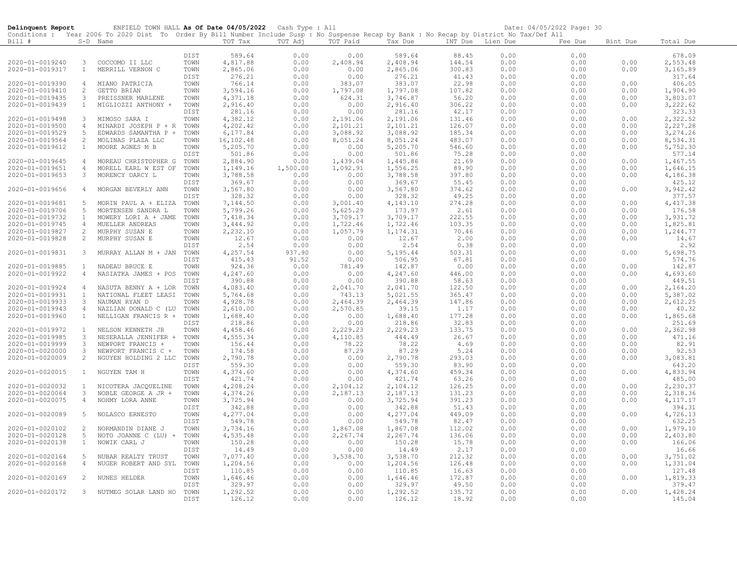| Delinquent Report                  |                               | ENFIELD TOWN HALL As Of Date 04/05/2022 Cash Type : All                                                                                    |              |                      |              |                      |                        |                  |              | Date: 04/05/2022 Page: 30 |              |                      |
|------------------------------------|-------------------------------|--------------------------------------------------------------------------------------------------------------------------------------------|--------------|----------------------|--------------|----------------------|------------------------|------------------|--------------|---------------------------|--------------|----------------------|
|                                    |                               | Conditions : Year 2006 To 2020 Dist To Order By Bill Number Include Susp : No Suspense Recap by Bank : No Recap by District No Tax/Def All |              |                      |              |                      |                        |                  |              |                           |              |                      |
| Bill #                             |                               | S-D Name                                                                                                                                   |              | TOT Tax              | TOT Adj      | TOT Paid             | Tax Due                | INT Due Lien Due |              | Fee Due                   | Bint Due     | Total Due            |
|                                    |                               |                                                                                                                                            | DIST         |                      |              |                      |                        |                  |              |                           |              |                      |
| 2020-01-0019240                    | $\mathbf{3}$                  | COCCOMO II LLC                                                                                                                             | TOWN         | 589.64<br>4,817.88   | 0.00<br>0.00 | 0.00<br>2,408.94     | 589.64                 | 88.45<br>144.54  | 0.00<br>0.00 | 0.00<br>0.00              | 0.00         | 678.09               |
| 2020-01-0019317                    | $\mathbf{1}$                  | MERRILL VERNON C                                                                                                                           | TOWN         | 2,865.06             | 0.00         | 0.00                 | $2,408.94$<br>2,865.06 | 300.83           | 0.00         | 0.00                      | 0.00         | 2,553.48<br>3,165.89 |
|                                    |                               |                                                                                                                                            | DIST         | 276.21               | 0.00         | 0.00                 | 276.21                 | 41.43            | 0.00         | 0.00                      |              | 317.64               |
| 2020-01-0019390                    | $\overline{4}$                | MIANO PATRICIA                                                                                                                             | TOWN         | 766.14               | 0.00         | 383.07               | 383.07                 | 22.98            | 0.00         | 0.00                      | 0.00         | 406.05               |
| 2020-01-0019410                    | 2                             | GETTO BRIAN                                                                                                                                | TOWN         | 3,594.16             | 0.00         | 1,797.08             | 1,797.08               | 107.82           | 0.00         | 0.00                      | 0.00         | 1,904.90             |
| 2020-01-0019435                    | 3                             | PREISSNER MARLENE                                                                                                                          | TOWN         | 4,371.18             | 0.00         | 624.31               | 3,746.87               | 56.20            | 0.00         | 0.00                      | 0.00         | 3,803.07             |
| 2020-01-0019439                    | $\mathbf{1}$                  | MIGLIOZZI ANTHONY +                                                                                                                        | TOWN         | 2,916.40             | 0.00         | 0.00                 | 2,916.40               | 306.22           | 0.00         | 0.00                      | 0.00         | 3,222.62             |
|                                    |                               |                                                                                                                                            | DIST         | 281.16               | 0.00         | 0.00                 | 281.16                 | 42.17            | 0.00         | 0.00                      |              | 323.33               |
| 2020-01-0019498                    | $\mathbf{3}$                  | MIMOSO SARA I                                                                                                                              | TOWN         | 4,382.12             | 0.00         | 2,191.06             | 2,191.06               | 131.46           | 0.00         | 0.00                      | 0.00         | 2,322.52             |
| 2020-01-0019500                    | $\overline{4}$                | MINARDI JOSEPH P + R                                                                                                                       | TOWN         | 4,202.42             | 0.00         | 2,101.21             | 2,101.21               | 126.07           | 0.00         | 0.00                      | 0.00         | 2,227.28             |
| 2020-01-0019529                    | 5                             | EDWARDS SAMANTHA P +                                                                                                                       | TOWN         | 6,177.84             | 0.00         | 3,088.92             | 3,088.92               | 185.34           | 0.00         | 0.00                      | 0.00         | 3, 274.26            |
| 2020-01-0019564                    | 2                             | MOLINAS PLAZA LLC                                                                                                                          | TOWN         | 16,102.48            | 0.00         | 8,051.24             | 8,051.24               | 483.07           | 0.00         | 0.00                      | 0.00         | 8,534.31             |
| 2020-01-0019612                    | $\mathbf{1}$                  | MOORE AGNES M B                                                                                                                            | TOWN         | 5,205.70             | 0.00         | 0.00                 | 5,205.70               | 546.60           | 0.00         | 0.00                      | 0.00         | 5,752.30             |
|                                    |                               |                                                                                                                                            | DIST         | 501.86               | 0.00         | 0.00                 | 501.86                 | 75.28            | 0.00         | 0.00                      |              | 577.14               |
| 2020-01-0019645                    | $\overline{4}$                | MOREAU CHRISTOPHER G TOWN                                                                                                                  |              | 2,884.90             | 0.00         | 1,439.04             | 1,445.86               | 21.69            | 0.00         | 0.00                      | 0.00         | 1,467.55             |
| 2020-01-0019651                    | $\overline{4}$                | MORELL EARL W EST OF                                                                                                                       | TOWN         | 1,149.16             | 1,500.00     | 1,092.91             | 1,556.25               | 89.90            | 0.00         | 0.00                      | 0.00         | 1,646.15             |
| 2020-01-0019653                    | $\mathbf{3}$                  | MORENCY DARCY L                                                                                                                            | TOWN<br>DIST | 3,788.58<br>369.67   | 0.00<br>0.00 | 0.00<br>0.00         | 3,788.58<br>369.67     | 397.80<br>55.45  | 0.00<br>0.00 | 0.00<br>0.00              | 0.00         | 4,186.38<br>425.12   |
| 2020-01-0019656                    | $\overline{4}$                | MORGAN BEVERLY ANN                                                                                                                         | TOWN         | 3,567.80             | 0.00         | 0.00                 | 3,567.80               | 374.62           | 0.00         | 0.00                      | 0.00         | 3,942.42             |
|                                    |                               |                                                                                                                                            | DIST         | 328.32               | 0.00         | 0.00                 | 328.32                 | 49.25            | 0.00         | 0.00                      |              | 377.57               |
| 2020-01-0019681                    | 5                             | MORIN PAUL A + ELIZA                                                                                                                       | TOWN         | 7,144.50             | 0.00         | 3,001.40             | 4,143.10               | 274.28           | 0.00         | 0.00                      | 0.00         | 4, 417.38            |
| 2020-01-0019706                    | 5                             | MORTENSEN SANDRA L                                                                                                                         | TOWN         | 5,799.26             | 0.00         | 5,625.29             | 173.97                 | 2.61             | 0.00         | 0.00                      | 0.00         | 176.58               |
| 2020-01-0019732                    | $\mathbf{1}$                  | MOWERY LORI A + JAME                                                                                                                       | TOWN         | 7,418.34             | 0.00         | 3,709.17             | 3,709.17               | 222.55           | 0.00         | 0.00                      | 0.00         | 3,931.72             |
| 2020-01-0019745                    | $\overline{4}$                | MUELLER ANDREAS                                                                                                                            | TOWN         | 3,444.92             | 0.00         | 1,722.46             | 1,722.46               | 103.35           | 0.00         | 0.00                      | 0.00         | 1,825.81             |
| 2020-01-0019827                    | 2                             | MURPHY SUSAN E                                                                                                                             | TOWN         | 2,232.10             | 0.00         | 1,057.79             | 1,174.31               | 70.46            | 0.00         | 0.00                      | 0.00         | 1,244.77             |
| 2020-01-0019828                    | $\overline{2}$                | MURPHY SUSAN E                                                                                                                             | TOWN         | 12.67                | 0.00         | 0.00                 | 12.67                  | 2.00             | 0.00         | 0.00                      | 0.00         | 14.67                |
|                                    |                               |                                                                                                                                            | DIST         | 2.54                 | 0.00         | 0.00                 | 2.54                   | 0.38             | 0.00         | 0.00                      |              | 2.92                 |
| 2020-01-0019831                    | $\mathbf{3}$                  | MURRAY ALLAN M + JAN                                                                                                                       | TOWN         | 4,257.54             | 937.90       | 0.00                 | 5,195.44               | 503.31           | 0.00         | 0.00                      | 0.00         | 5,698.75             |
|                                    |                               |                                                                                                                                            | DIST         | 415.43               | 91.52        | 0.00                 | 506.95                 | 67.81            | 0.00         | 0.00                      |              | 574.76               |
| 2020-01-0019885                    | $\mathbf{1}$                  | NADEAU BRUCE E                                                                                                                             | TOWN         | 924.36               | 0.00         | 781.49               | 142.87                 | 0.00             | 0.00         | 0.00                      | 0.00         | 142.87               |
| 2020-01-0019922                    | $\overline{4}$                | NASIATKA JAMES + POS                                                                                                                       | TOWN         | 4,247.60             | 0.00         | 0.00                 | 4,247.60               | 446.00           | 0.00         | 0.00                      | 0.00         | 4,693.60             |
|                                    |                               |                                                                                                                                            | DIST         | 390.88               | 0.00         | 0.00                 | 390.88                 | 58.63            | 0.00         | 0.00                      |              | 449.51               |
| 2020-01-0019924                    | $\overline{4}$                | NASUTA BENNY A + LOR                                                                                                                       | TOWN         | 4,083.40             | 0.00         | 2,041.70             | 2,041.70               | 122.50           | 0.00         | 0.00                      | 0.00         | 2,164.20             |
| 2020-01-0019931                    | $\mathbf{1}$<br>$\mathcal{E}$ | NATIONAL FLEET LEASI                                                                                                                       | TOWN<br>TOWN | 5,764.68             | 0.00         | 743.13               | 5,021.55               | 365.47           | 0.00<br>0.00 | 0.00                      | 0.00<br>0.00 | 5,387.02             |
| 2020-01-0019933<br>2020-01-0019943 | 4                             | NAUMAN RYAN D<br>NAZLIAN DONALD C (LU                                                                                                      | TOWN         | 4,928.78<br>2,610.00 | 0.00<br>0.00 | 2,464.39<br>2,570.85 | 2,464.39<br>39.15      | 147.86<br>1.17   | 0.00         | 0.00<br>0.00              | 0.00         | 2,612.25<br>40.32    |
| 2020-01-0019960                    | $\mathbf{1}$                  | NELLIGAN FRANCIS R +                                                                                                                       | TOWN         | 1,688.40             | 0.00         | 0.00                 | 1,688.40               | 177.28           | 0.00         | 0.00                      | 0.00         | 1,865.68             |
|                                    |                               |                                                                                                                                            | DIST         | 218.86               | 0.00         | 0.00                 | 218.86                 | 32.83            | 0.00         | 0.00                      |              | 251.69               |
| 2020-01-0019972                    | $\mathbf{1}$                  | NELSON KENNETH JR                                                                                                                          | TOWN         | 4,458.46             | 0.00         | 2,229.23             | 2,229.23               | 133.75           | 0.00         | 0.00                      | 0.00         | 2,362.98             |
| 2020-01-0019985                    | $\mathbf{3}$                  | NESERALLA JENNIFER +                                                                                                                       | TOWN         | 4,555.34             | 0.00         | 4,110.85             | 444.49                 | 26.67            | 0.00         | 0.00                      | 0.00         | 471.16               |
| 2020-01-0019999                    | $\mathbf{3}$                  | NEWPORT FRANCIS +                                                                                                                          | TOWN         | 156.44               | 0.00         | 78.22                | 78.22                  | 4.69             | 0.00         | 0.00                      | 0.00         | 82.91                |
| 2020-01-0020000                    | $\mathbf{3}$                  | NEWPORT FRANCIS C +                                                                                                                        | TOWN         | 174.58               | 0.00         | 87.29                | 87.29                  | 5.24             | 0.00         | 0.00                      | 0.00         | 92.53                |
| 2020-01-0020009                    | 2                             | NGUYEN HOLDING 2 LLC                                                                                                                       | TOWN         | 2,790.78             | 0.00         | 0.00                 | 2,790.78               | 293.03           | 0.00         | 0.00                      | 0.00         | 3,083.81             |
|                                    |                               |                                                                                                                                            | DIST         | 559.30               | 0.00         | 0.00                 | 559.30                 | 83.90            | 0.00         | 0.00                      |              | 643.20               |
| 2020-01-0020015                    | $\mathbf{1}$                  | NGUYEN TAM H                                                                                                                               | TOWN         | 4,374.60             | 0.00         | 0.00                 | 4,374.60               | 459.34           | 0.00         | 0.00                      | 0.00         | 4,833.94             |
|                                    |                               |                                                                                                                                            | DIST         | 421.74               | 0.00         | 0.00                 | 421.74                 | 63.26            | 0.00         | 0.00                      |              | 485.00               |
| 2020-01-0020032                    | 1                             | NICOTERA JACOUELINE                                                                                                                        | TOWN         | 4,208.24             | 0.00         | 2,104.12             | 2,104.12               | 126.25           | 0.00         | 0.00                      | 0.00         | 2,230.37             |
| 2020-01-0020064                    | $\mathbf{3}$                  | NOBLE GEORGE A JR +                                                                                                                        | TOWN         | 4,374.26             | 0.00         | 2,187.13             | 2,187.13               | 131.23           | 0.00         | 0.00                      | 0.00         | 2,318.36             |
| 2020-01-0020075                    | $\overline{4}$                | NOHMY LORA ANNE                                                                                                                            | TOWN         | 3,725.94             | 0.00         | 0.00                 | 3,725.94               | 391.23           | 0.00         | 0.00                      | 0.00         | 4, 117.17            |
| 2020-01-0020089                    | 5                             |                                                                                                                                            | DIST         | 342.88               | 0.00<br>0.00 | 0.00<br>0.00         | 342.88<br>4,277.04     | 51.43<br>449.09  | 0.00<br>0.00 | 0.00                      | 0.00         | 394.31               |
|                                    |                               | NOLASCO ERNESTO                                                                                                                            | TOWN<br>DIST | 4,277.04<br>549.78   | 0.00         | 0.00                 | 549.78                 | 82.47            | 0.00         | 0.00<br>0.00              |              | 4,726.13             |
| 2020-01-0020102                    | 2                             | NORMANDIN DIANE J                                                                                                                          | TOWN         | 3,734.16             | 0.00         | 1,867.08             | 1,867.08               | 112.02           | 0.00         | 0.00                      | 0.00         | 632.25<br>1,979.10   |
| 2020-01-0020128                    | 5                             | NOTO JOANNE C (LU) +                                                                                                                       | TOWN         | 4,535.48             | 0.00         | 2,267.74             | 2,267.74               | 136.06           | 0.00         | 0.00                      | 0.00         | 2,403.80             |
| 2020-01-0020138                    | $\mathbf{1}$                  | NOWIK CARL J                                                                                                                               | TOWN         | 150.28               | 0.00         | 0.00                 | 150.28                 | 15.78            | 0.00         | 0.00                      | 0.00         | 166.06               |
|                                    |                               |                                                                                                                                            | DIST         | 14.49                | 0.00         | 0.00                 | 14.49                  | 2.17             | 0.00         | 0.00                      |              | 16.66                |
| 2020-01-0020164                    | 5                             | NUBAR REALTY TRUST                                                                                                                         | TOWN         | 7,077.40             | 0.00         | 3,538.70             | 3,538.70               | 212.32           | 0.00         | 0.00                      | 0.00         | 3,751.02             |
| 2020-01-0020168                    | $\overline{4}$                | NUGER ROBERT AND SYL TOWN                                                                                                                  |              | 1,204.56             | 0.00         | 0.00                 | 1,204.56               | 126.48           | 0.00         | 0.00                      | 0.00         | 1,331.04             |
|                                    |                               |                                                                                                                                            | DIST         | 110.85               | 0.00         | 0.00                 | 110.85                 | 16.63            | 0.00         | 0.00                      |              | 127.48               |
| 2020-01-0020169                    | 2                             | NUNES HELDER                                                                                                                               | TOWN         | 1,646.46             | 0.00         | 0.00                 | 1,646.46               | 172.87           | 0.00         | 0.00                      | 0.00         | 1,819.33             |
|                                    |                               |                                                                                                                                            | DIST         | 329.97               | 0.00         | 0.00                 | 329.97                 | 49.50            | 0.00         | 0.00                      |              | 379.47               |
| 2020-01-0020172                    | $\mathbf{3}$                  | NUTMEG SOLAR LAND HO                                                                                                                       | TOWN         | 1,292.52             | 0.00         | 0.00                 | 1,292.52               | 135.72           | 0.00         | 0.00                      | 0.00         | 1,428.24             |
|                                    |                               |                                                                                                                                            | DIST         | 126.12               | 0.00         | 0.00                 | 126.12                 | 18.92            | 0.00         | 0.00                      |              | 145.04               |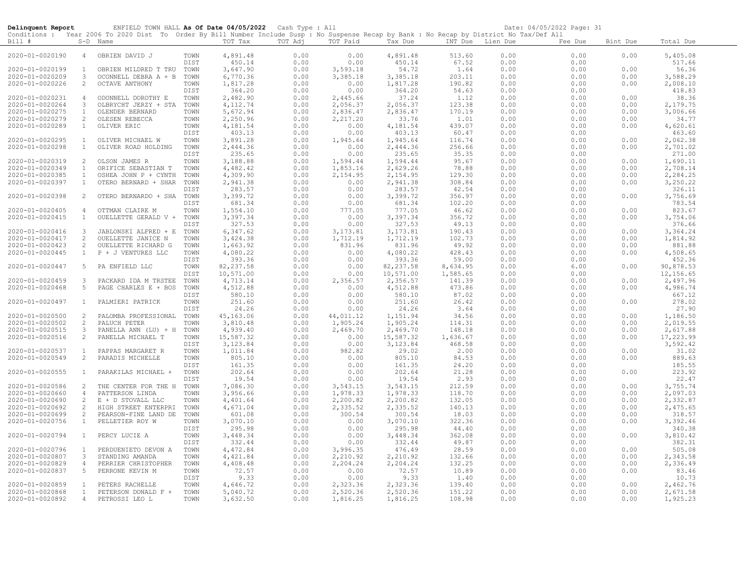| Delinquent Report                  |                                | ENFIELD TOWN HALL As Of Date 04/05/2022 Cash Type : All                                                                                    |              |                      |              |                      |                      |                  |              | Date: 04/05/2022 Page: 31 |              |                      |
|------------------------------------|--------------------------------|--------------------------------------------------------------------------------------------------------------------------------------------|--------------|----------------------|--------------|----------------------|----------------------|------------------|--------------|---------------------------|--------------|----------------------|
|                                    |                                | Conditions : Year 2006 To 2020 Dist To Order By Bill Number Include Susp : No Suspense Recap by Bank : No Recap by District No Tax/Def All |              |                      |              |                      |                      |                  |              |                           |              |                      |
| Bill #                             |                                | S-D Name                                                                                                                                   |              | TOT Tax              | TOT Adj      | TOT Paid             | Tax Due              | INT Due Lien Due |              | Fee Due                   | Bint Due     | Total Due            |
| 2020-01-0020190                    | $\overline{4}$                 | OBRIEN DAVID J                                                                                                                             | TOWN         | 4,891.48             | 0.00         | 0.00                 | 4,891.48             | 513.60           | 0.00         | 0.00                      | 0.00         | 5,405.08             |
|                                    |                                |                                                                                                                                            | <b>DIST</b>  | 450.14               | 0.00         | 0.00                 | 450.14               | 67.52            | 0.00         | 0.00                      |              | 517.66               |
| 2020-01-0020199                    | $\mathbf{1}$                   | OBRIEN MILDRED T TRU                                                                                                                       | TOWN         | 3,647.90             | 0.00         | 3,593.18             | 54.72                | 1.64             | 0.00         | 0.00                      | 0.00         | 56.36                |
| 2020-01-0020209                    | $\mathbf{3}$                   | OCONNELL DEBRA A + B                                                                                                                       | TOWN         | 6,770.36             | 0.00         | 3,385.18             | 3,385.18             | 203.11           | 0.00         | 0.00                      | 0.00         | 3,588.29             |
| 2020-01-0020226                    | $\overline{2}$                 | OCTAVE ANTHONY                                                                                                                             | TOWN         | 1,817.28             | 0.00         | 0.00                 | 1,817.28             | 190.82           | 0.00         | 0.00                      | 0.00         | 2,008.10             |
|                                    |                                |                                                                                                                                            | DIST         | 364.20               | 0.00         | 0.00                 | 364.20               | 54.63            | 0.00         | 0.00                      |              | 418.83               |
| 2020-01-0020231                    | $\overline{4}$                 | ODONNELL DOROTHY E                                                                                                                         | TOWN         | 2,482.90             | 0.00         | 2,445.66             | 37.24                | 1.12             | 0.00         | 0.00                      | 0.00         | 38.36                |
| 2020-01-0020264                    | 3                              | OLBRYCHT JERZY + STA                                                                                                                       | TOWN         | 4, 112.74            | 0.00         | 2,056.37             | 2,056.37             | 123.38           | 0.00         | 0.00                      | 0.00         | 2,179.75             |
| 2020-01-0020275                    | $\mathbf{1}$                   | OLENDER BERNARD                                                                                                                            | TOWN         | 5,672.94             | 0.00         | 2,836.47             | 2,836.47             | 170.19           | 0.00         | 0.00                      | 0.00         | 3,006.66             |
| 2020-01-0020279                    | 2                              | OLESEN REBECCA                                                                                                                             | TOWN         | 2,250.96             | 0.00         | 2,217.20             | 33.76                | 1.01             | 0.00         | 0.00                      | 0.00         | 34.77                |
| 2020-01-0020289                    | $\mathbf{1}$                   | OLIVER ERIC                                                                                                                                | TOWN         | 4,181.54             | 0.00         | 0.00                 | 4,181.54             | 439.07           | 0.00         | 0.00                      | 0.00         | 4,620.61             |
|                                    |                                |                                                                                                                                            | DIST         | 403.13               | 0.00         | 0.00                 | 403.13               | 60.47            | 0.00         | 0.00                      |              | 463.60               |
| 2020-01-0020295                    | $\overline{1}$                 | OLIVER MICHAEL W                                                                                                                           | TOWN         | 3,891.28             | 0.00         | 1,945.64             | 1,945.64             | 116.74           | 0.00         | 0.00                      | 0.00         | 2,062.38             |
| 2020-01-0020298                    | $\mathbf{1}$                   | OLIVER ROAD HOLDING                                                                                                                        | TOWN         | 2,444.36             | 0.00         | 0.00                 | 2,444.36             | 256.66           | 0.00         | 0.00                      | 0.00         | 2,701.02             |
|                                    |                                |                                                                                                                                            | <b>DIST</b>  | 235.65               | 0.00         | 0.00                 | 235.65               | 35.35            | 0.00         | 0.00                      |              | 271.00               |
| 2020-01-0020319                    | 2                              | OLSON JAMES R                                                                                                                              | TOWN         | 3,188.88             | 0.00         | 1,594.44             | 1,594.44             | 95.67            | 0.00         | 0.00                      | 0.00         | 1,690.11             |
| 2020-01-0020349                    | 1                              | ORIFICE SEBASTIAN T                                                                                                                        | TOWN         | 4,482.42             | 0.00         | 1,853.16             | 2,629.26             | 78.88            | 0.00         | 0.00                      | 0.00         | 2,708.14             |
| 2020-01-0020385                    | $\mathbf{1}$                   | OSHEA JOHN P + CYNTH                                                                                                                       | TOWN         | 4,309.90             | 0.00         | 2,154.95             | 2,154.95             | 129.30           | 0.00         | 0.00                      | 0.00         | 2,284.25             |
| 2020-01-0020397                    | $\mathbf{1}$                   | OTERO BERNARD + SHAR                                                                                                                       | TOWN         | 2,941.38             | 0.00         | 0.00                 | 2,941.38             | 308.84           | 0.00         | 0.00                      | 0.00         | 3,250.22             |
|                                    |                                |                                                                                                                                            | <b>DIST</b>  | 283.57               | 0.00         | 0.00                 | 283.57               | 42.54            | 0.00         | 0.00                      |              | 326.11               |
| 2020-01-0020398                    | 2                              | OTERO BERNARDO + SHA TOWN                                                                                                                  |              | 3,399.72             | 0.00         | 0.00                 | 3,399.72             | 356.97           | 0.00         | 0.00                      | 0.00         | 3,756.69             |
|                                    |                                |                                                                                                                                            | DIST         | 681.34               | 0.00         | 0.00                 | 681.34               | 102.20           | 0.00         | 0.00                      |              | 783.54               |
| 2020-01-0020405                    | $\overline{4}$<br>$\mathbf{1}$ | OTTMAN CLAIRE M                                                                                                                            | TOWN         | 1,554.10<br>3,397.34 | 0.00<br>0.00 | 777.05<br>0.00       | 777.05<br>3,397.34   | 46.62<br>356.72  | 0.00         | 0.00<br>0.00              | 0.00<br>0.00 | 823.67<br>3,754.06   |
| 2020-01-0020415                    |                                | OUELLETTE GERALD V + TOWN                                                                                                                  | DIST         | 327.53               | 0.00         | 0.00                 | 327.53               | 49.13            | 0.00<br>0.00 | 0.00                      |              | 376.66               |
| 2020-01-0020416                    | $\mathbf{3}$                   | JABLONSKI ALFRED + E TOWN                                                                                                                  |              | 6,347.62             | 0.00         | 3,173.81             | 3,173.81             | 190.43           | 0.00         | 0.00                      | 0.00         | 3,364.24             |
| 2020-01-0020417                    | 2                              | OUELLETTE JANICE N                                                                                                                         | TOWN         | 3,424.38             | 0.00         | 1,712.19             | 1,712.19             | 102.73           | 0.00         | 0.00                      | 0.00         | 1,814.92             |
| 2020-01-0020423                    | 2                              | OUELLETTE RICHARD G                                                                                                                        | TOWN         | 1,663.92             | 0.00         | 831.96               | 831.96               | 49.92            | 0.00         | 0.00                      | 0.00         | 881.88               |
| 2020-01-0020445                    | $\mathbf{1}$                   | P + J VENTURES LLC                                                                                                                         | TOWN         | 4,080.22             | 0.00         | 0.00                 | 4,080.22             | 428.43           | 0.00         | 0.00                      | 0.00         | 4,508.65             |
|                                    |                                |                                                                                                                                            | DIST         | 393.36               | 0.00         | 0.00                 | 393.36               | 59.00            | 0.00         | 0.00                      |              | 452.36               |
| 2020-01-0020447                    | 5                              | PA ENFIELD LLC                                                                                                                             | TOWN         | 82, 237.58           | 0.00         | 0.00                 | 82, 237.58           | 8,634.95         | 0.00         | 6.00                      | 0.00         | 90,878.53            |
|                                    |                                |                                                                                                                                            | DIST         | 10,571.00            | 0.00         | 0.00                 | 10,571.00            | 1,585.65         | 0.00         | 0.00                      |              | 12,156.65            |
| 2020-01-0020459                    | 3                              | PACKARD IDA M TRSTEE                                                                                                                       | TOWN         | 4,713.14             | 0.00         | 2,356.57             | 2,356.57             | 141.39           | 0.00         | 0.00                      | 0.00         | 2,497.96             |
| 2020-01-0020468                    | 5                              | PAGE CHARLES E + BOS                                                                                                                       | TOWN         | 4,512.88             | 0.00         | 0.00                 | 4,512.88             | 473.86           | 0.00         | 0.00                      | 0.00         | 4,986.74             |
|                                    |                                |                                                                                                                                            | <b>DIST</b>  | 580.10               | 0.00         | 0.00                 | 580.10               | 87.02            | 0.00         | 0.00                      |              | 667.12               |
| 2020-01-0020497                    | $\mathbf{1}$                   | PALMIERI PATRICK                                                                                                                           | TOWN         | 251.60               | 0.00         | 0.00                 | 251.60               | 26.42            | 0.00         | 0.00                      | 0.00         | 278.02               |
|                                    |                                |                                                                                                                                            | DIST         | 24.26                | 0.00         | 0.00                 | 24.26                | 3.64             | 0.00         | 0.00                      |              | 27.90                |
| 2020-01-0020500                    | 2                              | PALOMBA PROFESSIONAL                                                                                                                       | TOWN         | 45,163.06            | 0.00         | 44,011.12            | 1,151.94             | 34.56            | 0.00         | 0.00                      | 0.00         | 1,186.50             |
| 2020-01-0020502                    | 2                              | PALUCH PETER                                                                                                                               | TOWN         | 3,810.48             | 0.00         | 1,905.24             | 1,905.24             | 114.31           | 0.00         | 0.00                      | 0.00         | 2,019.55             |
| 2020-01-0020515                    | 3                              | PANELLA ANN (LU) + H                                                                                                                       | TOWN         | 4,939.40             | 0.00         | 2,469.70             | 2,469.70             | 148.18           | 0.00         | 0.00                      | 0.00         | 2,617.88             |
| 2020-01-0020516                    | 2                              | PANELLA MICHAEL T                                                                                                                          | TOWN         | 15,587.32            | 0.00         | 0.00                 | 15,587.32            | 1,636.67         | 0.00         | 0.00                      | 0.00         | 17,223.99            |
|                                    |                                |                                                                                                                                            | DIST         | 3,123.84             | 0.00         | 0.00                 | 3,123.84             | 468.58           | 0.00         | 0.00                      |              | 3,592.42             |
| 2020-01-0020537                    | $\mathbf{1}$                   | PAPPAS MARGARET R                                                                                                                          | TOWN         | 1,011.84             | 0.00         | 982.82               | 29.02                | 2.00             | 0.00         | 0.00                      | 0.00         | 31.02                |
| 2020-01-0020549                    | 2                              | PARADIS MICHELLE                                                                                                                           | TOWN         | 805.10               | 0.00         | 0.00                 | 805.10               | 84.53            | 0.00         | 0.00                      | 0.00         | 889.63               |
|                                    |                                |                                                                                                                                            | DIST         | 161.35               | 0.00         | 0.00                 | 161.35               | 24.20            | 0.00         | 0.00                      |              | 185.55               |
| 2020-01-0020555                    | $\mathbf{1}$                   | PARAKILAS MICHAEL +                                                                                                                        | TOWN         | 202.64               | 0.00         | 0.00                 | 202.64               | 21.28            | 0.00         | 0.00                      | 0.00         | 223.92               |
|                                    |                                |                                                                                                                                            | DIST         | 19.54                | 0.00         | 0.00                 | 19.54                | 2.93             | 0.00         | 0.00                      |              | 22.47                |
| 2020-01-0020586                    | 2                              | THE CENTER FOR THE H TOWN                                                                                                                  |              | 7,086.30             | 0.00         | 3,543.15             | 3,543.15             | 212.59           | 0.00         | 0.00                      | 0.00         | 3,755.74             |
| 2020-01-0020660<br>2020-01-0020690 | $\overline{4}$<br>2            | PATTERSON LINDA                                                                                                                            | TOWN<br>TOWN | 3,956.66<br>4,401.64 | 0.00<br>0.00 | 1,978.33<br>2,200.82 | 1,978.33<br>2,200.82 | 118.70<br>132.05 | 0.00<br>0.00 | 0.00<br>0.00              | 0.00<br>0.00 | 2,097.03<br>2,332.87 |
| 2020-01-0020692                    | 2                              | E + D STOVALL LLC<br>HIGH STREET ENTERPRI                                                                                                  | TOWN         | 4,671.04             | 0.00         | 2,335.52             | 2,335.52             | 140.13           | 0.00         | 0.00                      | 0.00         | 2,475.65             |
| 2020-01-0020699                    | $\overline{c}$                 | PEARSON-FINE LAND DE                                                                                                                       | TOWN         | 601.08               | 0.00         | 300.54               | 300.54               | 18.03            | 0.00         | 0.00                      | 0.00         | 318.57               |
| 2020-01-0020756                    | $\mathbf{1}$                   | PELLETIER ROY W                                                                                                                            | TOWN         | 3,070.10             | 0.00         | 0.00                 | 3,070.10             | 322.36           | 0.00         | 0.00                      | 0.00         | 3,392.46             |
|                                    |                                |                                                                                                                                            | DIST         | 295.98               | 0.00         | 0.00                 | 295.98               | 44.40            | 0.00         | 0.00                      |              | 340.38               |
| 2020-01-0020794                    | $\mathbf{1}$                   | PERCY LUCIE A                                                                                                                              | TOWN         | 3,448.34             | 0.00         | 0.00                 | 3,448.34             | 362.08           | 0.00         | 0.00                      | 0.00         | 3,810.42             |
|                                    |                                |                                                                                                                                            | DIST         | 332.44               | 0.00         | 0.00                 | 332.44               | 49.87            | 0.00         | 0.00                      |              | 382.31               |
| 2020-01-0020796                    | $\mathbf{1}$                   | PERDUENIETO DEVON A                                                                                                                        | TOWN         | 4,472.84             | 0.00         | 3,996.35             | 476.49               | 28.59            | 0.00         | 0.00                      | 0.00         | 505.08               |
| 2020-01-0020807                    | 3                              | STANDING AMANDA                                                                                                                            | TOWN         | 4,421.84             | 0.00         | 2,210.92             | 2,210.92             | 132.66           | 0.00         | 0.00                      | 0.00         | 2,343.58             |
| 2020-01-0020829                    | $\overline{4}$                 | PERRIER CHRISTOPHER                                                                                                                        | TOWN         | 4,408.48             | 0.00         | 2,204.24             | 2,204.24             | 132.25           | 0.00         | 0.00                      | 0.00         | 2,336.49             |
| 2020-01-0020837                    | -5                             | PERRONE KEVIN M                                                                                                                            | TOWN         | 72.57                | 0.00         | 0.00                 | 72.57                | 10.89            | 0.00         | 0.00                      | 0.00         | 83.46                |
|                                    |                                |                                                                                                                                            | DIST         | 9.33                 | 0.00         | 0.00                 | 9.33                 | 1.40             | 0.00         | 0.00                      |              | 10.73                |
| 2020-01-0020859                    | $\mathbf{1}$                   | PETERS RACHELLE                                                                                                                            | TOWN         | 4,646.72             | 0.00         | 2,323.36             | 2,323.36             | 139.40           | 0.00         | 0.00                      | 0.00         | 2,462.76             |
| 2020-01-0020868                    | $\mathbf{1}$                   | PETERSON DONALD F +                                                                                                                        | TOWN         | 5,040.72             | 0.00         | 2,520.36             | 2,520.36             | 151.22           | 0.00         | 0.00                      | 0.00         | 2,671.58             |
| 2020-01-0020892                    | $\overline{4}$                 | PETROSSI LEO L                                                                                                                             | TOWN         | 3,632.50             | 0.00         | 1,816.25             | 1,816.25             | 108.98           | 0.00         | 0.00                      | 0.00         | 1,925.23             |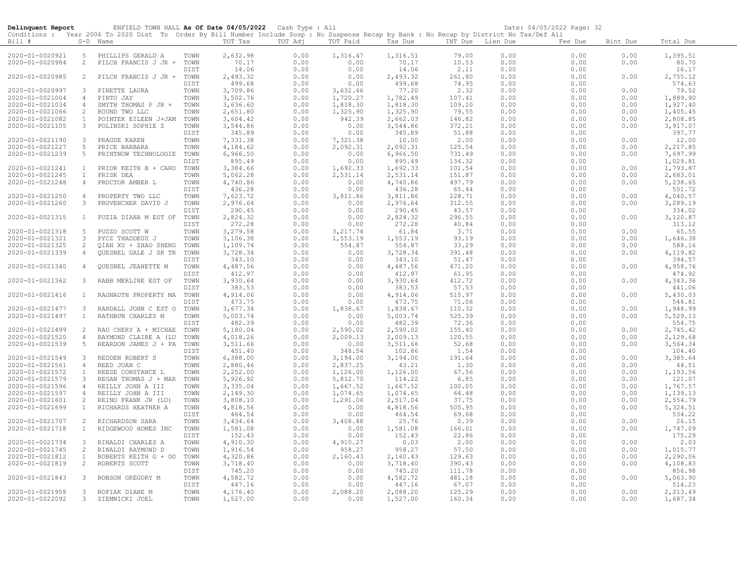| Delinquent Report                  |                                | ENFIELD TOWN HALL As Of Date 04/05/2022 Cash Type : All                                                                                    |              |                      |              |                      |                    |                  |              | Date: 04/05/2022 Page: 32 |              |                    |
|------------------------------------|--------------------------------|--------------------------------------------------------------------------------------------------------------------------------------------|--------------|----------------------|--------------|----------------------|--------------------|------------------|--------------|---------------------------|--------------|--------------------|
|                                    |                                | Conditions : Year 2006 To 2020 Dist To Order By Bill Number Include Susp : No Suspense Recap by Bank : No Recap by District No Tax/Def All |              |                      |              |                      |                    |                  |              |                           |              |                    |
| $Bill$ #                           |                                | S-D Name                                                                                                                                   |              | TOT Tax              | TOT Adj      | TOT Paid             | Tax Due            | INT Due Lien Due |              | Fee Due                   | Bint Due     | Total Due          |
|                                    | 5                              |                                                                                                                                            |              |                      |              |                      |                    |                  |              |                           |              |                    |
| 2020-01-0020921<br>2020-01-0020984 | 2                              | PHILLIPS GERALD A<br>PILCH FRANCIS J JR +                                                                                                  | TOWN<br>TOWN | 2,632.98<br>70.17    | 0.00<br>0.00 | 1,316.47<br>0.00     | 1,316.51<br>70.17  | 79.00<br>10.53   | 0.00<br>0.00 | 0.00<br>0.00              | 0.00<br>0.00 | 1,395.51<br>80.70  |
|                                    |                                |                                                                                                                                            | DIST         | 14.06                | 0.00         | 0.00                 | 14.06              | 2.11             | 0.00         | 0.00                      |              | 16.17              |
| 2020-01-0020985                    | 2                              | PILCH FRANCIS J JR +                                                                                                                       | TOWN         | 2,493.32             | 0.00         | 0.00                 | 2,493.32           | 261.80           | 0.00         | 0.00                      | 0.00         | 2,755.12           |
|                                    |                                |                                                                                                                                            | DIST         | 499.68               | 0.00         | 0.00                 | 499.68             | 74.95            | 0.00         | 0.00                      |              | 574.63             |
| 2020-01-0020997                    | 3                              | PINETTE LAURA                                                                                                                              | TOWN         | 3,709.86             | 0.00         | 3,632.66             | 77.20              | 2.32             | 0.00         | 0.00                      | 0.00         | 79.52              |
| 2020-01-0021004                    | 4                              | PINTO JAY                                                                                                                                  | TOWN         | 3,502.76             | 0.00         | 1,720.27             | 1,782.49           | 107.41           | 0.00         | 0.00                      | 0.00         | 1,889.90           |
| 2020-01-0021034                    | 4                              | SMYTH THOMAS P JR +                                                                                                                        | TOWN         | 3,636.60             | 0.00         | 1,818.30             | 1,818.30           | 109.10           | 0.00         | 0.00                      | 0.00         | 1,927.40           |
| 2020-01-0021066                    | 2                              | ROUND TWO LLC                                                                                                                              | TOWN         | 2,651.80             | 0.00         | 1,325.90             | 1,325.90           | 79.55            | 0.00         | 0.00                      | 0.00         | 1,405.45           |
| 2020-01-0021082                    | $\mathbf{1}$                   | POINTEK EILEEN J+JAM                                                                                                                       | TOWN         | 3,604.42             | 0.00         | 942.39               | 2,662.03           | 146.82           | 0.00         | 0.00                      | 0.00         | 2,808.85           |
| 2020-01-0021105                    | 3                              | POLINSKI SOPHIE Z                                                                                                                          | TOWN         | 3,544.86             | 0.00         | 0.00                 | 3,544.86           | 372.21           | 0.00         | 0.00                      | 0.00         | 3,917.07           |
|                                    |                                |                                                                                                                                            | DIST         | 345.89               | 0.00         | 0.00                 | 345.89             | 51.88            | 0.00         | 0.00                      |              | 397.77             |
| 2020-01-0021190                    | 3                              | PRAGUE KAREN                                                                                                                               | TOWN         | 7,331.38             | 0.00         | 7,321.38             | 10.00              | 2.00             | 0.00         | 0.00                      | 0.00         | 12.00              |
| 2020-01-0021227                    | 5                              | PRICE BARBARA                                                                                                                              | TOWN         | 4,184.62             | 0.00         | 2,092.31             | 2,092.31           | 125.54           | 0.00         | 0.00                      | 0.00         | 2,217.85           |
| 2020-01-0021239                    | 5                              | PRINTNOW TECHNOLOGIE                                                                                                                       | TOWN         | 6,966.50             | 0.00         | 0.00                 | 6,966.50           | 731.49           | 0.00         | 0.00                      | 0.00         | 7,697.99           |
|                                    |                                |                                                                                                                                            | DIST         | 895.49               | 0.00         | 0.00                 | 895.49             | 134.32           | 0.00         | 0.00                      |              | 1,029.81           |
| 2020-01-0021241                    | $\mathbf{1}$                   | PRIOR KEITH B + CARO                                                                                                                       | TOWN         | 3,384.66             | 0.00         | 1,692.33             | 1,692.33           | 101.54           | 0.00         | 0.00                      | 0.00         | 1,793.87           |
| 2020-01-0021245                    | $\mathbf{1}$                   | PRISK DEA                                                                                                                                  | TOWN         | 5,062.28             | 0.00         | 2,531.14             | 2,531.14           | 151.87           | 0.00         | 0.00                      | 0.00         | 2,683.01           |
| 2020-01-0021248                    | 4                              | PROCTOR AMBER L                                                                                                                            | TOWN         | 4,740.86             | 0.00         | 0.00                 | 4,740.86           | 497.79           | 0.00         | 0.00                      | 0.00         | 5,238.65           |
|                                    |                                |                                                                                                                                            | DIST         | 436.28               | 0.00         | 0.00                 | 436.28             | 65.44            | 0.00         | 0.00                      |              | 501.72             |
| 2020-01-0021250                    | $\overline{4}$                 | PROPERTY TWO LLC                                                                                                                           | TOWN         | 7,623.72             | 0.00         | 3,811.86             | 3,811.86           | 228.71           | 0.00         | 0.00                      | 0.00         | 4,040.57           |
| 2020-01-0021260                    | 3                              | PROVENCHER DAVID J                                                                                                                         | TOWN         | 2,976.64             | 0.00         | 0.00                 | 2,976.64           | 312.55           | 0.00         | 0.00                      | 0.00         | 3,289.19           |
|                                    |                                |                                                                                                                                            | DIST         | 290.45               | 0.00         | 0.00                 | 290.45             | 43.57            | 0.00         | 0.00                      |              | 334.02             |
| 2020-01-0021315                    | $\mathbf{1}$                   | PUZIA DIANA M EST OF                                                                                                                       | TOWN<br>DIST | 2,824.32<br>272.28   | 0.00         | 0.00<br>0.00         | 2,824.32<br>272.28 | 296.55<br>40.84  | 0.00         | 0.00<br>0.00              | 0.00         | 3,120.87<br>313.12 |
| 2020-01-0021318                    | 5                              | PUZZO SCOTT W                                                                                                                              | TOWN         | 3,279.58             | 0.00<br>0.00 | 3,217.74             | 61.84              | 3.71             | 0.00<br>0.00 | 0.00                      | 0.00         | 65.55              |
| 2020-01-0021321                    | 3                              | PYCZ THADDEUS J                                                                                                                            | TOWN         | 3,106.38             | 0.00         | 1,553.19             | 1,553.19           | 93.19            | 0.00         | 0.00                      | 0.00         | 1,646.38           |
| 2020-01-0021325                    | 2                              | QIAN XU + ZHAO SHENG                                                                                                                       | TOWN         | 1,109.74             | 0.00         | 554.87               | 554.87             | 33.29            | 0.00         | 0.00                      | 0.00         | 588.16             |
| 2020-01-0021339                    | 4                              | QUESNEL DALE J SR TR                                                                                                                       | TOWN         | 3,728.34             | 0.00         | 0.00                 | 3,728.34           | 391.48           | 0.00         | 0.00                      | 0.00         | 4,119.82           |
|                                    |                                |                                                                                                                                            | DIST         | 343.10               | 0.00         | 0.00                 | 343.10             | 51.47            | 0.00         | 0.00                      |              | 394.57             |
| 2020-01-0021340                    | $\overline{4}$                 | <b>OUESNEL JEANETTE M</b>                                                                                                                  | TOWN         | 4,487.56             | 0.00         | 0.00                 | 4,487.56           | 471.20           | 0.00         | 0.00                      | 0.00         | 4,958.76           |
|                                    |                                |                                                                                                                                            | DIST         | 412.97               | 0.00         | 0.00                 | 412.97             | 61.95            | 0.00         | 0.00                      |              | 474.92             |
| 2020-01-0021362                    | 3                              | RABB MERLINE EST OF                                                                                                                        | TOWN         | 3,930.64             | 0.00         | 0.00                 | 3,930.64           | 412.72           | 0.00         | 0.00                      | 0.00         | 4,343.36           |
|                                    |                                |                                                                                                                                            | DIST         | 383.53               | 0.00         | 0.00                 | 383.53             | 57.53            | 0.00         | 0.00                      |              | 441.06             |
| 2020-01-0021416                    | $\mathbf{1}$                   | RAGNAUTH PROPERTY MA                                                                                                                       | TOWN         | 4,914.06             | 0.00         | 0.00                 | 4,914.06           | 515.97           | 0.00         | 0.00                      | 0.00         | 5,430.03           |
|                                    |                                |                                                                                                                                            | DIST         | 473.75               | 0.00         | 0.00                 | 473.75             | 71.06            | 0.00         | 0.00                      |              | 544.81             |
| 2020-01-0021477                    | 3                              | RANDALL JOHN C EST O                                                                                                                       | TOWN         | 3,677.34             | 0.00         | 1,838.67             | 1,838.67           | 110.32           | 0.00         | 0.00                      | 0.00         | 1,948.99           |
| 2020-01-0021497                    | $\mathbf{1}$                   | RATHBUN CHARLES M                                                                                                                          | TOWN         | 5,003.74             | 0.00         | 0.00                 | 5,003.74           | 525.39           | 0.00         | 0.00                      | 0.00         | 5,529.13           |
|                                    |                                |                                                                                                                                            | DIST         | 482.39               | 0.00         | 0.00                 | 482.39             | 72.36            | 0.00         | 0.00                      |              | 554.75             |
| 2020-01-0021499                    | 2                              | RAU CHERY A + MICHAE                                                                                                                       | TOWN         | 5,180.04             | 0.00         | 2,590.02             | 2,590.02           | 155.40           | 0.00         | 0.00                      | 0.00         | 2,745.42           |
| 2020-01-0021520                    | $\overline{4}$                 | RAYMOND CLAIRE A (LU                                                                                                                       | TOWN         | 4,018.26             | 0.00         | 2,009.13             | 2,009.13           | 120.55           | 0.00         | 0.00                      | 0.00         | 2,129.68           |
| 2020-01-0021539                    | 5                              | REARDON JAMES J + PA                                                                                                                       | TOWN         | 3,511.66             | 0.00         | 0.00                 | 3,511.66           | 52.68            | 0.00         | 0.00                      | 0.00         | 3,564.34           |
|                                    |                                |                                                                                                                                            | DIST         | 451.40               | 0.00         | 348.54               | 102.86             | 1.54             | 0.00         | 0.00                      |              | 104.40             |
| 2020-01-0021549                    | 3                              | REDDEN ROBERT S                                                                                                                            | TOWN         | 6,388.00             | 0.00         | 3,194.00             | 3,194.00           | 191.64           | 0.00         | 0.00                      | 0.00         | 3,385.64           |
| 2020-01-0021561<br>2020-01-0021572 | $\overline{4}$<br>$\mathbf{1}$ | REED JOAN C<br>REESE CONSTANCE L                                                                                                           | TOWN<br>TOWN | 2,880.46<br>2,252.00 | 0.00<br>0.00 | 2,837.25<br>1,126.00 | 43.21<br>1,126.00  | 1.30<br>67.56    | 0.00<br>0.00 | 0.00<br>0.00              | 0.00<br>0.00 | 44.51<br>1,193.56  |
| 2020-01-0021579                    | 3                              | REGAN THOMAS J + MAR                                                                                                                       | TOWN         | 5,926.92             | 0.00         | 5,812.70             | 114.22             | 6.85             | 0.00         | 0.00                      | 0.00         | 121.07             |
| 2020-01-0021596                    | $\overline{4}$                 | REILLY JOHN A III                                                                                                                          | TOWN         | 3,335.04             | 0.00         | 1,667.52             | 1,667.52           | 100.05           | 0.00         | 0.00                      | 0.00         | 1,767.57           |
| 2020-01-0021597                    | 4                              | REILLY JOHN A III                                                                                                                          | TOWN         | 2,149.30             | 0.00         | 1,074.65             | 1,074.65           | 64.48            | 0.00         | 0.00                      | 0.00         | 1,139.13           |
| 2020-01-0021601                    | 2                              | REINO FRANK JR (LU)                                                                                                                        | TOWN         | 3,808.10             | 0.00         | 1,291.06             | 2,517.04           | 37.75            | 0.00         | 0.00                      | 0.00         | 2,554.79           |
| 2020-01-0021699                    | $\mathbf{1}$                   | RICHARDS HEATHER A                                                                                                                         | TOWN         | 4,818.56             | 0.00         | 0.00                 | 4,818.56           | 505.95           | 0.00         | 0.00                      | 0.00         | 5,324.51           |
|                                    |                                |                                                                                                                                            | DIST         | 464.54               | 0.00         | 0.00                 | 464.54             | 69.68            | 0.00         | 0.00                      |              | 534.22             |
| 2020-01-0021707                    | 2                              | RICHARDSON SARA                                                                                                                            | TOWN         | 3,434.64             | 0.00         | 3,408.88             | 25.76              | 0.39             | 0.00         | 0.00                      | 0.00         | 26.15              |
| 2020-01-0021718                    | $\mathbf{1}$                   | RIDGEWOOD HOMES INC                                                                                                                        | TOWN         | 1,581.08             | 0.00         | 0.00                 | 1,581.08           | 166.01           | 0.00         | 0.00                      | 0.00         | 1,747.09           |
|                                    |                                |                                                                                                                                            | DIST         | 152.43               | 0.00         | 0.00                 | 152.43             | 22.86            | 0.00         | 0.00                      |              | 175.29             |
| 2020-01-0021734                    | 3                              | RINALDI CHARLES A                                                                                                                          | TOWN         | 4,910.30             | 0.00         | 4,910.27             | 0.03               | 2.00             | 0.00         | 0.00                      | 0.00         | 2.03               |
| 2020-01-0021745                    | 2                              | RINALDI RAYMOND D                                                                                                                          | TOWN         | 1,916.54             | 0.00         | 958.27               | 958.27             | 57.50            | 0.00         | 0.00                      | 0.00         | 1,015.77           |
| 2020-01-0021812                    | $\mathbf{1}$                   | ROBERTS KEITH G + DO                                                                                                                       | TOWN         | 4,320.86             | 0.00         | 2,160.43             | 2,160.43           | 129.63           | 0.00         | 0.00                      | 0.00         | 2,290.06           |
| 2020-01-0021819                    | 2                              | ROBERTS SCOTT                                                                                                                              | TOWN         | 3,718.40             | 0.00         | 0.00                 | 3,718.40           | 390.43           | 0.00         | 0.00                      | 0.00         | 4,108.83           |
|                                    |                                |                                                                                                                                            | DIST         | 745.20               | 0.00         | 0.00                 | 745.20             | 111.78           | 0.00         | 0.00                      |              | 856.98             |
| 2020-01-0021843                    | 3                              | ROBSON GREGORY M                                                                                                                           | TOWN         | 4,582.72             | 0.00         | 0.00                 | 4,582.72           | 481.18           | 0.00         | 0.00                      | 0.00         | 5,063.90           |
|                                    |                                |                                                                                                                                            | DIST         | 447.16               | 0.00         | 0.00                 | 447.16             | 67.07            | 0.00         | 0.00                      |              | 514.23             |
| 2020-01-0021958                    | 3                              | ROPIAK DIANE M                                                                                                                             | TOWN         | 4,176.40             | 0.00         | 2,088.20             | 2,088.20           | 125.29           | 0.00         | 0.00                      | 0.00         | 2,213.49           |
| 2020-01-0022092                    | 3                              | ZIEMNICKI JOEL                                                                                                                             | TOWN         | 1,527.00             | 0.00         | 0.00                 | 1,527.00           | 160.34           | 0.00         | 0.00                      | 0.00         | 1,687.34           |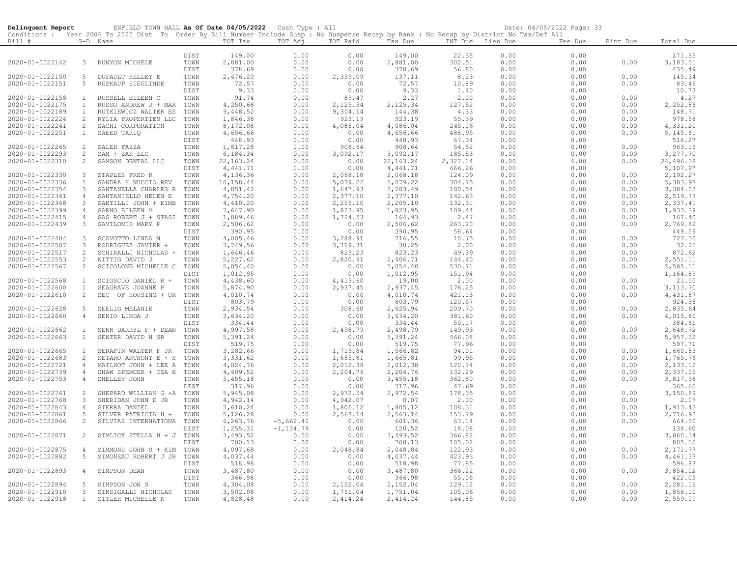| Delinquent Report                  |                   | ENFIELD TOWN HALL As Of Date 04/05/2022 Cash Type : All                                                                                    |              |                      |              |                    |                    |                  |                  | Date: 04/05/2022 Page: 33 |              |                    |
|------------------------------------|-------------------|--------------------------------------------------------------------------------------------------------------------------------------------|--------------|----------------------|--------------|--------------------|--------------------|------------------|------------------|---------------------------|--------------|--------------------|
|                                    |                   | Conditions : Year 2006 To 2020 Dist To Order By Bill Number Include Susp : No Suspense Recap by Bank : No Recap by District No Tax/Def All |              |                      |              |                    |                    |                  |                  |                           |              |                    |
| Bill #                             |                   | $S-D$ Name                                                                                                                                 |              | TOT Tax              | TOT Adj      | TOT Paid           | Tax Due            |                  | INT Due Lien Due | Fee Due                   | Bint Due     | Total Due          |
|                                    |                   |                                                                                                                                            | DIST         | 149.00               | 0.00         | 0.00               | 149.00             | 22.35            | 0.00             | 0.00                      |              | 171.35             |
| 2020-01-0022142                    | 3                 | RUNYON MICHELE                                                                                                                             | TOWN         | 2,881.00             | 0.00         | 0.00               | 2,881.00           | 302.51           | 0.00             | 0.00                      | 0.00         | 3,183.51           |
|                                    |                   |                                                                                                                                            | DIST         | 378.69               | 0.00         | 0.00               | 378.69             | 56.80            | 0.00             | 0.00                      |              | 435.49             |
| 2020-01-0022150                    | -5                | <b>DUFAULT KELLEY E</b>                                                                                                                    | TOWN         | 2,476.20             | 0.00         | 2,339.09           | 137.11             | 8.23             | 0.00             | 0.00                      | 0.00         | 145.34             |
| 2020-01-0022151                    | 5                 | RUSKAUP SIEGLINDE                                                                                                                          | TOWN         | 72.57                | 0.00         | 0.00               | 72.57              | 10.89            | 0.00             | 0.00                      | 0.00         | 83.46              |
|                                    |                   |                                                                                                                                            | DIST         | 9.33                 | 0.00         | 0.00               | 9.33               | 1.40             | 0.00             | 0.00                      |              | 10.73              |
| 2020-01-0022158                    | $\mathbf{1}$      | RUSSELL EILEEN C                                                                                                                           | TOWN         | 91.74                | 0.00         | 89.47              | 2.27               | 2.00             | 0.00             | 0.00                      | 0.00         | 4.27               |
| 2020-01-0022175                    | $\mathbf{1}$      | RUSSO ANDREW J + MAR                                                                                                                       | TOWN         | 4,250.68             | 0.00         | 2,125.34           | 2,125.34           | 127.52           | 0.00             | 0.00                      | 0.00         | 2,252.86           |
| 2020-01-0022189                    | $\mathbf{1}$      | RUTKIEWICZ WALTER ES                                                                                                                       | TOWN         | 9,448.52             | 0.00         | 9,304.14           | 144.38             | 4.33             | 0.00             | 0.00                      | 0.00         | 148.71             |
| 2020-01-0022224                    | 2                 | RYLIA PROPERTIES LLC                                                                                                                       | TOWN         | 1,846.38             | 0.00         | 923.19             | 923.19             | 55.39            | 0.00             | 0.00                      | 0.00         | 978.58             |
| 2020-01-0022241                    | 2                 | SACHI CORPORATION                                                                                                                          | TOWN         | 8,172.08             | 0.00         | 4,086.04           | 4,086.04           | 245.16           | 0.00             | 0.00                      | 0.00         | 4,331.20           |
| 2020-01-0022251                    | $\mathbf{1}$      | SAEED TARIQ                                                                                                                                | TOWN<br>DIST | 4,656.66<br>448.93   | 0.00<br>0.00 | 0.00<br>0.00       | 4,656.66<br>448.93 | 488.95<br>67.34  | 0.00<br>0.00     | 0.00<br>0.00              | 0.00         | 5,145.61<br>516.27 |
| 2020-01-0022265                    | 2                 | SALEH FAZZA                                                                                                                                | TOWN         | 1,817.28             | 0.00         | 908.64             | 908.64             | 54.52            | 0.00             | 0.00                      | 0.00         | 963.16             |
| 2020-01-0022293                    | 2                 | SAM + ZAK LLC                                                                                                                              | TOWN         | 6,184.34             | 0.00         | 3,092.17           | 3,092.17           | 185.53           | 0.00             | 0.00                      | 0.00         | 3,277.70           |
| 2020-01-0022310                    | 2                 | SAMSON DENTAL LLC                                                                                                                          | TOWN         | 22, 163.24           | 0.00         | 0.00               | 22, 163.24         | 2,327.14         | 0.00             | 6.00                      | 0.00         | 24,496.38          |
|                                    |                   |                                                                                                                                            | DIST         | 4,441.71             | 0.00         | 0.00               | 4, 441.71          | 666.26           | 0.00             | 0.00                      |              | 5,107.97           |
| 2020-01-0022330                    | $\mathbf{3}$      | STAPLES FRED R                                                                                                                             | TOWN         | 4,136.36             | 0.00         | 2,068.18           | 2,068.18           | 124.09           | 0.00             | 0.00                      | 0.00         | 2,192.27           |
| 2020-01-0022336                    | $\mathbf{1}$      | SANDRA H NUCCIO REV                                                                                                                        | TOWN         | 10,158.44            | 0.00         | 5,079.22           | 5,079.22           | 304.75           | 0.00             | 0.00                      | 0.00         | 5,383.97           |
| 2020-01-0022354                    | $\mathbf{3}$      | SANTANELLA CHARLES R                                                                                                                       | TOWN         | 4,851.42             | 0.00         | 1,647.93           | 3,203.49           | 180.54           | 0.00             | 0.00                      | 0.00         | 3,384.03           |
| 2020-01-0022361                    | $\overline{4}$    | SANTANIELLO HELEN E                                                                                                                        | TOWN         | 4,754.20             | 0.00         | 2,377.10           | 2,377.10           | 142.63           | 0.00             | 0.00                      | 0.00         | 2,519.73           |
| 2020-01-0022368                    | $\mathbf{3}$      | SANTILLI JOHN + KIMB                                                                                                                       | TOWN         | 4,410.20             | 0.00         | 2,205.10           | 2,205.10           | 132.31           | 0.00             | 0.00                      | 0.00         | 2,337.41           |
| 2020-01-0022399                    | $\overline{4}$    | SARNO EILEEN M                                                                                                                             | TOWN         | 3,647.90             | 0.00         | 1,823.95           | 1,823.95           | 109.44           | 0.00             | 0.00                      | 0.00         | 1,933.39           |
| 2020-01-0022415                    | $\overline{4}$    | SAS ROBERT J + STASI                                                                                                                       | TOWN         | 1,889.46             | 0.00         | 1,724.53           | 164.93             | 2.47             | 0.00             | 0.00                      | 0.00         | 167.40             |
| 2020-01-0022439                    | $\mathbf{3}$      | SAVILONIS MARY P                                                                                                                           | TOWN         | 2,506.62             | 0.00         | 0.00               | 2,506.62           | 263.20           | 0.00             | 0.00                      | 0.00         | 2,769.82           |
|                                    |                   |                                                                                                                                            | DIST         | 390.95               | 0.00         | 0.00               | 390.95             | 58.64            | 0.00             | 0.00                      |              | 449.59             |
| 2020-01-0022484                    | $\mathbf{3}$<br>3 | SCAVOTTO LINDA N                                                                                                                           | TOWN         | 4,005.46             | 0.00         | 3,288.91           | 716.55             | 10.75            | 0.00             | 0.00                      | 0.00         | 727.30<br>32.25    |
| 2020-01-0022507<br>2020-01-0022517 | 2                 | RODRIGUEZ JAVIER +<br>SCHIRALLI NICHOLAS +                                                                                                 | TOWN<br>TOWN | 3,749.56<br>1,646.46 | 0.00<br>0.00 | 3,719.31<br>823.23 | 30.25<br>823.23    | 2.00<br>49.39    | 0.00<br>0.00     | 0.00<br>0.00              | 0.00<br>0.00 | 872.62             |
| 2020-01-0022553                    | 2                 | WITTIG DAVID J                                                                                                                             | TOWN         | 5,227.62             | 0.00         | 2,820.91           | 2,406.71           | 144.40           | 0.00             | 0.00                      | 0.00         | 2,551.11           |
| 2020-01-0022567                    | 2                 | SCICOLONE MICHELLE C                                                                                                                       | TOWN         | 5,054.40             | 0.00         | 0.00               | 5,054.40           | 530.71           | 0.00             | 0.00                      | 0.00         | 5,585.11           |
|                                    |                   |                                                                                                                                            | DIST         | 1,012.95             | 0.00         | 0.00               | 1,012.95           | 151.94           | 0.00             | 0.00                      |              | 1,164.89           |
| 2020-01-0022568                    | $\mathbf{1}$      | SCIOSCIO DANIEL R +                                                                                                                        | TOWN         | 4,438.60             | 0.00         | 4,419.60           | 19.00              | 2.00             | 0.00             | 0.00                      | 0.00         | 21.00              |
| 2020-01-0022600                    | $\mathbf{1}$      | SEAGRAVE JOANNE P                                                                                                                          | TOWN         | 5,874.90             | 0.00         | 2,937.45           | 2,937.45           | 176.25           | 0.00             | 0.00                      | 0.00         | 3,113.70           |
| 2020-01-0022610                    | 2                 | SEC OF HOUSING + UR                                                                                                                        | TOWN         | 4,010.74             | 0.00         | 0.00               | 4,010.74           | 421.13           | 0.00             | 0.00                      | 0.00         | 4,431.87           |
|                                    |                   |                                                                                                                                            | DIST         | 803.79               | 0.00         | 0.00               | 803.79             | 120.57           | 0.00             | 0.00                      |              | 924.36             |
| 2020-01-0022628                    | -5                | SEELIG MELANIE                                                                                                                             | TOWN         | 2,934.54             | 0.00         | 308.60             | 2,625.94           | 209.70           | 0.00             | 0.00                      | 0.00         | 2,835.64           |
| 2020-01-0022660                    | $\overline{4}$    | SENIO LINDA J                                                                                                                              | TOWN         | 3,634.20             | 0.00         | 0.00               | 3,634.20           | 381.60           | 0.00             | 0.00                      | 0.00         | 4,015.80           |
|                                    |                   |                                                                                                                                            | DIST         | 334.44               | 0.00         | 0.00               | 334.44             | 50.17            | 0.00             | 0.00                      |              | 384.61             |
| 2020-01-0022662                    | $\mathbf{1}$      | SENN DARRYL F + DEAN                                                                                                                       | TOWN         | 4,997.58             | 0.00         | 2,498.79           | 2,498.79           | 149.93           | 0.00             | 0.00                      | 0.00         | 2,648.72           |
| 2020-01-0022663                    | $\mathbf{1}$      | SENTER DAVID H SR                                                                                                                          | TOWN<br>DIST | 5,391.24<br>519.75   | 0.00<br>0.00 | 0.00<br>0.00       | 5,391.24<br>519.75 | 566.08<br>77.96  | 0.00<br>0.00     | 0.00<br>0.00              | 0.00         | 5,957.32<br>597.71 |
| 2020-01-0022665                    | $\mathbf{1}$      | SERAFIN WALTER F JR                                                                                                                        | TOWN         | 3,282.66             | 0.00         | 1,715.84           | 1,566.82           | 94.01            | 0.00             | 0.00                      | 0.00         | 1,660.83           |
| 2020-01-0022683                    | $\overline{c}$    | SETARO ANTHONY E + S                                                                                                                       | TOWN         | 3,331.62             | 0.00         | 1,665.81           | 1,665.81           | 99.95            | 0.00             | 0.00                      | 0.00         | 1,765.76           |
| 2020-01-0022721                    | $\overline{4}$    | MAILHOT JOHN + LEE A                                                                                                                       | TOWN         | 4,024.76             | 0.00         | 2,012.38           | 2,012.38           | 120.74           | 0.00             | 0.00                      | 0.00         | 2,133.12           |
| 2020-01-0022739                    | $\overline{4}$    | SHAW SPENCER + OZA R TOWN                                                                                                                  |              | 4,409.52             | 0.00         | 2,204.76           | 2,204.76           | 132.29           | 0.00             | 0.00                      | 0.00         | 2,337.05           |
| 2020-01-0022753                    | $\overline{4}$    | SHELLEY JOHN                                                                                                                               | TOWN         | 3,455.18             | 0.00         | 0.00               | 3,455.18           | 362.80           | 0.00             | 0.00                      | 0.00         | 3,817.98           |
|                                    |                   |                                                                                                                                            | DIST         | 317.96               | 0.00         | 0.00               | 317.96             | 47.69            | 0.00             | 0.00                      |              | 365.65             |
| 2020-01-0022761                    | 2                 | SHEPARD WILLIAM G +A                                                                                                                       | TOWN         | 5,945.08             | 0.00         | 2,972.54           | 2,972.54           | 178.35           | 0.00             | 0.00                      | 0.00         | 3,150.89           |
| 2020-01-0022768                    | $\mathbf{3}$      | SHERIDAN JOHN D JR                                                                                                                         | TOWN         | 4,942.14             | 0.00         | 4,942.07           | 0.07               | 2.00             | 0.00             | 0.00                      | 0.00         | 2.07               |
| 2020-01-0022843                    | $\overline{4}$    | SIERRA DANIEL                                                                                                                              | TOWN         | 3,610.24             | 0.00         | 1,805.12           | 1,805.12           | 108.31           | 0.00             | 0.00                      | 0.00         | 1,913.43           |
| 2020-01-0022861                    | 5                 | SILVER PATRICIA H +                                                                                                                        | TOWN         | 5,126.28             | 0.00         | 2,563.14           | 2,563.14           | 153.79           | 0.00             | 0.00                      | 0.00         | 2,716.93           |
| 2020-01-0022866                    | 2                 | SILVIAS INTERNATIONA                                                                                                                       | TOWN         | 6,263.76             | $-5,662.40$  | 0.00               | 601.36             | 63.14            | 0.00             | 0.00                      | 0.00         | 664.50             |
|                                    |                   |                                                                                                                                            | DIST         | 1,255.31             | $-1, 134.79$ | 0.00               | 120.52             | 18.08            | 0.00             | 0.00                      |              | 138.60             |
| 2020-01-0022871                    | 2                 | SIMLICK STELLA H + J                                                                                                                       | TOWN         | 3,493.52             | 0.00         | 0.00               | 3,493.52           | 366.82           | 0.00             | 0.00                      | 0.00         | 3,860.34           |
| 2020-01-0022875                    | $\overline{4}$    | SIMMONS JOHN S + KIM                                                                                                                       | DIST<br>TOWN | 700.13<br>4,097.68   | 0.00<br>0.00 | 0.00               | 700.13<br>2,048.84 | 105.02<br>122.93 | 0.00<br>0.00     | 0.00<br>0.00              | 0.00         | 805.15<br>2,171.77 |
| 2020-01-0022882                    | 5                 | SIMONEAU ROBERT J JR                                                                                                                       | TOWN         | 4,037.44             | 0.00         | 2,048.84<br>0.00   | 4,037.44           | 423.93           | 0.00             | 0.00                      | 0.00         | 4,461.37           |
|                                    |                   |                                                                                                                                            | DIST         | 518.98               | 0.00         | 0.00               | 518.98             | 77.85            | 0.00             | 0.00                      |              | 596.83             |
| 2020-01-0022893                    | $\overline{4}$    | SIMPSON DEAN                                                                                                                               | TOWN         | 3,487.80             | 0.00         | 0.00               | 3,487.80           | 366.22           | 0.00             | 0.00                      | 0.00         | 3,854.02           |
|                                    |                   |                                                                                                                                            | DIST         | 366.98               | 0.00         | 0.00               | 366.98             | 55.05            | 0.00             | 0.00                      |              | 422.03             |
| 2020-01-0022894                    | 5                 | SIMPSON JON S                                                                                                                              | TOWN         | 4,304.08             | 0.00         | 2,152.04           | 2,152.04           | 129.12           | 0.00             | 0.00                      | 0.00         | 2,281.16           |
| 2020-01-0022910                    | $\mathbf{3}$      | SINSIGALLI NICHOLAS                                                                                                                        | TOWN         | 3,502.08             | 0.00         | 1,751.04           | 1,751.04           | 105.06           | 0.00             | 0.00                      | 0.00         | 1,856.10           |
| 2020-01-0022918                    | $\mathbf{1}$      | SITLER MICHELLE K                                                                                                                          | TOWN         | 4,828.48             | 0.00         | 2,414.24           | 2,414.24           | 144.85           | 0.00             | 0.00                      | 0.00         | 2,559.09           |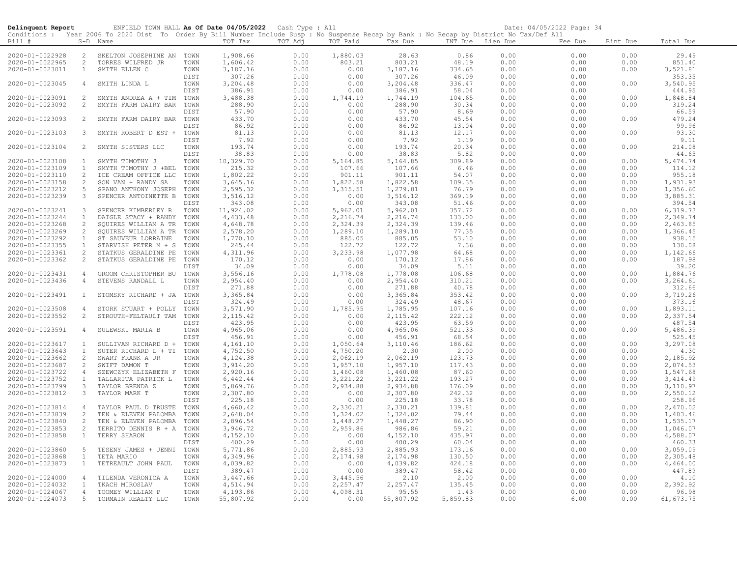| Delinquent Report |                | ENFIELD TOWN HALL As Of Date 04/05/2022 Cash Type : All                                                                                    |      |           |         |          |           |                  |      | Date: 04/05/2022 Page: 34 |          |            |
|-------------------|----------------|--------------------------------------------------------------------------------------------------------------------------------------------|------|-----------|---------|----------|-----------|------------------|------|---------------------------|----------|------------|
|                   |                | Conditions : Year 2006 To 2020 Dist To Order By Bill Number Include Susp : No Suspense Recap by Bank : No Recap by District No Tax/Def All |      |           |         |          |           |                  |      |                           |          |            |
| Bill #            |                | S-D Name                                                                                                                                   |      | TOT Tax   | TOT Adj | TOT Paid | Tax Due   | INT Due Lien Due |      | Fee Due                   | Bint Due | Total Due  |
|                   |                |                                                                                                                                            |      |           |         |          |           |                  |      |                           |          |            |
| 2020-01-0022928   | 2              | SKELTON JOSEPHINE AN TOWN                                                                                                                  |      | 1,908.66  | 0.00    | 1,880.03 | 28.63     | 0.86             | 0.00 | 0.00                      | 0.00     | 29.49      |
| 2020-01-0022965   | 2              | TORRES WILFRED JR                                                                                                                          | TOWN | 1,606.42  | 0.00    | 803.21   | 803.21    | 48.19            | 0.00 | 0.00                      | 0.00     | 851.40     |
| 2020-01-0023011   | $\mathbf{1}$   | SMITH ELLEN C                                                                                                                              | TOWN | 3,187.16  | 0.00    | 0.00     | 3,187.16  | 334.65           | 0.00 | 0.00                      | 0.00     | 3,521.81   |
|                   |                |                                                                                                                                            | DIST | 307.26    | 0.00    | 0.00     | 307.26    | 46.09            | 0.00 | 0.00                      |          | 353.35     |
| 2020-01-0023045   | $\overline{4}$ | SMITH LINDA L                                                                                                                              | TOWN | 3,204.48  | 0.00    | 0.00     | 3,204.48  | 336.47           | 0.00 | 0.00                      | 0.00     | 3,540.95   |
|                   |                |                                                                                                                                            | DIST | 386.91    | 0.00    | 0.00     | 386.91    | 58.04            | 0.00 | 0.00                      |          | 444.95     |
| 2020-01-0023091   | 2              | SMYTH ANDREA A + TIM                                                                                                                       | TOWN | 3,488.38  | 0.00    | 1,744.19 | 1,744.19  | 104.65           | 0.00 | 0.00                      | 0.00     | 1,848.84   |
| 2020-01-0023092   | 2              | SMYTH FARM DAIRY BAR                                                                                                                       | TOWN | 288.90    | 0.00    | 0.00     | 288.90    | 30.34            | 0.00 | 0.00                      | 0.00     | 319.24     |
|                   |                |                                                                                                                                            | DIST | 57.90     | 0.00    | 0.00     | 57.90     | 8.69             | 0.00 | 0.00                      |          | 66.59      |
| 2020-01-0023093   | 2              | SMYTH FARM DAIRY BAR                                                                                                                       | TOWN | 433.70    | 0.00    | 0.00     | 433.70    | 45.54            | 0.00 | 0.00                      | 0.00     | 479.24     |
|                   |                |                                                                                                                                            | DIST | 86.92     | 0.00    | 0.00     | 86.92     | 13.04            | 0.00 | 0.00                      |          | 99.96      |
| 2020-01-0023103   | 3              | SMYTH ROBERT D EST +                                                                                                                       | TOWN | 81.13     | 0.00    | 0.00     | 81.13     | 12.17            | 0.00 | 0.00                      | 0.00     | 93.30      |
|                   |                |                                                                                                                                            | DIST | 7.92      | 0.00    | 0.00     | 7.92      | 1.19             | 0.00 | 0.00                      |          | 9.11       |
| 2020-01-0023104   | 2              | SMYTH SISTERS LLC                                                                                                                          | TOWN | 193.74    | 0.00    | 0.00     | 193.74    | 20.34            | 0.00 | 0.00                      | 0.00     | 214.08     |
|                   |                |                                                                                                                                            | DIST | 38.83     | 0.00    | 0.00     | 38.83     | 5.82             | 0.00 | 0.00                      |          | 44.65      |
| 2020-01-0023108   | $\mathbf{1}$   | SMYTH TIMOTHY J                                                                                                                            | TOWN | 10,329.70 | 0.00    | 5,164.85 | 5,164.85  | 309.89           | 0.00 | 0.00                      | 0.00     | 5, 474.74  |
| 2020-01-0023109   | $\mathbf{1}$   | SMYTH TIMOTHY J +BEL                                                                                                                       | TOWN | 215.32    | 0.00    | 107.66   | 107.66    | 6.46             | 0.00 | 0.00                      | 0.00     | 114.12     |
| 2020-01-0023110   | -2             | ICE CREAM OFFICE LLC                                                                                                                       | TOWN | 1,802.22  | 0.00    | 901.11   | 901.11    | 54.07            | 0.00 | 0.00                      | 0.00     | 955.18     |
| 2020-01-0023158   | 2              | SON VAN + RANDY SA                                                                                                                         | TOWN | 3,645.16  | 0.00    | 1,822.58 | 1,822.58  | 109.35           | 0.00 | 0.00                      | 0.00     | 1,931.93   |
| 2020-01-0023212   | 5              | SPANO ANTHONY JOSEPH                                                                                                                       | TOWN | 2,595.32  | 0.00    | 1,315.51 | 1,279.81  | 76.79            | 0.00 | 0.00                      | 0.00     | 1,356.60   |
| 2020-01-0023239   | 3              | SPENCER ANTOINETTE B                                                                                                                       | TOWN | 3,516.12  | 0.00    | 0.00     | 3,516.12  | 369.19           | 0.00 | 0.00                      | 0.00     | 3,885.31   |
|                   |                |                                                                                                                                            | DIST | 343.08    | 0.00    | 0.00     | 343.08    | 51.46            | 0.00 | 0.00                      |          | 394.54     |
| 2020-01-0023241   | $\mathbf{3}$   | SPENCER KIMBERLEY R                                                                                                                        | TOWN | 11,924.02 | 0.00    | 5,962.01 | 5,962.01  | 357.72           | 0.00 | 0.00                      | 0.00     | 6,319.73   |
| 2020-01-0023244   | $\mathbf{1}$   | DAIGLE STACY + RANDY                                                                                                                       | TOWN | 4,433.48  | 0.00    | 2,216.74 | 2,216.74  | 133.00           | 0.00 | 0.00                      | 0.00     | 2,349.74   |
| 2020-01-0023268   | 2              | SQUIRES WILLIAM A TR                                                                                                                       | TOWN | 4,648.78  | 0.00    | 2,324.39 | 2,324.39  | 139.46           | 0.00 | 0.00                      | 0.00     | 2,463.85   |
| 2020-01-0023269   | 2              | SQUIRES WILLIAM A TR                                                                                                                       | TOWN | 2,578.20  | 0.00    | 1,289.10 | 1,289.10  | 77.35            | 0.00 | 0.00                      | 0.00     | 1,366.45   |
| 2020-01-0023292   | 1              | ST SAUVEUR LORRAINE                                                                                                                        | TOWN | 1,770.10  | 0.00    | 885.05   | 885.05    | 53.10            | 0.00 | 0.00                      | 0.00     | 938.15     |
| 2020-01-0023355   | $\mathbf{1}$   | STARVISH PETER M + S                                                                                                                       | TOWN | 245.44    | 0.00    | 122.72   | 122.72    | 7.36             | 0.00 | 0.00                      | 0.00     | 130.08     |
| 2020-01-0023361   | 2              | STATKUS GERALDINE PE                                                                                                                       | TOWN | 4,311.96  | 0.00    | 3,233.98 | 1,077.98  | 64.68            | 0.00 | 0.00                      | 0.00     | 1,142.66   |
| 2020-01-0023362   | 2              | STATKUS GERALDINE PE                                                                                                                       | TOWN | 170.12    | 0.00    | 0.00     | 170.12    | 17.86            | 0.00 | 0.00                      | 0.00     | 187.98     |
|                   |                |                                                                                                                                            | DIST | 34.09     | 0.00    | 0.00     | 34.09     | 5.11             | 0.00 | 0.00                      |          | 39.20      |
| 2020-01-0023431   | $\overline{4}$ | GROOM CHRISTOPHER BU                                                                                                                       | TOWN | 3,556.16  | 0.00    | 1,778.08 | 1,778.08  | 106.68           | 0.00 | 0.00                      | 0.00     | 1,884.76   |
| 2020-01-0023436   | $\overline{4}$ | STEVENS RANDALL L                                                                                                                          | TOWN | 2,954.40  | 0.00    | 0.00     | 2,954.40  | 310.21           | 0.00 | 0.00                      | 0.00     | 3,264.61   |
|                   |                |                                                                                                                                            | DIST | 271.88    | 0.00    | 0.00     | 271.88    | 40.78            | 0.00 | 0.00                      |          | 312.66     |
| 2020-01-0023491   | $\mathbf{1}$   | STOMSKY RICHARD + JA TOWN                                                                                                                  |      | 3,365.84  | 0.00    | 0.00     | 3,365.84  | 353.42           | 0.00 | 0.00                      | 0.00     | 3,719.26   |
|                   |                |                                                                                                                                            | DIST | 324.49    | 0.00    | 0.00     | 324.49    | 48.67            | 0.00 | 0.00                      |          | 373.16     |
| 2020-01-0023508   | $\overline{4}$ | STORK STUART + POLLY                                                                                                                       | TOWN | 3,571.90  | 0.00    | 1,785.95 | 1,785.95  | 107.16           | 0.00 | 0.00                      | 0.00     | 1,893.11   |
| 2020-01-0023552   | 2              | STROUTH-FELTAULT TAM                                                                                                                       | TOWN | 2, 115.42 | 0.00    | 0.00     | 2, 115.42 | 222.12           | 0.00 | 0.00                      | 0.00     | 2,337.54   |
|                   |                |                                                                                                                                            | DIST | 423.95    | 0.00    | 0.00     | 423.95    | 63.59            | 0.00 | 0.00                      |          | 487.54     |
| 2020-01-0023591   | 4              | SULEWSKI MARIA B                                                                                                                           | TOWN | 4,965.06  | 0.00    | 0.00     | 4,965.06  | 521.33           | 0.00 | 0.00                      | 0.00     | 5,486.39   |
|                   |                |                                                                                                                                            | DIST | 456.91    | 0.00    | 0.00     | 456.91    | 68.54            | 0.00 | 0.00                      |          | 525.45     |
| 2020-01-0023617   | $\mathbf{1}$   | SULLIVAN RICHARD D +                                                                                                                       | TOWN | 4,161.10  | 0.00    | 1,050.64 | 3,110.46  | 186.62           | 0.00 | 0.00                      | 0.00     | 3,297.08   |
| 2020-01-0023643   | $\mathbf{1}$   | SUTER RICHARD L + TI                                                                                                                       | TOWN | 4,752.50  | 0.00    | 4,750.20 | 2.30      | 2.00             | 0.00 | 0.00                      | 0.00     | 4.30       |
| 2020-01-0023662   | 2              | SWART FRANK A JR                                                                                                                           | TOWN | 4,124.38  | 0.00    | 2,062.19 | 2,062.19  | 123.73           | 0.00 | 0.00                      | 0.00     | 2,185.92   |
| 2020-01-0023687   | 2              | SWIFT DAMON T                                                                                                                              | TOWN | 3,914.20  | 0.00    | 1,957.10 | 1,957.10  | 117.43           | 0.00 | 0.00                      | 0.00     | 2,074.53   |
| 2020-01-0023722   | $\overline{4}$ | SZEWCZYK ELIZABETH F                                                                                                                       | TOWN | 2,920.16  | 0.00    | 1,460.08 | 1,460.08  | 87.60            | 0.00 | 0.00                      | 0.00     | 1,547.68   |
| 2020-01-0023752   | $\mathbf{1}$   | TALLARITA PATRICK L                                                                                                                        | TOWN | 6,442.44  | 0.00    | 3,221.22 | 3, 221.22 | 193.27           | 0.00 | 0.00                      | 0.00     | 3, 414.49  |
| 2020-01-0023799   | 3              | TAYLOR BRENDA Z                                                                                                                            | TOWN | 5,869.76  | 0.00    | 2,934.88 | 2,934.88  | 176.09           | 0.00 | 0.00                      | 0.00     | 3,110.97   |
| 2020-01-0023812   | 3              | TAYLOR MARK T                                                                                                                              | TOWN | 2,307.80  | 0.00    | 0.00     | 2,307.80  | 242.32           | 0.00 | 0.00                      | 0.00     | 2,550.12   |
|                   |                |                                                                                                                                            | DIST | 225.18    | 0.00    | 0.00     | 225.18    | 33.78            | 0.00 | 0.00                      |          | 258.96     |
| 2020-01-0023814   | $\overline{4}$ | TAYLOR PAUL D TRUSTE                                                                                                                       | TOWN | 4,660.42  | 0.00    | 2,330.21 | 2,330.21  | 139.81           | 0.00 | 0.00                      | 0.00     | 2,470.02   |
| 2020-01-0023839   | 2              | TEN & ELEVEN PALOMBA                                                                                                                       | TOWN | 2,648.04  | 0.00    | 1,324.02 | 1,324.02  | 79.44            | 0.00 | 0.00                      | 0.00     | 1,403.46   |
| 2020-01-0023840   | 2              | TEN & ELEVEN PALOMBA                                                                                                                       | TOWN | 2,896.54  | 0.00    | 1,448.27 | 1,448.27  | 86.90            | 0.00 | 0.00                      | 0.00     | 1,535.17   |
| 2020-01-0023853   | 2              | TERRITO DENNIS R + A                                                                                                                       | TOWN | 3,946.72  | 0.00    | 2,959.86 | 986.86    | 59.21            | 0.00 | 0.00                      | 0.00     | 1,046.07   |
| 2020-01-0023858   | $\mathbf{1}$   | TERRY SHARON                                                                                                                               | TOWN | 4,152.10  | 0.00    | 0.00     | 4,152.10  | 435.97           | 0.00 | 0.00                      | 0.00     | 4,588.07   |
|                   |                |                                                                                                                                            | DIST | 400.29    | 0.00    | 0.00     | 400.29    | 60.04            | 0.00 | 0.00                      |          | 460.33     |
| 2020-01-0023860   | 5              | TESENY JAMES + JENNI                                                                                                                       | TOWN | 5,771.86  | 0.00    | 2,885.93 | 2,885.93  | 173.16           | 0.00 | 0.00                      | 0.00     | 3,059.09   |
| 2020-01-0023868   | 1              | TETA MARIO                                                                                                                                 | TOWN | 4,349.96  | 0.00    | 2,174.98 | 2,174.98  | 130.50           | 0.00 | 0.00                      | 0.00     | 2,305.48   |
| 2020-01-0023873   | $\mathbf{1}$   | TETREAULT JOHN PAUL                                                                                                                        | TOWN | 4,039.82  | 0.00    | 0.00     | 4,039.82  | 424.18           | 0.00 | 0.00                      | 0.00     | 4,464.00   |
|                   |                |                                                                                                                                            | DIST | 389.47    | 0.00    | 0.00     | 389.47    | 58.42            | 0.00 | 0.00                      |          | 447.89     |
| 2020-01-0024000   | $\overline{4}$ | TILENDA VERONICA A                                                                                                                         | TOWN | 3,447.66  | 0.00    | 3,445.56 | 2.10      | 2.00             | 0.00 | 0.00                      | 0.00     | 4.10       |
| 2020-01-0024032   | $\mathbf{1}$   | TKACH MIROSLAV                                                                                                                             | TOWN | 4,514.94  | 0.00    | 2,257.47 | 2,257.47  | 135.45           | 0.00 | 0.00                      | 0.00     | 2,392.92   |
| 2020-01-0024067   | $\overline{4}$ | TOOMEY WILLIAM P                                                                                                                           | TOWN | 4,193.86  | 0.00    | 4,098.31 | 95.55     | 1.43             | 0.00 | 0.00                      | 0.00     | 96.98      |
| 2020-01-0024073   | 5 <sup>5</sup> | TORMAIN REALTY LLC                                                                                                                         | TOWN | 55,807.92 | 0.00    | 0.00     | 55,807.92 | 5,859.83         | 0.00 | 6.00                      | 0.00     | 61, 673.75 |
|                   |                |                                                                                                                                            |      |           |         |          |           |                  |      |                           |          |            |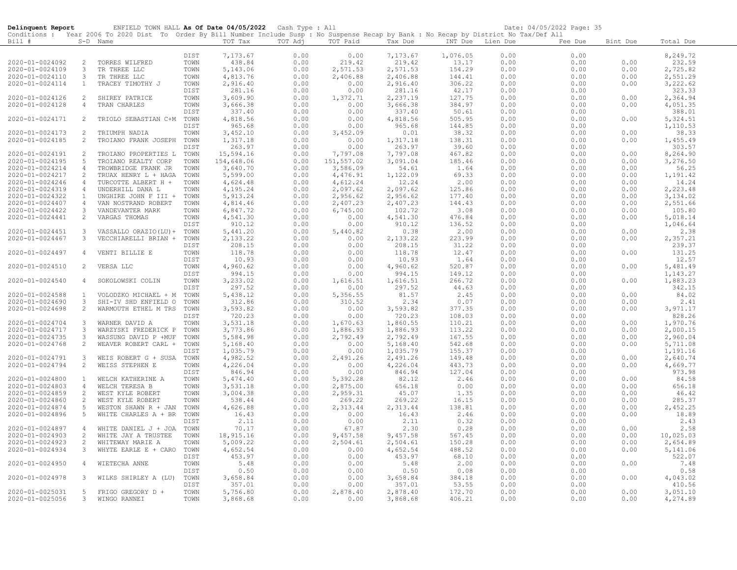| Delinquent Report |                | ENFIELD TOWN HALL As Of Date 04/05/2022 Cash Type : All                                                                                    |      |                      |         |            |           |                  |      | Date: 04/05/2022 Page: 35 |          |           |
|-------------------|----------------|--------------------------------------------------------------------------------------------------------------------------------------------|------|----------------------|---------|------------|-----------|------------------|------|---------------------------|----------|-----------|
|                   |                | Conditions : Year 2006 To 2020 Dist To Order By Bill Number Include Susp : No Suspense Recap by Bank : No Recap by District No Tax/Def All |      |                      |         |            |           |                  |      |                           |          |           |
| Bill #            |                | S-D Name                                                                                                                                   |      | TOT Tax              | TOT Adj | TOT Paid   | Tax Due   | INT Due Lien Due |      | Fee Due                   | Bint Due | Total Due |
|                   |                |                                                                                                                                            | DIST | 7,173.67             | 0.00    | 0.00       | 7,173.67  | 1,076.05         | 0.00 | 0.00                      |          | 8,249.72  |
| 2020-01-0024092   | 2              | TORRES WILFRED                                                                                                                             | TOWN | 438.84               | 0.00    | 219.42     | 219.42    | 13.17            | 0.00 | 0.00                      | 0.00     | 232.59    |
| 2020-01-0024109   | 3              | TR THREE LLC                                                                                                                               | TOWN | 5,143.06             | 0.00    | 2,571.53   | 2,571.53  | 154.29           | 0.00 | 0.00                      | 0.00     | 2,725.82  |
| 2020-01-0024110   | $\mathbf{3}$   | TR THREE LLC                                                                                                                               | TOWN | 4,813.76             | 0.00    | 2,406.88   | 2,406.88  | 144.41           | 0.00 | 0.00                      | 0.00     | 2,551.29  |
| 2020-01-0024114   | $\mathbf{1}$   | TRACEY TIMOTHY J                                                                                                                           | TOWN | 2,916.40             | 0.00    | 0.00       | 2,916.40  | 306.22           | 0.00 | 0.00                      | 0.00     | 3,222.62  |
|                   |                |                                                                                                                                            | DIST | 281.16               | 0.00    | 0.00       | 281.16    | 42.17            | 0.00 | 0.00                      |          | 323.33    |
| 2020-01-0024126   | 2              | SHIREY PATRICE                                                                                                                             | TOWN | 3,609.90             | 0.00    | 1,372.71   | 2,237.19  | 127.75           | 0.00 | 0.00                      | 0.00     | 2,364.94  |
| 2020-01-0024128   | 4              | TRAN CHARLES                                                                                                                               | TOWN | 3,666.38             | 0.00    | 0.00       | 3,666.38  | 384.97           | 0.00 | 0.00                      | 0.00     | 4,051.35  |
|                   |                |                                                                                                                                            | DIST | 337.40               | 0.00    | 0.00       | 337.40    | 50.61            | 0.00 | 0.00                      |          | 388.01    |
| 2020-01-0024171   | 2              | TRIOLO SEBASTIAN C+M                                                                                                                       | TOWN | 4,818.56             | 0.00    | 0.00       | 4,818.56  | 505.95           | 0.00 | 0.00                      | 0.00     | 5,324.51  |
|                   |                |                                                                                                                                            | DIST | 965.68               | 0.00    | 0.00       | 965.68    | 144.85           | 0.00 | 0.00                      |          | 1,110.53  |
| 2020-01-0024173   | 2              | TRIUMPH NADIA                                                                                                                              | TOWN |                      | 0.00    | 3,452.09   | 0.01      | 38.32            | 0.00 | 0.00                      | 0.00     |           |
| 2020-01-0024185   | 2              |                                                                                                                                            | TOWN | 3,452.10<br>1,317.18 |         |            |           |                  |      |                           | 0.00     | 38.33     |
|                   |                | TROIANO FRANK JOSEPH                                                                                                                       |      |                      | 0.00    | 0.00       | 1,317.18  | 138.31           | 0.00 | 0.00                      |          | 1,455.49  |
|                   |                |                                                                                                                                            | DIST | 263.97               | 0.00    | 0.00       | 263.97    | 39.60            | 0.00 | 0.00                      |          | 303.57    |
| 2020-01-0024191   | 2              | TROIANO PROPERTIES L                                                                                                                       | TOWN | 15,594.16            | 0.00    | 7,797.08   | 7,797.08  | 467.82           | 0.00 | 0.00                      | 0.00     | 8,264.90  |
| 2020-01-0024195   | 5              | TROIANO REALTY CORP                                                                                                                        | TOWN | 154,648.06           | 0.00    | 151,557.02 | 3,091.04  | 185.46           | 0.00 | 0.00                      | 0.00     | 3,276.50  |
| 2020-01-0024214   | 4              | TROWBRIDGE FRANK JR                                                                                                                        | TOWN | 3,640.70             | 0.00    | 3,586.09   | 54.61     | 1.64             | 0.00 | 0.00                      | 0.00     | 56.25     |
| 2020-01-0024217   | 2              | TRUAX HENRY L + HAGA                                                                                                                       | TOWN | 5,599.00             | 0.00    | 4,476.91   | 1,122.09  | 69.33            | 0.00 | 0.00                      | 0.00     | 1,191.42  |
| 2020-01-0024246   | 4              | TURCOTTE ALBERT H +                                                                                                                        | TOWN | 4,624.48             | 0.00    | 4,612.24   | 12.24     | 2.00             | 0.00 | 0.00                      | 0.00     | 14.24     |
| 2020-01-0024319   | $\overline{4}$ | UNDERHILL DANA L                                                                                                                           | TOWN | 4,195.24             | 0.00    | 2,097.62   | 2,097.62  | 125.86           | 0.00 | 0.00                      | 0.00     | 2,223.48  |
| 2020-01-0024322   | $\mathbf{1}$   | UNGHIRE JOHN F III +                                                                                                                       | TOWN | 5, 913.24            | 0.00    | 2,956.62   | 2,956.62  | 177.40           | 0.00 | 0.00                      | 0.00     | 3,134.02  |
| 2020-01-0024407   | $\overline{4}$ | VAN NOSTRAND ROBERT                                                                                                                        | TOWN | 4,814.46             | 0.00    | 2,407.23   | 2,407.23  | 144.43           | 0.00 | 0.00                      | 0.00     | 2,551.66  |
| 2020-01-0024422   | 3              | VANDEVANTER MARK                                                                                                                           | TOWN | 6,847.72             | 0.00    | 6,745.00   | 102.72    | 3.08             | 0.00 | 0.00                      | 0.00     | 105.80    |
| 2020-01-0024441   | 2              | VARGAS THOMAS                                                                                                                              | TOWN | 4,541.30             | 0.00    | 0.00       | 4,541.30  | 476.84           | 0.00 | 0.00                      | 0.00     | 5,018.14  |
|                   |                |                                                                                                                                            | DIST | 910.12               | 0.00    | 0.00       | 910.12    | 136.52           | 0.00 | 0.00                      |          | 1,046.64  |
| 2020-01-0024451   | $\mathbf{3}$   | VASSALLO ORAZIO (LU) +                                                                                                                     | TOWN | 5,441.20             | 0.00    | 5,440.82   | 0.38      | 2.00             | 0.00 | 0.00                      | 0.00     | 2.38      |
| 2020-01-0024467   | 3              | VECCHIARELLI BRIAN +                                                                                                                       | TOWN | 2,133.22             | 0.00    | 0.00       | 2, 133.22 | 223.99           | 0.00 | 0.00                      | 0.00     | 2,357.21  |
|                   |                |                                                                                                                                            | DIST | 208.15               | 0.00    | 0.00       | 208.15    | 31.22            | 0.00 | 0.00                      |          | 239.37    |
| 2020-01-0024497   | 4              | VENTI BILLIE E                                                                                                                             | TOWN | 118.78               | 0.00    | 0.00       | 118.78    | 12.47            | 0.00 | 0.00                      | 0.00     | 131.25    |
|                   |                |                                                                                                                                            | DIST | 10.93                | 0.00    | 0.00       | 10.93     | 1.64             | 0.00 | 0.00                      |          | 12.57     |
| 2020-01-0024510   | 2              | VERSA LLC                                                                                                                                  | TOWN | 4,960.62             | 0.00    | 0.00       | 4,960.62  | 520.87           | 0.00 | 0.00                      | 0.00     | 5,481.49  |
|                   |                |                                                                                                                                            | DIST | 994.15               | 0.00    | 0.00       | 994.15    | 149.12           | 0.00 | 0.00                      |          | 1,143.27  |
| 2020-01-0024540   | $\overline{4}$ | SOKOLOWSKI COLIN                                                                                                                           | TOWN | 3,233.02             | 0.00    | 1,616.51   | 1,616.51  | 266.72           | 0.00 | 0.00                      | 0.00     | 1,883.23  |
|                   |                |                                                                                                                                            | DIST | 297.52               | 0.00    | 0.00       | 297.52    | 44.63            | 0.00 | 0.00                      |          | 342.15    |
| 2020-01-0024588   | $\mathbf{1}$   | VOLODZKO MICHAEL + M                                                                                                                       | TOWN | 5,438.12             | 0.00    | 5,356.55   | 81.57     | 2.45             | 0.00 | 0.00                      | 0.00     | 84.02     |
| 2020-01-0024690   | 3              | SHI-IV SHD ENFIELD O                                                                                                                       | TOWN | 312.86               | 0.00    | 310.52     | 2.34      | 0.07             | 0.00 | 0.00                      | 0.00     | 2.41      |
| 2020-01-0024698   | 2              | WARMOUTH ETHEL M TRS                                                                                                                       | TOWN | 3,593.82             | 0.00    | 0.00       | 3,593.82  | 377.35           | 0.00 | 0.00                      | 0.00     | 3,971.17  |
|                   |                |                                                                                                                                            | DIST | 720.23               | 0.00    | 0.00       | 720.23    | 108.03           | 0.00 | 0.00                      |          | 828.26    |
| 2020-01-0024704   | 3              | WARNER DAVID A                                                                                                                             | TOWN | 3,531.18             | 0.00    | 1,670.63   | 1,860.55  | 110.21           | 0.00 | 0.00                      | 0.00     | 1,970.76  |
| 2020-01-0024717   | 3              | WARZYSKI FREDERICK P                                                                                                                       | TOWN | 3,773.86             | 0.00    | 1,886.93   | 1,886.93  | 113.22           | 0.00 | 0.00                      | 0.00     | 2,000.15  |
| 2020-01-0024735   | 3              | WASSUNG DAVID P +MUF                                                                                                                       | TOWN | 5,584.98             | 0.00    | 2,792.49   | 2,792.49  | 167.55           | 0.00 | 0.00                      | 0.00     | 2,960.04  |
| 2020-01-0024768   | 2              | WEAVER ROBERT CARL +                                                                                                                       | TOWN | 5,168.40             | 0.00    | 0.00       | 5,168.40  | 542.68           | 0.00 | 0.00                      | 0.00     | 5,711.08  |
|                   |                |                                                                                                                                            | DIST | 1,035.79             | 0.00    | 0.00       | 1,035.79  | 155.37           | 0.00 | 0.00                      |          | 1,191.16  |
| 2020-01-0024791   | 3              | WEIS ROBERT G + SUSA                                                                                                                       | TOWN | 4,982.52             | 0.00    | 2,491.26   | 2,491.26  | 149.48           | 0.00 | 0.00                      | 0.00     | 2,640.74  |
| 2020-01-0024794   | 2              | WEISS STEPHEN E                                                                                                                            | TOWN | 4,226.04             | 0.00    | 0.00       | 4,226.04  | 443.73           | 0.00 | 0.00                      | 0.00     | 4,669.77  |
|                   |                |                                                                                                                                            | DIST | 846.94               | 0.00    | 0.00       | 846.94    | 127.04           | 0.00 | 0.00                      |          | 973.98    |
| 2020-01-0024800   | $\mathbf{1}$   | WELCH KATHERINE A                                                                                                                          | TOWN | 5,474.40             | 0.00    | 5,392.28   | 82.12     | 2.46             | 0.00 | 0.00                      | 0.00     | 84.58     |
| 2020-01-0024803   | $\overline{4}$ | WELCH TERESA B                                                                                                                             | TOWN | 3,531.18             | 0.00    | 2,875.00   | 656.18    | 0.00             | 0.00 | 0.00                      | 0.00     | 656.18    |
| 2020-01-0024859   | 2              | WEST KYLE ROBERT                                                                                                                           | TOWN | 3,004.38             | 0.00    | 2,959.31   | 45.07     | 1.35             | 0.00 | 0.00                      | 0.00     | 46.42     |
| 2020-01-0024860   | 2              | WEST KYLE ROBERT                                                                                                                           | TOWN | 538.44               | 0.00    | 269.22     | 269.22    | 16.15            | 0.00 | 0.00                      | 0.00     | 285.37    |
| 2020-01-0024874   | 5              | WESTON SHAWN R + JAN                                                                                                                       | TOWN | 4,626.88             | 0.00    | 2,313.44   | 2,313.44  | 138.81           | 0.00 | 0.00                      | 0.00     | 2,452.25  |
| 2020-01-0024896   | $5^{\circ}$    | WHITE CHARLES A + BR                                                                                                                       | TOWN | 16.43                | 0.00    | 0.00       | 16.43     |                  | 0.00 | 0.00                      | 0.00     | 18.89     |
|                   |                |                                                                                                                                            | DIST | 2.11                 | 0.00    | 0.00       |           | 2.46<br>0.32     | 0.00 | 0.00                      |          | 2.43      |
|                   |                |                                                                                                                                            |      |                      |         |            | 2.11      |                  |      |                           |          |           |
| 2020-01-0024897   | 4              | WHITE DANIEL J + JOA                                                                                                                       | TOWN | 70.17                | 0.00    | 67.87      | 2.30      | 0.28             | 0.00 | 0.00                      | 0.00     | 2.58      |
| 2020-01-0024903   | 2              | WHITE JAY A TRUSTEE                                                                                                                        | TOWN | 18,915.16            | 0.00    | 9,457.58   | 9,457.58  | 567.45           | 0.00 | 0.00                      | 0.00     | 10,025.03 |
| 2020-01-0024923   | 2              | WHITEWAY MARIE A                                                                                                                           | TOWN | 5,009.22             | 0.00    | 2,504.61   | 2,504.61  | 150.28           | 0.00 | 0.00                      | 0.00     | 2,654.89  |
| 2020-01-0024934   | 3              | WHYTE EARLE E + CARO                                                                                                                       | TOWN | 4,652.54             | 0.00    | 0.00       | 4,652.54  | 488.52           | 0.00 | 0.00                      | 0.00     | 5,141.06  |
|                   |                |                                                                                                                                            | DIST | 453.97               | 0.00    | 0.00       | 453.97    | 68.10            | 0.00 | 0.00                      |          | 522.07    |
| 2020-01-0024950   | 4              | WIETECHA ANNE                                                                                                                              | TOWN | 5.48                 | 0.00    | 0.00       | 5.48      | 2.00             | 0.00 | 0.00                      | 0.00     | 7.48      |
|                   |                |                                                                                                                                            | DIST | 0.50                 | 0.00    | 0.00       | 0.50      | 0.08             | 0.00 | 0.00                      |          | 0.58      |
| 2020-01-0024978   | 3              | WILKS SHIRLEY A (LU)                                                                                                                       | TOWN | 3,658.84             | 0.00    | 0.00       | 3,658.84  | 384.18           | 0.00 | 0.00                      | 0.00     | 4,043.02  |
|                   |                |                                                                                                                                            | DIST | 357.01               | 0.00    | 0.00       | 357.01    | 53.55            | 0.00 | 0.00                      |          | 410.56    |
| 2020-01-0025031   | 5              | FRIGO GREGORY D +                                                                                                                          | TOWN | 5,756.80             | 0.00    | 2,878.40   | 2,878.40  | 172.70           | 0.00 | 0.00                      | 0.00     | 3,051.10  |
| 2020-01-0025056   | 3              | WINGO RANNEI                                                                                                                               | TOWN | 3,868.68             | 0.00    | 0.00       | 3,868.68  | 406.21           | 0.00 | 0.00                      | 0.00     | 4,274.89  |